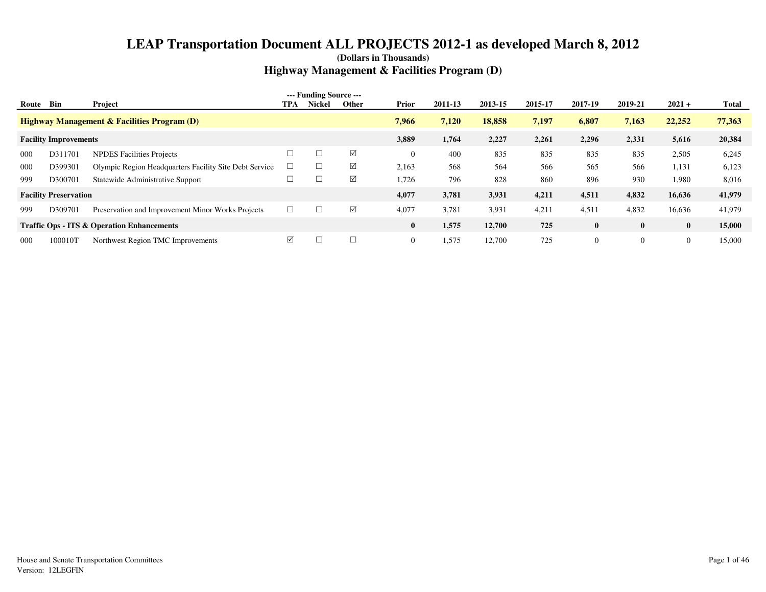| Route | Bin                          | Project                                                | TPA    | --- Funding Source ---<br><b>Nickel</b> | Other    | <b>Prior</b>   | 2011-13 | 2013-15 | 2015-17 | 2017-19        | 2019-21        | $2021 +$ | Total  |
|-------|------------------------------|--------------------------------------------------------|--------|-----------------------------------------|----------|----------------|---------|---------|---------|----------------|----------------|----------|--------|
|       |                              | <b>Highway Management &amp; Facilities Program (D)</b> |        |                                         |          | 7.966          | 7,120   | 18,858  | 7,197   | 6,807          | 7,163          | 22,252   | 77,363 |
|       | <b>Facility Improvements</b> |                                                        |        |                                         |          | 3,889          | 1,764   | 2,227   | 2,261   | 2,296          | 2,331          | 5,616    | 20,384 |
| 000   | D311701                      | <b>NPDES Facilities Projects</b>                       |        |                                         | $\Delta$ | $\overline{0}$ | 400     | 835     | 835     | 835            | 835            | 2,505    | 6,245  |
| 000   | D399301                      | Olympic Region Headquarters Facility Site Debt Service |        |                                         | $\Delta$ | 2,163          | 568     | 564     | 566     | 565            | 566            | 1,131    | 6,123  |
| 999   | D300701                      | Statewide Administrative Support                       |        |                                         | $\Delta$ | 1,726          | 796     | 828     | 860     | 896            | 930            | 1,980    | 8,016  |
|       | <b>Facility Preservation</b> |                                                        |        |                                         |          | 4,077          | 3,781   | 3,931   | 4,211   | 4,511          | 4,832          | 16,636   | 41,979 |
| 999   | D309701                      | Preservation and Improvement Minor Works Projects      | $\Box$ |                                         | $\Delta$ | 4,077          | 3,781   | 3,931   | 4,211   | 4,511          | 4,832          | 16,636   | 41,979 |
|       |                              | <b>Traffic Ops - ITS &amp; Operation Enhancements</b>  |        |                                         |          | $\bf{0}$       | 1,575   | 12,700  | 725     | $\bf{0}$       | $\bf{0}$       | $\bf{0}$ | 15,000 |
| 000   | 100010T                      | Northwest Region TMC Improvements                      | ☑      |                                         | $\Box$   | $\overline{0}$ | 1,575   | 12,700  | 725     | $\overline{0}$ | $\overline{0}$ | $\theta$ | 15,000 |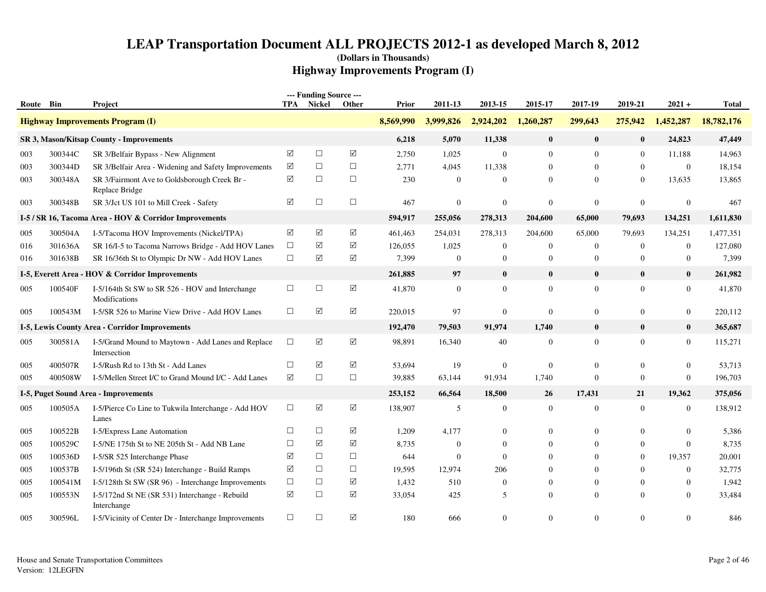| Route Bin  |                    | Project                                                                                     | TPA             | --- Funding Source ---<br>Nickel | Other              | Prior     | 2011-13          | 2013-15          | 2015-17          | 2017-19          | 2019-21        | $2021 +$               | <b>Total</b> |
|------------|--------------------|---------------------------------------------------------------------------------------------|-----------------|----------------------------------|--------------------|-----------|------------------|------------------|------------------|------------------|----------------|------------------------|--------------|
|            |                    | <b>Highway Improvements Program (I)</b>                                                     |                 |                                  |                    | 8,569,990 | 3,999,826        | 2,924,202        | 1,260,287        | 299,643          | 275,942        | 1,452,287              | 18,782,176   |
|            |                    | SR 3, Mason/Kitsap County - Improvements                                                    |                 |                                  |                    | 6,218     | 5,070            | 11,338           | $\bf{0}$         | $\bf{0}$         | $\bf{0}$       | 24,823                 | 47,449       |
|            |                    |                                                                                             | $\triangledown$ | $\Box$                           | ☑                  | 2,750     | 1,025            | $\mathbf{0}$     | $\mathbf{0}$     | $\mathbf{0}$     | $\mathbf{0}$   |                        | 14,963       |
| 003<br>003 | 300344C<br>300344D | SR 3/Belfair Bypass - New Alignment<br>SR 3/Belfair Area - Widening and Safety Improvements | ✓               | $\Box$                           | $\Box$             | 2,771     | 4,045            | 11,338           | $\mathbf{0}$     | $\overline{0}$   | $\mathbf{0}$   | 11,188<br>$\mathbf{0}$ | 18,154       |
| 003        | 300348A            | SR 3/Fairmont Ave to Goldsborough Creek Br -                                                | $\triangledown$ | $\Box$                           | $\Box$             | 230       | $\overline{0}$   | $\mathbf{0}$     | $\Omega$         | $\overline{0}$   | $\mathbf{0}$   | 13,635                 | 13,865       |
|            |                    | Replace Bridge                                                                              |                 |                                  |                    |           |                  |                  |                  |                  |                |                        |              |
| 003        | 300348B            | SR 3/Jct US 101 to Mill Creek - Safety                                                      | $\triangledown$ | $\Box$                           | $\Box$             | 467       | $\mathbf{0}$     | $\boldsymbol{0}$ | $\overline{0}$   | $\mathbf{0}$     | $\mathbf{0}$   | $\boldsymbol{0}$       | 467          |
|            |                    | I-5 / SR 16, Tacoma Area - HOV & Corridor Improvements                                      |                 |                                  |                    | 594,917   | 255,056          | 278,313          | 204,600          | 65,000           | 79,693         | 134,251                | 1,611,830    |
| 005        | 300504A            | I-5/Tacoma HOV Improvements (Nickel/TPA)                                                    | ☑               | $\blacktriangledown$             | ☑                  | 461,463   | 254,031          | 278,313          | 204,600          | 65,000           | 79,693         | 134,251                | 1,477,351    |
| 016        | 301636A            | SR 16/I-5 to Tacoma Narrows Bridge - Add HOV Lanes                                          | $\Box$          | ☑                                | ☑                  | 126,055   | 1,025            | $\mathbf{0}$     | $\mathbf{0}$     | $\mathbf{0}$     | $\mathbf{0}$   | $\mathbf{0}$           | 127,080      |
| 016        | 301638B            | SR 16/36th St to Olympic Dr NW - Add HOV Lanes                                              | $\Box$          | $\blacktriangledown$             | $\boxtimes$        | 7,399     | $\boldsymbol{0}$ | $\mathbf{0}$     | $\mathbf{0}$     | $\mathbf{0}$     | $\mathbf{0}$   | $\boldsymbol{0}$       | 7,399        |
|            |                    | I-5, Everett Area - HOV & Corridor Improvements                                             |                 |                                  |                    | 261,885   | 97               | $\bf{0}$         | $\bf{0}$         | $\mathbf{0}$     | $\bf{0}$       | $\bf{0}$               | 261,982      |
| 005        | 100540F            | I-5/164th St SW to SR 526 - HOV and Interchange<br>Modifications                            | $\Box$          | $\Box$                           | $\boxed{\text{V}}$ | 41,870    | $\boldsymbol{0}$ | $\boldsymbol{0}$ | $\boldsymbol{0}$ | $\boldsymbol{0}$ | $\mathbf{0}$   | $\boldsymbol{0}$       | 41,870       |
| 005        | 100543M            | I-5/SR 526 to Marine View Drive - Add HOV Lanes                                             | $\Box$          | $\triangledown$                  | $\sqrt{}$          | 220,015   | 97               | $\mathbf{0}$     | $\mathbf{0}$     | $\mathbf{0}$     | $\overline{0}$ | $\boldsymbol{0}$       | 220,112      |
|            |                    | I-5, Lewis County Area - Corridor Improvements                                              |                 |                                  |                    | 192,470   | 79,503           | 91,974           | 1,740            | $\bf{0}$         | $\bf{0}$       | $\bf{0}$               | 365,687      |
| 005        | 300581A            | I-5/Grand Mound to Maytown - Add Lanes and Replace<br>Intersection                          | $\Box$          | $\blacktriangledown$             | $\boxtimes$        | 98,891    | 16,340           | 40               | $\mathbf{0}$     | $\overline{0}$   | $\overline{0}$ | $\boldsymbol{0}$       | 115,271      |
| 005        | 400507R            | I-5/Rush Rd to 13th St - Add Lanes                                                          | $\Box$          | ☑                                | $\sqrt{}$          | 53,694    | 19               | $\overline{0}$   | $\overline{0}$   | $\mathbf{0}$     | $\overline{0}$ | $\mathbf{0}$           | 53,713       |
| 005        | 400508W            | I-5/Mellen Street I/C to Grand Mound I/C - Add Lanes                                        | ☑               | $\Box$                           | $\Box$             | 39,885    | 63,144           | 91,934           | 1,740            | $\overline{0}$   | $\overline{0}$ | $\mathbf{0}$           | 196,703      |
|            |                    | I-5, Puget Sound Area - Improvements                                                        |                 |                                  |                    | 253,152   | 66,564           | 18,500           | 26               | 17,431           | 21             | 19,362                 | 375,056      |
| 005        | 100505A            | I-5/Pierce Co Line to Tukwila Interchange - Add HOV<br>Lanes                                | $\Box$          | $\boxed{\checkmark}$             | $\boxtimes$        | 138,907   | 5                | $\mathbf{0}$     | $\overline{0}$   | $\mathbf{0}$     | $\overline{0}$ | $\boldsymbol{0}$       | 138,912      |
| 005        | 100522B            | I-5/Express Lane Automation                                                                 | $\Box$          | $\Box$                           | ☑                  | 1,209     | 4,177            | $\mathbf{0}$     | $\overline{0}$   | $\theta$         | $\overline{0}$ | $\boldsymbol{0}$       | 5,386        |
| 005        | 100529C            | I-5/NE 175th St to NE 205th St - Add NB Lane                                                | $\Box$          | ☑                                | ☑                  | 8,735     | $\overline{0}$   | $\mathbf{0}$     | $\Omega$         | $\overline{0}$   | $\overline{0}$ | $\mathbf{0}$           | 8,735        |
| 005        | 100536D            | I-5/SR 525 Interchange Phase                                                                | ✓               | $\Box$                           | $\Box$             | 644       | $\theta$         | $\theta$         | $\Omega$         | $\Omega$         | $\Omega$       | 19,357                 | 20,001       |
| 005        | 100537B            | I-5/196th St (SR 524) Interchange - Build Ramps                                             | ✓               | $\Box$                           | $\Box$             | 19,595    | 12,974           | 206              | $\Omega$         | $\theta$         | $\theta$       | $\boldsymbol{0}$       | 32,775       |
| 005        | 100541M            | I-5/128th St SW (SR 96) - Interchange Improvements                                          | $\Box$          | $\Box$                           | $\sqrt{}$          | 1,432     | 510              | $\overline{0}$   | $\overline{0}$   | $\mathbf{0}$     | $\mathbf{0}$   | $\overline{0}$         | 1,942        |
| 005        | 100553N            | I-5/172nd St NE (SR 531) Interchange - Rebuild<br>Interchange                               | ☑               | $\Box$                           | ☑                  | 33,054    | 425              | 5                | $\overline{0}$   | $\theta$         | $\theta$       | $\mathbf{0}$           | 33,484       |
| 005        | 300596L            | I-5/Vicinity of Center Dr - Interchange Improvements                                        | $\Box$          | $\Box$                           | ☑                  | 180       | 666              | $\Omega$         | $\Omega$         | $\Omega$         | $\Omega$       | $\Omega$               | 846          |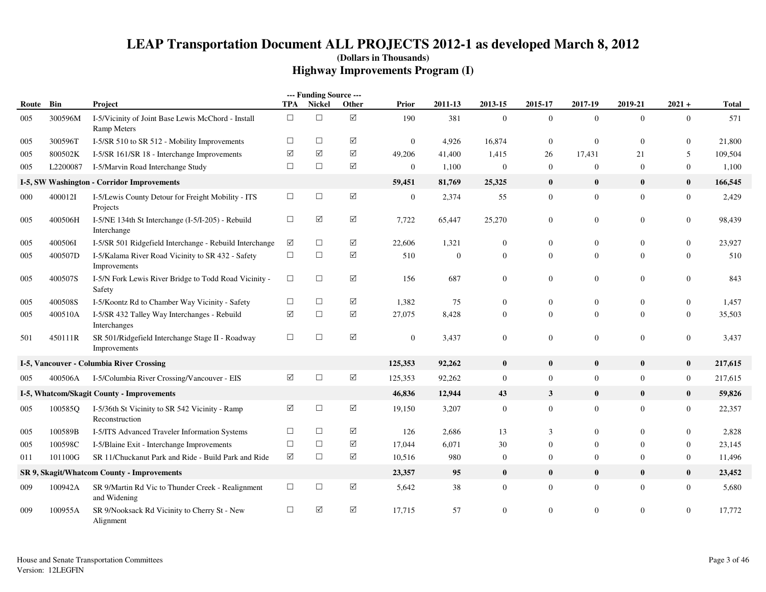|       |          |                                                                          |        | --- Funding Source --- |                      |                |          |                |                  |                  |                |                  |              |
|-------|----------|--------------------------------------------------------------------------|--------|------------------------|----------------------|----------------|----------|----------------|------------------|------------------|----------------|------------------|--------------|
| Route | Bin      | Project                                                                  | TPA    | Nickel                 | Other                | Prior          | 2011-13  | 2013-15        | 2015-17          | 2017-19          | 2019-21        | $2021 +$         | <b>Total</b> |
| 005   | 300596M  | I-5/Vicinity of Joint Base Lewis McChord - Install<br><b>Ramp Meters</b> | $\Box$ | $\Box$                 | $\boxed{\mathsf{v}}$ | 190            | 381      | $\overline{0}$ | $\mathbf{0}$     | $\mathbf{0}$     | $\overline{0}$ | $\boldsymbol{0}$ | 571          |
| 005   | 300596T  | I-5/SR 510 to SR 512 - Mobility Improvements                             | $\Box$ | $\Box$                 | $\Delta$             | $\overline{0}$ | 4,926    | 16,874         | $\overline{0}$   | $\mathbf{0}$     | $\mathbf{0}$   | $\boldsymbol{0}$ | 21,800       |
| 005   | 800502K  | I-5/SR 161/SR 18 - Interchange Improvements                              | ☑      | ☑                      | ☑                    | 49,206         | 41,400   | 1,415          | 26               | 17,431           | 21             | 5                | 109,504      |
| 005   | L2200087 | I-5/Marvin Road Interchange Study                                        | $\Box$ | $\Box$                 | $\Delta$             | $\mathbf{0}$   | 1,100    | $\mathbf{0}$   | $\overline{0}$   | $\mathbf{0}$     | $\mathbf{0}$   | $\mathbf{0}$     | 1,100        |
|       |          | I-5, SW Washington - Corridor Improvements                               |        |                        |                      | 59,451         | 81,769   | 25,325         | $\bf{0}$         | $\bf{0}$         | $\bf{0}$       | $\bf{0}$         | 166,545      |
| 000   | 400012I  | I-5/Lewis County Detour for Freight Mobility - ITS<br>Projects           | $\Box$ | $\Box$                 | $\triangledown$      | $\mathbf{0}$   | 2,374    | 55             | $\mathbf{0}$     | $\mathbf{0}$     | $\overline{0}$ | $\boldsymbol{0}$ | 2,429        |
| 005   | 400506H  | I-5/NE 134th St Interchange (I-5/I-205) - Rebuild<br>Interchange         | $\Box$ | $\triangledown$        | $\boxed{\checkmark}$ | 7,722          | 65,447   | 25,270         | $\mathbf{0}$     | $\boldsymbol{0}$ | $\overline{0}$ | $\boldsymbol{0}$ | 98,439       |
| 005   | 400506I  | I-5/SR 501 Ridgefield Interchange - Rebuild Interchange                  | ☑      | $\Box$                 | $\Delta$             | 22,606         | 1,321    | $\overline{0}$ | $\mathbf{0}$     | $\mathbf{0}$     | $\overline{0}$ | $\mathbf{0}$     | 23,927       |
| 005   | 400507D  | I-5/Kalama River Road Vicinity to SR 432 - Safety<br>Improvements        | $\Box$ | $\Box$                 | $\Delta$             | 510            | $\theta$ | $\Omega$       | $\Omega$         | $\overline{0}$   | $\Omega$       | $\mathbf{0}$     | 510          |
| 005   | 400507S  | I-5/N Fork Lewis River Bridge to Todd Road Vicinity -<br>Safety          | $\Box$ | $\Box$                 | ☑                    | 156            | 687      | $\overline{0}$ | $\mathbf{0}$     | $\boldsymbol{0}$ | $\overline{0}$ | $\mathbf{0}$     | 843          |
| 005   | 400508S  | I-5/Koontz Rd to Chamber Way Vicinity - Safety                           | $\Box$ | $\Box$                 | $\sqrt{ }$           | 1,382          | 75       | $\theta$       | $\Omega$         | $\mathbf{0}$     | $\overline{0}$ | $\overline{0}$   | 1,457        |
| 005   | 400510A  | I-5/SR 432 Talley Way Interchanges - Rebuild<br>Interchanges             | ☑      | $\Box$                 | $\triangledown$      | 27,075         | 8,428    | $\mathbf{0}$   | $\overline{0}$   | $\mathbf{0}$     | $\overline{0}$ | $\boldsymbol{0}$ | 35,503       |
| 501   | 450111R  | SR 501/Ridgefield Interchange Stage II - Roadway<br>Improvements         | $\Box$ | $\Box$                 | $\boxtimes$          | $\overline{0}$ | 3,437    | $\mathbf{0}$   | $\mathbf{0}$     | $\mathbf{0}$     | $\overline{0}$ | $\mathbf{0}$     | 3,437        |
|       |          | I-5, Vancouver - Columbia River Crossing                                 |        |                        |                      | 125,353        | 92,262   | $\bf{0}$       | $\bf{0}$         | $\bf{0}$         | $\mathbf{0}$   | $\bf{0}$         | 217,615      |
| 005   | 400506A  | I-5/Columbia River Crossing/Vancouver - EIS                              | ☑      | $\Box$                 | $\boxed{\checkmark}$ | 125,353        | 92,262   | $\mathbf{0}$   | $\mathbf{0}$     | $\mathbf{0}$     | $\overline{0}$ | $\boldsymbol{0}$ | 217,615      |
|       |          | I-5, Whatcom/Skagit County - Improvements                                |        |                        |                      | 46,836         | 12,944   | 43             | $\mathbf{3}$     | $\bf{0}$         | $\bf{0}$       | $\bf{0}$         | 59,826       |
| 005   | 100585Q  | I-5/36th St Vicinity to SR 542 Vicinity - Ramp<br>Reconstruction         | ☑      | $\Box$                 | $\triangledown$      | 19,150         | 3,207    | $\mathbf{0}$   | $\boldsymbol{0}$ | $\mathbf{0}$     | $\overline{0}$ | $\boldsymbol{0}$ | 22,357       |
| 005   | 100589B  | I-5/ITS Advanced Traveler Information Systems                            | $\Box$ | $\Box$                 | ☑                    | 126            | 2,686    | 13             | 3                | $\theta$         | $\overline{0}$ | $\theta$         | 2,828        |
| 005   | 100598C  | I-5/Blaine Exit - Interchange Improvements                               | $\Box$ | $\Box$                 | ☑                    | 17,044         | 6,071    | 30             | 0                | $\mathbf{0}$     | $\mathbf{0}$   | $\boldsymbol{0}$ | 23,145       |
| 011   | 101100G  | SR 11/Chuckanut Park and Ride - Build Park and Ride                      | ☑      | $\Box$                 | ☑                    | 10,516         | 980      | $\mathbf{0}$   | $\boldsymbol{0}$ | $\mathbf{0}$     | $\overline{0}$ | $\boldsymbol{0}$ | 11,496       |
|       |          | SR 9, Skagit/Whatcom County - Improvements                               |        |                        |                      | 23,357         | 95       | $\bf{0}$       | $\bf{0}$         | $\bf{0}$         | $\mathbf{0}$   | $\bf{0}$         | 23,452       |
| 009   | 100942A  | SR 9/Martin Rd Vic to Thunder Creek - Realignment<br>and Widening        | $\Box$ | $\Box$                 | ☑                    | 5,642          | 38       | $\mathbf{0}$   | $\overline{0}$   | $\mathbf{0}$     | $\overline{0}$ | $\boldsymbol{0}$ | 5,680        |
| 009   | 100955A  | SR 9/Nooksack Rd Vicinity to Cherry St - New<br>Alignment                | $\Box$ | ☑                      | $\Delta$             | 17,715         | 57       | $\Omega$       | $\overline{0}$   | $\theta$         | $\overline{0}$ | $\Omega$         | 17,772       |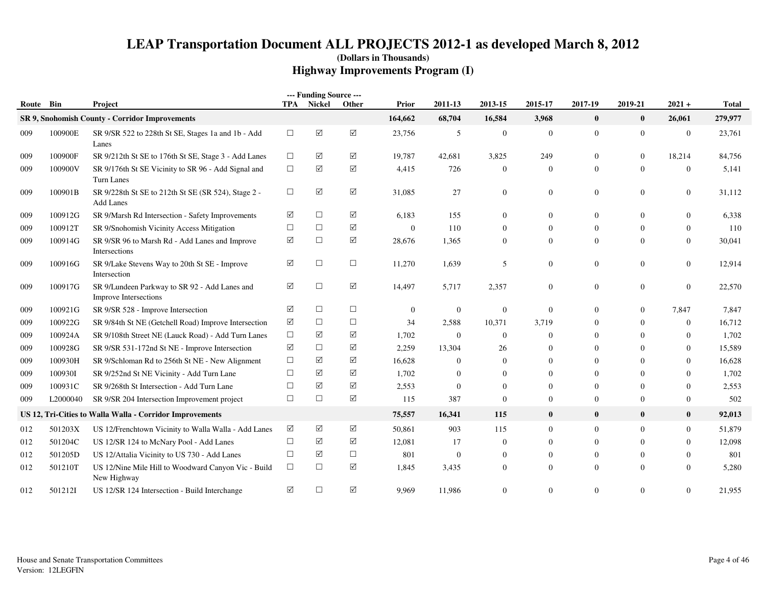| Route Bin |          | Project                                                                |        | --- Funding Source ---<br>TPA Nickel | Other       | Prior          | 2011-13        | 2013-15        | 2015-17        | 2017-19          | 2019-21        | $2021 +$         | <b>Total</b> |
|-----------|----------|------------------------------------------------------------------------|--------|--------------------------------------|-------------|----------------|----------------|----------------|----------------|------------------|----------------|------------------|--------------|
|           |          | SR 9, Snohomish County - Corridor Improvements                         |        |                                      |             | 164,662        | 68,704         | 16,584         | 3,968          | $\bf{0}$         | $\mathbf{0}$   | 26,061           | 279,977      |
| 009       | 100900E  | SR 9/SR 522 to 228th St SE, Stages 1a and 1b - Add<br>Lanes            | $\Box$ | $\blacktriangledown$                 | $\boxtimes$ | 23,756         | 5              | $\overline{0}$ | $\overline{0}$ | $\overline{0}$   | $\overline{0}$ | $\mathbf{0}$     | 23,761       |
| 009       | 100900F  | SR 9/212th St SE to 176th St SE, Stage 3 - Add Lanes                   | $\Box$ | ☑                                    | ☑           | 19,787         | 42,681         | 3,825          | 249            | $\overline{0}$   | $\overline{0}$ | 18,214           | 84,756       |
| 009       | 100900V  | SR 9/176th St SE Vicinity to SR 96 - Add Signal and<br>Turn Lanes      | $\Box$ | $\blacktriangledown$                 | ☑           | 4,415          | 726            | $\overline{0}$ | $\overline{0}$ | $\mathbf{0}$     | $\mathbf{0}$   | $\boldsymbol{0}$ | 5,141        |
| 009       | 100901B  | SR 9/228th St SE to 212th St SE (SR 524), Stage 2 -<br>Add Lanes       | $\Box$ | $\triangledown$                      | ☑           | 31,085         | 27             | $\mathbf{0}$   | $\mathbf{0}$   | $\mathbf{0}$     | $\overline{0}$ | $\boldsymbol{0}$ | 31,112       |
| 009       | 100912G  | SR 9/Marsh Rd Intersection - Safety Improvements                       | ☑      | $\Box$                               | $\sqrt{}$   | 6,183          | 155            | $\mathbf{0}$   | $\overline{0}$ | $\mathbf{0}$     | $\overline{0}$ | $\boldsymbol{0}$ | 6,338        |
| 009       | 100912T  | SR 9/Snohomish Vicinity Access Mitigation                              | $\Box$ | $\Box$                               | ☑           | $\mathbf{0}$   | 110            | $\mathbf{0}$   | $\mathbf{0}$   | $\overline{0}$   | $\overline{0}$ | $\mathbf{0}$     | 110          |
| 009       | 100914G  | SR 9/SR 96 to Marsh Rd - Add Lanes and Improve<br>Intersections        | ☑      | $\Box$                               | ☑           | 28,676         | 1,365          | $\mathbf{0}$   | $\mathbf{0}$   | $\overline{0}$   | $\overline{0}$ | $\boldsymbol{0}$ | 30,041       |
| 009       | 100916G  | SR 9/Lake Stevens Way to 20th St SE - Improve<br>Intersection          | ☑      | $\Box$                               | $\Box$      | 11,270         | 1,639          | 5              | $\mathbf{0}$   | $\boldsymbol{0}$ | $\overline{0}$ | $\mathbf{0}$     | 12,914       |
| 009       | 100917G  | SR 9/Lundeen Parkway to SR 92 - Add Lanes and<br>Improve Intersections | ☑      | $\Box$                               | ☑           | 14,497         | 5,717          | 2,357          | $\mathbf{0}$   | $\boldsymbol{0}$ | $\overline{0}$ | $\boldsymbol{0}$ | 22,570       |
| 009       | 100921G  | SR 9/SR 528 - Improve Intersection                                     | ☑      | $\Box$                               | $\Box$      | $\overline{0}$ | $\mathbf{0}$   | $\overline{0}$ | $\overline{0}$ | $\theta$         | $\Omega$       | 7,847            | 7,847        |
| 009       | 100922G  | SR 9/84th St NE (Getchell Road) Improve Intersection                   | ☑      | $\Box$                               | $\Box$      | 34             | 2,588          | 10,371         | 3,719          | $\mathbf{0}$     | $\Omega$       | $\boldsymbol{0}$ | 16,712       |
| 009       | 100924A  | SR 9/108th Street NE (Lauck Road) - Add Turn Lanes                     | $\Box$ | ☑                                    | ☑           | 1,702          | $\overline{0}$ | $\overline{0}$ | $\overline{0}$ | $\overline{0}$   | $\Omega$       | $\mathbf{0}$     | 1,702        |
| 009       | 100928G  | SR 9/SR 531-172nd St NE - Improve Intersection                         | ☑      | $\Box$                               | ☑           | 2,259          | 13,304         | 26             | $\mathbf{0}$   | $\theta$         | $\Omega$       | $\mathbf{0}$     | 15,589       |
| 009       | 100930H  | SR 9/Schloman Rd to 256th St NE - New Alignment                        | $\Box$ | ☑                                    | ☑           | 16,628         | $\mathbf{0}$   | $\theta$       | $\Omega$       | $\theta$         | $\Omega$       | $\mathbf{0}$     | 16,628       |
| 009       | 100930I  | SR 9/252nd St NE Vicinity - Add Turn Lane                              | $\Box$ | $\triangledown$                      | $\sqrt{}$   | 1,702          | $\theta$       | $\Omega$       | $\Omega$       | $\overline{0}$   | $\Omega$       | $\theta$         | 1,702        |
| 009       | 100931C  | SR 9/268th St Intersection - Add Turn Lane                             | $\Box$ | ☑                                    | $\sqrt{}$   | 2,553          | $\theta$       | $\Omega$       | $\Omega$       | $\theta$         | $\Omega$       | $\mathbf{0}$     | 2,553        |
| 009       | L2000040 | SR 9/SR 204 Intersection Improvement project                           | $\Box$ | $\Box$                               | $\sqrt{}$   | 115            | 387            | $\mathbf{0}$   | $\overline{0}$ | $\overline{0}$   | $\overline{0}$ | $\boldsymbol{0}$ | 502          |
|           |          | US 12, Tri-Cities to Walla Walla - Corridor Improvements               |        |                                      |             | 75,557         | 16,341         | 115            | $\bf{0}$       | $\bf{0}$         | $\bf{0}$       | $\bf{0}$         | 92,013       |
| 012       | 501203X  | US 12/Frenchtown Vicinity to Walla Walla - Add Lanes                   | ☑      | ☑                                    | ☑           | 50,861         | 903            | 115            | $\mathbf{0}$   | $\mathbf{0}$     | $\overline{0}$ | $\boldsymbol{0}$ | 51,879       |
| 012       | 501204C  | US 12/SR 124 to McNary Pool - Add Lanes                                | $\Box$ | ☑                                    | ☑           | 12,081         | 17             | $\overline{0}$ | $\Omega$       | $\overline{0}$   | $\Omega$       | $\mathbf{0}$     | 12,098       |
| 012       | 501205D  | US 12/Attalia Vicinity to US 730 - Add Lanes                           | $\Box$ | ☑                                    | $\Box$      | 801            | $\theta$       | $\mathbf{0}$   | $\overline{0}$ | $\mathbf{0}$     | $\mathbf{0}$   | $\mathbf{0}$     | 801          |
| 012       | 501210T  | US 12/Nine Mile Hill to Woodward Canyon Vic - Build<br>New Highway     | $\Box$ | $\Box$                               | $\boxtimes$ | 1,845          | 3,435          | $\mathbf{0}$   | $\Omega$       | $\mathbf{0}$     | $\Omega$       | $\theta$         | 5,280        |
| 012       | 5012121  | US 12/SR 124 Intersection - Build Interchange                          | ☑      | $\Box$                               | ☑           | 9,969          | 11,986         | $\Omega$       | $\Omega$       | $\theta$         | $\Omega$       | $\theta$         | 21,955       |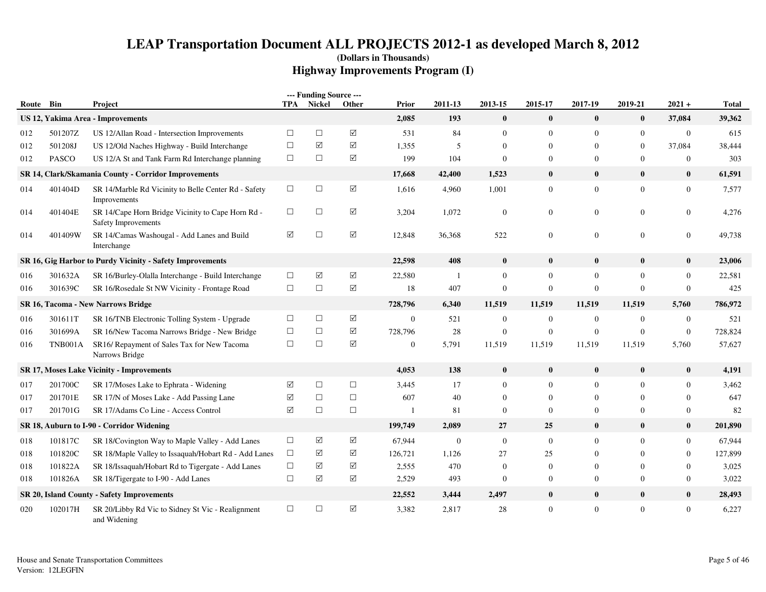| Route | Bin            | Project                                                                  | TPA    | --- Funding Source ---<br>Nickel | Other                | Prior        | 2011-13          | 2013-15          | 2015-17          | 2017-19        | 2019-21        | $2021 +$         | <b>Total</b> |
|-------|----------------|--------------------------------------------------------------------------|--------|----------------------------------|----------------------|--------------|------------------|------------------|------------------|----------------|----------------|------------------|--------------|
|       |                | <b>US 12, Yakima Area - Improvements</b>                                 |        |                                  |                      | 2,085        | 193              | $\bf{0}$         | $\bf{0}$         | $\bf{0}$       | $\bf{0}$       | 37,084           | 39,362       |
| 012   | 501207Z        | US 12/Allan Road - Intersection Improvements                             | $\Box$ | $\Box$                           | $\triangledown$      | 531          | 84               | $\mathbf{0}$     | $\mathbf{0}$     | $\overline{0}$ | $\overline{0}$ | $\mathbf{0}$     | 615          |
| 012   | 501208J        | US 12/Old Naches Highway - Build Interchange                             | $\Box$ | ☑                                | ☑                    | 1,355        | 5                | $\mathbf{0}$     | $\overline{0}$   | $\mathbf{0}$   | $\mathbf{0}$   | 37,084           | 38,444       |
| 012   | <b>PASCO</b>   | US 12/A St and Tank Farm Rd Interchange planning                         | $\Box$ | $\Box$                           | ☑                    | 199          | 104              | $\theta$         | $\boldsymbol{0}$ | $\mathbf{0}$   | $\overline{0}$ | $\boldsymbol{0}$ | 303          |
|       |                | SR 14, Clark/Skamania County - Corridor Improvements                     |        |                                  |                      | 17,668       | 42,400           | 1,523            | $\bf{0}$         | $\bf{0}$       | $\bf{0}$       | $\bf{0}$         | 61,591       |
| 014   | 401404D        | SR 14/Marble Rd Vicinity to Belle Center Rd - Safety<br>Improvements     | $\Box$ | $\Box$                           | $\sqrt{ }$           | 1,616        | 4,960            | 1,001            | $\mathbf{0}$     | $\mathbf{0}$   | $\overline{0}$ | $\boldsymbol{0}$ | 7.577        |
| 014   | 401404E        | SR 14/Cape Horn Bridge Vicinity to Cape Horn Rd -<br>Safety Improvements | $\Box$ | $\Box$                           | $\triangledown$      | 3,204        | 1,072            | $\mathbf{0}$     | $\overline{0}$   | $\mathbf{0}$   | $\overline{0}$ | $\boldsymbol{0}$ | 4,276        |
| 014   | 401409W        | SR 14/Camas Washougal - Add Lanes and Build<br>Interchange               | ☑      | $\Box$                           | $\sqrt{ }$           | 12,848       | 36,368           | 522              | $\mathbf{0}$     | $\overline{0}$ | $\overline{0}$ | $\mathbf{0}$     | 49,738       |
|       |                | SR 16, Gig Harbor to Purdy Vicinity - Safety Improvements                |        |                                  |                      | 22,598       | 408              | $\bf{0}$         | $\bf{0}$         | $\bf{0}$       | $\bf{0}$       | $\bf{0}$         | 23,006       |
| 016   | 301632A        | SR 16/Burley-Olalla Interchange - Build Interchange                      | $\Box$ | $\sqrt{}$                        | $\boxed{\checkmark}$ | 22,580       | -1               | $\mathbf{0}$     | $\mathbf{0}$     | $\mathbf{0}$   | $\mathbf{0}$   | $\mathbf{0}$     | 22,581       |
| 016   | 301639C        | SR 16/Rosedale St NW Vicinity - Frontage Road                            | $\Box$ | $\Box$                           | $\Delta$             | 18           | 407              | $\mathbf{0}$     | $\mathbf{0}$     | $\mathbf{0}$   | $\Omega$       | $\mathbf{0}$     | 425          |
|       |                | SR 16, Tacoma - New Narrows Bridge                                       |        |                                  |                      | 728,796      | 6,340            | 11,519           | 11,519           | 11,519         | 11,519         | 5,760            | 786,972      |
| 016   | 301611T        | SR 16/TNB Electronic Tolling System - Upgrade                            | $\Box$ | $\Box$                           | ☑                    | $\mathbf{0}$ | 521              | $\mathbf{0}$     | $\mathbf{0}$     | $\mathbf{0}$   | $\mathbf{0}$   | $\boldsymbol{0}$ | 521          |
| 016   | 301699A        | SR 16/New Tacoma Narrows Bridge - New Bridge                             | $\Box$ | $\Box$                           | $\triangledown$      | 728,796      | 28               | $\boldsymbol{0}$ | $\mathbf{0}$     | $\mathbf{0}$   | $\mathbf{0}$   | $\mathbf{0}$     | 728,824      |
| 016   | <b>TNB001A</b> | SR16/ Repayment of Sales Tax for New Tacoma<br>Narrows Bridge            | $\Box$ | $\Box$                           | ☑                    | $\mathbf{0}$ | 5,791            | 11,519           | 11,519           | 11,519         | 11,519         | 5,760            | 57,627       |
|       |                | SR 17, Moses Lake Vicinity - Improvements                                |        |                                  |                      | 4,053        | 138              | $\bf{0}$         | $\bf{0}$         | $\bf{0}$       | $\bf{0}$       | $\bf{0}$         | 4,191        |
| 017   | 201700C        | SR 17/Moses Lake to Ephrata - Widening                                   | ☑      | $\Box$                           | $\Box$               | 3,445        | 17               | $\mathbf{0}$     | $\mathbf{0}$     | $\mathbf{0}$   | $\Omega$       | $\overline{0}$   | 3,462        |
| 017   | 201701E        | SR 17/N of Moses Lake - Add Passing Lane                                 | ☑      | $\Box$                           | $\Box$               | 607          | 40               | $\Omega$         | $\overline{0}$   | $\overline{0}$ | $\Omega$       | $\Omega$         | 647          |
| 017   | 201701G        | SR 17/Adams Co Line - Access Control                                     | ☑      | $\Box$                           | $\Box$               | $\mathbf{1}$ | 81               | $\mathbf{0}$     | $\mathbf{0}$     | $\mathbf{0}$   | $\mathbf{0}$   | $\mathbf{0}$     | 82           |
|       |                | SR 18, Auburn to I-90 - Corridor Widening                                |        |                                  |                      | 199,749      | 2,089            | 27               | 25               | $\bf{0}$       | $\bf{0}$       | $\bf{0}$         | 201,890      |
| 018   | 101817C        | SR 18/Covington Way to Maple Valley - Add Lanes                          | $\Box$ | ☑                                | ☑                    | 67,944       | $\boldsymbol{0}$ | $\mathbf{0}$     | $\mathbf{0}$     | $\overline{0}$ | $\Omega$       | $\mathbf{0}$     | 67,944       |
| 018   | 101820C        | SR 18/Maple Valley to Issaquah/Hobart Rd - Add Lanes                     | $\Box$ | $\triangledown$                  | ☑                    | 126,721      | 1,126            | 27               | 25               | $\Omega$       | $\Omega$       | $\mathbf{0}$     | 127,899      |
| 018   | 101822A        | SR 18/Issaquah/Hobart Rd to Tigergate - Add Lanes                        | $\Box$ | ☑                                | ☑                    | 2,555        | 470              | $\Omega$         | $\mathbf{0}$     | $\Omega$       | $\Omega$       | $\mathbf{0}$     | 3,025        |
| 018   | 101826A        | SR 18/Tigergate to I-90 - Add Lanes                                      | $\Box$ | ☑                                | $\Delta$             | 2,529        | 493              | $\mathbf{0}$     | $\boldsymbol{0}$ | $\mathbf{0}$   | $\mathbf{0}$   | $\boldsymbol{0}$ | 3,022        |
|       |                | <b>SR 20, Island County - Safety Improvements</b>                        |        |                                  |                      | 22,552       | 3,444            | 2,497            | $\bf{0}$         | $\bf{0}$       | $\bf{0}$       | $\bf{0}$         | 28,493       |
| 020   | 102017H        | SR 20/Libby Rd Vic to Sidney St Vic - Realignment<br>and Widening        | $\Box$ | $\Box$                           | ☑                    | 3,382        | 2,817            | 28               | $\mathbf{0}$     | $\mathbf{0}$   | $\overline{0}$ | $\mathbf{0}$     | 6,227        |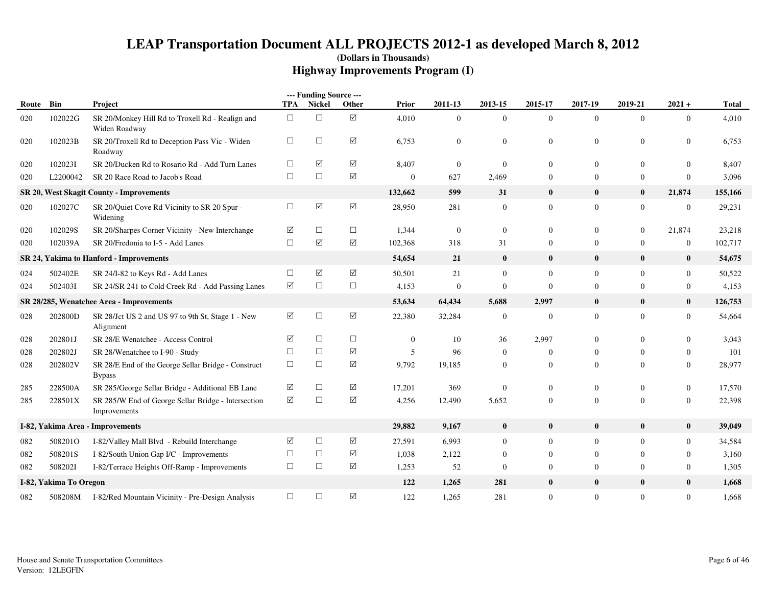|       |                        |                                                                      |          | --- Funding Source --- |             |              |                |                  |                |                |                  |                  |         |
|-------|------------------------|----------------------------------------------------------------------|----------|------------------------|-------------|--------------|----------------|------------------|----------------|----------------|------------------|------------------|---------|
| Route | Bin                    | Project                                                              | TPA      | Nickel                 | Other       | Prior        | 2011-13        | 2013-15          | 2015-17        | 2017-19        | 2019-21          | $2021 +$         | Total   |
| 020   | 102022G                | SR 20/Monkey Hill Rd to Troxell Rd - Realign and<br>Widen Roadway    | $\Box$   | $\Box$                 | ☑           | 4,010        | $\Omega$       | $\mathbf{0}$     | $\overline{0}$ | $\Omega$       | $\overline{0}$   | $\overline{0}$   | 4,010   |
| 020   | 102023B                | SR 20/Troxell Rd to Deception Pass Vic - Widen<br>Roadway            | $\Box$   | $\Box$                 | ☑           | 6,753        | $\mathbf{0}$   | $\boldsymbol{0}$ | $\mathbf{0}$   | $\mathbf{0}$   | $\boldsymbol{0}$ | $\mathbf{0}$     | 6,753   |
| 020   | 1020231                | SR 20/Ducken Rd to Rosario Rd - Add Turn Lanes                       | □        | ☑                      | ☑           | 8,407        | $\overline{0}$ | $\mathbf{0}$     | $\mathbf{0}$   | $\mathbf{0}$   | $\mathbf{0}$     | $\mathbf{0}$     | 8,407   |
| 020   | L2200042               | SR 20 Race Road to Jacob's Road                                      | $\Box$   | $\Box$                 | ☑           | $\mathbf{0}$ | 627            | 2,469            | $\mathbf{0}$   | $\mathbf{0}$   | $\boldsymbol{0}$ | $\mathbf{0}$     | 3,096   |
|       |                        | <b>SR 20, West Skagit County - Improvements</b>                      |          |                        |             | 132,662      | 599            | 31               | $\bf{0}$       | $\bf{0}$       | $\bf{0}$         | 21,874           | 155,166 |
| 020   | 102027C                | SR 20/Quiet Cove Rd Vicinity to SR 20 Spur -<br>Widening             | $\Box$   | $\boxtimes$            | $\boxtimes$ | 28,950       | 281            | $\boldsymbol{0}$ | $\overline{0}$ | $\overline{0}$ | $\mathbf{0}$     | $\boldsymbol{0}$ | 29,231  |
| 020   | 102029S                | SR 20/Sharpes Corner Vicinity - New Interchange                      | ☑        | $\Box$                 | $\Box$      | 1,344        | $\theta$       | $\mathbf{0}$     | $\mathbf{0}$   | $\Omega$       | $\mathbf{0}$     | 21,874           | 23,218  |
| 020   | 102039A                | SR 20/Fredonia to I-5 - Add Lanes                                    | $\Box$   | ☑                      | ☑           | 102,368      | 318            | 31               | $\mathbf{0}$   | $\overline{0}$ | $\mathbf{0}$     | $\boldsymbol{0}$ | 102,717 |
|       |                        | <b>SR 24, Yakima to Hanford - Improvements</b>                       |          |                        |             | 54,654       | 21             | $\bf{0}$         | $\bf{0}$       | $\bf{0}$       | $\bf{0}$         | $\bf{0}$         | 54,675  |
| 024   | 502402E                | SR 24/I-82 to Keys Rd - Add Lanes                                    | $\Box$   | $\boxtimes$            | $\boxtimes$ | 50,501       | 21             | $\boldsymbol{0}$ | $\overline{0}$ | $\overline{0}$ | $\boldsymbol{0}$ | $\overline{0}$   | 50,522  |
| 024   | 5024031                | SR 24/SR 241 to Cold Creek Rd - Add Passing Lanes                    | $\Delta$ | $\Box$                 | $\Box$      | 4,153        | $\mathbf{0}$   | $\mathbf{0}$     | $\mathbf{0}$   | $\mathbf{0}$   | $\mathbf{0}$     | $\overline{0}$   | 4,153   |
|       |                        | SR 28/285, Wenatchee Area - Improvements                             |          |                        |             | 53,634       | 64,434         | 5,688            | 2,997          | $\bf{0}$       | $\bf{0}$         | $\bf{0}$         | 126,753 |
| 028   | 202800D                | SR 28/Jct US 2 and US 97 to 9th St, Stage 1 - New<br>Alignment       | ☑        | $\Box$                 | $\Delta$    | 22,380       | 32,284         | $\boldsymbol{0}$ | $\mathbf{0}$   | $\overline{0}$ | $\mathbf{0}$     | $\overline{0}$   | 54,664  |
| 028   | 202801J                | SR 28/E Wenatchee - Access Control                                   | ☑        | $\Box$                 | $\Box$      | $\mathbf{0}$ | 10             | 36               | 2,997          | $\mathbf{0}$   | $\mathbf{0}$     | $\mathbf{0}$     | 3,043   |
| 028   | 202802J                | SR 28/Wenatchee to I-90 - Study                                      | $\Box$   | $\Box$                 | ☑           | 5            | 96             | $\theta$         | $\mathbf{0}$   | $\Omega$       | $\Omega$         | $\overline{0}$   | 101     |
| 028   | 202802V                | SR 28/E End of the George Sellar Bridge - Construct<br><b>Bypass</b> | $\Box$   | $\Box$                 | $\Delta$    | 9,792        | 19,185         | $\mathbf{0}$     | $\overline{0}$ | $\overline{0}$ | $\Omega$         | $\overline{0}$   | 28,977  |
| 285   | 228500A                | SR 285/George Sellar Bridge - Additional EB Lane                     | ☑        | $\Box$                 | ☑           | 17,201       | 369            | $\boldsymbol{0}$ | $\mathbf{0}$   | $\overline{0}$ | $\boldsymbol{0}$ | $\boldsymbol{0}$ | 17,570  |
| 285   | 228501X                | SR 285/W End of George Sellar Bridge - Intersection<br>Improvements  | ☑        | $\Box$                 | ☑           | 4,256        | 12,490         | 5,652            | $\mathbf{0}$   | $\mathbf{0}$   | $\mathbf{0}$     | $\overline{0}$   | 22,398  |
|       |                        | I-82, Yakima Area - Improvements                                     |          |                        |             | 29,882       | 9,167          | $\boldsymbol{0}$ | $\bf{0}$       | $\bf{0}$       | $\bf{0}$         | $\bf{0}$         | 39,049  |
| 082   | 508201O                | I-82/Valley Mall Blvd - Rebuild Interchange                          | ☑        | $\Box$                 | ☑           | 27,591       | 6,993          | $\mathbf{0}$     | $\mathbf{0}$   | $\mathbf{0}$   | $\mathbf{0}$     | $\overline{0}$   | 34,584  |
| 082   | 508201S                | I-82/South Union Gap I/C - Improvements                              | $\Box$   | $\Box$                 | $\Delta$    | 1,038        | 2,122          | $\mathbf{0}$     | $\mathbf{0}$   | $\mathbf{0}$   | $\mathbf{0}$     | $\overline{0}$   | 3,160   |
| 082   | 5082021                | I-82/Terrace Heights Off-Ramp - Improvements                         | $\Box$   | $\Box$                 | ☑           | 1,253        | 52             | $\Omega$         | $\mathbf{0}$   | $\overline{0}$ | $\Omega$         | $\overline{0}$   | 1,305   |
|       | I-82, Yakima To Oregon |                                                                      |          |                        |             | 122          | 1,265          | 281              | $\bf{0}$       | $\bf{0}$       | $\bf{0}$         | $\bf{0}$         | 1,668   |
| 082   | 508208M                | I-82/Red Mountain Vicinity - Pre-Design Analysis                     | $\Box$   | $\Box$                 | ☑           | 122          | 1,265          | 281              | $\overline{0}$ | $\mathbf{0}$   | $\mathbf{0}$     | $\overline{0}$   | 1,668   |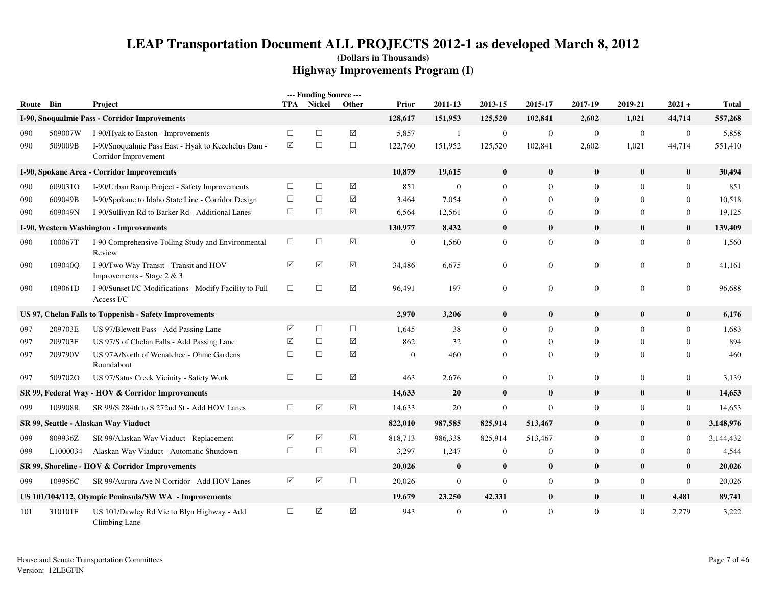| Route Bin |          | Project                                                                     |                 | --- Funding Source ---<br>TPA Nickel |                      | Prior            | 2011-13          | 2013-15          | 2015-17          | 2017-19          | 2019-21        | $2021 +$         | <b>Total</b> |
|-----------|----------|-----------------------------------------------------------------------------|-----------------|--------------------------------------|----------------------|------------------|------------------|------------------|------------------|------------------|----------------|------------------|--------------|
|           |          | I-90, Snoqualmie Pass - Corridor Improvements                               |                 |                                      | <b>Other</b>         | 128,617          | 151,953          | 125,520          | 102,841          | 2,602            | 1,021          | 44,714           | 557,268      |
| 090       | 509007W  | I-90/Hyak to Easton - Improvements                                          | $\Box$          | $\Box$                               | $\triangledown$      | 5,857            | -1               | $\mathbf{0}$     | $\mathbf{0}$     | $\mathbf{0}$     | $\overline{0}$ | $\boldsymbol{0}$ | 5,858        |
| 090       | 509009B  | I-90/Snoqualmie Pass East - Hyak to Keechelus Dam -<br>Corridor Improvement | ☑               | $\Box$                               | $\Box$               | 122,760          | 151,952          | 125,520          | 102,841          | 2,602            | 1,021          | 44,714           | 551,410      |
|           |          | I-90, Spokane Area - Corridor Improvements                                  |                 |                                      |                      | 10,879           | 19,615           | $\bf{0}$         | $\bf{0}$         | $\bf{0}$         | $\bf{0}$       | $\bf{0}$         | 30,494       |
| 090       | 609031O  | I-90/Urban Ramp Project - Safety Improvements                               | $\Box$          | $\Box$                               | $\boxtimes$          | 851              | $\boldsymbol{0}$ | $\mathbf{0}$     | $\Omega$         | $\overline{0}$   | $\Omega$       | $\mathbf{0}$     | 851          |
| 090       | 609049B  | I-90/Spokane to Idaho State Line - Corridor Design                          | $\Box$          | $\Box$                               | ☑                    | 3,464            | 7,054            | $\theta$         | $\theta$         | $\overline{0}$   | 0              | $\mathbf{0}$     | 10,518       |
| 090       | 609049N  | I-90/Sullivan Rd to Barker Rd - Additional Lanes                            | $\Box$          | $\Box$                               | ☑                    | 6,564            | 12,561           | $\mathbf{0}$     | $\boldsymbol{0}$ | $\mathbf{0}$     | 0              | $\boldsymbol{0}$ | 19,125       |
|           |          | I-90, Western Washington - Improvements                                     |                 |                                      |                      | 130,977          | 8,432            | $\mathbf{0}$     | $\bf{0}$         | $\mathbf{0}$     | $\bf{0}$       | $\bf{0}$         | 139,409      |
| 090       | 100067T  | I-90 Comprehensive Tolling Study and Environmental<br>Review                | $\Box$          | $\Box$                               | ☑                    | $\boldsymbol{0}$ | 1,560            | $\boldsymbol{0}$ | $\mathbf{0}$     | $\mathbf{0}$     | $\overline{0}$ | $\mathbf{0}$     | 1,560        |
| 090       | 109040O  | I-90/Two Way Transit - Transit and HOV<br>Improvements - Stage 2 & 3        | ☑               | ☑                                    | ☑                    | 34,486           | 6,675            | $\Omega$         | $\mathbf{0}$     | $\overline{0}$   | 0              | $\mathbf{0}$     | 41,161       |
| 090       | 109061D  | I-90/Sunset I/C Modifications - Modify Facility to Full<br>Access I/C       | $\Box$          | $\Box$                               | $\triangledown$      | 96,491           | 197              | $\mathbf{0}$     | $\boldsymbol{0}$ | $\mathbf{0}$     | $\overline{0}$ | $\mathbf{0}$     | 96,688       |
|           |          | US 97, Chelan Falls to Toppenish - Safety Improvements                      |                 |                                      |                      | 2,970            | 3,206            | $\mathbf{0}$     | $\bf{0}$         | $\bf{0}$         | $\mathbf{0}$   | $\bf{0}$         | 6,176        |
| 097       | 209703E  | US 97/Blewett Pass - Add Passing Lane                                       | ☑               | $\Box$                               | $\Box$               | 1,645            | 38               | $\mathbf{0}$     | $\overline{0}$   | $\overline{0}$   | $\Omega$       | $\mathbf{0}$     | 1,683        |
| 097       | 209703F  | US 97/S of Chelan Falls - Add Passing Lane                                  | ☑               | $\Box$                               | ☑                    | 862              | 32               | $\mathbf{0}$     | $\overline{0}$   | $\overline{0}$   | $\theta$       | $\theta$         | 894          |
| 097       | 209790V  | US 97A/North of Wenatchee - Ohme Gardens<br>Roundabout                      | $\Box$          | $\Box$                               | ☑                    | $\mathbf{0}$     | 460              | $\mathbf{0}$     | $\overline{0}$   | $\overline{0}$   | 0              | $\theta$         | 460          |
| 097       | 5097020  | US 97/Satus Creek Vicinity - Safety Work                                    | $\Box$          | $\Box$                               | $\boxtimes$          | 463              | 2,676            | $\mathbf{0}$     | $\boldsymbol{0}$ | $\boldsymbol{0}$ | $\overline{0}$ | $\boldsymbol{0}$ | 3,139        |
|           |          | SR 99, Federal Way - HOV & Corridor Improvements                            |                 |                                      |                      | 14,633           | 20               | $\bf{0}$         | $\bf{0}$         | $\bf{0}$         | $\bf{0}$       | $\bf{0}$         | 14,653       |
| 099       | 109908R  | SR 99/S 284th to S 272nd St - Add HOV Lanes                                 | $\Box$          | $\boxed{\checkmark}$                 | $\boxed{\checkmark}$ | 14,633           | 20               | $\boldsymbol{0}$ | $\mathbf{0}$     | $\mathbf{0}$     | $\overline{0}$ | $\boldsymbol{0}$ | 14,653       |
|           |          | SR 99, Seattle - Alaskan Way Viaduct                                        |                 |                                      |                      | 822,010          | 987,585          | 825,914          | 513,467          | $\bf{0}$         | $\bf{0}$       | $\bf{0}$         | 3,148,976    |
| 099       | 809936Z  | SR 99/Alaskan Way Viaduct - Replacement                                     | ☑               | ☑                                    | $\triangledown$      | 818,713          | 986,338          | 825,914          | 513,467          | $\overline{0}$   | $\Omega$       | $\boldsymbol{0}$ | 3,144,432    |
| 099       | L1000034 | Alaskan Way Viaduct - Automatic Shutdown                                    | $\Box$          | $\Box$                               | ☑                    | 3,297            | 1,247            | $\boldsymbol{0}$ | $\boldsymbol{0}$ | $\boldsymbol{0}$ | $\overline{0}$ | $\boldsymbol{0}$ | 4,544        |
|           |          | SR 99, Shoreline - HOV & Corridor Improvements                              |                 |                                      |                      | 20,026           | $\bf{0}$         | $\bf{0}$         | $\bf{0}$         | $\bf{0}$         | $\bf{0}$       | $\bf{0}$         | 20,026       |
| 099       | 109956C  | SR 99/Aurora Ave N Corridor - Add HOV Lanes                                 | $\triangledown$ | $\blacktriangledown$                 | $\Box$               | 20,026           | $\mathbf{0}$     | $\mathbf{0}$     | $\overline{0}$   | $\mathbf{0}$     | $\overline{0}$ | $\mathbf{0}$     | 20,026       |
|           |          | US 101/104/112, Olympic Peninsula/SW WA - Improvements                      |                 |                                      |                      | 19,679           | 23,250           | 42,331           | $\bf{0}$         | $\bf{0}$         | $\bf{0}$       | 4,481            | 89,741       |
| 101       | 310101F  | US 101/Dawley Rd Vic to Blyn Highway - Add<br>Climbing Lane                 | $\Box$          | $\triangledown$                      | $\boxtimes$          | 943              | $\mathbf{0}$     | $\mathbf{0}$     | $\mathbf{0}$     | $\mathbf{0}$     | $\overline{0}$ | 2,279            | 3,222        |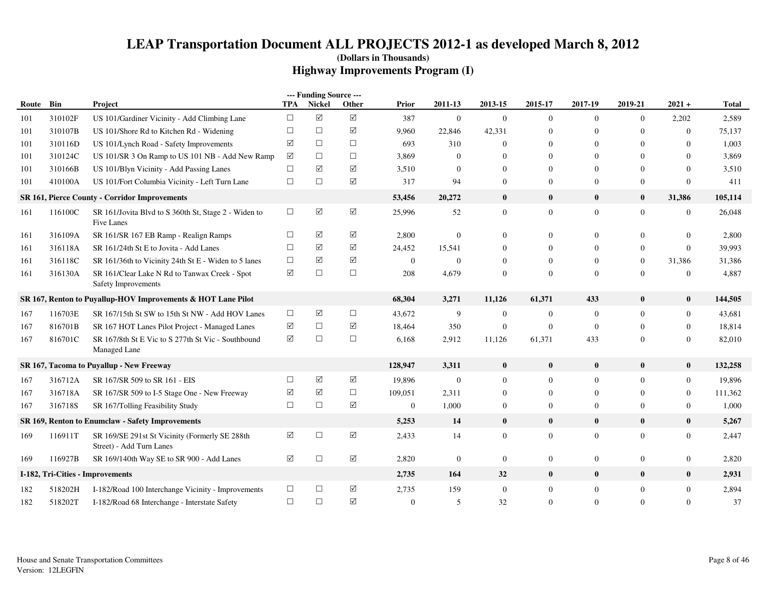|       |         |                                                                             |                      | --- Funding Source --- |             |              |                |                  |                  |                  |                  |                  |              |
|-------|---------|-----------------------------------------------------------------------------|----------------------|------------------------|-------------|--------------|----------------|------------------|------------------|------------------|------------------|------------------|--------------|
| Route | Bin     | Project                                                                     | <b>TPA</b>           | Nickel                 | Other       | Prior        | 2011-13        | 2013-15          | 2015-17          | 2017-19          | 2019-21          | $2021 +$         | <b>Total</b> |
| 101   | 310102F | US 101/Gardiner Vicinity - Add Climbing Lane                                | $\Box$               | $\Delta$               | $\boxtimes$ | 387          | $\overline{0}$ | $\mathbf{0}$     | $\overline{0}$   | $\mathbf{0}$     | $\mathbf{0}$     | 2,202            | 2,589        |
| 101   | 310107B | US 101/Shore Rd to Kitchen Rd - Widening                                    | $\Box$               | $\Box$                 | ☑           | 9,960        | 22,846         | 42,331           | $\mathbf{0}$     | $\Omega$         | $\mathbf{0}$     | $\overline{0}$   | 75,137       |
| 101   | 310116D | US 101/Lynch Road - Safety Improvements                                     | ☑                    | $\Box$                 | $\Box$      | 693          | 310            | $\overline{0}$   | $\mathbf{0}$     | $\Omega$         | $\mathbf{0}$     | $\mathbf{0}$     | 1,003        |
| 101   | 310124C | US 101/SR 3 On Ramp to US 101 NB - Add New Ramp                             | ☑                    | $\Box$                 | $\Box$      | 3,869        | $\overline{0}$ | $\overline{0}$   | $\mathbf{0}$     | $\Omega$         | $\mathbf{0}$     | $\mathbf{0}$     | 3,869        |
| 101   | 310166B | US 101/Blyn Vicinity - Add Passing Lanes                                    | $\Box$               | ☑                      | ☑           | 3,510        | $\overline{0}$ | $\overline{0}$   | $\overline{0}$   | $\Omega$         | $\Omega$         | $\mathbf{0}$     | 3,510        |
| 101   | 410100A | US 101/Fort Columbia Vicinity - Left Turn Lane                              | $\Box$               | $\Box$                 | ☑           | 317          | 94             | $\overline{0}$   | $\overline{0}$   | $\Omega$         | $\mathbf{0}$     | $\mathbf{0}$     | 411          |
|       |         | SR 161, Pierce County - Corridor Improvements                               |                      |                        |             | 53,456       | 20,272         | $\bf{0}$         | $\bf{0}$         | $\bf{0}$         | $\bf{0}$         | 31,386           | 105,114      |
| 161   | 116100C | SR 161/Jovita Blvd to S 360th St, Stage 2 - Widen to<br>Five Lanes          | $\Box$               | ☑                      | ☑           | 25,996       | 52             | $\boldsymbol{0}$ | $\boldsymbol{0}$ | $\mathbf{0}$     | $\boldsymbol{0}$ | $\boldsymbol{0}$ | 26,048       |
| 161   | 316109A | SR 161/SR 167 EB Ramp - Realign Ramps                                       | $\Box$               | ☑                      | ☑           | 2,800        | $\mathbf{0}$   | $\boldsymbol{0}$ | $\overline{0}$   | $\mathbf{0}$     | $\mathbf{0}$     | $\mathbf{0}$     | 2,800        |
| 161   | 316118A | SR 161/24th St E to Jovita - Add Lanes                                      | $\Box$               | ☑                      | ☑           | 24,452       | 15,541         | $\overline{0}$   | $\mathbf{0}$     | $\overline{0}$   | $\mathbf{0}$     | $\mathbf{0}$     | 39,993       |
| 161   | 316118C | SR 161/36th to Vicinity 24th St E - Widen to 5 lanes                        | $\Box$               | $\triangledown$        | $\boxtimes$ | $\mathbf{0}$ | $\overline{0}$ | $\overline{0}$   | $\overline{0}$   | $\Omega$         | $\mathbf{0}$     | 31,386           | 31,386       |
| 161   | 316130A | SR 161/Clear Lake N Rd to Tanwax Creek - Spot<br>Safety Improvements        | $\triangledown$      | $\Box$                 | $\Box$      | 208          | 4,679          | $\overline{0}$   | $\overline{0}$   | $\Omega$         | $\mathbf{0}$     | $\mathbf{0}$     | 4,887        |
|       |         | SR 167, Renton to Puyallup-HOV Improvements & HOT Lane Pilot                |                      |                        |             | 68,304       | 3,271          | 11,126           | 61,371           | 433              | $\bf{0}$         | $\bf{0}$         | 144,505      |
| 167   | 116703E | SR 167/15th St SW to 15th St NW - Add HOV Lanes                             | $\Box$               | $\triangledown$        | $\Box$      | 43,672       | 9              | $\mathbf{0}$     | $\boldsymbol{0}$ | $\mathbf{0}$     | $\boldsymbol{0}$ | $\boldsymbol{0}$ | 43,681       |
| 167   | 816701B | SR 167 HOT Lanes Pilot Project - Managed Lanes                              | ☑                    | $\Box$                 | ☑           | 18,464       | 350            | $\mathbf{0}$     | $\mathbf{0}$     | $\mathbf{0}$     | $\mathbf{0}$     | $\overline{0}$   | 18,814       |
| 167   | 816701C | SR 167/8th St E Vic to S 277th St Vic - Southbound<br><b>Managed Lane</b>   | ☑                    | $\Box$                 | $\Box$      | 6,168        | 2,912          | 11,126           | 61,371           | 433              | $\mathbf{0}$     | $\overline{0}$   | 82,010       |
|       |         | SR 167, Tacoma to Puyallup - New Freeway                                    |                      |                        |             | 128,947      | 3,311          | $\pmb{0}$        | $\bf{0}$         | $\mathbf{0}$     | $\bf{0}$         | $\bf{0}$         | 132,258      |
| 167   | 316712A | SR 167/SR 509 to SR 161 - EIS                                               | $\Box$               | $\triangledown$        | ☑           | 19,896       | $\mathbf{0}$   | $\mathbf{0}$     | $\overline{0}$   | $\mathbf{0}$     | $\mathbf{0}$     | $\overline{0}$   | 19,896       |
| 167   | 316718A | SR 167/SR 509 to I-5 Stage One - New Freeway                                | ☑                    | $\triangledown$        | $\Box$      | 109,051      | 2,311          | $\overline{0}$   | $\overline{0}$   | $\mathbf{0}$     | $\mathbf{0}$     | $\overline{0}$   | 111,362      |
| 167   | 316718S | SR 167/Tolling Feasibility Study                                            | $\Box$               | $\Box$                 | $\boxtimes$ | $\mathbf{0}$ | 1,000          | $\boldsymbol{0}$ | $\mathbf{0}$     | $\boldsymbol{0}$ | $\boldsymbol{0}$ | $\overline{0}$   | 1,000        |
|       |         | SR 169, Renton to Enumclaw - Safety Improvements                            |                      |                        |             | 5,253        | 14             | $\bf{0}$         | $\mathbf{0}$     | $\mathbf{0}$     | $\bf{0}$         | $\bf{0}$         | 5,267        |
| 169   | 116911T | SR 169/SE 291st St Vicinity (Formerly SE 288th)<br>Street) - Add Turn Lanes | ☑                    | $\Box$                 | ☑           | 2,433        | 14             | $\overline{0}$   | $\overline{0}$   | $\overline{0}$   | $\mathbf{0}$     | $\overline{0}$   | 2,447        |
| 169   | 116927B | SR 169/140th Way SE to SR 900 - Add Lanes                                   | $\blacktriangledown$ | $\Box$                 | ☑           | 2,820        | $\mathbf{0}$   | $\boldsymbol{0}$ | $\mathbf{0}$     | $\mathbf{0}$     | $\boldsymbol{0}$ | $\mathbf{0}$     | 2,820        |
|       |         | I-182, Tri-Cities - Improvements                                            |                      |                        |             | 2,735        | 164            | 32               | $\bf{0}$         | $\bf{0}$         | $\bf{0}$         | $\bf{0}$         | 2,931        |
| 182   | 518202H | I-182/Road 100 Interchange Vicinity - Improvements                          | $\Box$               | $\Box$                 | ☑           | 2,735        | 159            | $\mathbf{0}$     | $\mathbf{0}$     | $\mathbf{0}$     | $\mathbf{0}$     | $\overline{0}$   | 2,894        |
| 182   | 518202T | I-182/Road 68 Interchange - Interstate Safety                               | $\Box$               | $\Box$                 | ☑           | $\mathbf{0}$ | 5              | 32               | $\mathbf{0}$     | $\Omega$         | $\Omega$         | $\mathbf{0}$     | 37           |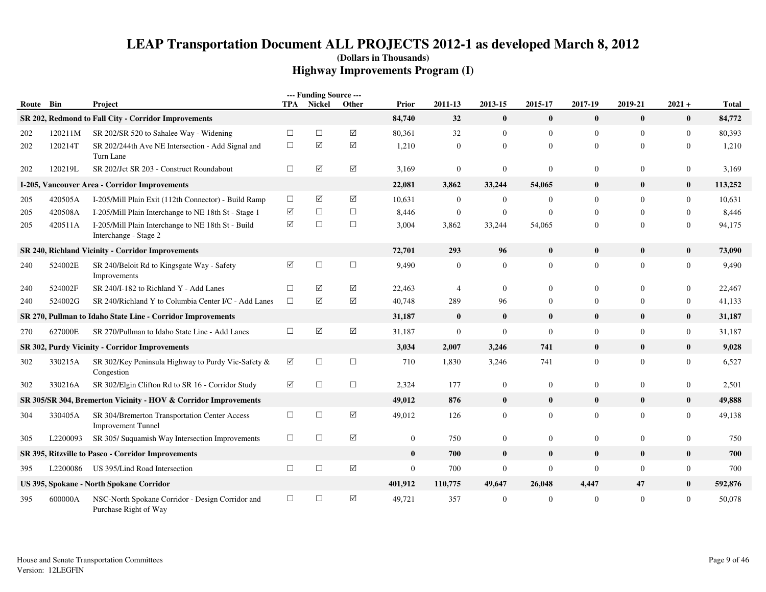|           |          |                                                                             |           | --- Funding Source --- |             |                  |                  |                  |                |                  |                  |                  |              |
|-----------|----------|-----------------------------------------------------------------------------|-----------|------------------------|-------------|------------------|------------------|------------------|----------------|------------------|------------------|------------------|--------------|
| Route Bin |          | Project                                                                     |           | TPA Nickel             | Other       | Prior            | 2011-13          | 2013-15          | 2015-17        | 2017-19          | 2019-21          | $2021 +$         | <b>Total</b> |
|           |          | SR 202, Redmond to Fall City - Corridor Improvements                        |           |                        |             | 84,740           | 32               | $\mathbf{0}$     | $\bf{0}$       | $\bf{0}$         | $\bf{0}$         | $\bf{0}$         | 84,772       |
| 202       | 120211M  | SR 202/SR 520 to Sahalee Way - Widening                                     | $\Box$    | $\Box$                 | $\sqrt{}$   | 80,361           | 32               | $\mathbf{0}$     | $\mathbf{0}$   | $\boldsymbol{0}$ | $\theta$         | $\boldsymbol{0}$ | 80,393       |
| 202       | 120214T  | SR 202/244th Ave NE Intersection - Add Signal and<br>Turn Lane              | $\Box$    | $\sqrt{}$              | $\Delta$    | 1,210            | $\mathbf{0}$     | $\overline{0}$   | $\mathbf{0}$   | $\overline{0}$   | $\Omega$         | $\overline{0}$   | 1,210        |
| 202       | 120219L  | SR 202/Jct SR 203 - Construct Roundabout                                    | $\Box$    | ☑                      | $\Delta$    | 3,169            | $\boldsymbol{0}$ | $\overline{0}$   | $\mathbf{0}$   | $\theta$         | $\mathbf{0}$     | $\boldsymbol{0}$ | 3,169        |
| $I-205,$  |          | <b>Vancouver Area - Corridor Improvements</b>                               |           |                        |             | 22,081           | 3,862            | 33,244           | 54,065         | $\bf{0}$         | $\bf{0}$         | $\bf{0}$         | 113,252      |
| 205       | 420505A  | I-205/Mill Plain Exit (112th Connector) - Build Ramp                        | $\Box$    | $\triangledown$        | $\sqrt{}$   | 10,631           | $\mathbf{0}$     | $\overline{0}$   | $\overline{0}$ | $\mathbf{0}$     | $\Omega$         | $\mathbf{0}$     | 10,631       |
| 205       | 420508A  | I-205/Mill Plain Interchange to NE 18th St - Stage 1                        | ☑         | $\Box$                 | $\Box$      | 8,446            | $\overline{0}$   | $\overline{0}$   | $\overline{0}$ | $\Omega$         | $\Omega$         | $\overline{0}$   | 8,446        |
| 205       | 420511A  | I-205/Mill Plain Interchange to NE 18th St - Build<br>Interchange - Stage 2 | $\sqrt{}$ | $\Box$                 | $\Box$      | 3,004            | 3,862            | 33,244           | 54,065         | $\boldsymbol{0}$ | $\mathbf{0}$     | $\boldsymbol{0}$ | 94,175       |
|           |          | <b>SR 240, Richland Vicinity - Corridor Improvements</b>                    |           |                        |             | 72,701           | 293              | 96               | $\bf{0}$       | $\bf{0}$         | $\mathbf{0}$     | $\bf{0}$         | 73,090       |
| 240       | 524002E  | SR 240/Beloit Rd to Kingsgate Way - Safety<br>Improvements                  | ☑         | $\Box$                 | $\Box$      | 9,490            | $\mathbf{0}$     | $\overline{0}$   | $\overline{0}$ | $\mathbf{0}$     | $\Omega$         | $\mathbf{0}$     | 9,490        |
| 240       | 524002F  | SR 240/I-182 to Richland Y - Add Lanes                                      | $\Box$    | ☑                      | $\Delta$    | 22,463           | $\overline{4}$   | $\Omega$         | $\overline{0}$ | $\theta$         | $\Omega$         | $\overline{0}$   | 22,467       |
| 240       | 524002G  | SR 240/Richland Y to Columbia Center I/C - Add Lanes                        | $\Box$    | ☑                      | $\Delta$    | 40,748           | 289              | 96               | $\overline{0}$ | $\mathbf{0}$     | $\Omega$         | $\overline{0}$   | 41,133       |
|           |          | SR 270, Pullman to Idaho State Line - Corridor Improvements                 |           |                        |             | 31,187           | $\bf{0}$         | $\bf{0}$         | $\bf{0}$       | $\bf{0}$         | $\bf{0}$         | $\bf{0}$         | 31,187       |
| 270       | 627000E  | SR 270/Pullman to Idaho State Line - Add Lanes                              | $\Box$    | $\boxed{\searrow}$     | $\boxtimes$ | 31,187           | $\mathbf{0}$     | $\mathbf{0}$     | $\mathbf{0}$   | $\mathbf{0}$     | $\overline{0}$   | $\boldsymbol{0}$ | 31,187       |
|           |          | SR 302, Purdy Vicinity - Corridor Improvements                              |           |                        |             | 3,034            | 2,007            | 3,246            | 741            | $\bf{0}$         | $\bf{0}$         | $\bf{0}$         | 9,028        |
| 302       | 330215A  | SR 302/Key Peninsula Highway to Purdy Vic-Safety &<br>Congestion            | ☑         | $\Box$                 | $\Box$      | 710              | 1,830            | 3,246            | 741            | $\mathbf{0}$     | $\overline{0}$   | $\mathbf{0}$     | 6,527        |
| 302       | 330216A  | SR 302/Elgin Clifton Rd to SR 16 - Corridor Study                           | ☑         | $\Box$                 | $\Box$      | 2,324            | 177              | $\overline{0}$   | $\mathbf{0}$   | $\theta$         | $\mathbf{0}$     | $\boldsymbol{0}$ | 2,501        |
|           |          | SR 305/SR 304, Bremerton Vicinity - HOV & Corridor Improvements             |           |                        |             | 49,012           | 876              | $\bf{0}$         | $\bf{0}$       | $\bf{0}$         | $\bf{0}$         | $\bf{0}$         | 49,888       |
| 304       | 330405A  | SR 304/Bremerton Transportation Center Access<br><b>Improvement Tunnel</b>  | $\Box$    | $\Box$                 | $\boxtimes$ | 49,012           | 126              | $\mathbf{0}$     | $\overline{0}$ | $\overline{0}$   | $\overline{0}$   | $\mathbf{0}$     | 49,138       |
| 305       | L2200093 | SR 305/ Suquamish Way Intersection Improvements                             | $\Box$    | $\Box$                 | ☑           | $\boldsymbol{0}$ | 750              | $\boldsymbol{0}$ | $\mathbf{0}$   | $\boldsymbol{0}$ | $\boldsymbol{0}$ | $\boldsymbol{0}$ | 750          |
|           |          | SR 395, Ritzville to Pasco - Corridor Improvements                          |           |                        |             | $\bf{0}$         | 700              | $\bf{0}$         | $\bf{0}$       | $\bf{0}$         | $\bf{0}$         | $\bf{0}$         | 700          |
| 395       | L2200086 | US 395/Lind Road Intersection                                               | $\Box$    | $\Box$                 | $\boxtimes$ | $\mathbf{0}$     | 700              | $\mathbf{0}$     | $\mathbf{0}$   | $\boldsymbol{0}$ | $\overline{0}$   | $\boldsymbol{0}$ | 700          |
|           |          | US 395, Spokane - North Spokane Corridor                                    |           |                        |             | 401,912          | 110,775          | 49,647           | 26,048         | 4,447            | 47               | $\bf{0}$         | 592,876      |
| 395       | 600000A  | NSC-North Spokane Corridor - Design Corridor and<br>Purchase Right of Way   | $\Box$    | $\Box$                 | $\Delta$    | 49,721           | 357              | $\overline{0}$   | $\overline{0}$ | $\theta$         | $\mathbf{0}$     | $\overline{0}$   | 50,078       |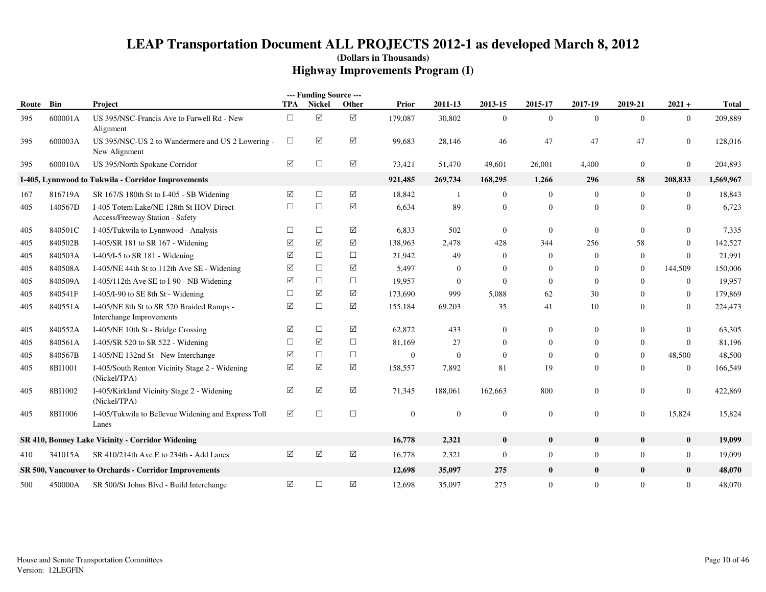|       |         |                                                                            |                      | --- Funding Source --- |                      |              |                  |                |                  |                  |                  |                |              |
|-------|---------|----------------------------------------------------------------------------|----------------------|------------------------|----------------------|--------------|------------------|----------------|------------------|------------------|------------------|----------------|--------------|
| Route | Bin     | Project                                                                    | <b>TPA</b>           | Nickel                 | Other                | Prior        | 2011-13          | 2013-15        | 2015-17          | 2017-19          | 2019-21          | $2021 +$       | <b>Total</b> |
| 395   | 600001A | US 395/NSC-Francis Ave to Farwell Rd - New<br>Alignment                    | $\Box$               | ☑                      | $\boxed{\mathsf{v}}$ | 179,087      | 30,802           | $\mathbf{0}$   | $\overline{0}$   | $\Omega$         | $\theta$         | $\overline{0}$ | 209,889      |
| 395   | 600003A | US 395/NSC-US 2 to Wandermere and US 2 Lowering -<br>New Alignment         | $\Box$               | ☑                      | ☑                    | 99,683       | 28,146           | 46             | 47               | 47               | 47               | $\overline{0}$ | 128,016      |
| 395   | 600010A | US 395/North Spokane Corridor                                              | ☑                    | $\Box$                 | ☑                    | 73,421       | 51,470           | 49,601         | 26,001           | 4,400            | $\overline{0}$   | $\overline{0}$ | 204,893      |
|       |         | I-405, Lynnwood to Tukwila - Corridor Improvements                         |                      |                        |                      | 921,485      | 269,734          | 168,295        | 1,266            | 296              | 58               | 208,833        | 1,569,967    |
| 167   | 816719A | SR 167/S 180th St to I-405 - SB Widening                                   | ☑                    | $\Box$                 | ☑                    | 18,842       | $\mathbf{1}$     | $\overline{0}$ | $\overline{0}$   | $\Omega$         | $\Omega$         | $\overline{0}$ | 18,843       |
| 405   | 140567D | I-405 Totem Lake/NE 128th St HOV Direct<br>Access/Freeway Station - Safety | $\Box$               | $\Box$                 | ☑                    | 6,634        | 89               | $\mathbf{0}$   | $\mathbf{0}$     | $\boldsymbol{0}$ | $\mathbf{0}$     | $\mathbf{0}$   | 6,723        |
| 405   | 840501C | I-405/Tukwila to Lynnwood - Analysis                                       | $\Box$               | $\Box$                 | ☑                    | 6,833        | 502              | $\overline{0}$ | $\mathbf{0}$     | $\overline{0}$   | $\overline{0}$   | $\overline{0}$ | 7,335        |
| 405   | 840502B | I-405/SR 181 to SR 167 - Widening                                          | ☑                    | ☑                      | ☑                    | 138,963      | 2,478            | 428            | 344              | 256              | 58               | $\overline{0}$ | 142,527      |
| 405   | 840503A | I-405/I-5 to SR $181$ - Widening                                           | ☑                    | $\Box$                 | $\Box$               | 21,942       | 49               | $\Omega$       | $\overline{0}$   | $\Omega$         | $\overline{0}$   | $\overline{0}$ | 21,991       |
| 405   | 840508A | I-405/NE 44th St to 112th Ave SE - Widening                                | ☑                    | $\Box$                 | ☑                    | 5,497        | $\mathbf{0}$     | $\theta$       | $\overline{0}$   | $\Omega$         | $\theta$         | 144,509        | 150,006      |
| 405   | 840509A | I-405/112th Ave SE to I-90 - NB Widening                                   | $\blacktriangledown$ | $\Box$                 | $\Box$               | 19,957       | $\boldsymbol{0}$ | $\overline{0}$ | $\overline{0}$   | $\overline{0}$   | $\Omega$         | $\overline{0}$ | 19,957       |
| 405   | 840541F | I-405/I-90 to SE 8th St - Widening                                         | $\Box$               | ☑                      | ☑                    | 173,690      | 999              | 5,088          | 62               | 30               | $\Omega$         | $\overline{0}$ | 179,869      |
| 405   | 840551A | I-405/NE 8th St to SR 520 Braided Ramps -<br>Interchange Improvements      | $\blacktriangledown$ | $\Box$                 | ☑                    | 155,184      | 69,203           | 35             | 41               | 10               | $\Omega$         | $\overline{0}$ | 224,473      |
| 405   | 840552A | I-405/NE 10th St - Bridge Crossing                                         | ☑                    | $\Box$                 | ☑                    | 62,872       | 433              | $\overline{0}$ | $\mathbf{0}$     | $\overline{0}$   | $\overline{0}$   | $\overline{0}$ | 63,305       |
| 405   | 840561A | I-405/SR 520 to SR 522 - Widening                                          | $\Box$               | ☑                      | $\Box$               | 81,169       | 27               | $\overline{0}$ | $\overline{0}$   | $\Omega$         | $\mathbf{0}$     | $\overline{0}$ | 81,196       |
| 405   | 840567B | I-405/NE 132nd St - New Interchange                                        | ☑                    | $\Box$                 | $\Box$               | $\mathbf{0}$ | $\mathbf{0}$     | $\Omega$       | $\overline{0}$   | $\overline{0}$   | $\overline{0}$   | 48,500         | 48,500       |
| 405   | 8BI1001 | I-405/South Renton Vicinity Stage 2 - Widening<br>(Nickel/TPA)             | $\blacktriangledown$ | ☑                      | ☑                    | 158,557      | 7,892            | 81             | 19               | $\Omega$         | $\Omega$         | $\overline{0}$ | 166,549      |
| 405   | 8BI1002 | I-405/Kirkland Vicinity Stage 2 - Widening<br>(Nickel/TPA)                 | $\blacktriangledown$ | $\sqrt{ }$             | ☑                    | 71,345       | 188,061          | 162,663        | 800              | $\mathbf{0}$     | $\boldsymbol{0}$ | $\mathbf{0}$   | 422,869      |
| 405   | 8BI1006 | I-405/Tukwila to Bellevue Widening and Express Toll<br>Lanes               | ☑                    | $\Box$                 | $\Box$               | $\mathbf{0}$ | $\mathbf{0}$     | $\mathbf{0}$   | $\mathbf{0}$     | $\mathbf{0}$     | $\mathbf{0}$     | 15,824         | 15,824       |
|       |         | SR 410, Bonney Lake Vicinity - Corridor Widening                           |                      |                        |                      | 16,778       | 2,321            | $\bf{0}$       | $\mathbf{0}$     | $\bf{0}$         | $\mathbf{0}$     | $\bf{0}$       | 19,099       |
| 410   | 341015A | SR 410/214th Ave E to 234th - Add Lanes                                    | $\triangledown$      | $\triangledown$        | ☑                    | 16,778       | 2,321            | $\mathbf{0}$   | $\overline{0}$   | $\mathbf{0}$     | $\boldsymbol{0}$ | $\mathbf{0}$   | 19,099       |
|       |         | SR 500, Vancouver to Orchards - Corridor Improvements                      |                      |                        |                      | 12,698       | 35,097           | 275            | $\bf{0}$         | $\bf{0}$         | $\bf{0}$         | $\mathbf{0}$   | 48,070       |
| 500   | 450000A | SR 500/St Johns Blvd - Build Interchange                                   | ☑                    | $\Box$                 | $\boxtimes$          | 12,698       | 35,097           | 275            | $\boldsymbol{0}$ | $\mathbf{0}$     | $\mathbf{0}$     | $\mathbf{0}$   | 48,070       |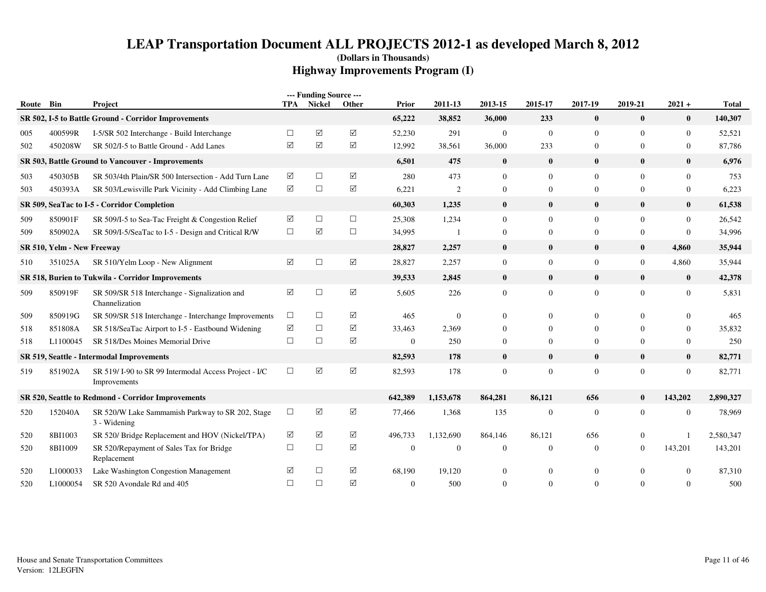| Route | Bin                        | Project                                                              | TPA             | --- Funding Source ---<br>Nickel | Other              | Prior          | 2011-13        | 2013-15        | 2015-17        | 2017-19          | 2019-21        | $2021 +$         | <b>Total</b> |
|-------|----------------------------|----------------------------------------------------------------------|-----------------|----------------------------------|--------------------|----------------|----------------|----------------|----------------|------------------|----------------|------------------|--------------|
|       |                            | SR 502, I-5 to Battle Ground - Corridor Improvements                 |                 |                                  |                    | 65,222         | 38,852         | 36,000         | 233            | $\bf{0}$         | $\bf{0}$       | $\mathbf{0}$     | 140,307      |
| 005   | 400599R                    | I-5/SR 502 Interchange - Build Interchange                           | $\Box$          | $\sqrt{}$                        | $\sqrt{}$          | 52,230         | 291            | $\mathbf{0}$   | $\mathbf{0}$   | $\overline{0}$   | $\overline{0}$ | $\mathbf{0}$     | 52,521       |
| 502   | 450208W                    | SR 502/I-5 to Battle Ground - Add Lanes                              | ☑               | ☑                                | $\sqrt{}$          | 12,992         | 38,561         | 36,000         | 233            | $\overline{0}$   | $\theta$       | $\mathbf{0}$     | 87,786       |
|       |                            | SR 503, Battle Ground to Vancouver - Improvements                    |                 |                                  |                    | 6,501          | 475            | $\bf{0}$       | $\bf{0}$       | $\bf{0}$         | $\bf{0}$       | $\bf{0}$         | 6,976        |
| 503   | 450305B                    | SR 503/4th Plain/SR 500 Intersection - Add Turn Lane                 | ☑               | $\Box$                           | $\sqrt{}$          | 280            | 473            | $\Omega$       | $\overline{0}$ | $\overline{0}$   | $\Omega$       | $\Omega$         | 753          |
| 503   | 450393A                    | SR 503/Lewisville Park Vicinity - Add Climbing Lane                  | $\triangledown$ | $\Box$                           | $\boxed{\text{V}}$ | 6,221          | $\overline{2}$ | $\overline{0}$ | $\overline{0}$ | $\mathbf{0}$     | $\overline{0}$ | $\boldsymbol{0}$ | 6,223        |
|       |                            | SR 509, SeaTac to I-5 - Corridor Completion                          |                 |                                  |                    | 60,303         | 1,235          | $\bf{0}$       | $\bf{0}$       | $\bf{0}$         | $\bf{0}$       | $\bf{0}$         | 61,538       |
| 509   | 850901F                    | SR 509/I-5 to Sea-Tac Freight & Congestion Relief                    | ☑               | $\Box$                           | $\Box$             | 25,308         | 1,234          | $\overline{0}$ | $\overline{0}$ | $\mathbf{0}$     | $\Omega$       | $\overline{0}$   | 26,542       |
| 509   | 850902A                    | SR 509/I-5/SeaTac to I-5 - Design and Critical R/W                   | $\Box$          | $\Delta$                         | $\Box$             | 34,995         | -1             | $\overline{0}$ | $\mathbf{0}$   | $\overline{0}$   | $\overline{0}$ | $\mathbf{0}$     | 34,996       |
|       | SR 510, Yelm - New Freeway |                                                                      |                 |                                  |                    | 28,827         | 2,257          | $\bf{0}$       | $\bf{0}$       | $\bf{0}$         | $\bf{0}$       | 4,860            | 35,944       |
| 510   | 351025A                    | SR 510/Yelm Loop - New Alignment                                     | ☑               | $\Box$                           | $\boxtimes$        | 28,827         | 2,257          | $\overline{0}$ | $\overline{0}$ | $\overline{0}$   | $\overline{0}$ | 4,860            | 35,944       |
|       |                            | SR 518, Burien to Tukwila - Corridor Improvements                    |                 |                                  |                    | 39,533         | 2,845          | $\bf{0}$       | $\bf{0}$       | $\bf{0}$         | $\bf{0}$       | $\bf{0}$         | 42,378       |
| 509   | 850919F                    | SR 509/SR 518 Interchange - Signalization and<br>Channelization      | $\triangledown$ | $\Box$                           | $\boxtimes$        | 5,605          | 226            | $\mathbf{0}$   | $\mathbf{0}$   | $\overline{0}$   | $\overline{0}$ | $\boldsymbol{0}$ | 5,831        |
| 509   | 850919G                    | SR 509/SR 518 Interchange - Interchange Improvements                 | $\Box$          | $\Box$                           | ☑                  | 465            | $\Omega$       | $\Omega$       | $\Omega$       | $\theta$         | $\Omega$       | $\Omega$         | 465          |
| 518   | 851808A                    | SR 518/SeaTac Airport to I-5 - Eastbound Widening                    | $\triangledown$ | $\Box$                           | $\sqrt{}$          | 33,463         | 2,369          | $\Omega$       | 0              | $\overline{0}$   | $\Omega$       | $\Omega$         | 35,832       |
| 518   | L1100045                   | SR 518/Des Moines Memorial Drive                                     | $\Box$          | $\Box$                           | $\sqrt{}$          | $\mathbf{0}$   | 250            | $\overline{0}$ | $\mathbf{0}$   | $\mathbf{0}$     | $\overline{0}$ | $\mathbf{0}$     | 250          |
|       |                            | SR 519, Seattle - Intermodal Improvements                            |                 |                                  |                    | 82,593         | 178            | $\mathbf{0}$   | $\bf{0}$       | $\bf{0}$         | $\mathbf{0}$   | $\mathbf{0}$     | 82,771       |
| 519   | 851902A                    | SR 519/I-90 to SR 99 Intermodal Access Project - I/C<br>Improvements | $\Box$          | ☑                                | $\triangledown$    | 82,593         | 178            | $\overline{0}$ | $\mathbf{0}$   | $\overline{0}$   | $\overline{0}$ | $\mathbf{0}$     | 82,771       |
|       |                            | SR 520, Seattle to Redmond - Corridor Improvements                   |                 |                                  |                    | 642,389        | 1,153,678      | 864,281        | 86,121         | 656              | $\bf{0}$       | 143,202          | 2,890,327    |
| 520   | 152040A                    | SR 520/W Lake Sammamish Parkway to SR 202, Stage<br>3 - Widening     | $\Box$          | ☑                                | ☑                  | 77,466         | 1,368          | 135            | $\mathbf{0}$   | $\boldsymbol{0}$ | $\mathbf{0}$   | $\overline{0}$   | 78,969       |
| 520   | 8BI1003                    | SR 520/ Bridge Replacement and HOV (Nickel/TPA)                      | ☑               | $\triangledown$                  | $\sqrt{}$          | 496,733        | 1,132,690      | 864,146        | 86.121         | 656              | $\overline{0}$ |                  | 2,580,347    |
| 520   | 8BI1009                    | SR 520/Repayment of Sales Tax for Bridge<br>Replacement              | $\Box$          | $\Box$                           | ☑                  | $\overline{0}$ | $\Omega$       | $\overline{0}$ | $\overline{0}$ | $\overline{0}$   | $\overline{0}$ | 143,201          | 143,201      |
| 520   | L1000033                   | Lake Washington Congestion Management                                | ☑               | $\Box$                           | ☑                  | 68,190         | 19,120         | $\mathbf{0}$   | $\Omega$       | $\theta$         | $\overline{0}$ | $\Omega$         | 87,310       |
| 520   | L1000054                   | SR 520 Avondale Rd and 405                                           | $\Box$          | $\Box$                           | ☑                  | $\overline{0}$ | 500            | $\Omega$       | $\overline{0}$ | $\Omega$         | $\Omega$       | $\Omega$         | 500          |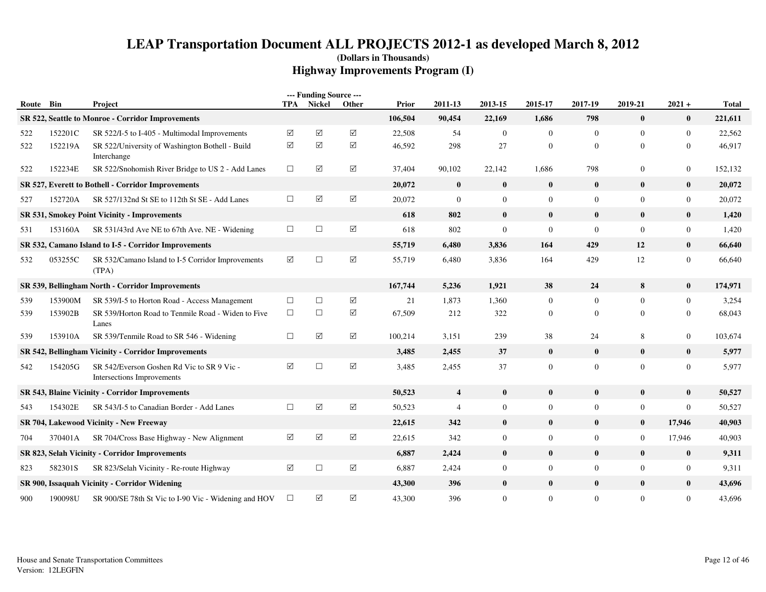| Route Bin |         | Project                                                                  | TPA             | --- Funding Source ---<br>Nickel | Other       | <b>Prior</b> | 2011-13                 | 2013-15          | 2015-17          | 2017-19        | 2019-21        | $2021 +$         | <b>Total</b> |
|-----------|---------|--------------------------------------------------------------------------|-----------------|----------------------------------|-------------|--------------|-------------------------|------------------|------------------|----------------|----------------|------------------|--------------|
|           |         | SR 522, Seattle to Monroe - Corridor Improvements                        |                 |                                  |             | 106,504      | 90,454                  | 22,169           | 1,686            | 798            | $\bf{0}$       | $\bf{0}$         | 221,611      |
| 522       | 152201C | SR 522/I-5 to I-405 - Multimodal Improvements                            | ☑               | $\blacktriangledown$             | $\boxtimes$ | 22,508       | 54                      | $\mathbf{0}$     | $\boldsymbol{0}$ | $\mathbf{0}$   | $\mathbf{0}$   | $\boldsymbol{0}$ | 22,562       |
| 522       | 152219A | SR 522/University of Washington Bothell - Build<br>Interchange           | ☑               | $\blacktriangledown$             | $\sqrt{}$   | 46,592       | 298                     | 27               | $\overline{0}$   | $\overline{0}$ | $\overline{0}$ | $\mathbf{0}$     | 46,917       |
| 522       | 152234E | SR 522/Snohomish River Bridge to US 2 - Add Lanes                        | $\Box$          | $\triangledown$                  | $\sqrt{}$   | 37,404       | 90,102                  | 22,142           | 1,686            | 798            | $\overline{0}$ | $\boldsymbol{0}$ | 152,132      |
|           |         | SR 527, Everett to Bothell - Corridor Improvements                       |                 |                                  |             | 20,072       | $\bf{0}$                | $\bf{0}$         | $\bf{0}$         | $\bf{0}$       | $\bf{0}$       | $\bf{0}$         | 20,072       |
| 527       | 152720A | SR 527/132nd St SE to 112th St SE - Add Lanes                            | $\Box$          | $\triangledown$                  | $\sqrt{}$   | 20,072       | $\overline{0}$          | $\mathbf{0}$     | $\overline{0}$   | $\mathbf{0}$   | $\overline{0}$ | $\boldsymbol{0}$ | 20,072       |
|           |         | <b>SR 531, Smokey Point Vicinity - Improvements</b>                      |                 |                                  |             | 618          | 802                     | $\bf{0}$         | $\bf{0}$         | $\bf{0}$       | $\bf{0}$       | $\bf{0}$         | 1,420        |
| 531       | 153160A | SR 531/43rd Ave NE to 67th Ave. NE - Widening                            | $\Box$          | $\Box$                           | $\boxtimes$ | 618          | 802                     | $\mathbf{0}$     | $\overline{0}$   | $\mathbf{0}$   | $\overline{0}$ | $\boldsymbol{0}$ | 1,420        |
|           |         | SR 532, Camano Island to I-5 - Corridor Improvements                     |                 |                                  |             | 55,719       | 6,480                   | 3,836            | 164              | 429            | 12             | $\bf{0}$         | 66,640       |
| 532       | 053255C | SR 532/Camano Island to I-5 Corridor Improvements<br>(TPA)               | $\triangledown$ | $\Box$                           | $\boxtimes$ | 55,719       | 6,480                   | 3,836            | 164              | 429            | 12             | $\mathbf{0}$     | 66,640       |
|           |         | SR 539, Bellingham North - Corridor Improvements                         |                 |                                  |             | 167,744      | 5,236                   | 1,921            | 38               | 24             | 8              | $\bf{0}$         | 174,971      |
| 539       | 153900M | SR 539/I-5 to Horton Road - Access Management                            | $\Box$          | $\Box$                           | ☑           | 21           | 1,873                   | 1,360            | $\overline{0}$   | $\mathbf{0}$   | $\overline{0}$ | $\boldsymbol{0}$ | 3,254        |
| 539       | 153902B | SR 539/Horton Road to Tenmile Road - Widen to Five<br>Lanes              | $\Box$          | $\Box$                           | $\sqrt{}$   | 67,509       | 212                     | 322              | $\bf{0}$         | $\mathbf{0}$   | $\overline{0}$ | $\mathbf{0}$     | 68,043       |
| 539       | 153910A | SR 539/Tenmile Road to SR 546 - Widening                                 | $\Box$          | ☑                                | $\sqrt{}$   | 100,214      | 3,151                   | 239              | 38               | 24             | 8              | $\boldsymbol{0}$ | 103,674      |
|           |         | SR 542, Bellingham Vicinity - Corridor Improvements                      |                 |                                  |             | 3,485        | 2,455                   | 37               | $\bf{0}$         | $\bf{0}$       | $\bf{0}$       | $\bf{0}$         | 5,977        |
| 542       | 154205G | SR 542/Everson Goshen Rd Vic to SR 9 Vic -<br>Intersections Improvements | ☑               | $\Box$                           | ☑           | 3,485        | 2,455                   | 37               | $\overline{0}$   | $\mathbf{0}$   | $\mathbf{0}$   | $\boldsymbol{0}$ | 5,977        |
|           |         | SR 543, Blaine Vicinity - Corridor Improvements                          |                 |                                  |             | 50,523       | $\overline{\mathbf{4}}$ | $\mathbf{0}$     | $\bf{0}$         | $\mathbf{0}$   | $\mathbf{0}$   | $\bf{0}$         | 50,527       |
| 543       | 154302E | SR 543/I-5 to Canadian Border - Add Lanes                                | $\Box$          | $\blacktriangledown$             | ☑           | 50,523       | $\overline{4}$          | $\mathbf{0}$     | $\overline{0}$   | $\mathbf{0}$   | $\overline{0}$ | $\boldsymbol{0}$ | 50,527       |
|           |         | SR 704, Lakewood Vicinity - New Freeway                                  |                 |                                  |             | 22,615       | 342                     | $\bf{0}$         | $\bf{0}$         | $\mathbf{0}$   | $\bf{0}$       | 17,946           | 40,903       |
| 704       | 370401A | SR 704/Cross Base Highway - New Alignment                                | ☑               | $\blacktriangledown$             | ☑           | 22,615       | 342                     | $\overline{0}$   | $\overline{0}$   | $\overline{0}$ | $\overline{0}$ | 17,946           | 40,903       |
|           |         | SR 823, Selah Vicinity - Corridor Improvements                           |                 |                                  |             | 6,887        | 2,424                   | $\bf{0}$         | $\bf{0}$         | $\bf{0}$       | $\bf{0}$       | $\bf{0}$         | 9,311        |
| 823       | 582301S | SR 823/Selah Vicinity - Re-route Highway                                 | ☑               | $\Box$                           | ☑           | 6,887        | 2,424                   | $\boldsymbol{0}$ | $\overline{0}$   | $\mathbf{0}$   | $\mathbf{0}$   | $\boldsymbol{0}$ | 9,311        |
|           |         | SR 900, Issaquah Vicinity - Corridor Widening                            |                 |                                  |             | 43,300       | 396                     | $\bf{0}$         | $\bf{0}$         | $\bf{0}$       | $\bf{0}$       | $\bf{0}$         | 43,696       |
| 900       | 190098U | SR 900/SE 78th St Vic to I-90 Vic - Widening and HOV                     | $\Box$          | ☑                                | $\sqrt{}$   | 43,300       | 396                     | $\overline{0}$   | $\overline{0}$   | $\overline{0}$ | $\overline{0}$ | $\mathbf{0}$     | 43,696       |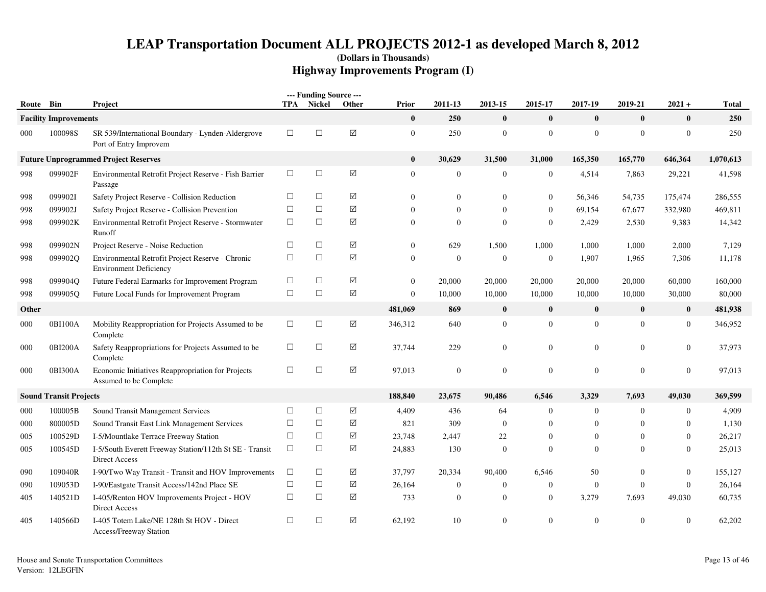|           |                               |                                                                                   |            | --- Funding Source --- |             |                  |                |                |                  |                  |                |                |              |
|-----------|-------------------------------|-----------------------------------------------------------------------------------|------------|------------------------|-------------|------------------|----------------|----------------|------------------|------------------|----------------|----------------|--------------|
| Route Bin |                               | Project                                                                           | <b>TPA</b> | <b>Nickel</b>          | Other       | <b>Prior</b>     | 2011-13        | 2013-15        | 2015-17          | 2017-19          | 2019-21        | $2021 +$       | <b>Total</b> |
|           | <b>Facility Improvements</b>  |                                                                                   |            |                        |             | $\bf{0}$         | 250            | $\bf{0}$       | $\bf{0}$         | $\bf{0}$         | $\bf{0}$       | $\mathbf{0}$   | 250          |
| 000       | 100098S                       | SR 539/International Boundary - Lynden-Aldergrove<br>Port of Entry Improvem       | $\Box$     | $\Box$                 | $\boxtimes$ | $\mathbf{0}$     | 250            | $\mathbf{0}$   | $\boldsymbol{0}$ | $\boldsymbol{0}$ | $\mathbf{0}$   | $\mathbf{0}$   | 250          |
|           |                               | <b>Future Unprogrammed Project Reserves</b>                                       |            |                        |             | $\bf{0}$         | 30,629         | 31,500         | 31,000           | 165,350          | 165,770        | 646,364        | 1,070,613    |
| 998       | 099902F                       | Environmental Retrofit Project Reserve - Fish Barrier<br>Passage                  | $\Box$     | $\Box$                 | $\boxtimes$ | $\overline{0}$   | $\mathbf{0}$   | $\overline{0}$ | $\mathbf{0}$     | 4,514            | 7,863          | 29,221         | 41,598       |
| 998       | 099902I                       | Safety Project Reserve - Collision Reduction                                      | $\Box$     | $\Box$                 | ☑           | $\Omega$         | $\mathbf{0}$   | $\Omega$       | $\overline{0}$   | 56,346           | 54,735         | 175,474        | 286,555      |
| 998       | 099902J                       | Safety Project Reserve - Collision Prevention                                     | $\Box$     | $\Box$                 | $\Delta$    | $\Omega$         | $\mathbf{0}$   | $\overline{0}$ | $\mathbf{0}$     | 69,154           | 67,677         | 332,980        | 469,811      |
| 998       | 099902K                       | Environmental Retrofit Project Reserve - Stormwater<br>Runoff                     | $\Box$     | $\Box$                 | $\Delta$    | $\overline{0}$   | $\mathbf{0}$   | $\mathbf{0}$   | $\boldsymbol{0}$ | 2,429            | 2,530          | 9,383          | 14,342       |
| 998       | 099902N                       | Project Reserve - Noise Reduction                                                 | $\Box$     | $\Box$                 | ☑           | $\overline{0}$   | 629            | 1,500          | 1,000            | 1,000            | 1,000          | 2,000          | 7,129        |
| 998       | 099902Q                       | Environmental Retrofit Project Reserve - Chronic<br><b>Environment Deficiency</b> | $\Box$     | $\Box$                 | $\boxtimes$ | $\boldsymbol{0}$ | $\mathbf{0}$   | $\mathbf{0}$   | $\boldsymbol{0}$ | 1,907            | 1,965          | 7,306          | 11,178       |
| 998       | 099904Q                       | Future Federal Earmarks for Improvement Program                                   | $\Box$     | $\Box$                 | ☑           | $\boldsymbol{0}$ | 20,000         | 20,000         | 20,000           | 20,000           | 20,000         | 60,000         | 160,000      |
| 998       | 099905Q                       | Future Local Funds for Improvement Program                                        | $\Box$     | $\Box$                 | $\Delta$    | $\boldsymbol{0}$ | 10,000         | 10,000         | 10,000           | 10,000           | 10,000         | 30,000         | 80,000       |
| Other     |                               |                                                                                   |            |                        |             | 481,069          | 869            | $\bf{0}$       | $\bf{0}$         | $\bf{0}$         | $\bf{0}$       | $\bf{0}$       | 481,938      |
| 000       | 0BI100A                       | Mobility Reappropriation for Projects Assumed to be<br>Complete                   | $\Box$     | $\Box$                 | $\boxtimes$ | 346,312          | 640            | $\overline{0}$ | $\mathbf{0}$     | $\mathbf{0}$     | $\overline{0}$ | $\overline{0}$ | 346,952      |
| 000       | 0BI200A                       | Safety Reappropriations for Projects Assumed to be<br>Complete                    | $\Box$     | $\Box$                 | ☑           | 37,744           | 229            | $\overline{0}$ | $\boldsymbol{0}$ | $\mathbf{0}$     | $\Omega$       | $\mathbf{0}$   | 37,973       |
| 000       | 0BI300A                       | Economic Initiatives Reappropriation for Projects<br>Assumed to be Complete       | $\Box$     | $\Box$                 | $\boxtimes$ | 97,013           | $\mathbf{0}$   | $\mathbf{0}$   | $\theta$         | $\mathbf{0}$     | $\overline{0}$ | $\overline{0}$ | 97,013       |
|           | <b>Sound Transit Projects</b> |                                                                                   |            |                        |             | 188,840          | 23,675         | 90,486         | 6,546            | 3,329            | 7,693          | 49,030         | 369,599      |
| 000       | 100005B                       | Sound Transit Management Services                                                 | $\Box$     | $\Box$                 | ☑           | 4,409            | 436            | 64             | $\overline{0}$   | $\boldsymbol{0}$ | $\overline{0}$ | $\mathbf{0}$   | 4,909        |
| 000       | 800005D                       | Sound Transit East Link Management Services                                       | $\Box$     | $\Box$                 | ☑           | 821              | 309            | $\mathbf{0}$   | $\overline{0}$   | $\mathbf{0}$     | $\overline{0}$ | $\mathbf{0}$   | 1,130        |
| 005       | 100529D                       | I-5/Mountlake Terrace Freeway Station                                             | $\Box$     | $\Box$                 | ☑           | 23,748           | 2,447          | 22             | $\overline{0}$   | $\Omega$         | $\Omega$       | $\mathbf{0}$   | 26,217       |
| 005       | 100545D                       | I-5/South Everett Freeway Station/112th St SE - Transit<br>Direct Access          | $\Box$     | $\Box$                 | ☑           | 24,883           | 130            | $\overline{0}$ | $\overline{0}$   | $\Omega$         | $\Omega$       | $\overline{0}$ | 25,013       |
| 090       | 109040R                       | I-90/Two Way Transit - Transit and HOV Improvements                               | $\Box$     | $\Box$                 | $\Delta$    | 37,797           | 20,334         | 90,400         | 6,546            | 50               | 0              | $\mathbf{0}$   | 155,127      |
| 090       | 109053D                       | I-90/Eastgate Transit Access/142nd Place SE                                       | $\Box$     | $\Box$                 | ☑           | 26,164           | $\overline{0}$ | $\overline{0}$ | $\boldsymbol{0}$ | $\overline{0}$   | $\overline{0}$ | $\mathbf{0}$   | 26,164       |
| 405       | 140521D                       | I-405/Renton HOV Improvements Project - HOV<br>Direct Access                      | $\Box$     | $\Box$                 | $\Delta$    | 733              | $\mathbf{0}$   | $\overline{0}$ | $\boldsymbol{0}$ | 3,279            | 7,693          | 49,030         | 60,735       |
| 405       | 140566D                       | I-405 Totem Lake/NE 128th St HOV - Direct<br>Access/Freeway Station               | $\Box$     | $\Box$                 | ☑           | 62,192           | 10             | $\Omega$       | $\theta$         | $\Omega$         | $\Omega$       | $\Omega$       | 62,202       |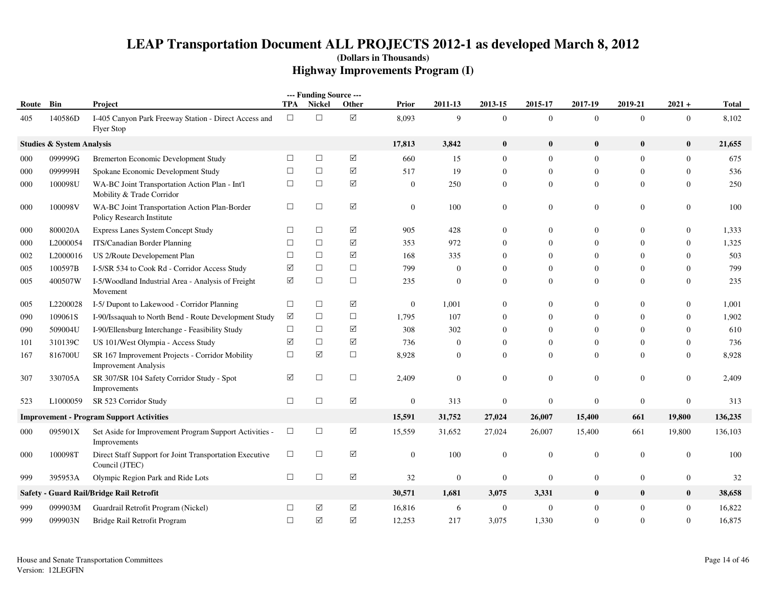| Route | Bin                                  | Project                                                                        | TPA       | --- Funding Source ---<br>Nickel | Other                | Prior            | 2011-13        | 2013-15          | 2015-17          | 2017-19          | 2019-21          | $2021 +$         | Total   |
|-------|--------------------------------------|--------------------------------------------------------------------------------|-----------|----------------------------------|----------------------|------------------|----------------|------------------|------------------|------------------|------------------|------------------|---------|
| 405   | 140586D                              | I-405 Canyon Park Freeway Station - Direct Access and<br><b>Flyer Stop</b>     | $\Box$    | $\Box$                           | ☑                    | 8,093            | 9              | $\mathbf{0}$     | $\overline{0}$   | $\theta$         | $\overline{0}$   | $\mathbf{0}$     | 8,102   |
|       | <b>Studies &amp; System Analysis</b> |                                                                                |           |                                  |                      | 17,813           | 3,842          | $\bf{0}$         | $\bf{0}$         | $\bf{0}$         | $\pmb{0}$        | $\bf{0}$         | 21,655  |
| 000   | 099999G                              | Bremerton Economic Development Study                                           | $\Box$    | $\Box$                           | ☑                    | 660              | 15             | $\boldsymbol{0}$ | $\mathbf{0}$     | $\mathbf{0}$     | $\boldsymbol{0}$ | $\overline{0}$   | 675     |
| 000   | 099999H                              | Spokane Economic Development Study                                             | $\Box$    | $\Box$                           | ☑                    | 517              | 19             | $\mathbf{0}$     | $\mathbf{0}$     | $\mathbf{0}$     | $\mathbf{0}$     | $\overline{0}$   | 536     |
| 000   | 100098U                              | WA-BC Joint Transportation Action Plan - Int'l<br>Mobility & Trade Corridor    | $\Box$    | $\Box$                           | ☑                    | $\boldsymbol{0}$ | 250            | $\boldsymbol{0}$ | $\mathbf{0}$     | $\mathbf{0}$     | $\mathbf{0}$     | $\mathbf{0}$     | 250     |
| 000   | 100098V                              | WA-BC Joint Transportation Action Plan-Border<br>Policy Research Institute     | $\Box$    | $\Box$                           | ☑                    | $\overline{0}$   | 100            | $\boldsymbol{0}$ | $\mathbf{0}$     | $\mathbf{0}$     | $\mathbf{0}$     | $\mathbf{0}$     | 100     |
| 000   | 800020A                              | Express Lanes System Concept Study                                             | □         | $\Box$                           | ☑                    | 905              | 428            | $\boldsymbol{0}$ | $\Omega$         | $\overline{0}$   | $\boldsymbol{0}$ | $\mathbf{0}$     | 1,333   |
| 000   | L2000054                             | ITS/Canadian Border Planning                                                   | $\Box$    | $\Box$                           | ☑                    | 353              | 972            | $\mathbf{0}$     | $\Omega$         | $\overline{0}$   | $\mathbf{0}$     | $\mathbf{0}$     | 1,325   |
| 002   | L2000016                             | US 2/Route Developement Plan                                                   | $\Box$    | $\Box$                           | $\Delta$             | 168              | 335            | $\mathbf{0}$     | $\Omega$         | $\Omega$         | $\Omega$         | $\theta$         | 503     |
| 005   | 100597B                              | I-5/SR 534 to Cook Rd - Corridor Access Study                                  | ☑         | $\Box$                           | $\Box$               | 799              | $\mathbf{0}$   | $\mathbf{0}$     | $\mathbf{0}$     | $\overline{0}$   | $\Omega$         | $\overline{0}$   | 799     |
| 005   | 400507W                              | I-5/Woodland Industrial Area - Analysis of Freight<br>Movement                 | ☑         | $\Box$                           | $\Box$               | 235              | $\theta$       | $\mathbf{0}$     | $\mathbf{0}$     | $\overline{0}$   | $\mathbf{0}$     | $\mathbf{0}$     | 235     |
| 005   | L2200028                             | I-5/ Dupont to Lakewood - Corridor Planning                                    | $\Box$    | $\Box$                           | ☑                    | $\mathbf{0}$     | 1,001          | $\boldsymbol{0}$ | $\Omega$         | $\overline{0}$   | $\mathbf{0}$     | $\mathbf{0}$     | 1,001   |
| 090   | 109061S                              | I-90/Issaquah to North Bend - Route Development Study                          | $\sqrt{}$ | $\Box$                           | $\Box$               | 1,795            | 107            | $\boldsymbol{0}$ | $\theta$         | $\overline{0}$   | $\mathbf{0}$     | $\boldsymbol{0}$ | 1,902   |
| 090   | 509004U                              | I-90/Ellensburg Interchange - Feasibility Study                                | $\Box$    | $\Box$                           | $\Delta$             | 308              | 302            | $\mathbf{0}$     | $\theta$         | $\Omega$         | $\mathbf{0}$     | $\Omega$         | 610     |
| 101   | 310139C                              | US 101/West Olympia - Access Study                                             | ☑         | $\Box$                           | ☑                    | 736              | $\overline{0}$ | $\mathbf{0}$     | $\theta$         | $\overline{0}$   | $\mathbf{0}$     | $\mathbf{0}$     | 736     |
| 167   | 816700U                              | SR 167 Improvement Projects - Corridor Mobility<br><b>Improvement Analysis</b> | $\Box$    | ☑                                | $\Box$               | 8,928            | $\mathbf{0}$   | $\mathbf{0}$     | $\mathbf{0}$     | $\overline{0}$   | $\mathbf{0}$     | $\overline{0}$   | 8,928   |
| 307   | 330705A                              | SR 307/SR 104 Safety Corridor Study - Spot<br>Improvements                     | ☑         | $\Box$                           | $\Box$               | 2,409            | $\mathbf{0}$   | $\boldsymbol{0}$ | $\mathbf{0}$     | $\mathbf{0}$     | $\boldsymbol{0}$ | $\boldsymbol{0}$ | 2,409   |
| 523   | L1000059                             | SR 523 Corridor Study                                                          | $\Box$    | $\Box$                           | ☑                    | $\boldsymbol{0}$ | 313            | $\boldsymbol{0}$ | $\mathbf{0}$     | $\overline{0}$   | $\boldsymbol{0}$ | $\boldsymbol{0}$ | 313     |
|       |                                      | <b>Improvement - Program Support Activities</b>                                |           |                                  |                      | 15,591           | 31,752         | 27,024           | 26,007           | 15,400           | 661              | 19,800           | 136,235 |
| 000   | 095901X                              | Set Aside for Improvement Program Support Activities -<br>Improvements         | $\Box$    | $\Box$                           | $\boxtimes$          | 15,559           | 31,652         | 27,024           | 26,007           | 15,400           | 661              | 19,800           | 136,103 |
| 000   | 100098T                              | Direct Staff Support for Joint Transportation Executive<br>Council (JTEC)      | $\Box$    | $\Box$                           | ☑                    | $\boldsymbol{0}$ | 100            | $\boldsymbol{0}$ | $\mathbf{0}$     | $\boldsymbol{0}$ | $\boldsymbol{0}$ | $\boldsymbol{0}$ | 100     |
| 999   | 395953A                              | Olympic Region Park and Ride Lots                                              | $\Box$    | $\Box$                           | ☑                    | 32               | $\mathbf{0}$   | $\boldsymbol{0}$ | $\mathbf{0}$     | $\boldsymbol{0}$ | $\boldsymbol{0}$ | $\overline{0}$   | 32      |
|       |                                      | Safety - Guard Rail/Bridge Rail Retrofit                                       |           |                                  |                      | 30,571           | 1,681          | 3,075            | 3,331            | $\bf{0}$         | $\bf{0}$         | $\bf{0}$         | 38,658  |
| 999   | 099903M                              | Guardrail Retrofit Program (Nickel)                                            | $\Box$    | ☑                                | $\boxed{\mathbf{v}}$ | 16,816           | 6              | $\boldsymbol{0}$ | $\boldsymbol{0}$ | $\boldsymbol{0}$ | $\boldsymbol{0}$ | $\overline{0}$   | 16,822  |
| 999   | 099903N                              | Bridge Rail Retrofit Program                                                   | $\Box$    | ☑                                | ☑                    | 12,253           | 217            | 3,075            | 1,330            | $\Omega$         | $\Omega$         | $\theta$         | 16,875  |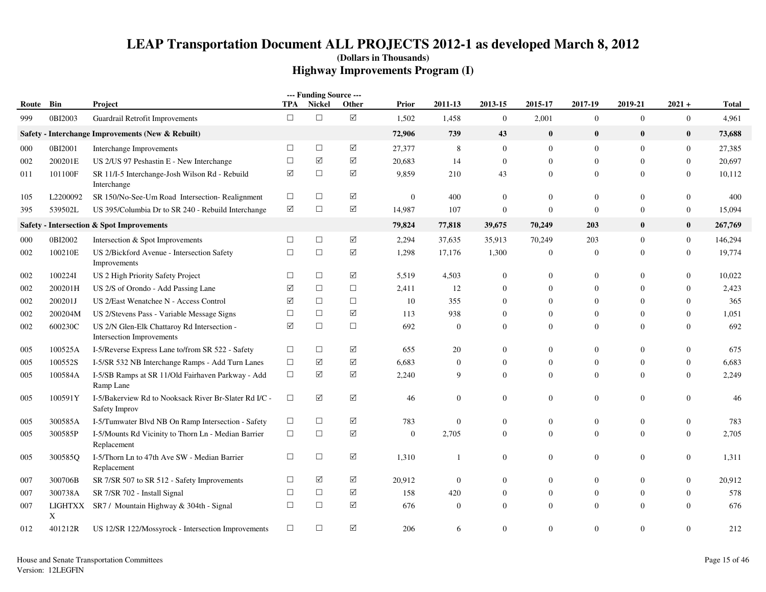|       |              |                                                                          |                      | --- Funding Source --- |                 |              |                  |                  |                  |                  |                  |                  |              |
|-------|--------------|--------------------------------------------------------------------------|----------------------|------------------------|-----------------|--------------|------------------|------------------|------------------|------------------|------------------|------------------|--------------|
| Route | Bin          | Project                                                                  | TPA                  | <b>Nickel</b>          | Other           | <b>Prior</b> | 2011-13          | 2013-15          | 2015-17          | 2017-19          | 2019-21          | $2021 +$         | <b>Total</b> |
| 999   | 0BI2003      | Guardrail Retrofit Improvements                                          | $\Box$               | $\Box$                 | $\Delta$        | 1,502        | 1,458            | $\mathbf{0}$     | 2,001            | $\boldsymbol{0}$ | $\boldsymbol{0}$ | $\boldsymbol{0}$ | 4,961        |
|       |              | Safety - Interchange Improvements (New & Rebuilt)                        |                      |                        |                 | 72,906       | 739              | 43               | $\bf{0}$         | $\bf{0}$         | $\bf{0}$         | $\bf{0}$         | 73,688       |
| 000   | 0BI2001      | Interchange Improvements                                                 | $\Box$               | $\Box$                 | $\triangledown$ | 27,377       | 8                | $\mathbf{0}$     | $\mathbf{0}$     | $\mathbf{0}$     | $\mathbf{0}$     | $\boldsymbol{0}$ | 27,385       |
| 002   | 200201E      | US 2/US 97 Peshastin E - New Interchange                                 | $\Box$               | ☑                      | ☑               | 20,683       | 14               | $\overline{0}$   | $\mathbf{0}$     | $\mathbf{0}$     | $\Omega$         | $\mathbf{0}$     | 20,697       |
| 011   | 101100F      | SR 11/I-5 Interchange-Josh Wilson Rd - Rebuild<br>Interchange            | ☑                    | $\Box$                 | ☑               | 9,859        | 210              | 43               | $\boldsymbol{0}$ | $\mathbf{0}$     | $\overline{0}$   | $\boldsymbol{0}$ | 10,112       |
| 105   | L2200092     | SR 150/No-See-Um Road Intersection-Realignment                           | $\Box$               | $\Box$                 | ☑               | $\mathbf{0}$ | 400              | $\mathbf{0}$     | $\overline{0}$   | $\boldsymbol{0}$ | $\mathbf{0}$     | $\mathbf{0}$     | 400          |
| 395   | 539502L      | US 395/Columbia Dr to SR 240 - Rebuild Interchange                       | $\boxed{\mathsf{v}}$ | $\Box$                 | $\Delta$        | 14,987       | 107              | $\boldsymbol{0}$ | $\mathbf{0}$     | $\mathbf{0}$     | $\overline{0}$   | $\boldsymbol{0}$ | 15,094       |
|       |              | Safety - Intersection & Spot Improvements                                |                      |                        |                 | 79,824       | 77,818           | 39,675           | 70,249           | 203              | $\bf{0}$         | $\bf{0}$         | 267,769      |
| 000   | 0BI2002      | Intersection & Spot Improvements                                         | $\Box$               | $\Box$                 | $\Delta$        | 2,294        | 37,635           | 35,913           | 70,249           | 203              | $\mathbf{0}$     | $\boldsymbol{0}$ | 146,294      |
| 002   | 100210E      | US 2/Bickford Avenue - Intersection Safety<br>Improvements               | $\Box$               | $\Box$                 | ☑               | 1,298        | 17,176           | 1,300            | $\mathbf{0}$     | $\mathbf{0}$     | $\overline{0}$   | $\mathbf{0}$     | 19,774       |
| 002   | 100224I      | US 2 High Priority Safety Project                                        | $\Box$               | $\Box$                 | ☑               | 5,519        | 4,503            | $\mathbf{0}$     | $\boldsymbol{0}$ | $\boldsymbol{0}$ | $\mathbf{0}$     | $\boldsymbol{0}$ | 10,022       |
| 002   | 200201H      | US 2/S of Orondo - Add Passing Lane                                      | $\blacktriangledown$ | $\Box$                 | $\Box$          | 2,411        | 12               | $\mathbf{0}$     | $\overline{0}$   | $\mathbf{0}$     | $\Omega$         | $\mathbf{0}$     | 2,423        |
| 002   | 200201J      | US 2/East Wenatchee N - Access Control                                   | ☑                    | $\Box$                 | $\Box$          | 10           | 355              | $\Omega$         | $\Omega$         | $\theta$         | $\Omega$         | $\mathbf{0}$     | 365          |
| 002   | 200204M      | US 2/Stevens Pass - Variable Message Signs                               | $\Box$               | $\Box$                 | $\triangledown$ | 113          | 938              | $\Omega$         | $\Omega$         | $\theta$         | $\Omega$         | $\mathbf{0}$     | 1,051        |
| 002   | 600230C      | US 2/N Glen-Elk Chattaroy Rd Intersection -<br>Intersection Improvements | ☑                    | $\Box$                 | $\Box$          | 692          | $\boldsymbol{0}$ | $\Omega$         | $\mathbf{0}$     | $\mathbf{0}$     | $\Omega$         | $\boldsymbol{0}$ | 692          |
| 005   | 100525A      | I-5/Reverse Express Lane to/from SR 522 - Safety                         | $\Box$               | $\Box$                 | $\triangledown$ | 655          | 20               | $\mathbf{0}$     | $\mathbf{0}$     | $\mathbf{0}$     | $\overline{0}$   | $\boldsymbol{0}$ | 675          |
| 005   | 100552S      | I-5/SR 532 NB Interchange Ramps - Add Turn Lanes                         | $\Box$               | $\triangledown$        | ☑               | 6,683        | $\mathbf{0}$     | $\mathbf{0}$     | $\mathbf{0}$     | $\mathbf{0}$     | $\mathbf{0}$     | $\boldsymbol{0}$ | 6,683        |
| 005   | 100584A      | I-5/SB Ramps at SR 11/Old Fairhaven Parkway - Add<br>Ramp Lane           | $\Box$               | $\triangledown$        | ☑               | 2,240        | 9                | $\mathbf{0}$     | $\mathbf{0}$     | $\mathbf{0}$     | $\mathbf{0}$     | $\mathbf{0}$     | 2,249        |
| 005   | 100591Y      | I-5/Bakerview Rd to Nooksack River Br-Slater Rd I/C -<br>Safety Improv   | $\Box$               | $\Delta$               | ☑               | 46           | $\boldsymbol{0}$ | $\boldsymbol{0}$ | $\mathbf{0}$     | $\mathbf{0}$     | $\mathbf{0}$     | $\mathbf{0}$     | 46           |
| 005   | 300585A      | I-5/Tumwater Blvd NB On Ramp Intersection - Safety                       | $\Box$               | $\Box$                 | ☑               | 783          | $\mathbf{0}$     | $\mathbf{0}$     | $\mathbf{0}$     | $\mathbf{0}$     | $\overline{0}$   | $\boldsymbol{0}$ | 783          |
| 005   | 300585P      | I-5/Mounts Rd Vicinity to Thorn Ln - Median Barrier<br>Replacement       | $\Box$               | $\Box$                 | $\triangledown$ | $\mathbf{0}$ | 2,705            | $\mathbf{0}$     | $\mathbf{0}$     | $\overline{0}$   | $\overline{0}$   | $\mathbf{0}$     | 2,705        |
| 005   | 300585O      | I-5/Thorn Ln to 47th Ave SW - Median Barrier<br>Replacement              | $\Box$               | $\Box$                 | ☑               | 1,310        | $\mathbf{1}$     | $\overline{0}$   | $\mathbf{0}$     | $\mathbf{0}$     | $\overline{0}$   | $\boldsymbol{0}$ | 1,311        |
| 007   | 300706B      | SR 7/SR 507 to SR 512 - Safety Improvements                              | $\Box$               | ☑                      | ☑               | 20,912       | $\mathbf{0}$     | $\Omega$         | $\mathbf{0}$     | $\mathbf{0}$     | $\overline{0}$   | $\mathbf{0}$     | 20,912       |
| 007   | 300738A      | SR 7/SR 702 - Install Signal                                             | $\Box$               | $\Box$                 | ☑               | 158          | 420              | $\mathbf{0}$     | $\mathbf{0}$     | $\mathbf{0}$     | $\overline{0}$   | $\boldsymbol{0}$ | 578          |
| 007   | LIGHTXX<br>X | SR7 / Mountain Highway & 304th - Signal                                  | $\Box$               | $\Box$                 | $\triangledown$ | 676          | $\mathbf{0}$     | $\Omega$         | $\Omega$         | $\overline{0}$   | $\Omega$         | $\Omega$         | 676          |
| 012   | 401212R      | US 12/SR 122/Mossyrock - Intersection Improvements                       | $\Box$               | $\Box$                 | ☑               | 206          | 6                | $\Omega$         | $\overline{0}$   | $\mathbf{0}$     | $\overline{0}$   | $\theta$         | 212          |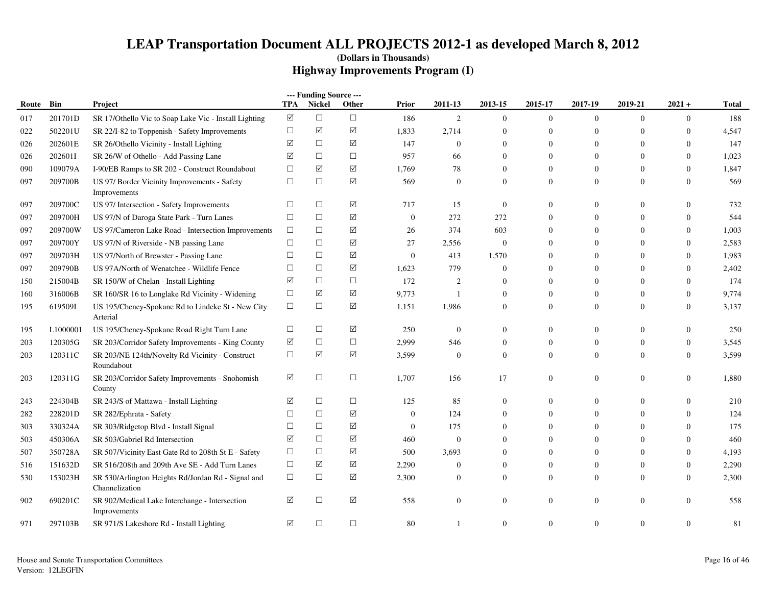|       |          |                                                                      |                       | --- Funding Source --- |                      |                  |                |                  |                  |                  |                  |                  |              |
|-------|----------|----------------------------------------------------------------------|-----------------------|------------------------|----------------------|------------------|----------------|------------------|------------------|------------------|------------------|------------------|--------------|
| Route | Bin      | Project                                                              | TPA                   | Nickel                 | Other                | <b>Prior</b>     | 2011-13        | 2013-15          | 2015-17          | 2017-19          | 2019-21          | $2021 +$         | <b>Total</b> |
| 017   | 201701D  | SR 17/Othello Vic to Soap Lake Vic - Install Lighting                | $\boxed{\mathcal{S}}$ | $\Box$                 | $\Box$               | 186              | 2              | $\mathbf{0}$     | $\mathbf{0}$     | $\mathbf{0}$     | $\mathbf{0}$     | $\mathbf{0}$     | 188          |
| 022   | 502201U  | SR 22/I-82 to Toppenish - Safety Improvements                        | $\Box$                | $\triangledown$        | ☑                    | 1,833            | 2,714          | $\theta$         | $\overline{0}$   | $\overline{0}$   | $\Omega$         | $\mathbf{0}$     | 4,547        |
| 026   | 202601E  | SR 26/Othello Vicinity - Install Lighting                            | ☑                     | □                      | ☑                    | 147              | $\overline{0}$ | $\Omega$         | $\overline{0}$   | $\overline{0}$   | $\overline{0}$   | $\mathbf{0}$     | 147          |
| 026   | 202601I  | SR 26/W of Othello - Add Passing Lane                                | ☑                     | $\Box$                 | $\Box$               | 957              | 66             | $\Omega$         | $\mathbf{0}$     | $\overline{0}$   | $\Omega$         | $\mathbf{0}$     | 1,023        |
| 090   | 109079A  | I-90/EB Ramps to SR 202 - Construct Roundabout                       | $\Box$                | $\triangledown$        | ☑                    | 1,769            | 78             | $\theta$         | $\overline{0}$   | $\overline{0}$   | $\overline{0}$   | $\boldsymbol{0}$ | 1,847        |
| 097   | 209700B  | US 97/ Border Vicinity Improvements - Safety<br>Improvements         | $\Box$                | $\Box$                 | $\Delta$             | 569              | $\overline{0}$ | $\theta$         | $\Omega$         | $\overline{0}$   | $\Omega$         | $\mathbf{0}$     | 569          |
| 097   | 209700C  | US 97/ Intersection - Safety Improvements                            | $\Box$                | $\Box$                 | ☑                    | 717              | 15             | $\theta$         | $\overline{0}$   | $\overline{0}$   | $\overline{0}$   | $\mathbf{0}$     | 732          |
| 097   | 209700H  | US 97/N of Daroga State Park - Turn Lanes                            | $\Box$                | $\Box$                 | ☑                    | $\mathbf{0}$     | 272            | 272              | $\mathbf{0}$     | $\boldsymbol{0}$ | $\mathbf{0}$     | $\mathbf{0}$     | 544          |
| 097   | 209700W  | US 97/Cameron Lake Road - Intersection Improvements                  | $\Box$                | $\Box$                 | ☑                    | 26               | 374            | 603              | $\Omega$         | $\overline{0}$   | $\overline{0}$   | $\mathbf{0}$     | 1,003        |
| 097   | 209700Y  | US 97/N of Riverside - NB passing Lane                               | $\Box$                | $\Box$                 | ☑                    | 27               | 2,556          | $\boldsymbol{0}$ | $\Omega$         | $\overline{0}$   | $\overline{0}$   | $\mathbf{0}$     | 2,583        |
| 097   | 209703H  | US 97/North of Brewster - Passing Lane                               | $\Box$                | $\Box$                 | ☑                    | $\boldsymbol{0}$ | 413            | 1,570            | $\Omega$         | $\boldsymbol{0}$ | $\overline{0}$   | $\boldsymbol{0}$ | 1,983        |
| 097   | 209790B  | US 97A/North of Wenatchee - Wildlife Fence                           | $\Box$                | $\Box$                 | ☑                    | 1,623            | 779            | $\theta$         | $\overline{0}$   | $\overline{0}$   | $\overline{0}$   | $\boldsymbol{0}$ | 2,402        |
| 150   | 215004B  | SR 150/W of Chelan - Install Lighting                                | ☑                     | $\Box$                 | $\Box$               | 172              | $\overline{2}$ | $\Omega$         | $\Omega$         | $\overline{0}$   | $\Omega$         | $\Omega$         | 174          |
| 160   | 316006B  | SR 160/SR 16 to Longlake Rd Vicinity - Widening                      | $\Box$                | ☑                      | ☑                    | 9,773            | -1             | $\mathbf{0}$     | $\Omega$         | $\overline{0}$   | $\overline{0}$   | $\mathbf{0}$     | 9,774        |
| 195   | 619509I  | US 195/Cheney-Spokane Rd to Lindeke St - New City<br>Arterial        | $\Box$                | $\Box$                 | ☑                    | 1,151            | 1,986          | $\theta$         | $\overline{0}$   | $\overline{0}$   | $\overline{0}$   | $\mathbf{0}$     | 3,137        |
| 195   | L1000001 | US 195/Cheney-Spokane Road Right Turn Lane                           | $\Box$                | $\Box$                 | ☑                    | 250              | $\overline{0}$ | $\mathbf{0}$     | $\Omega$         | $\overline{0}$   | $\Omega$         | $\mathbf{0}$     | 250          |
| 203   | 120305G  | SR 203/Corridor Safety Improvements - King County                    | ☑                     | $\Box$                 | $\Box$               | 2,999            | 546            | $\theta$         | $\overline{0}$   | $\overline{0}$   | $\overline{0}$   | $\boldsymbol{0}$ | 3,545        |
| 203   | 120311C  | SR 203/NE 124th/Novelty Rd Vicinity - Construct<br>Roundabout        | $\Box$                | $\triangledown$        | $\boxtimes$          | 3,599            | $\overline{0}$ | $\theta$         | $\overline{0}$   | $\overline{0}$   | $\overline{0}$   | $\mathbf{0}$     | 3,599        |
| 203   | 120311G  | SR 203/Corridor Safety Improvements - Snohomish<br>County            | ☑                     | $\Box$                 | $\Box$               | 1,707            | 156            | 17               | $\Omega$         | $\overline{0}$   | $\overline{0}$   | $\mathbf{0}$     | 1,880        |
| 243   | 224304B  | SR 243/S of Mattawa - Install Lighting                               | ☑                     | $\Box$                 | $\Box$               | 125              | 85             | $\theta$         | $\mathbf{0}$     | $\boldsymbol{0}$ | $\overline{0}$   | $\mathbf{0}$     | 210          |
| 282   | 228201D  | SR 282/Ephrata - Safety                                              | $\Box$                | $\Box$                 | $\boxed{\mathsf{v}}$ | $\boldsymbol{0}$ | 124            | $\theta$         | $\Omega$         | $\Omega$         | $\Omega$         | $\Omega$         | 124          |
| 303   | 330324A  | SR 303/Ridgetop Blvd - Install Signal                                | $\Box$                | $\Box$                 | ☑                    | $\overline{0}$   | 175            | $\theta$         | $\Omega$         | $\overline{0}$   | $\overline{0}$   | $\Omega$         | 175          |
| 503   | 450306A  | SR 503/Gabriel Rd Intersection                                       | ☑                     | $\Box$                 | ☑                    | 460              | $\overline{0}$ | $\Omega$         | $\Omega$         | $\overline{0}$   | $\overline{0}$   | $\mathbf{0}$     | 460          |
| 507   | 350728A  | SR 507/Vicinity East Gate Rd to 208th St E - Safety                  | $\Box$                | $\Box$                 | ☑                    | 500              | 3,693          | $\mathbf{0}$     | $\overline{0}$   | $\overline{0}$   | $\overline{0}$   | $\boldsymbol{0}$ | 4,193        |
| 516   | 151632D  | SR 516/208th and 209th Ave SE - Add Turn Lanes                       | $\Box$                | $\triangledown$        | ☑                    | 2,290            | $\mathbf{0}$   | $\theta$         | $\boldsymbol{0}$ | $\boldsymbol{0}$ | $\mathbf{0}$     | $\boldsymbol{0}$ | 2,290        |
| 530   | 153023H  | SR 530/Arlington Heights Rd/Jordan Rd - Signal and<br>Channelization | $\Box$                | $\Box$                 | $\Delta$             | 2,300            | $\overline{0}$ | $\mathbf{0}$     | $\Omega$         | $\Omega$         | $\overline{0}$   | $\mathbf{0}$     | 2,300        |
| 902   | 690201C  | SR 902/Medical Lake Interchange - Intersection<br>Improvements       | ☑                     | $\Box$                 | ☑                    | 558              | $\overline{0}$ | $\mathbf{0}$     | $\mathbf{0}$     | $\boldsymbol{0}$ | $\boldsymbol{0}$ | $\mathbf{0}$     | 558          |
| 971   | 297103B  | SR 971/S Lakeshore Rd - Install Lighting                             | ☑                     | $\Box$                 | $\Box$               | 80               |                | $\mathbf{0}$     | $\Omega$         | $\overline{0}$   | $\overline{0}$   | $\mathbf{0}$     | 81           |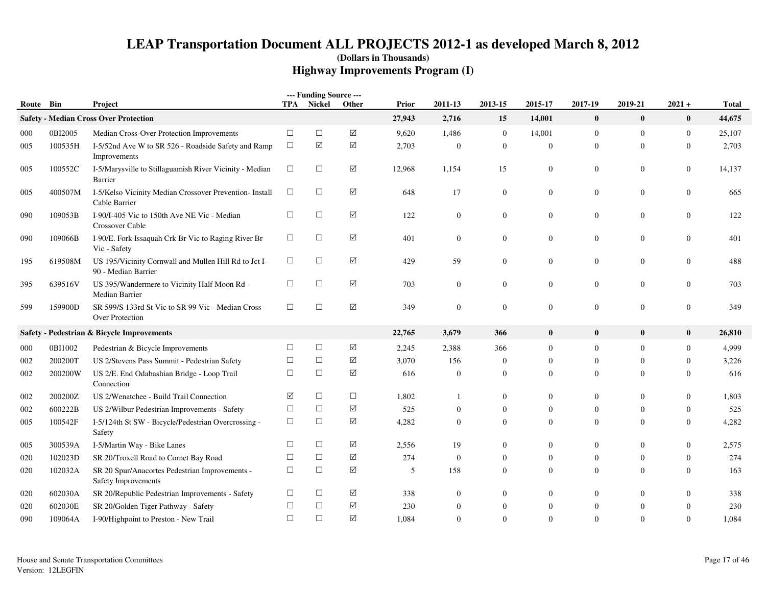| Route Bin |         | Project                                                                      |        | --- Funding Source ---<br>TPA Nickel | Other                | Prior  | 2011-13          | 2013-15          | 2015-17          | 2017-19          | 2019-21          | $2021 +$         | <b>Total</b> |
|-----------|---------|------------------------------------------------------------------------------|--------|--------------------------------------|----------------------|--------|------------------|------------------|------------------|------------------|------------------|------------------|--------------|
|           |         | <b>Safety - Median Cross Over Protection</b>                                 |        |                                      |                      | 27,943 | 2,716            | 15               | 14,001           | $\bf{0}$         | $\boldsymbol{0}$ | $\pmb{0}$        | 44,675       |
| 000       | 0BI2005 | Median Cross-Over Protection Improvements                                    | $\Box$ | $\Box$                               | $\triangledown$      | 9,620  | 1,486            | $\overline{0}$   | 14,001           | $\mathbf{0}$     | $\overline{0}$   | $\mathbf{0}$     | 25,107       |
| 005       | 100535H | I-5/52nd Ave W to SR 526 - Roadside Safety and Ramp<br>Improvements          | $\Box$ | $\blacktriangledown$                 | $\boxtimes$          | 2,703  | $\boldsymbol{0}$ | $\mathbf{0}$     | $\boldsymbol{0}$ | $\mathbf{0}$     | $\mathbf{0}$     | $\boldsymbol{0}$ | 2,703        |
| 005       | 100552C | I-5/Marysville to Stillaguamish River Vicinity - Median<br>Barrier           | $\Box$ | $\Box$                               | ☑                    | 12,968 | 1,154            | 15               | $\boldsymbol{0}$ | $\boldsymbol{0}$ | 0                | $\boldsymbol{0}$ | 14,137       |
| 005       | 400507M | I-5/Kelso Vicinity Median Crossover Prevention- Install<br>Cable Barrier     | $\Box$ | $\Box$                               | ☑                    | 648    | 17               | $\mathbf{0}$     | $\mathbf{0}$     | $\overline{0}$   | $\overline{0}$   | $\mathbf{0}$     | 665          |
| 090       | 109053B | I-90/I-405 Vic to 150th Ave NE Vic - Median<br>Crossover Cable               | $\Box$ | $\Box$                               | ☑                    | 122    | $\mathbf{0}$     | $\mathbf{0}$     | $\mathbf{0}$     | $\overline{0}$   | 0                | $\mathbf{0}$     | 122          |
| 090       | 109066B | I-90/E. Fork Issaquah Crk Br Vic to Raging River Br<br>Vic - Safety          | $\Box$ | $\Box$                               | ☑                    | 401    | $\mathbf{0}$     | $\mathbf{0}$     | $\mathbf{0}$     | $\overline{0}$   | 0                | $\mathbf{0}$     | 401          |
| 195       | 619508M | US 195/Vicinity Cornwall and Mullen Hill Rd to Jct I-<br>90 - Median Barrier | $\Box$ | $\Box$                               | $\boxtimes$          | 429    | 59               | $\mathbf{0}$     | $\boldsymbol{0}$ | $\boldsymbol{0}$ | 0                | $\mathbf{0}$     | 488          |
| 395       | 639516V | US 395/Wandermere to Vicinity Half Moon Rd -<br>Median Barrier               | $\Box$ | $\Box$                               | $\boxtimes$          | 703    | $\mathbf{0}$     | $\mathbf{0}$     | $\boldsymbol{0}$ | $\boldsymbol{0}$ | 0                | $\mathbf{0}$     | 703          |
| 599       | 159900D | SR 599/S 133rd St Vic to SR 99 Vic - Median Cross-<br>Over Protection        | $\Box$ | $\Box$                               | $\boxtimes$          | 349    | $\mathbf{0}$     | $\mathbf{0}$     | $\boldsymbol{0}$ | $\boldsymbol{0}$ | $\overline{0}$   | $\boldsymbol{0}$ | 349          |
|           |         | Safety - Pedestrian & Bicycle Improvements                                   |        |                                      |                      | 22,765 | 3,679            | 366              | $\bf{0}$         | $\bf{0}$         | $\bf{0}$         | $\bf{0}$         | 26,810       |
| 000       | 0BI1002 | Pedestrian & Bicycle Improvements                                            | $\Box$ | $\Box$                               | ☑                    | 2,245  | 2,388            | 366              | $\mathbf{0}$     | $\mathbf{0}$     | $\overline{0}$   | $\mathbf{0}$     | 4,999        |
| 002       | 200200T | US 2/Stevens Pass Summit - Pedestrian Safety                                 | $\Box$ | $\Box$                               | $\boxed{\mathbf{V}}$ | 3,070  | 156              | $\mathbf{0}$     | $\overline{0}$   | $\overline{0}$   | $\Omega$         | $\mathbf{0}$     | 3,226        |
| 002       | 200200W | US 2/E. End Odabashian Bridge - Loop Trail<br>Connection                     | $\Box$ | $\Box$                               | ☑                    | 616    | $\boldsymbol{0}$ | $\overline{0}$   | $\overline{0}$   | $\mathbf{0}$     | $\theta$         | $\theta$         | 616          |
| 002       | 200200Z | US 2/Wenatchee - Build Trail Connection                                      | ☑      | $\Box$                               | $\Box$               | 1,802  | 1                | $\mathbf{0}$     | $\mathbf{0}$     | $\overline{0}$   | $\Omega$         | $\theta$         | 1,803        |
| 002       | 600222B | US 2/Wilbur Pedestrian Improvements - Safety                                 | $\Box$ | $\Box$                               | $\triangledown$      | 525    | $\theta$         | $\mathbf{0}$     | $\overline{0}$   | $\mathbf{0}$     | $\mathbf{0}$     | $\theta$         | 525          |
| 005       | 100542F | I-5/124th St SW - Bicycle/Pedestrian Overcrossing -<br>Safety                | $\Box$ | $\Box$                               | $\boxtimes$          | 4,282  | $\theta$         | $\mathbf{0}$     | $\overline{0}$   | $\overline{0}$   | $\overline{0}$   | $\theta$         | 4,282        |
| 005       | 300539A | I-5/Martin Way - Bike Lanes                                                  | $\Box$ | $\Box$                               | $\boxed{\checkmark}$ | 2,556  | 19               | $\mathbf{0}$     | $\mathbf{0}$     | $\boldsymbol{0}$ | $\overline{0}$   | $\mathbf{0}$     | 2,575        |
| 020       | 102023D | SR 20/Troxell Road to Cornet Bay Road                                        | $\Box$ | $\Box$                               | ☑                    | 274    | $\boldsymbol{0}$ | $\theta$         | $\overline{0}$   | $\mathbf{0}$     | $\theta$         | $\theta$         | 274          |
| 020       | 102032A | SR 20 Spur/Anacortes Pedestrian Improvements -<br>Safety Improvements        | $\Box$ | $\Box$                               | $\boxtimes$          | 5      | 158              | $\boldsymbol{0}$ | $\mathbf{0}$     | $\mathbf{0}$     | 0                | $\mathbf{0}$     | 163          |
| 020       | 602030A | SR 20/Republic Pedestrian Improvements - Safety                              | $\Box$ | $\Box$                               | ☑                    | 338    | $\boldsymbol{0}$ | $\Omega$         | $\Omega$         | $\overline{0}$   | $\Omega$         | $\Omega$         | 338          |
| 020       | 602030E | SR 20/Golden Tiger Pathway - Safety                                          | $\Box$ | $\Box$                               | ☑                    | 230    | $\mathbf{0}$     | $\boldsymbol{0}$ | $\boldsymbol{0}$ | $\boldsymbol{0}$ | $\theta$         | $\theta$         | 230          |
| 090       | 109064A | I-90/Highpoint to Preston - New Trail                                        | $\Box$ | $\Box$                               | $\boxed{\checkmark}$ | 1,084  | $\Omega$         | $\Omega$         | $\Omega$         | $\Omega$         | $\Omega$         | $\Omega$         | 1,084        |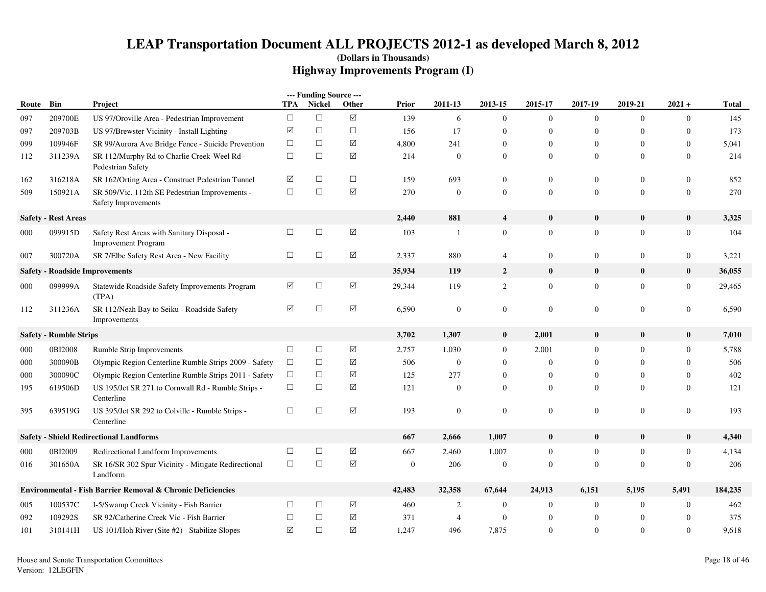|       |                               |                                                                          |             | --- Funding Source --- |                      |              |                |                         |                |                |                  |                  |              |
|-------|-------------------------------|--------------------------------------------------------------------------|-------------|------------------------|----------------------|--------------|----------------|-------------------------|----------------|----------------|------------------|------------------|--------------|
| Route | Bin                           | <b>Project</b>                                                           | <b>TPA</b>  | <b>Nickel</b>          | Other                | Prior        | 2011-13        | 2013-15                 | 2015-17        | 2017-19        | 2019-21          | $2021 +$         | <b>Total</b> |
| 097   | 209700E                       | US 97/Oroville Area - Pedestrian Improvement                             | $\Box$      | $\Box$                 | $\boxtimes$          | 139          | 6              | $\mathbf{0}$            | $\mathbf{0}$   | $\overline{0}$ | $\mathbf{0}$     | $\mathbf{0}$     | 145          |
| 097   | 209703B                       | US 97/Brewster Vicinity - Install Lighting                               | $\boxtimes$ | $\Box$                 | $\Box$               | 156          | 17             | $\theta$                | $\overline{0}$ | $\overline{0}$ | $\theta$         | $\mathbf{0}$     | 173          |
| 099   | 109946F                       | SR 99/Aurora Ave Bridge Fence - Suicide Prevention                       | $\Box$      | $\Box$                 | $\Delta$             | 4,800        | 241            | $\theta$                | $\Omega$       | $\Omega$       | $\Omega$         | $\mathbf{0}$     | 5.041        |
| 112   | 311239A                       | SR 112/Murphy Rd to Charlie Creek-Weel Rd -<br>Pedestrian Safety         | $\Box$      | $\Box$                 | $\Delta$             | 214          | $\overline{0}$ | $\theta$                | $\overline{0}$ | $\overline{0}$ | $\theta$         | $\overline{0}$   | 214          |
| 162   | 316218A                       | SR 162/Orting Area - Construct Pedestrian Tunnel                         | ☑           | $\Box$                 | $\Box$               | 159          | 693            | $\boldsymbol{0}$        | $\overline{0}$ | $\overline{0}$ | $\theta$         | $\mathbf{0}$     | 852          |
| 509   | 150921A                       | SR 509/Vic. 112th SE Pedestrian Improvements -<br>Safety Improvements    | $\Box$      | $\Box$                 | ☑                    | 270          | $\mathbf{0}$   | $\mathbf{0}$            | $\overline{0}$ | $\theta$       | $\mathbf{0}$     | $\overline{0}$   | 270          |
|       | <b>Safety - Rest Areas</b>    |                                                                          |             |                        |                      | 2,440        | 881            | $\overline{\mathbf{4}}$ | $\bf{0}$       | $\bf{0}$       | $\bf{0}$         | $\bf{0}$         | 3,325        |
| 000   | 099915D                       | Safety Rest Areas with Sanitary Disposal -<br><b>Improvement Program</b> | $\Box$      | $\Box$                 | $\boxed{\mathbf{v}}$ | 103          | -1             | $\boldsymbol{0}$        | $\mathbf{0}$   | $\overline{0}$ | $\theta$         | $\boldsymbol{0}$ | 104          |
| 007   | 300720A                       | SR 7/Elbe Safety Rest Area - New Facility                                | $\Box$      | $\Box$                 | ☑                    | 2,337        | 880            | $\overline{4}$          | $\mathbf{0}$   | $\mathbf{0}$   | $\overline{0}$   | $\overline{0}$   | 3,221        |
|       |                               | <b>Safety - Roadside Improvements</b>                                    |             |                        |                      | 35,934       | 119            | $\overline{2}$          | $\bf{0}$       | $\bf{0}$       | $\bf{0}$         | $\bf{0}$         | 36,055       |
| 000   | 099999A                       | Statewide Roadside Safety Improvements Program<br>(TPA)                  | ☑           | $\Box$                 | $\boxtimes$          | 29,344       | 119            | $\overline{2}$          | $\overline{0}$ | $\overline{0}$ | $\overline{0}$   | $\mathbf{0}$     | 29,465       |
| 112   | 311236A                       | SR 112/Neah Bay to Seiku - Roadside Safety<br>Improvements               | ☑           | $\Box$                 | $\Delta$             | 6,590        | $\mathbf{0}$   | $\mathbf{0}$            | $\overline{0}$ | $\overline{0}$ | $\mathbf{0}$     | $\overline{0}$   | 6,590        |
|       | <b>Safety - Rumble Strips</b> |                                                                          |             |                        |                      | 3,702        | 1,307          | $\bf{0}$                | 2,001          | $\mathbf{0}$   | $\bf{0}$         | $\bf{0}$         | 7,010        |
| 000   | 0BI2008                       | Rumble Strip Improvements                                                | $\Box$      | $\Box$                 | ☑                    | 2,757        | 1,030          | $\mathbf{0}$            | 2,001          | $\overline{0}$ | $\theta$         | $\overline{0}$   | 5,788        |
| 000   | 300090B                       | Olympic Region Centerline Rumble Strips 2009 - Safety                    | $\Box$      | $\Box$                 | ☑                    | 506          | $\mathbf{0}$   | $\overline{0}$          | $\mathbf{0}$   | $\Omega$       | $\Omega$         | $\overline{0}$   | 506          |
| 000   | 300090C                       | Olympic Region Centerline Rumble Strips 2011 - Safety                    | $\Box$      | $\Box$                 | ☑                    | 125          | 277            | $\mathbf{0}$            | $\overline{0}$ | $\mathbf{0}$   | $\theta$         | $\mathbf{0}$     | 402          |
| 195   | 619506D                       | US 195/Jct SR 271 to Cornwall Rd - Rumble Strips -<br>Centerline         | $\Box$      | $\Box$                 | $\Delta$             | 121          | $\overline{0}$ | $\theta$                | $\overline{0}$ | $\theta$       | $\Omega$         | $\mathbf{0}$     | 121          |
| 395   | 639519G                       | US 395/Jct SR 292 to Colville - Rumble Strips -<br>Centerline            | $\Box$      | $\Box$                 | $\Delta$             | 193          | $\mathbf{0}$   | $\boldsymbol{0}$        | $\mathbf{0}$   | $\mathbf{0}$   | $\boldsymbol{0}$ | $\mathbf{0}$     | 193          |
|       |                               | <b>Safety - Shield Redirectional Landforms</b>                           |             |                        |                      | 667          | 2,666          | 1,007                   | $\bf{0}$       | $\bf{0}$       | $\bf{0}$         | $\bf{0}$         | 4,340        |
| 000   | 0BI2009                       | Redirectional Landform Improvements                                      | $\Box$      | $\Box$                 | ☑                    | 667          | 2,460          | 1,007                   | $\mathbf{0}$   | $\mathbf{0}$   | $\boldsymbol{0}$ | $\mathbf{0}$     | 4,134        |
| 016   | 301650A                       | SR 16/SR 302 Spur Vicinity - Mitigate Redirectional<br>Landform          | $\Box$      | $\Box$                 | $\boxtimes$          | $\mathbf{0}$ | 206            | $\boldsymbol{0}$        | $\overline{0}$ | $\Omega$       | $\Omega$         | $\mathbf{0}$     | 206          |
|       |                               | Environmental - Fish Barrier Removal & Chronic Deficiencies              |             |                        |                      | 42,483       | 32,358         | 67,644                  | 24,913         | 6,151          | 5,195            | 5,491            | 184,235      |
| 005   | 100537C                       | I-5/Swamp Creek Vicinity - Fish Barrier                                  | $\Box$      | $\Box$                 | ☑                    | 460          | 2              | $\mathbf{0}$            | $\mathbf{0}$   | $\overline{0}$ | $\theta$         | $\boldsymbol{0}$ | 462          |
| 092   | 109292S                       | SR 92/Catherine Creek Vic - Fish Barrier                                 | $\Box$      | $\Box$                 | ☑                    | 371          | $\overline{4}$ | $\boldsymbol{0}$        | $\mathbf{0}$   | $\mathbf{0}$   | $\mathbf{0}$     | $\boldsymbol{0}$ | 375          |
| 101   | 310141H                       | US 101/Hoh River (Site #2) - Stabilize Slopes                            | ☑           | $\Box$                 | ☑                    | 1,247        | 496            | 7,875                   | $\overline{0}$ | $\Omega$       | $\Omega$         | $\mathbf{0}$     | 9,618        |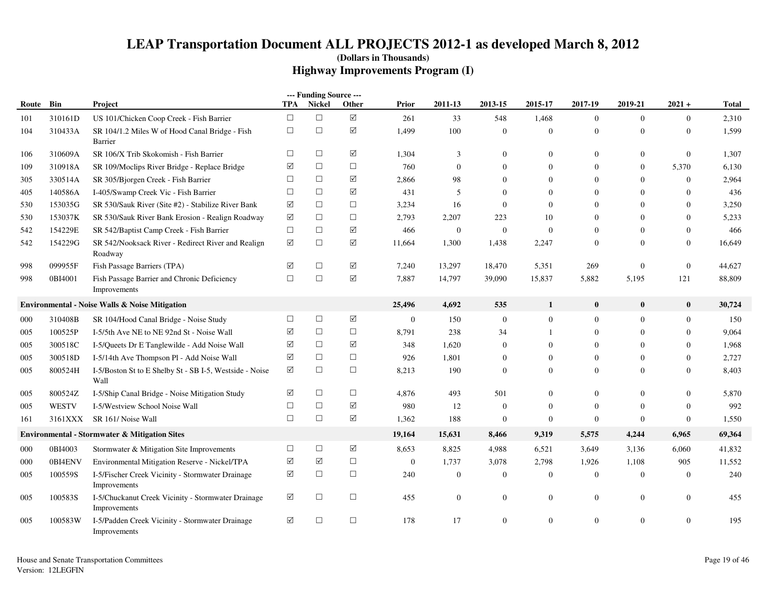|       |              |                                                                    |        | --- Funding Source --- |                      |                  |                  |                  |                  |                  |                  |                  |              |
|-------|--------------|--------------------------------------------------------------------|--------|------------------------|----------------------|------------------|------------------|------------------|------------------|------------------|------------------|------------------|--------------|
| Route | Bin          | Project                                                            | TPA    | Nickel                 | Other                | <b>Prior</b>     | 2011-13          | 2013-15          | 2015-17          | 2017-19          | 2019-21          | $2021 +$         | <b>Total</b> |
| 101   | 310161D      | US 101/Chicken Coop Creek - Fish Barrier                           | $\Box$ | $\Box$                 | $\boxed{\mathbf{v}}$ | 261              | 33               | 548              | 1,468            | $\overline{0}$   | $\overline{0}$   | $\mathbf{0}$     | 2,310        |
| 104   | 310433A      | SR 104/1.2 Miles W of Hood Canal Bridge - Fish<br>Barrier          | $\Box$ | $\Box$                 | ☑                    | 1,499            | 100              | $\overline{0}$   | $\boldsymbol{0}$ | $\mathbf{0}$     | $\overline{0}$   | $\mathbf{0}$     | 1,599        |
| 106   | 310609A      | SR 106/X Trib Skokomish - Fish Barrier                             | $\Box$ | $\Box$                 | ☑                    | 1,304            | 3                | $\overline{0}$   | $\theta$         | $\mathbf{0}$     | $\overline{0}$   | $\mathbf{0}$     | 1,307        |
| 109   | 310918A      | SR 109/Moclips River Bridge - Replace Bridge                       | ☑      | $\Box$                 | $\Box$               | 760              | $\overline{0}$   | $\overline{0}$   | $\overline{0}$   | $\overline{0}$   | $\overline{0}$   | 5,370            | 6,130        |
| 305   | 330514A      | SR 305/Bjorgen Creek - Fish Barrier                                | $\Box$ | $\Box$                 | ☑                    | 2,866            | 98               | $\Omega$         | $\Omega$         | $\Omega$         | $\theta$         | $\mathbf{0}$     | 2,964        |
| 405   | 140586A      | I-405/Swamp Creek Vic - Fish Barrier                               | $\Box$ | $\Box$                 | ☑                    | 431              | 5                | $\overline{0}$   | $\overline{0}$   | $\overline{0}$   | $\theta$         | $\mathbf{0}$     | 436          |
| 530   | 153035G      | SR 530/Sauk River (Site #2) - Stabilize River Bank                 | ☑      | $\Box$                 | $\Box$               | 3,234            | 16               | $\overline{0}$   | $\mathbf{0}$     | $\mathbf{0}$     | $\Omega$         | $\boldsymbol{0}$ | 3,250        |
| 530   | 153037K      | SR 530/Sauk River Bank Erosion - Realign Roadway                   | ☑      | $\Box$                 | $\Box$               | 2,793            | 2,207            | 223              | 10               | $\mathbf{0}$     | $\Omega$         | $\mathbf{0}$     | 5,233        |
| 542   | 154229E      | SR 542/Baptist Camp Creek - Fish Barrier                           | $\Box$ | $\Box$                 | ☑                    | 466              | $\overline{0}$   | $\boldsymbol{0}$ | $\overline{0}$   | $\overline{0}$   | $\theta$         | $\mathbf{0}$     | 466          |
| 542   | 154229G      | SR 542/Nooksack River - Redirect River and Realign<br>Roadway      | ☑      | $\Box$                 | ☑                    | 11,664           | 1,300            | 1,438            | 2,247            | $\mathbf{0}$     | $\Omega$         | $\overline{0}$   | 16,649       |
| 998   | 099955F      | Fish Passage Barriers (TPA)                                        | ☑      | $\Box$                 | ☑                    | 7,240            | 13,297           | 18,470           | 5,351            | 269              | $\mathbf{0}$     | $\boldsymbol{0}$ | 44,627       |
| 998   | 0BI4001      | Fish Passage Barrier and Chronic Deficiency<br>Improvements        | $\Box$ | $\Box$                 | $\boxtimes$          | 7,887            | 14,797           | 39,090           | 15,837           | 5,882            | 5,195            | 121              | 88,809       |
|       |              | Environmental - Noise Walls & Noise Mitigation                     |        |                        |                      | 25,496           | 4,692            | 535              | $\mathbf{1}$     | $\bf{0}$         | $\bf{0}$         | $\bf{0}$         | 30,724       |
| 000   | 310408B      | SR 104/Hood Canal Bridge - Noise Study                             | $\Box$ | $\Box$                 | ☑                    | $\boldsymbol{0}$ | 150              | $\overline{0}$   | $\boldsymbol{0}$ | $\mathbf{0}$     | $\overline{0}$   | $\overline{0}$   | 150          |
| 005   | 100525P      | I-5/5th Ave NE to NE 92nd St - Noise Wall                          | ☑      | $\Box$                 | $\Box$               | 8,791            | 238              | 34               | 1                | $\boldsymbol{0}$ | $\boldsymbol{0}$ | $\boldsymbol{0}$ | 9,064        |
| 005   | 300518C      | I-5/Queets Dr E Tanglewilde - Add Noise Wall                       | ☑      | $\Box$                 | ☑                    | 348              | 1,620            | $\overline{0}$   | $\overline{0}$   | $\mathbf{0}$     | $\overline{0}$   | $\mathbf{0}$     | 1,968        |
| 005   | 300518D      | I-5/14th Ave Thompson Pl - Add Noise Wall                          | ☑      | $\Box$                 | $\Box$               | 926              | 1,801            | $\overline{0}$   | $\Omega$         | $\mathbf{0}$     | $\theta$         | $\mathbf{0}$     | 2,727        |
| 005   | 800524H      | I-5/Boston St to E Shelby St - SB I-5, Westside - Noise<br>Wall    | ☑      | $\Box$                 | $\Box$               | 8,213            | 190              | $\overline{0}$   | $\overline{0}$   | $\Omega$         | $\theta$         | $\mathbf{0}$     | 8,403        |
| 005   | 800524Z      | I-5/Ship Canal Bridge - Noise Mitigation Study                     | ☑      | $\Box$                 | $\Box$               | 4,876            | 493              | 501              | $\Omega$         | $\overline{0}$   | $\overline{0}$   | $\mathbf{0}$     | 5,870        |
| 005   | <b>WESTV</b> | I-5/Westview School Noise Wall                                     | $\Box$ | $\Box$                 | ☑                    | 980              | 12               | $\boldsymbol{0}$ | $\boldsymbol{0}$ | $\mathbf{0}$     | $\overline{0}$   | $\boldsymbol{0}$ | 992          |
| 161   | 3161XXX      | SR 161/ Noise Wall                                                 | $\Box$ | $\Box$                 | ☑                    | 1,362            | 188              | $\boldsymbol{0}$ | $\boldsymbol{0}$ | $\mathbf{0}$     | $\overline{0}$   | $\boldsymbol{0}$ | 1,550        |
|       |              | <b>Environmental - Stormwater &amp; Mitigation Sites</b>           |        |                        |                      | 19,164           | 15,631           | 8,466            | 9,319            | 5,575            | 4,244            | 6,965            | 69,364       |
| 000   | 0BI4003      | Stormwater & Mitigation Site Improvements                          | $\Box$ | $\Box$                 | ☑                    | 8,653            | 8,825            | 4,988            | 6,521            | 3,649            | 3,136            | 6,060            | 41,832       |
| 000   | 0BI4ENV      | Environmental Mitigation Reserve - Nickel/TPA                      | ✓      | ✓                      | $\Box$               | $\mathbf{0}$     | 1,737            | 3,078            | 2,798            | 1,926            | 1,108            | 905              | 11,552       |
| 005   | 100559S      | I-5/Fischer Creek Vicinity - Stormwater Drainage<br>Improvements   | ☑      | $\Box$                 | $\Box$               | 240              | $\boldsymbol{0}$ | $\overline{0}$   | $\boldsymbol{0}$ | $\mathbf{0}$     | $\overline{0}$   | $\mathbf{0}$     | 240          |
| 005   | 100583S      | I-5/Chuckanut Creek Vicinity - Stormwater Drainage<br>Improvements | ☑      | $\Box$                 | $\Box$               | 455              | $\overline{0}$   | $\overline{0}$   | $\overline{0}$   | $\overline{0}$   | $\overline{0}$   | $\mathbf{0}$     | 455          |
| 005   | 100583W      | I-5/Padden Creek Vicinity - Stormwater Drainage<br>Improvements    | ☑      | $\Box$                 | $\Box$               | 178              | 17               | $\overline{0}$   | $\theta$         | $\overline{0}$   | $\overline{0}$   | $\Omega$         | 195          |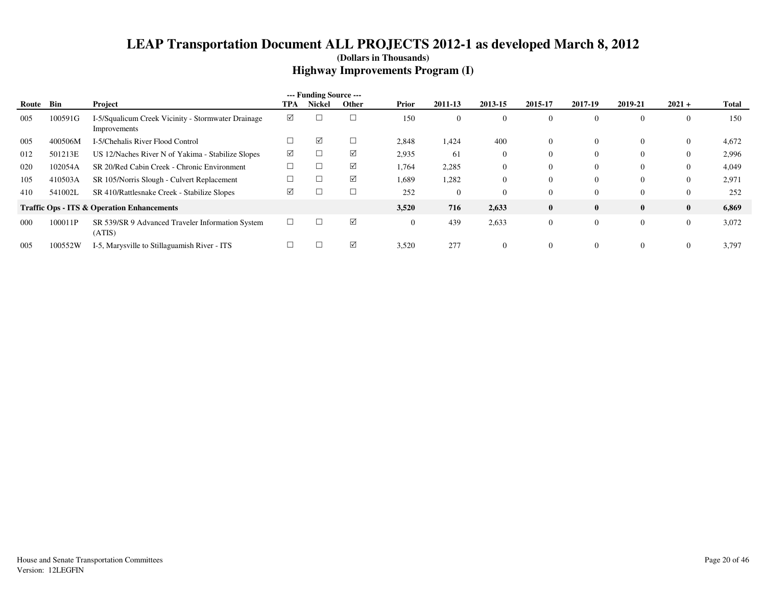|       |         |                                                                    |        | --- Funding Source --- |        |          |                |                |                |          |              |                |              |
|-------|---------|--------------------------------------------------------------------|--------|------------------------|--------|----------|----------------|----------------|----------------|----------|--------------|----------------|--------------|
| Route | Bin     | Project                                                            | TPA    | <b>Nickel</b>          | Other  | Prior    | 2011-13        | 2013-15        | 2015-17        | 2017-19  | 2019-21      | $2021 +$       | <b>Total</b> |
| 005   | 100591G | I-5/Squalicum Creek Vicinity - Stormwater Drainage<br>Improvements | ☑      |                        |        | 150      | $\overline{0}$ | $\overline{0}$ | $\overline{0}$ |          | $\Omega$     | U              | 150          |
| 005   | 400506M | I-5/Chehalis River Flood Control                                   |        | ☑                      | $\Box$ | 2,848    | 1,424          | 400            | $\overline{0}$ |          | $\Omega$     | $\overline{0}$ | 4,672        |
| 012   | 501213E | US 12/Naches River N of Yakima - Stabilize Slopes                  | ☑      |                        | ☑      | 2,935    | 61             | $\overline{0}$ | $\overline{0}$ |          | $\Omega$     | $\theta$       | 2,996        |
| 020   | 102054A | SR 20/Red Cabin Creek - Chronic Environment                        |        |                        | ☑      | 1,764    | 2,285          | $\overline{0}$ | $\overline{0}$ |          | $\Omega$     | $\bf{0}$       | 4,049        |
| 105   | 410503A | SR 105/Norris Slough - Culvert Replacement                         |        |                        | ☑      | 1,689    | 1,282          | $\Omega$       | $\Omega$       |          | $\Omega$     | $\bf{0}$       | 2,971        |
| 410   | 541002L | SR 410/Rattlesnake Creek - Stabilize Slopes                        | ☑      |                        | $\Box$ | 252      | $\Omega$       | $\Omega$       | $\Omega$       | 0        | $\Omega$     | $\Omega$       | 252          |
|       |         | <b>Traffic Ops - ITS &amp; Operation Enhancements</b>              |        |                        |        | 3,520    | 716            | 2,633          | $\bf{0}$       |          | $\mathbf{0}$ | $\bf{0}$       | 6,869        |
| 000   | 100011P | SR 539/SR 9 Advanced Traveler Information System<br>(ATIS)         | $\Box$ |                        | ☑      | $\theta$ | 439            | 2,633          | $\overline{0}$ | $\Omega$ | $\Omega$     | $\overline{0}$ | 3,072        |
| 005   | 100552W | I-5, Marysville to Stillaguamish River - ITS                       |        |                        | ☑      | 3,520    | 277            | $\Omega$       | $\Omega$       |          | $\Omega$     |                | 3,797        |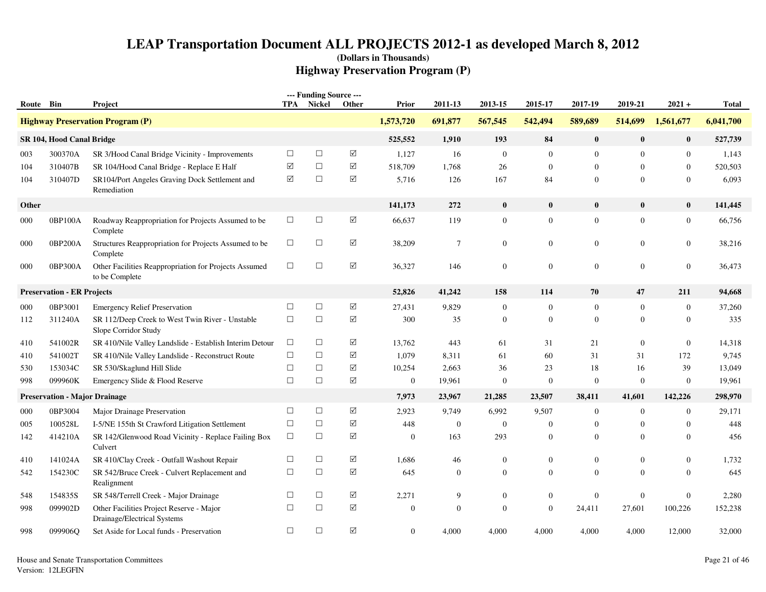| Route Bin |                                      | Project                                                                 | <b>TPA</b> | --- Funding Source ---<br>Nickel | Other                | Prior            | 2011-13          | 2013-15          | 2015-17          | 2017-19          | 2019-21          | $2021 +$         | <b>Total</b> |
|-----------|--------------------------------------|-------------------------------------------------------------------------|------------|----------------------------------|----------------------|------------------|------------------|------------------|------------------|------------------|------------------|------------------|--------------|
|           |                                      | <b>Highway Preservation Program (P)</b>                                 |            |                                  |                      | 1,573,720        | 691,877          | 567,545          | 542,494          | 589,689          | 514,699          | 1,561,677        | 6,041,700    |
|           | SR 104, Hood Canal Bridge            |                                                                         |            |                                  |                      | 525,552          | 1,910            | 193              | 84               | $\bf{0}$         | $\bf{0}$         | $\bf{0}$         | 527,739      |
| 003       | 300370A                              | SR 3/Hood Canal Bridge Vicinity - Improvements                          | $\Box$     | $\Box$                           | ☑                    | 1,127            | 16               | $\mathbf{0}$     | $\overline{0}$   | $\overline{0}$   | $\mathbf{0}$     | $\boldsymbol{0}$ | 1,143        |
| 104       | 310407B                              | SR 104/Hood Canal Bridge - Replace E Half                               | ☑          | $\Box$                           | ☑                    | 518,709          | 1,768            | 26               | $\boldsymbol{0}$ | $\mathbf{0}$     | $\overline{0}$   | $\boldsymbol{0}$ | 520,503      |
| 104       | 310407D                              | SR104/Port Angeles Graving Dock Settlement and<br>Remediation           | $\Delta$   | $\Box$                           | ☑                    | 5,716            | 126              | 167              | 84               | $\overline{0}$   | $\Omega$         | $\mathbf{0}$     | 6,093        |
| Other     |                                      |                                                                         |            |                                  |                      | 141,173          | 272              | $\bf{0}$         | $\bf{0}$         | $\bf{0}$         | $\bf{0}$         | $\bf{0}$         | 141,445      |
| 000       | 0BP100A                              | Roadway Reappropriation for Projects Assumed to be<br>Complete          | $\Box$     | $\Box$                           | ☑                    | 66,637           | 119              | $\boldsymbol{0}$ | $\boldsymbol{0}$ | $\mathbf{0}$     | $\overline{0}$   | $\boldsymbol{0}$ | 66,756       |
| 000       | 0BP200A                              | Structures Reappropriation for Projects Assumed to be<br>Complete       | $\Box$     | $\Box$                           | ☑                    | 38,209           | $\tau$           | $\overline{0}$   | $\mathbf{0}$     | $\mathbf{0}$     | $\overline{0}$   | $\mathbf{0}$     | 38,216       |
| 000       | 0BP300A                              | Other Facilities Reappropriation for Projects Assumed<br>to be Complete | $\Box$     | $\Box$                           | ☑                    | 36,327           | 146              | $\mathbf{0}$     | $\boldsymbol{0}$ | $\overline{0}$   | $\overline{0}$   | $\mathbf{0}$     | 36,473       |
|           | <b>Preservation - ER Projects</b>    |                                                                         |            |                                  |                      | 52,826           | 41,242           | 158              | 114              | 70               | 47               | 211              | 94,668       |
| 000       | 0BP3001                              | <b>Emergency Relief Preservation</b>                                    | $\Box$     | $\Box$                           | $\boxed{\mathbb{Z}}$ | 27,431           | 9,829            | $\boldsymbol{0}$ | $\mathbf{0}$     | $\boldsymbol{0}$ | $\overline{0}$   | $\boldsymbol{0}$ | 37,260       |
| 112       | 311240A                              | SR 112/Deep Creek to West Twin River - Unstable<br>Slope Corridor Study | $\Box$     | $\Box$                           | ☑                    | 300              | 35               | $\mathbf{0}$     | $\mathbf{0}$     | $\overline{0}$   | $\overline{0}$   | $\mathbf{0}$     | 335          |
| 410       | 541002R                              | SR 410/Nile Valley Landslide - Establish Interim Detour                 | $\Box$     | $\Box$                           | ☑                    | 13,762           | 443              | 61               | 31               | 21               | $\mathbf{0}$     | $\boldsymbol{0}$ | 14,318       |
| 410       | 541002T                              | SR 410/Nile Valley Landslide - Reconstruct Route                        | $\Box$     | $\Box$                           | ☑                    | 1,079            | 8,311            | 61               | 60               | 31               | 31               | 172              | 9,745        |
| 530       | 153034C                              | SR 530/Skaglund Hill Slide                                              | $\Box$     | $\Box$                           | ☑                    | 10,254           | 2,663            | 36               | 23               | 18               | 16               | 39               | 13,049       |
| 998       | 099960K                              | Emergency Slide & Flood Reserve                                         | $\Box$     | $\Box$                           | ☑                    | $\boldsymbol{0}$ | 19,961           | $\boldsymbol{0}$ | $\mathbf{0}$     | $\mathbf{0}$     | $\boldsymbol{0}$ | $\boldsymbol{0}$ | 19,961       |
|           | <b>Preservation - Major Drainage</b> |                                                                         |            |                                  |                      | 7,973            | 23,967           | 21,285           | 23,507           | 38,411           | 41,601           | 142,226          | 298,970      |
| 000       | 0BP3004                              | Major Drainage Preservation                                             | $\Box$     | $\Box$                           | ☑                    | 2,923            | 9,749            | 6,992            | 9,507            | $\overline{0}$   | $\overline{0}$   | $\mathbf{0}$     | 29,171       |
| 005       | 100528L                              | I-5/NE 155th St Crawford Litigation Settlement                          | $\Box$     | $\Box$                           | ☑                    | 448              | $\boldsymbol{0}$ | $\boldsymbol{0}$ | $\boldsymbol{0}$ | $\mathbf{0}$     | $\overline{0}$   | $\boldsymbol{0}$ | 448          |
| 142       | 414210A                              | SR 142/Glenwood Road Vicinity - Replace Failing Box<br>Culvert          | $\Box$     | $\Box$                           | ☑                    | $\boldsymbol{0}$ | 163              | 293              | $\mathbf{0}$     | $\overline{0}$   | $\mathbf{0}$     | $\mathbf{0}$     | 456          |
| 410       | 141024A                              | SR 410/Clay Creek - Outfall Washout Repair                              | $\Box$     | $\Box$                           | ☑                    | 1,686            | 46               | $\boldsymbol{0}$ | $\overline{0}$   | $\mathbf{0}$     | $\mathbf{0}$     | $\boldsymbol{0}$ | 1,732        |
| 542       | 154230C                              | SR 542/Bruce Creek - Culvert Replacement and<br>Realignment             | $\Box$     | $\Box$                           | ☑                    | 645              | $\mathbf{0}$     | $\overline{0}$   | $\mathbf{0}$     | $\overline{0}$   | $\mathbf{0}$     | $\mathbf{0}$     | 645          |
| 548       | 154835S                              | SR 548/Terrell Creek - Major Drainage                                   | $\Box$     | $\Box$                           | ☑                    | 2,271            | 9                | $\mathbf{0}$     | $\boldsymbol{0}$ | $\mathbf{0}$     | $\mathbf{0}$     | $\mathbf{0}$     | 2,280        |
| 998       | 099902D                              | Other Facilities Project Reserve - Major<br>Drainage/Electrical Systems | $\Box$     | $\Box$                           | ☑                    | $\mathbf{0}$     | $\mathbf{0}$     | $\theta$         | $\overline{0}$   | 24,411           | 27,601           | 100,226          | 152,238      |
| 998       | 099906Q                              | Set Aside for Local funds - Preservation                                | $\Box$     | $\Box$                           | ☑                    | $\mathbf{0}$     | 4,000            | 4,000            | 4,000            | 4,000            | 4,000            | 12,000           | 32,000       |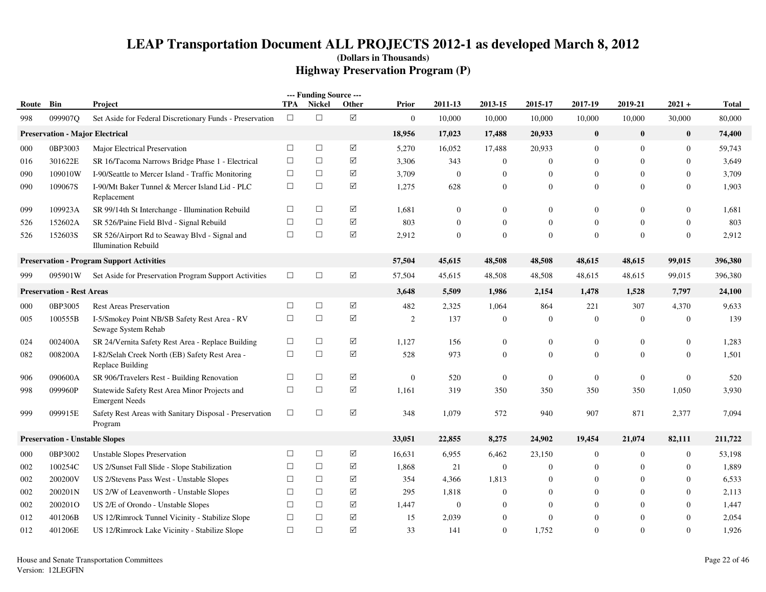| Route | Bin                                    | Project                                                                      | TPA    | --- Funding Source ---<br><b>Nickel</b> | Other                | Prior            | 2011-13          | 2013-15        | 2015-17          | 2017-19        | 2019-21        | $2021 +$         | <b>Total</b> |
|-------|----------------------------------------|------------------------------------------------------------------------------|--------|-----------------------------------------|----------------------|------------------|------------------|----------------|------------------|----------------|----------------|------------------|--------------|
| 998   | 099907Q                                | Set Aside for Federal Discretionary Funds - Preservation                     | $\Box$ | $\Box$                                  | $\Delta$             | $\mathbf{0}$     | 10,000           | 10,000         | 10,000           | 10,000         | 10,000         | 30,000           | 80,000       |
|       | <b>Preservation - Major Electrical</b> |                                                                              |        |                                         |                      | 18,956           | 17,023           | 17,488         | 20,933           | $\bf{0}$       | $\bf{0}$       | $\bf{0}$         | 74,400       |
| 000   | 0BP3003                                | Major Electrical Preservation                                                | $\Box$ | $\Box$                                  | ☑                    | 5,270            | 16,052           | 17,488         | 20,933           | $\overline{0}$ | $\overline{0}$ | $\theta$         | 59,743       |
| 016   | 301622E                                | SR 16/Tacoma Narrows Bridge Phase 1 - Electrical                             | $\Box$ | $\Box$                                  | ☑                    | 3,306            | 343              | $\overline{0}$ | $\boldsymbol{0}$ | $\mathbf{0}$   | $\mathbf{0}$   | $\mathbf{0}$     | 3,649        |
| 090   | 109010W                                | I-90/Seattle to Mercer Island - Traffic Monitoring                           | $\Box$ | $\Box$                                  | ☑                    | 3,709            | $\boldsymbol{0}$ | $\theta$       | $\mathbf{0}$     | $\overline{0}$ | $\mathbf{0}$   | $\theta$         | 3,709        |
| 090   | 109067S                                | I-90/Mt Baker Tunnel & Mercer Island Lid - PLC<br>Replacement                | $\Box$ | $\Box$                                  | ☑                    | 1,275            | 628              | $\mathbf{0}$   | $\mathbf{0}$     | $\overline{0}$ | $\Omega$       | $\theta$         | 1,903        |
| 099   | 109923A                                | SR 99/14th St Interchange - Illumination Rebuild                             | $\Box$ | $\Box$                                  | ☑                    | 1,681            | $\boldsymbol{0}$ | $\mathbf{0}$   | $\boldsymbol{0}$ | $\mathbf{0}$   | $\overline{0}$ | $\mathbf{0}$     | 1,681        |
| 526   | 152602A                                | SR 526/Paine Field Blvd - Signal Rebuild                                     | $\Box$ | $\Box$                                  | $\boxtimes$          | 803              | $\mathbf{0}$     | $\mathbf{0}$   | $\mathbf{0}$     | $\overline{0}$ | $\mathbf{0}$   | $\mathbf{0}$     | 803          |
| 526   | 152603S                                | SR 526/Airport Rd to Seaway Blvd - Signal and<br><b>Illumination Rebuild</b> | $\Box$ | $\Box$                                  | ☑                    | 2,912            | $\boldsymbol{0}$ | $\Omega$       | $\boldsymbol{0}$ | $\theta$       | $\theta$       | $\Omega$         | 2,912        |
|       |                                        | <b>Preservation - Program Support Activities</b>                             |        |                                         |                      | 57,504           | 45,615           | 48,508         | 48,508           | 48,615         | 48,615         | 99,015           | 396,380      |
| 999   | 095901W                                | Set Aside for Preservation Program Support Activities                        | $\Box$ | $\Box$                                  | $\boxtimes$          | 57,504           | 45,615           | 48,508         | 48,508           | 48,615         | 48,615         | 99,015           | 396,380      |
|       | <b>Preservation - Rest Areas</b>       |                                                                              |        |                                         |                      | 3,648            | 5,509            | 1,986          | 2,154            | 1,478          | 1,528          | 7,797            | 24,100       |
| 000   | 0BP3005                                | <b>Rest Areas Preservation</b>                                               | $\Box$ | $\Box$                                  | $\boxtimes$          | 482              | 2,325            | 1,064          | 864              | 221            | 307            | 4,370            | 9,633        |
| 005   | 100555B                                | I-5/Smokey Point NB/SB Safety Rest Area - RV<br>Sewage System Rehab          | $\Box$ | $\Box$                                  | ☑                    | 2                | 137              | $\theta$       | $\mathbf{0}$     | $\overline{0}$ | $\mathbf{0}$   | $\theta$         | 139          |
| 024   | 002400A                                | SR 24/Vernita Safety Rest Area - Replace Building                            | $\Box$ | $\Box$                                  | ☑                    | 1,127            | 156              | $\overline{0}$ | $\boldsymbol{0}$ | $\mathbf{0}$   | $\mathbf{0}$   | $\mathbf{0}$     | 1,283        |
| 082   | 008200A                                | I-82/Selah Creek North (EB) Safety Rest Area -<br>Replace Building           | $\Box$ | $\Box$                                  | $\sqrt{}$            | 528              | 973              | $\Omega$       | $\boldsymbol{0}$ | $\overline{0}$ | $\Omega$       | $\theta$         | 1,501        |
| 906   | 090600A                                | SR 906/Travelers Rest - Building Renovation                                  | $\Box$ | $\Box$                                  | ☑                    | $\boldsymbol{0}$ | 520              | $\overline{0}$ | $\boldsymbol{0}$ | $\mathbf{0}$   | $\overline{0}$ | $\boldsymbol{0}$ | 520          |
| 998   | 099960P                                | Statewide Safety Rest Area Minor Projects and<br><b>Emergent Needs</b>       | $\Box$ | $\Box$                                  | $\boxtimes$          | 1,161            | 319              | 350            | 350              | 350            | 350            | 1,050            | 3,930        |
| 999   | 099915E                                | Safety Rest Areas with Sanitary Disposal - Preservation<br>Program           | $\Box$ | $\Box$                                  | $\boxtimes$          | 348              | 1,079            | 572            | 940              | 907            | 871            | 2,377            | 7,094        |
|       | <b>Preservation - Unstable Slopes</b>  |                                                                              |        |                                         |                      | 33,051           | 22,855           | 8,275          | 24,902           | 19,454         | 21,074         | 82,111           | 211,722      |
| 000   | 0BP3002                                | <b>Unstable Slopes Preservation</b>                                          | $\Box$ | $\Box$                                  | $\boxed{\checkmark}$ | 16,631           | 6,955            | 6,462          | 23,150           | $\mathbf{0}$   | $\mathbf{0}$   | $\boldsymbol{0}$ | 53,198       |
| 002   | 100254C                                | US 2/Sunset Fall Slide - Slope Stabilization                                 | $\Box$ | $\Box$                                  | ☑                    | 1,868            | 21               | $\mathbf{0}$   | $\boldsymbol{0}$ | $\overline{0}$ | $\overline{0}$ | $\mathbf{0}$     | 1,889        |
| 002   | 200200V                                | US 2/Stevens Pass West - Unstable Slopes                                     | $\Box$ | $\Box$                                  | ☑                    | 354              | 4,366            | 1,813          | 0                | $\overline{0}$ | $\Omega$       | $\theta$         | 6,533        |
| 002   | 200201N                                | US 2/W of Leavenworth - Unstable Slopes                                      | $\Box$ | $\Box$                                  | ☑                    | 295              | 1,818            | $\Omega$       | 0                | $\overline{0}$ | $\mathbf{0}$   | $\theta$         | 2,113        |
| 002   | 200201O                                | US 2/E of Orondo - Unstable Slopes                                           | $\Box$ | $\Box$                                  | ☑                    | 1,447            | $\theta$         | $\Omega$       | $\mathbf{0}$     | $\overline{0}$ | $\Omega$       | $\mathbf{0}$     | 1,447        |
| 012   | 401206B                                | US 12/Rimrock Tunnel Vicinity - Stabilize Slope                              | $\Box$ | $\Box$                                  | $\sqrt{}$            | 15               | 2,039            | $\Omega$       | $\mathbf{0}$     | $\overline{0}$ | $\Omega$       | $\Omega$         | 2,054        |
| 012   | 401206E                                | US 12/Rimrock Lake Vicinity - Stabilize Slope                                | $\Box$ | $\Box$                                  | $\boxtimes$          | 33               | 141              | $\Omega$       | 1,752            | $\Omega$       | $\Omega$       | $\mathbf{0}$     | 1,926        |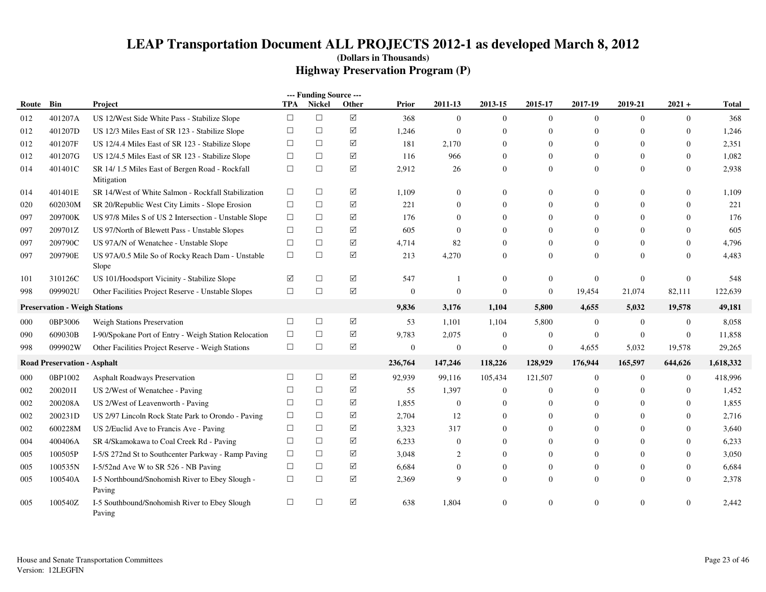|       |                                      |                                                              |            | --- Funding Source --- |             |                  |                  |                  |                  |                  |                |                |              |
|-------|--------------------------------------|--------------------------------------------------------------|------------|------------------------|-------------|------------------|------------------|------------------|------------------|------------------|----------------|----------------|--------------|
| Route | Bin                                  | Project                                                      | <b>TPA</b> | <b>Nickel</b>          | Other       | Prior            | 2011-13          | 2013-15          | 2015-17          | 2017-19          | 2019-21        | $2021 +$       | <b>Total</b> |
| 012   | 401207A                              | US 12/West Side White Pass - Stabilize Slope                 | $\Box$     | $\Box$                 | ☑           | 368              | $\overline{0}$   | $\mathbf{0}$     | $\overline{0}$   | $\overline{0}$   | $\Omega$       | $\overline{0}$ | 368          |
| 012   | 401207D                              | US 12/3 Miles East of SR 123 - Stabilize Slope               | $\Box$     | $\Box$                 | ☑           | 1,246            | $\overline{0}$   | $\theta$         | $\overline{0}$   | $\mathbf{0}$     | $\Omega$       | $\overline{0}$ | 1,246        |
| 012   | 401207F                              | US 12/4.4 Miles East of SR 123 - Stabilize Slope             | $\Box$     | $\Box$                 | ☑           | 181              | 2,170            | $\mathbf{0}$     | $\boldsymbol{0}$ | $\boldsymbol{0}$ | $\overline{0}$ | $\mathbf{0}$   | 2,351        |
| 012   | 401207G                              | US 12/4.5 Miles East of SR 123 - Stabilize Slope             | $\Box$     | $\Box$                 | $\boxtimes$ | 116              | 966              | $\mathbf{0}$     | $\overline{0}$   | $\mathbf{0}$     | $\Omega$       | $\mathbf{0}$   | 1,082        |
| 014   | 401401C                              | SR 14/1.5 Miles East of Bergen Road - Rockfall<br>Mitigation | $\Box$     | $\Box$                 | ☑           | 2,912            | 26               | $\mathbf{0}$     | $\boldsymbol{0}$ | $\theta$         | $\overline{0}$ | $\overline{0}$ | 2,938        |
| 014   | 401401E                              | SR 14/West of White Salmon - Rockfall Stabilization          | $\Box$     | $\Box$                 | ☑           | 1,109            | $\boldsymbol{0}$ | $\theta$         | $\Omega$         | $\Omega$         | $\Omega$       | $\overline{0}$ | 1,109        |
| 020   | 602030M                              | SR 20/Republic West City Limits - Slope Erosion              | $\Box$     | $\Box$                 | ☑           | 221              | $\overline{0}$   | $\Omega$         | $\overline{0}$   | $\mathbf{0}$     | $\Omega$       | $\Omega$       | 221          |
| 097   | 209700K                              | US 97/8 Miles S of US 2 Intersection - Unstable Slope        | $\Box$     | $\Box$                 | $\boxtimes$ | 176              | $\Omega$         | $\theta$         | $\overline{0}$   | $\Omega$         | $\Omega$       | $\theta$       | 176          |
| 097   | 209701Z                              | US 97/North of Blewett Pass - Unstable Slopes                | $\Box$     | $\Box$                 | $\Delta$    | 605              | $\mathbf{0}$     | $\theta$         | $\overline{0}$   | $\mathbf{0}$     | $\Omega$       | $\overline{0}$ | 605          |
| 097   | 209790C                              | US 97A/N of Wenatchee - Unstable Slope                       | $\Box$     | $\Box$                 | ☑           | 4,714            | 82               | $\theta$         | $\Omega$         | $\Omega$         | $\Omega$       | $\overline{0}$ | 4.796        |
| 097   | 209790E                              | US 97A/0.5 Mile So of Rocky Reach Dam - Unstable<br>Slope    | $\Box$     | $\Box$                 | ☑           | 213              | 4,270            | $\mathbf{0}$     | $\overline{0}$   | $\Omega$         | $\Omega$       | $\overline{0}$ | 4,483        |
| 101   | 310126C                              | US 101/Hoodsport Vicinity - Stabilize Slope                  | ☑          | $\Box$                 | ☑           | 547              | $\mathbf{1}$     | $\theta$         | $\overline{0}$   | $\mathbf{0}$     | $\Omega$       | $\mathbf{0}$   | 548          |
| 998   | 099902U                              | Other Facilities Project Reserve - Unstable Slopes           | $\Box$     | $\Box$                 | ☑           | $\boldsymbol{0}$ | $\overline{0}$   | $\boldsymbol{0}$ | $\boldsymbol{0}$ | 19,454           | 21,074         | 82,111         | 122,639      |
|       | <b>Preservation - Weigh Stations</b> |                                                              |            |                        |             | 9,836            | 3,176            | 1,104            | 5,800            | 4,655            | 5,032          | 19,578         | 49,181       |
| 000   | 0BP3006                              | Weigh Stations Preservation                                  | $\Box$     | $\Box$                 | ☑           | 53               | 1,101            | 1,104            | 5,800            | $\mathbf{0}$     | $\overline{0}$ | $\mathbf{0}$   | 8,058        |
| 090   | 609030B                              | I-90/Spokane Port of Entry - Weigh Station Relocation        | $\Box$     | $\Box$                 | ☑           | 9,783            | 2,075            | $\theta$         | $\overline{0}$   | $\overline{0}$   | $\overline{0}$ | $\overline{0}$ | 11,858       |
| 998   | 099902W                              | Other Facilities Project Reserve - Weigh Stations            | $\Box$     | $\Box$                 | ☑           | $\mathbf{0}$     | $\mathbf{0}$     | $\mathbf{0}$     | $\boldsymbol{0}$ | 4,655            | 5,032          | 19,578         | 29,265       |
|       | <b>Road Preservation - Asphalt</b>   |                                                              |            |                        |             | 236,764          | 147,246          | 118,226          | 128,929          | 176,944          | 165,597        | 644,626        | 1,618,332    |
| 000   | 0BP1002                              | Asphalt Roadways Preservation                                | $\Box$     | $\Box$                 | ☑           | 92,939           | 99,116           | 105,434          | 121,507          | $\mathbf{0}$     | $\overline{0}$ | $\mathbf{0}$   | 418,996      |
| 002   | 200201I                              | US 2/West of Wenatchee - Paving                              | $\Box$     | $\Box$                 | ☑           | 55               | 1,397            | $\theta$         | $\boldsymbol{0}$ | $\mathbf{0}$     | $\overline{0}$ | $\overline{0}$ | 1,452        |
| 002   | 200208A                              | US 2/West of Leavenworth - Paving                            | $\Box$     | $\Box$                 | ☑           | 1,855            | $\overline{0}$   | $\theta$         |                  | $\mathbf{0}$     | $\Omega$       | $\overline{0}$ | 1,855        |
| 002   | 200231D                              | US 2/97 Lincoln Rock State Park to Orondo - Paving           | $\Box$     | $\Box$                 | ☑           | 2,704            | 12               | $\theta$         | $\Omega$         | $\mathbf{0}$     | $\overline{0}$ | $\overline{0}$ | 2,716        |
| 002   | 600228M                              | US 2/Euclid Ave to Francis Ave - Paving                      | $\Box$     | $\Box$                 | ☑           | 3,323            | 317              | $\Omega$         | $\Omega$         | $\Omega$         | $\Omega$       | $\Omega$       | 3,640        |
| 004   | 400406A                              | SR 4/Skamokawa to Coal Creek Rd - Paving                     | $\Box$     | $\Box$                 | ☑           | 6,233            | $\mathbf{0}$     | $\theta$         | $\overline{0}$   | $\mathbf{0}$     | $\Omega$       | $\overline{0}$ | 6,233        |
| 005   | 100505P                              | I-5/S 272nd St to Southcenter Parkway - Ramp Paving          | $\Box$     | $\Box$                 | ☑           | 3,048            | 2                | $\theta$         | $\Omega$         | $\Omega$         | $\Omega$       | $\overline{0}$ | 3,050        |
| 005   | 100535N                              | I-5/52nd Ave W to SR 526 - NB Paving                         | $\Box$     | $\Box$                 | $\boxtimes$ | 6,684            | $\overline{0}$   | $\theta$         | $\overline{0}$   | $\mathbf{0}$     | $\overline{0}$ | $\overline{0}$ | 6,684        |
| 005   | 100540A                              | I-5 Northbound/Snohomish River to Ebey Slough -<br>Paving    | $\Box$     | $\Box$                 | ☑           | 2,369            | 9                | $\theta$         | $\overline{0}$   | $\mathbf{0}$     | $\Omega$       | $\Omega$       | 2,378        |
| 005   | 100540Z                              | I-5 Southbound/Snohomish River to Ebey Slough<br>Paving      | $\Box$     | $\Box$                 | ☑           | 638              | 1,804            | $\theta$         | $\Omega$         | $\Omega$         | $\Omega$       | $\Omega$       | 2,442        |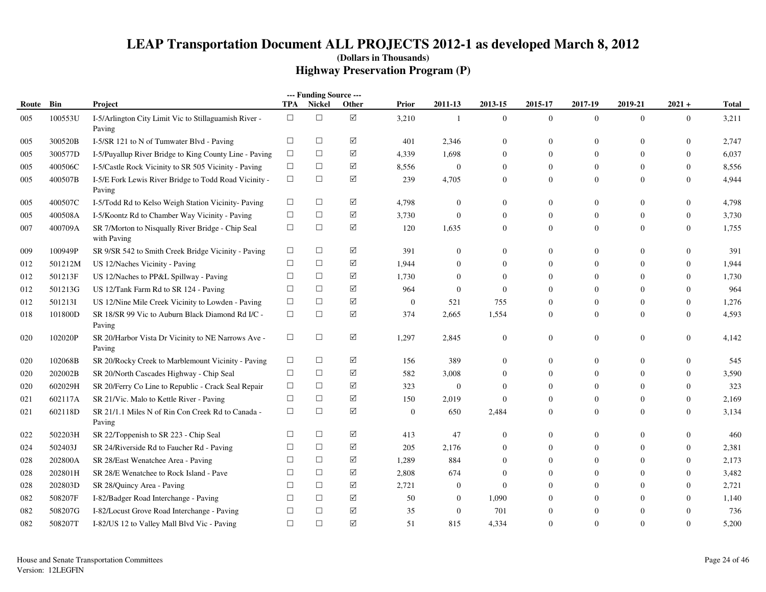|       |         |                                                                  |            | --- Funding Source --- |             |                  |                  |                  |                  |                  |                  |                  |              |
|-------|---------|------------------------------------------------------------------|------------|------------------------|-------------|------------------|------------------|------------------|------------------|------------------|------------------|------------------|--------------|
| Route | Bin     | Project                                                          | <b>TPA</b> | <b>Nickel</b>          | Other       | Prior            | 2011-13          | 2013-15          | 2015-17          | 2017-19          | 2019-21          | $2021 +$         | <b>Total</b> |
| 005   | 100553U | I-5/Arlington City Limit Vic to Stillaguamish River -<br>Paving  | $\Box$     | $\Box$                 | $\boxtimes$ | 3,210            | 1                | $\mathbf{0}$     | $\mathbf{0}$     | $\overline{0}$   | $\mathbf{0}$     | $\overline{0}$   | 3,211        |
| 005   | 300520B | I-5/SR 121 to N of Tumwater Blvd - Paving                        | $\Box$     | $\Box$                 | ☑           | 401              | 2,346            | $\boldsymbol{0}$ | $\theta$         | $\Omega$         | $\overline{0}$   | $\mathbf{0}$     | 2,747        |
| 005   | 300577D | I-5/Puyallup River Bridge to King County Line - Paving           | $\Box$     | $\Box$                 | ☑           | 4,339            | 1,698            | $\overline{0}$   | $\mathbf{0}$     | $\Omega$         | 0                | $\boldsymbol{0}$ | 6,037        |
| 005   | 400506C | I-5/Castle Rock Vicinity to SR 505 Vicinity - Paving             | $\Box$     | $\Box$                 | $\Delta$    | 8,556            | $\mathbf{0}$     | $\overline{0}$   | $\boldsymbol{0}$ | $\overline{0}$   | $\overline{0}$   | $\mathbf{0}$     | 8,556        |
| 005   | 400507B | I-5/E Fork Lewis River Bridge to Todd Road Vicinity -<br>Paving  | $\Box$     | $\Box$                 | $\boxtimes$ | 239              | 4,705            | $\mathbf{0}$     | $\mathbf{0}$     | $\mathbf{0}$     | $\mathbf{0}$     | $\mathbf{0}$     | 4,944        |
| 005   | 400507C | I-5/Todd Rd to Kelso Weigh Station Vicinity- Paving              | $\Box$     | $\Box$                 | ☑           | 4,798            | $\mathbf{0}$     | $\overline{0}$   | $\theta$         | $\overline{0}$   | $\overline{0}$   | $\overline{0}$   | 4,798        |
| 005   | 400508A | I-5/Koontz Rd to Chamber Way Vicinity - Paving                   | $\Box$     | $\Box$                 | ☑           | 3,730            | $\overline{0}$   | $\overline{0}$   | $\boldsymbol{0}$ | $\overline{0}$   | $\overline{0}$   | $\boldsymbol{0}$ | 3,730        |
| 007   | 400709A | SR 7/Morton to Nisqually River Bridge - Chip Seal<br>with Paving | $\Box$     | $\Box$                 | $\Delta$    | 120              | 1,635            | $\mathbf{0}$     | $\mathbf{0}$     | $\mathbf{0}$     | $\overline{0}$   | $\mathbf{0}$     | 1,755        |
| 009   | 100949P | SR 9/SR 542 to Smith Creek Bridge Vicinity - Paving              | $\Box$     | $\Box$                 | ☑           | 391              | $\mathbf{0}$     | $\overline{0}$   | $\theta$         | $\overline{0}$   | $\overline{0}$   | $\overline{0}$   | 391          |
| 012   | 501212M | US 12/Naches Vicinity - Paving                                   | $\Box$     | $\Box$                 | ☑           | 1,944            | $\mathbf{0}$     | $\overline{0}$   | $\theta$         | $\overline{0}$   | 0                | $\overline{0}$   | 1,944        |
| 012   | 501213F | US 12/Naches to PP&L Spillway - Paving                           | $\Box$     | $\Box$                 | ☑           | 1,730            | $\theta$         | $\overline{0}$   | $\theta$         | $\Omega$         | $\overline{0}$   | $\theta$         | 1,730        |
| 012   | 501213G | US 12/Tank Farm Rd to SR 124 - Paving                            | $\Box$     | $\Box$                 | $\Delta$    | 964              | $\theta$         | $\overline{0}$   | $\mathbf{0}$     | $\Omega$         | $\overline{0}$   | $\mathbf{0}$     | 964          |
| 012   | 5012131 | US 12/Nine Mile Creek Vicinity to Lowden - Paving                | $\Box$     | $\Box$                 | ☑           | $\boldsymbol{0}$ | 521              | 755              | $\mathbf{0}$     | $\mathbf{0}$     | $\overline{0}$   | $\mathbf{0}$     | 1,276        |
| 018   | 101800D | SR 18/SR 99 Vic to Auburn Black Diamond Rd I/C -<br>Paving       | $\Box$     | $\Box$                 | ☑           | 374              | 2,665            | 1,554            | $\overline{0}$   | $\overline{0}$   | $\overline{0}$   | $\overline{0}$   | 4,593        |
| 020   | 102020P | SR 20/Harbor Vista Dr Vicinity to NE Narrows Ave -<br>Paving     | $\Box$     | $\Box$                 | ☑           | 1,297            | 2,845            | $\boldsymbol{0}$ | $\boldsymbol{0}$ | $\boldsymbol{0}$ | $\boldsymbol{0}$ | $\boldsymbol{0}$ | 4,142        |
| 020   | 102068B | SR 20/Rocky Creek to Marblemount Vicinity - Paving               | $\Box$     | $\Box$                 | ☑           | 156              | 389              | $\overline{0}$   | $\mathbf{0}$     | $\overline{0}$   | $\overline{0}$   | $\mathbf{0}$     | 545          |
| 020   | 202002B | SR 20/North Cascades Highway - Chip Seal                         | $\Box$     | $\Box$                 | $\Delta$    | 582              | 3,008            | $\overline{0}$   | $\theta$         | $\Omega$         | $\overline{0}$   | $\overline{0}$   | 3,590        |
| 020   | 602029H | SR 20/Ferry Co Line to Republic - Crack Seal Repair              | $\Box$     | $\Box$                 | ☑           | 323              | $\theta$         | $\boldsymbol{0}$ | $\theta$         | $\Omega$         | 0                | $\theta$         | 323          |
| 021   | 602117A | SR 21/Vic. Malo to Kettle River - Paving                         | $\Box$     | $\Box$                 | ☑           | 150              | 2,019            | $\overline{0}$   | $\theta$         | $\overline{0}$   | $\overline{0}$   | $\boldsymbol{0}$ | 2,169        |
| 021   | 602118D | SR 21/1.1 Miles N of Rin Con Creek Rd to Canada -<br>Paving      | $\Box$     | $\Box$                 | $\boxtimes$ | $\mathbf{0}$     | 650              | 2,484            | $\overline{0}$   | $\mathbf{0}$     | $\overline{0}$   | $\mathbf{0}$     | 3,134        |
| 022   | 502203H | SR 22/Toppenish to SR 223 - Chip Seal                            | $\Box$     | $\Box$                 | ☑           | 413              | 47               | $\overline{0}$   | $\overline{0}$   | $\overline{0}$   | $\overline{0}$   | $\overline{0}$   | 460          |
| 024   | 502403J | SR 24/Riverside Rd to Faucher Rd - Paving                        | $\Box$     | $\Box$                 | ☑           | 205              | 2,176            | $\overline{0}$   | $\theta$         | $\overline{0}$   | 0                | $\overline{0}$   | 2,381        |
| 028   | 202800A | SR 28/East Wenatchee Area - Paving                               | $\Box$     | $\Box$                 | $\Delta$    | 1,289            | 884              | $\overline{0}$   | $\theta$         | $\overline{0}$   | 0                | $\theta$         | 2,173        |
| 028   | 202801H | SR 28/E Wenatchee to Rock Island - Pave                          | $\Box$     | $\Box$                 | ☑           | 2,808            | 674              | $\overline{0}$   | $\mathbf{0}$     | $\Omega$         | $\overline{0}$   | $\boldsymbol{0}$ | 3,482        |
| 028   | 202803D | SR 28/Quincy Area - Paving                                       | $\Box$     | $\Box$                 | ☑           | 2,721            | $\boldsymbol{0}$ | $\mathbf{0}$     | $\mathbf{0}$     | $\Omega$         | $\overline{0}$   | $\mathbf{0}$     | 2,721        |
| 082   | 508207F | I-82/Badger Road Interchange - Paving                            | $\Box$     | $\Box$                 | ☑           | 50               | $\overline{0}$   | 1,090            | $\Omega$         | $\Omega$         | $\Omega$         | $\overline{0}$   | 1,140        |
| 082   | 508207G | I-82/Locust Grove Road Interchange - Paving                      | $\Box$     | $\Box$                 | ☑           | 35               | $\mathbf{0}$     | 701              | $\theta$         | $\Omega$         | 0                | $\theta$         | 736          |
| 082   | 508207T | I-82/US 12 to Valley Mall Blvd Vic - Paving                      | $\Box$     | $\Box$                 | ☑           | 51               | 815              | 4,334            | $\theta$         | $\Omega$         | $\Omega$         | $\mathbf{0}$     | 5,200        |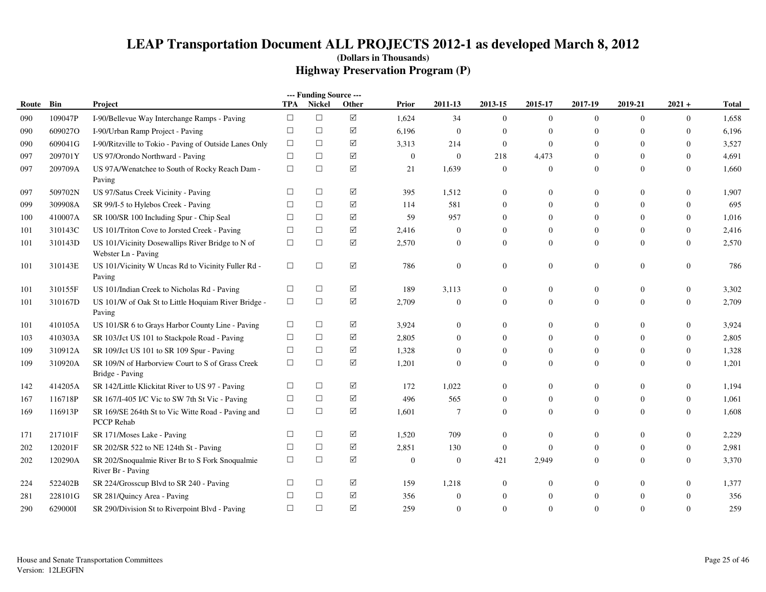|       |         |                                                                         |            | --- Funding Source --- |           |                |                |                  |                  |                  |                  |                  |       |
|-------|---------|-------------------------------------------------------------------------|------------|------------------------|-----------|----------------|----------------|------------------|------------------|------------------|------------------|------------------|-------|
| Route | Bin     | Project                                                                 | <b>TPA</b> | <b>Nickel</b>          | Other     | Prior          | 2011-13        | 2013-15          | 2015-17          | 2017-19          | 2019-21          | $2021 +$         | Total |
| 090   | 109047P | I-90/Bellevue Way Interchange Ramps - Paving                            | $\Box$     | $\Box$                 | $\sqrt{}$ | 1,624          | 34             | $\overline{0}$   | $\mathbf{0}$     | $\overline{0}$   | $\overline{0}$   | $\overline{0}$   | 1,658 |
| 090   | 609027O | I-90/Urban Ramp Project - Paving                                        | $\Box$     | $\Box$                 | ☑         | 6,196          | $\overline{0}$ | $\overline{0}$   | $\theta$         | $\overline{0}$   | $\Omega$         | $\theta$         | 6,196 |
| 090   | 609041G | I-90/Ritzville to Tokio - Paving of Outside Lanes Only                  | $\Box$     | $\Box$                 | ☑         | 3,313          | 214            | $\boldsymbol{0}$ | $\overline{0}$   | $\mathbf{0}$     | $\Omega$         | $\boldsymbol{0}$ | 3,527 |
| 097   | 209701Y | US 97/Orondo Northward - Paving                                         | $\Box$     | $\Box$                 | ☑         | $\overline{0}$ | $\overline{0}$ | 218              | 4,473            | $\mathbf{0}$     | $\mathbf{0}$     | $\overline{0}$   | 4,691 |
| 097   | 209709A | US 97A/Wenatchee to South of Rocky Reach Dam -<br>Paving                | $\Box$     | $\Box$                 | $\Delta$  | 21             | 1,639          | $\mathbf{0}$     | $\overline{0}$   | $\boldsymbol{0}$ | $\theta$         | $\boldsymbol{0}$ | 1,660 |
| 097   | 509702N | US 97/Satus Creek Vicinity - Paving                                     | $\Box$     | $\Box$                 | ☑         | 395            | 1,512          | $\boldsymbol{0}$ | $\theta$         | $\mathbf{0}$     | $\overline{0}$   | $\overline{0}$   | 1,907 |
| 099   | 309908A | SR 99/I-5 to Hylebos Creek - Paving                                     | $\Box$     | $\Box$                 | $\sqrt{}$ | 114            | 581            | $\boldsymbol{0}$ | $\boldsymbol{0}$ | $\mathbf{0}$     | $\overline{0}$   | $\overline{0}$   | 695   |
| 100   | 410007A | SR 100/SR 100 Including Spur - Chip Seal                                | $\Box$     | $\Box$                 | $\sqrt{}$ | 59             | 957            | $\mathbf{0}$     | $\mathbf{0}$     | $\mathbf{0}$     | $\Omega$         | $\overline{0}$   | 1,016 |
| 101   | 310143C | US 101/Triton Cove to Jorsted Creek - Paving                            | $\Box$     | $\Box$                 | $\sqrt{}$ | 2,416          | $\overline{0}$ | $\mathbf{0}$     | $\overline{0}$   | $\mathbf{0}$     | $\overline{0}$   | $\boldsymbol{0}$ | 2,416 |
| 101   | 310143D | US 101/Vicinity Dosewallips River Bridge to N of<br>Webster Ln - Paving | $\Box$     | $\Box$                 | ☑         | 2,570          | $\overline{0}$ | $\mathbf{0}$     | $\overline{0}$   | $\mathbf{0}$     | $\theta$         | $\overline{0}$   | 2,570 |
| 101   | 310143E | US 101/Vicinity W Uncas Rd to Vicinity Fuller Rd -<br>Paving            | $\Box$     | $\Box$                 | $\Delta$  | 786            | $\overline{0}$ | $\boldsymbol{0}$ | $\boldsymbol{0}$ | $\boldsymbol{0}$ | $\boldsymbol{0}$ | $\boldsymbol{0}$ | 786   |
| 101   | 310155F | US 101/Indian Creek to Nicholas Rd - Paving                             | $\Box$     | $\Box$                 | $\Delta$  | 189            | 3,113          | $\mathbf{0}$     | $\mathbf{0}$     | $\boldsymbol{0}$ | $\theta$         | $\boldsymbol{0}$ | 3,302 |
| 101   | 310167D | US 101/W of Oak St to Little Hoquiam River Bridge -<br>Paving           | $\Box$     | $\Box$                 | ☑         | 2,709          | $\overline{0}$ | $\overline{0}$   | $\overline{0}$   | $\Omega$         | $\overline{0}$   | $\overline{0}$   | 2,709 |
| 101   | 410105A | US 101/SR 6 to Grays Harbor County Line - Paving                        | $\Box$     | $\Box$                 | ☑         | 3,924          | $\overline{0}$ | $\boldsymbol{0}$ | $\boldsymbol{0}$ | $\boldsymbol{0}$ | $\mathbf{0}$     | $\boldsymbol{0}$ | 3,924 |
| 103   | 410303A | SR 103/Jct US 101 to Stackpole Road - Paving                            | $\Box$     | $\Box$                 | ☑         | 2,805          | $\theta$       | $\mathbf{0}$     | $\mathbf{0}$     | $\theta$         | $\Omega$         | $\overline{0}$   | 2,805 |
| 109   | 310912A | SR 109/Jct US 101 to SR 109 Spur - Paving                               | $\Box$     | $\Box$                 | $\Delta$  | 1,328          | $\overline{0}$ | $\overline{0}$   | $\overline{0}$   | $\mathbf{0}$     | $\overline{0}$   | $\boldsymbol{0}$ | 1,328 |
| 109   | 310920A | SR 109/N of Harborview Court to S of Grass Creek<br>Bridge - Paving     | $\Box$     | $\Box$                 | ☑         | 1,201          | $\overline{0}$ | $\mathbf{0}$     | $\overline{0}$   | $\mathbf{0}$     | $\mathbf{0}$     | $\overline{0}$   | 1,201 |
| 142   | 414205A | SR 142/Little Klickitat River to US 97 - Paving                         | $\Box$     | $\Box$                 | ☑         | 172            | 1,022          | $\boldsymbol{0}$ | $\boldsymbol{0}$ | $\boldsymbol{0}$ | $\mathbf{0}$     | $\boldsymbol{0}$ | 1,194 |
| 167   | 116718P | SR 167/I-405 I/C Vic to SW 7th St Vic - Paving                          | $\Box$     | $\Box$                 | ☑         | 496            | 565            | $\mathbf{0}$     | $\mathbf{0}$     | $\mathbf{0}$     | $\theta$         | $\overline{0}$   | 1,061 |
| 169   | 116913P | SR 169/SE 264th St to Vic Witte Road - Paving and<br>PCCP Rehab         | $\Box$     | $\Box$                 | ☑         | 1,601          | $\overline{7}$ | $\mathbf{0}$     | $\overline{0}$   | $\mathbf{0}$     | $\overline{0}$   | $\overline{0}$   | 1,608 |
| 171   | 217101F | SR 171/Moses Lake - Paving                                              | $\Box$     | $\Box$                 | $\sqrt{}$ | 1,520          | 709            | $\mathbf{0}$     | $\theta$         | $\mathbf{0}$     | $\overline{0}$   | $\boldsymbol{0}$ | 2,229 |
| 202   | 120201F | SR 202/SR 522 to NE 124th St - Paving                                   | $\Box$     | $\Box$                 | $\sqrt{}$ | 2,851          | 130            | $\boldsymbol{0}$ | $\theta$         | $\mathbf{0}$     | $\overline{0}$   | $\boldsymbol{0}$ | 2,981 |
| 202   | 120290A | SR 202/Snoqualmie River Br to S Fork Snoqualmie<br>River Br - Paving    | $\Box$     | $\Box$                 | ☑         | $\theta$       | $\overline{0}$ | 421              | 2,949            | $\Omega$         | $\Omega$         | $\overline{0}$   | 3,370 |
| 224   | 522402B | SR 224/Grosscup Blvd to SR 240 - Paving                                 | $\Box$     | $\Box$                 | ☑         | 159            | 1,218          | $\boldsymbol{0}$ | $\theta$         | $\mathbf{0}$     | $\mathbf{0}$     | $\boldsymbol{0}$ | 1,377 |
| 281   | 228101G | SR 281/Quincy Area - Paving                                             | $\Box$     | $\Box$                 | $\Delta$  | 356            | $\overline{0}$ | $\boldsymbol{0}$ | $\overline{0}$   | $\mathbf{0}$     | $\overline{0}$   | $\theta$         | 356   |
| 290   | 629000I | SR 290/Division St to Riverpoint Blvd - Paving                          | $\Box$     | $\Box$                 | ☑         | 259            | $\overline{0}$ | $\mathbf{0}$     | $\overline{0}$   | $\mathbf{0}$     | $\theta$         | $\overline{0}$   | 259   |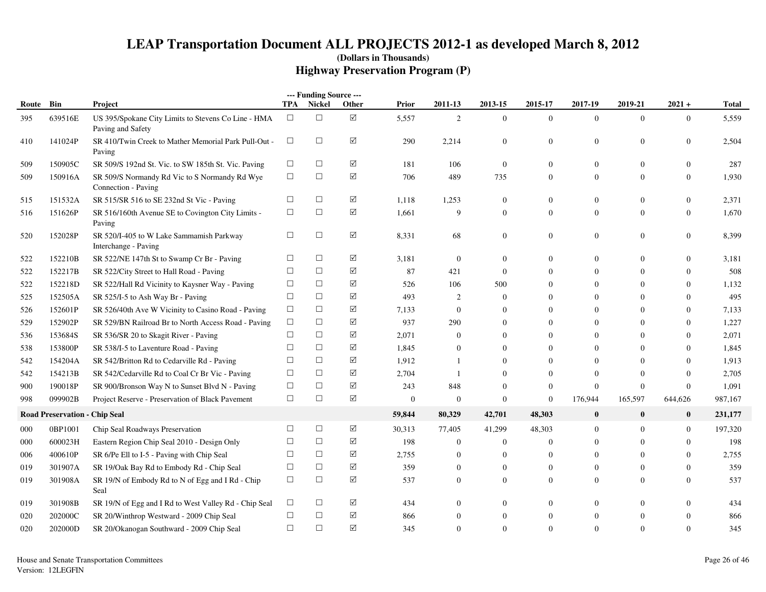|       |                                      |                                                                          |        | --- Funding Source --- |             |                |                |                  |                  |                  |                |                  |              |
|-------|--------------------------------------|--------------------------------------------------------------------------|--------|------------------------|-------------|----------------|----------------|------------------|------------------|------------------|----------------|------------------|--------------|
| Route | Bin                                  | Project                                                                  |        | <b>TPA</b> Nickel      | Other       | <b>Prior</b>   | 2011-13        | 2013-15          | 2015-17          | 2017-19          | 2019-21        | $2021 +$         | <b>Total</b> |
| 395   | 639516E                              | US 395/Spokane City Limits to Stevens Co Line - HMA<br>Paving and Safety | $\Box$ | $\Box$                 | $\boxtimes$ | 5,557          | 2              | $\boldsymbol{0}$ | $\mathbf{0}$     | $\overline{0}$   | $\overline{0}$ | $\mathbf{0}$     | 5,559        |
| 410   | 141024P                              | SR 410/Twin Creek to Mather Memorial Park Pull-Out -<br>Paving           | $\Box$ | $\Box$                 | ☑           | 290            | 2,214          | $\mathbf{0}$     | $\overline{0}$   | $\boldsymbol{0}$ | $\overline{0}$ | $\mathbf{0}$     | 2,504        |
| 509   | 150905C                              | SR 509/S 192nd St. Vic. to SW 185th St. Vic. Paving                      | $\Box$ | $\Box$                 | ☑           | 181            | 106            | $\Omega$         | $\Omega$         | $\boldsymbol{0}$ | $\mathbf{0}$   | $\Omega$         | 287          |
| 509   | 150916A                              | SR 509/S Normandy Rd Vic to S Normandy Rd Wye<br>Connection - Paving     | $\Box$ | $\Box$                 | ☑           | 706            | 489            | 735              | $\overline{0}$   | $\boldsymbol{0}$ | $\overline{0}$ | $\boldsymbol{0}$ | 1,930        |
| 515   | 151532A                              | SR 515/SR 516 to SE 232nd St Vic - Paving                                | $\Box$ | $\Box$                 | ☑           | 1,118          | 1,253          | $\theta$         | $\theta$         | $\boldsymbol{0}$ | $\overline{0}$ | $\mathbf{0}$     | 2,371        |
| 516   | 151626P                              | SR 516/160th Avenue SE to Covington City Limits -<br>Paving              | $\Box$ | $\Box$                 | ☑           | 1,661          | 9              | $\theta$         | $\overline{0}$   | $\overline{0}$   | $\overline{0}$ | $\mathbf{0}$     | 1,670        |
| 520   | 152028P                              | SR 520/I-405 to W Lake Sammamish Parkway<br>Interchange - Paving         | $\Box$ | $\Box$                 | ☑           | 8,331          | 68             | $\mathbf{0}$     | $\overline{0}$   | $\boldsymbol{0}$ | $\mathbf{0}$   | $\mathbf{0}$     | 8,399        |
| 522   | 152210B                              | SR 522/NE 147th St to Swamp Cr Br - Paving                               | $\Box$ | $\Box$                 | ☑           | 3,181          | $\overline{0}$ | $\theta$         | $\Omega$         | $\overline{0}$   | $\overline{0}$ | $\mathbf{0}$     | 3,181        |
| 522   | 152217B                              | SR 522/City Street to Hall Road - Paving                                 | $\Box$ | $\Box$                 | ☑           | 87             | 421            | $\theta$         | $\Omega$         | $\overline{0}$   | $\Omega$       | $\mathbf{0}$     | 508          |
| 522   | 152218D                              | SR 522/Hall Rd Vicinity to Kaysner Way - Paving                          | $\Box$ | $\Box$                 | ☑           | 526            | 106            | 500              | $\Omega$         | $\overline{0}$   | $\Omega$       | $\Omega$         | 1,132        |
| 525   | 152505A                              | SR 525/I-5 to Ash Way Br - Paving                                        | $\Box$ | $\Box$                 | ☑           | 493            | $\overline{2}$ | $\mathbf{0}$     | $\Omega$         | $\mathbf{0}$     | $\theta$       | $\mathbf{0}$     | 495          |
| 526   | 152601P                              | SR 526/40th Ave W Vicinity to Casino Road - Paving                       | $\Box$ | $\Box$                 | ☑           | 7,133          | $\overline{0}$ | $\theta$         | $\Omega$         | $\mathbf{0}$     | $\Omega$       | $\mathbf{0}$     | 7,133        |
| 529   | 152902P                              | SR 529/BN Railroad Br to North Access Road - Paving                      | $\Box$ | $\Box$                 | ☑           | 937            | 290            | $\theta$         | $\Omega$         | $\overline{0}$   | $\Omega$       | $\mathbf{0}$     | 1,227        |
| 536   | 153684S                              | SR 536/SR 20 to Skagit River - Paving                                    | □      | $\Box$                 | ☑           | 2,071          | $\mathbf{0}$   | $\theta$         | $\Omega$         | $\boldsymbol{0}$ | $\Omega$       | $\boldsymbol{0}$ | 2,071        |
| 538   | 153800P                              | SR 538/I-5 to Laventure Road - Paving                                    | $\Box$ | $\Box$                 | ☑           | 1,845          | $\overline{0}$ | $\theta$         | $\overline{0}$   | $\overline{0}$   | $\Omega$       | $\mathbf{0}$     | 1,845        |
| 542   | 154204A                              | SR 542/Britton Rd to Cedarville Rd - Paving                              | $\Box$ | $\Box$                 | ☑           | 1,912          |                | $\Omega$         | $\Omega$         | $\overline{0}$   | $\Omega$       | $\mathbf{0}$     | 1,913        |
| 542   | 154213B                              | SR 542/Cedarville Rd to Coal Cr Br Vic - Paving                          | $\Box$ | $\Box$                 | ☑           | 2,704          | -1             | $\Omega$         | $\Omega$         | $\Omega$         | $\Omega$       | $\Omega$         | 2,705        |
| 900   | 190018P                              | SR 900/Bronson Way N to Sunset Blvd N - Paving                           | $\Box$ | $\Box$                 | ☑           | 243            | 848            | $\theta$         | $\boldsymbol{0}$ | $\boldsymbol{0}$ | $\overline{0}$ | $\boldsymbol{0}$ | 1,091        |
| 998   | 099902B                              | Project Reserve - Preservation of Black Pavement                         | $\Box$ | $\Box$                 | ☑           | $\overline{0}$ | $\overline{0}$ | $\boldsymbol{0}$ | $\boldsymbol{0}$ | 176,944          | 165,597        | 644,626          | 987,167      |
|       | <b>Road Preservation - Chip Seal</b> |                                                                          |        |                        |             | 59,844         | 80,329         | 42,701           | 48,303           | $\bf{0}$         | $\mathbf{0}$   | $\bf{0}$         | 231,177      |
| 000   | 0BP1001                              | Chip Seal Roadways Preservation                                          | $\Box$ | $\Box$                 | ☑           | 30,313         | 77,405         | 41,299           | 48,303           | $\mathbf{0}$     | $\overline{0}$ | $\mathbf{0}$     | 197,320      |
| 000   | 600023H                              | Eastern Region Chip Seal 2010 - Design Only                              | $\Box$ | $\Box$                 | $\boxtimes$ | 198            | $\overline{0}$ | $\theta$         | $\Omega$         | $\overline{0}$   | $\Omega$       | $\mathbf{0}$     | 198          |
| 006   | 400610P                              | SR 6/Pe Ell to I-5 - Paving with Chip Seal                               | $\Box$ | $\Box$                 | ☑           | 2,755          | $\overline{0}$ | $\theta$         | $\Omega$         | $\overline{0}$   | $\Omega$       | $\mathbf{0}$     | 2,755        |
| 019   | 301907A                              | SR 19/Oak Bay Rd to Embody Rd - Chip Seal                                | $\Box$ | $\Box$                 | ☑           | 359            | $\overline{0}$ | $\theta$         | $\mathbf{0}$     | $\boldsymbol{0}$ | $\overline{0}$ | $\boldsymbol{0}$ | 359          |
| 019   | 301908A                              | SR 19/N of Embody Rd to N of Egg and I Rd - Chip<br>Seal                 | $\Box$ | $\Box$                 | ☑           | 537            | $\overline{0}$ | $\mathbf{0}$     | $\overline{0}$   | $\overline{0}$   | $\overline{0}$ | $\overline{0}$   | 537          |
| 019   | 301908B                              | SR 19/N of Egg and I Rd to West Valley Rd - Chip Seal                    | $\Box$ | $\Box$                 | ☑           | 434            | $\overline{0}$ | $\theta$         | $\Omega$         | $\overline{0}$   | $\overline{0}$ | $\Omega$         | 434          |
| 020   | 202000C                              | SR 20/Winthrop Westward - 2009 Chip Seal                                 | $\Box$ | $\Box$                 | ☑           | 866            | $\overline{0}$ | $\mathbf{0}$     | $\Omega$         | $\boldsymbol{0}$ | $\mathbf{0}$   | $\mathbf{0}$     | 866          |
| 020   | 202000D                              | SR 20/Okanogan Southward - 2009 Chip Seal                                | $\Box$ | $\Box$                 | ☑           | 345            | $\Omega$       | $\mathbf{0}$     | $\overline{0}$   | $\Omega$         | $\Omega$       | $\mathbf{0}$     | 345          |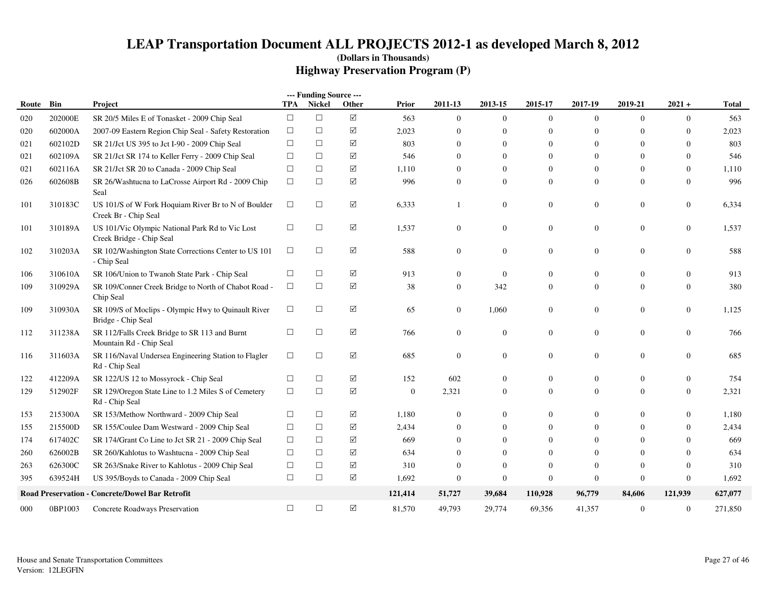|       |         |                                                                             |            | --- Funding Source --- |                 |              |                |                |                  |                |                |                  |         |
|-------|---------|-----------------------------------------------------------------------------|------------|------------------------|-----------------|--------------|----------------|----------------|------------------|----------------|----------------|------------------|---------|
| Route | Bin     | Project                                                                     | <b>TPA</b> | Nickel                 | Other           | Prior        | 2011-13        | 2013-15        | 2015-17          | 2017-19        | 2019-21        | $2021 +$         | Total   |
| 020   | 202000E | SR 20/5 Miles E of Tonasket - 2009 Chip Seal                                | $\Box$     | $\Box$                 | $\triangledown$ | 563          | $\theta$       | $\overline{0}$ | $\overline{0}$   | $\Omega$       | $\overline{0}$ | $\mathbf{0}$     | 563     |
| 020   | 602000A | 2007-09 Eastern Region Chip Seal - Safety Restoration                       | $\Box$     | $\Box$                 | ☑               | 2,023        | $\Omega$       | $\Omega$       | $\mathbf{0}$     | $\Omega$       | $\Omega$       | $\Omega$         | 2,023   |
| 021   | 602102D | SR 21/Jct US 395 to Jct I-90 - 2009 Chip Seal                               | $\Box$     | $\Box$                 | ☑               | 803          | $\mathbf{0}$   | $\Omega$       | $\mathbf{0}$     | $\overline{0}$ | $\Omega$       | $\Omega$         | 803     |
| 021   | 602109A | SR 21/Jct SR 174 to Keller Ferry - 2009 Chip Seal                           | $\Box$     | $\Box$                 | $\Delta$        | 546          | $\Omega$       | $\Omega$       | $\Omega$         | $\Omega$       | $\Omega$       | $\mathbf{0}$     | 546     |
| 021   | 602116A | SR 21/Jct SR 20 to Canada - 2009 Chip Seal                                  | $\Box$     | $\Box$                 | $\Delta$        | 1,110        | $\mathbf{0}$   | $\theta$       | $\mathbf{0}$     | $\overline{0}$ | $\theta$       | $\mathbf{0}$     | 1,110   |
| 026   | 602608B | SR 26/Washtucna to LaCrosse Airport Rd - 2009 Chip<br>Seal                  | $\Box$     | $\Box$                 | ☑               | 996          | $\Omega$       | $\mathbf{0}$   | $\mathbf{0}$     | $\Omega$       | $\mathbf{0}$   | $\mathbf{0}$     | 996     |
| 101   | 310183C | US 101/S of W Fork Hoquiam River Br to N of Boulder<br>Creek Br - Chip Seal | $\Box$     | $\Box$                 | ☑               | 6,333        | -1             | $\mathbf{0}$   | $\boldsymbol{0}$ | $\overline{0}$ | $\mathbf{0}$   | $\boldsymbol{0}$ | 6,334   |
| 101   | 310189A | US 101/Vic Olympic National Park Rd to Vic Lost<br>Creek Bridge - Chip Seal | $\Box$     | □                      | ☑               | 1,537        | $\overline{0}$ | $\mathbf{0}$   | $\boldsymbol{0}$ | $\overline{0}$ | $\mathbf{0}$   | $\boldsymbol{0}$ | 1,537   |
| 102   | 310203A | SR 102/Washington State Corrections Center to US 101<br>- Chip Seal         | $\Box$     | $\Box$                 | $\Delta$        | 588          | $\overline{0}$ | $\mathbf{0}$   | $\mathbf{0}$     | $\overline{0}$ | $\mathbf{0}$   | $\mathbf{0}$     | 588     |
| 106   | 310610A | SR 106/Union to Twanoh State Park - Chip Seal                               | $\Box$     | □                      | ☑               | 913          | $\Omega$       | $\overline{0}$ | $\mathbf{0}$     | $\Omega$       | $\theta$       | $\mathbf{0}$     | 913     |
| 109   | 310929A | SR 109/Conner Creek Bridge to North of Chabot Road -<br>Chip Seal           | $\Box$     | $\Box$                 | $\triangledown$ | 38           | $\overline{0}$ | 342            | $\Omega$         | $\Omega$       | $\overline{0}$ | $\mathbf{0}$     | 380     |
| 109   | 310930A | SR 109/S of Moclips - Olympic Hwy to Quinault River<br>Bridge - Chip Seal   | $\Box$     | $\Box$                 | $\triangledown$ | 65           | $\overline{0}$ | 1,060          | $\Omega$         | $\overline{0}$ | $\overline{0}$ | $\mathbf{0}$     | 1,125   |
| 112   | 311238A | SR 112/Falls Creek Bridge to SR 113 and Burnt<br>Mountain Rd - Chip Seal    | $\Box$     | $\Box$                 | ☑               | 766          | $\Omega$       | $\overline{0}$ | $\mathbf{0}$     | $\Omega$       | $\overline{0}$ | $\mathbf{0}$     | 766     |
| 116   | 311603A | SR 116/Naval Undersea Engineering Station to Flagler<br>Rd - Chip Seal      | $\Box$     | $\Box$                 | $\triangledown$ | 685          | $\overline{0}$ | $\mathbf{0}$   | $\mathbf{0}$     | $\overline{0}$ | $\mathbf{0}$   | $\mathbf{0}$     | 685     |
| 122   | 412209A | SR 122/US 12 to Mossyrock - Chip Seal                                       | $\Box$     | □                      | $\Delta$        | 152          | 602            | $\overline{0}$ | $\mathbf{0}$     | $\overline{0}$ | $\overline{0}$ | $\boldsymbol{0}$ | 754     |
| 129   | 512902F | SR 129/Oregon State Line to 1.2 Miles S of Cemetery<br>Rd - Chip Seal       | $\Box$     | $\Box$                 | $\Delta$        | $\mathbf{0}$ | 2,321          | $\mathbf{0}$   | $\mathbf{0}$     | $\overline{0}$ | $\overline{0}$ | $\mathbf{0}$     | 2,321   |
| 153   | 215300A | SR 153/Methow Northward - 2009 Chip Seal                                    | $\Box$     | $\Box$                 | ☑               | 1,180        | $\mathbf{0}$   | $\overline{0}$ | $\mathbf{0}$     | $\overline{0}$ | $\mathbf{0}$   | $\mathbf{0}$     | 1,180   |
| 155   | 215500D | SR 155/Coulee Dam Westward - 2009 Chip Seal                                 | □          | $\Box$                 | ☑               | 2,434        | $\Omega$       | $\Omega$       | $\mathbf{0}$     | $\Omega$       | $\Omega$       | $\Omega$         | 2,434   |
| 174   | 617402C | SR 174/Grant Co Line to Jct SR 21 - 2009 Chip Seal                          | $\Box$     | $\Box$                 | $\Delta$        | 669          | $\Omega$       | $\Omega$       | $\mathbf{0}$     | $\Omega$       | $\Omega$       | $\Omega$         | 669     |
| 260   | 626002B | SR 260/Kahlotus to Washtucna - 2009 Chip Seal                               | $\Box$     | $\Box$                 | ☑               | 634          | $\Omega$       | $\theta$       | $\mathbf{0}$     | $\Omega$       | $\Omega$       | $\mathbf{0}$     | 634     |
| 263   | 626300C | SR 263/Snake River to Kahlotus - 2009 Chip Seal                             | $\Box$     | $\Box$                 | $\Delta$        | 310          | $\Omega$       | $\overline{0}$ | $\theta$         | $\Omega$       | $\Omega$       | $\theta$         | 310     |
| 395   | 639524H | US 395/Boyds to Canada - 2009 Chip Seal                                     | $\Box$     | $\Box$                 | $\Delta$        | 1,692        | $\mathbf{0}$   | $\theta$       | $\theta$         | $\overline{0}$ | $\theta$       | $\boldsymbol{0}$ | 1,692   |
|       |         | Road Preservation - Concrete/Dowel Bar Retrofit                             |            |                        |                 | 121,414      | 51,727         | 39,684         | 110,928          | 96,779         | 84,606         | 121,939          | 627,077 |
| 000   | 0BP1003 | Concrete Roadways Preservation                                              | $\Box$     | $\Box$                 | ☑               | 81,570       | 49,793         | 29,774         | 69,356           | 41,357         | $\mathbf{0}$   | $\boldsymbol{0}$ | 271,850 |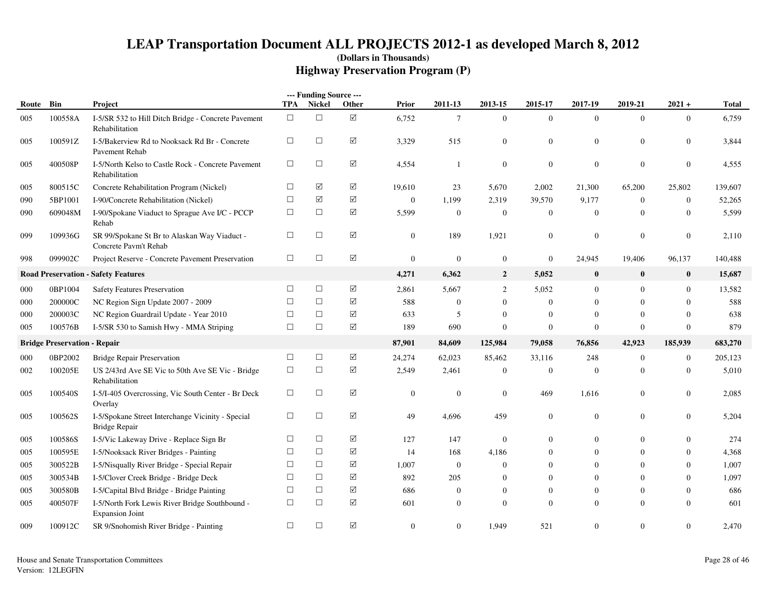|       |                                     |                                                                          |            | --- Funding Source --- |                 |                |                  |                |                  |                |                |                  |         |
|-------|-------------------------------------|--------------------------------------------------------------------------|------------|------------------------|-----------------|----------------|------------------|----------------|------------------|----------------|----------------|------------------|---------|
| Route | Bin                                 | Project                                                                  | <b>TPA</b> | Nickel                 | Other           | Prior          | 2011-13          | 2013-15        | 2015-17          | 2017-19        | 2019-21        | $2021 +$         | Total   |
| 005   | 100558A                             | I-5/SR 532 to Hill Ditch Bridge - Concrete Pavement<br>Rehabilitation    | $\Box$     | $\Box$                 | ☑               | 6,752          | $\tau$           | $\overline{0}$ | $\overline{0}$   | $\Omega$       | $\mathbf{0}$   | $\overline{0}$   | 6,759   |
| 005   | 100591Z                             | I-5/Bakerview Rd to Nooksack Rd Br - Concrete<br>Pavement Rehab          | $\Box$     | $\Box$                 | ☑               | 3,329          | 515              | $\mathbf{0}$   | $\boldsymbol{0}$ | $\overline{0}$ | $\mathbf{0}$   | $\overline{0}$   | 3,844   |
| 005   | 400508P                             | I-5/North Kelso to Castle Rock - Concrete Pavement<br>Rehabilitation     | $\Box$     | $\Box$                 | ☑               | 4,554          | $\mathbf{1}$     | $\overline{0}$ | $\mathbf{0}$     | $\mathbf{0}$   | $\overline{0}$ | $\mathbf{0}$     | 4,555   |
| 005   | 800515C                             | Concrete Rehabilitation Program (Nickel)                                 | $\Box$     | ☑                      | ☑               | 19,610         | 23               | 5,670          | 2,002            | 21,300         | 65,200         | 25,802           | 139,607 |
| 090   | 5BP1001                             | I-90/Concrete Rehabilitation (Nickel)                                    | $\Box$     | ☑                      | $\Delta$        | $\mathbf{0}$   | 1,199            | 2,319          | 39,570           | 9,177          | $\overline{0}$ | $\overline{0}$   | 52,265  |
| 090   | 609048M                             | I-90/Spokane Viaduct to Sprague Ave I/C - PCCP<br>Rehab                  | $\Box$     | $\Box$                 | $\triangledown$ | 5,599          | $\overline{0}$   | $\overline{0}$ | $\overline{0}$   | $\mathbf{0}$   | $\overline{0}$ | $\overline{0}$   | 5,599   |
| 099   | 109936G                             | SR 99/Spokane St Br to Alaskan Way Viaduct -<br>Concrete Pavm't Rehab    | $\Box$     | $\Box$                 | ☑               | $\mathbf{0}$   | 189              | 1,921          | $\overline{0}$   | $\mathbf{0}$   | $\Omega$       | $\mathbf{0}$     | 2,110   |
| 998   | 099902C                             | Project Reserve - Concrete Pavement Preservation                         | $\Box$     | $\Box$                 | $\triangledown$ | $\mathbf{0}$   | $\overline{0}$   | $\overline{0}$ | $\overline{0}$   | 24,945         | 19,406         | 96,137           | 140,488 |
|       |                                     | <b>Road Preservation - Safety Features</b>                               |            |                        |                 | 4,271          | 6,362            | $\overline{2}$ | 5,052            | $\bf{0}$       | $\bf{0}$       | $\bf{0}$         | 15,687  |
| 000   | 0BP1004                             | <b>Safety Features Preservation</b>                                      | $\Box$     | $\Box$                 | ☑               | 2,861          | 5,667            | 2              | 5,052            | $\mathbf{0}$   | $\overline{0}$ | $\mathbf{0}$     | 13,582  |
| 000   | 200000C                             | NC Region Sign Update 2007 - 2009                                        | $\Box$     | $\Box$                 | $\Delta$        | 588            | $\boldsymbol{0}$ | $\overline{0}$ | $\boldsymbol{0}$ | $\mathbf{0}$   | $\Omega$       | $\mathbf{0}$     | 588     |
| 000   | 200003C                             | NC Region Guardrail Update - Year 2010                                   | $\Box$     | $\Box$                 | ☑               | 633            | 5                | $\overline{0}$ | $\theta$         | $\Omega$       | $\overline{0}$ | $\theta$         | 638     |
| 005   | 100576B                             | I-5/SR 530 to Samish Hwy - MMA Striping                                  | $\Box$     | $\Box$                 | ☑               | 189            | 690              | $\overline{0}$ | $\mathbf{0}$     | $\overline{0}$ | $\Omega$       | $\mathbf{0}$     | 879     |
|       | <b>Bridge Preservation - Repair</b> |                                                                          |            |                        |                 | 87,901         | 84,609           | 125,984        | 79,058           | 76,856         | 42,923         | 185,939          | 683,270 |
| 000   | 0BP2002                             | <b>Bridge Repair Preservation</b>                                        | □          | $\Box$                 | ☑               | 24,274         | 62,023           | 85,462         | 33,116           | 248            | $\overline{0}$ | $\boldsymbol{0}$ | 205,123 |
| 002   | 100205E                             | US 2/43rd Ave SE Vic to 50th Ave SE Vic - Bridge<br>Rehabilitation       | $\Box$     | $\Box$                 | $\triangledown$ | 2,549          | 2,461            | $\mathbf{0}$   | $\boldsymbol{0}$ | $\mathbf{0}$   | $\overline{0}$ | $\overline{0}$   | 5,010   |
| 005   | 100540S                             | I-5/I-405 Overcrossing, Vic South Center - Br Deck<br>Overlay            | $\Box$     | $\Box$                 | ☑               | $\mathbf{0}$   | $\mathbf{0}$     | $\overline{0}$ | 469              | 1,616          | $\mathbf{0}$   | $\overline{0}$   | 2,085   |
| 005   | 100562S                             | I-5/Spokane Street Interchange Vicinity - Special<br>Bridge Repair       | $\Box$     | $\Box$                 | $\triangledown$ | 49             | 4,696            | 459            | $\mathbf{0}$     | $\mathbf{0}$   | $\mathbf{0}$   | $\mathbf{0}$     | 5,204   |
| 005   | 100586S                             | I-5/Vic Lakeway Drive - Replace Sign Br                                  | $\Box$     | $\Box$                 | $\Delta$        | 127            | 147              | $\overline{0}$ | $\theta$         | $\overline{0}$ | $\overline{0}$ | $\mathbf{0}$     | 274     |
| 005   | 100595E                             | I-5/Nooksack River Bridges - Painting                                    | $\Box$     | $\Box$                 | $\Delta$        | 14             | 168              | 4,186          | $\theta$         | $\theta$       | $\overline{0}$ | $\mathbf{0}$     | 4,368   |
| 005   | 300522B                             | I-5/Nisqually River Bridge - Special Repair                              | □          | $\Box$                 | $\Delta$        | 1,007          | $\mathbf{0}$     | $\overline{0}$ | $\theta$         | $\Omega$       | $\overline{0}$ | $\theta$         | 1,007   |
| 005   | 300534B                             | I-5/Clover Creek Bridge - Bridge Deck                                    | $\Box$     | $\Box$                 | $\Delta$        | 892            | 205              | $\overline{0}$ | $\theta$         | $\Omega$       | $\overline{0}$ | $\mathbf{0}$     | 1,097   |
| 005   | 300580B                             | I-5/Capital Blvd Bridge - Bridge Painting                                | $\Box$     | $\Box$                 | $\sqrt{}$       | 686            | $\mathbf{0}$     | $\overline{0}$ | $\mathbf{0}$     | $\Omega$       | $\overline{0}$ | $\mathbf{0}$     | 686     |
| 005   | 400507F                             | I-5/North Fork Lewis River Bridge Southbound -<br><b>Expansion Joint</b> | $\Box$     | $\Box$                 | $\Delta$        | 601            | $\Omega$         | $\overline{0}$ | $\theta$         | $\Omega$       | $\Omega$       | $\mathbf{0}$     | 601     |
| 009   | 100912C                             | SR 9/Snohomish River Bridge - Painting                                   | $\Box$     | $\Box$                 | ☑               | $\overline{0}$ | $\Omega$         | 1,949          | 521              | $\Omega$       | $\overline{0}$ | $\mathbf{0}$     | 2,470   |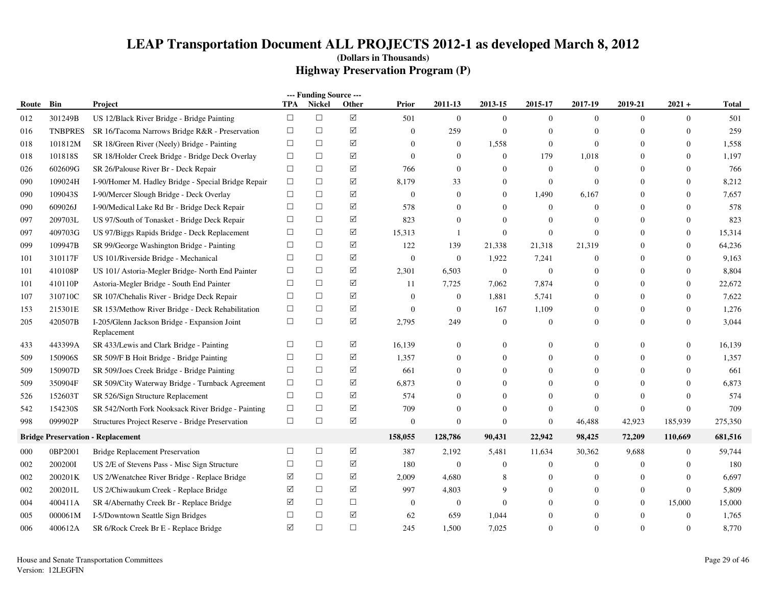|       |                |                                                             |            | --- Funding Source --- |                    |                |                |                |                  |                  |                |                  |         |
|-------|----------------|-------------------------------------------------------------|------------|------------------------|--------------------|----------------|----------------|----------------|------------------|------------------|----------------|------------------|---------|
| Route | Bin            | <b>Project</b>                                              | <b>TPA</b> | <b>Nickel</b>          | Other              | Prior          | 2011-13        | 2013-15        | 2015-17          | 2017-19          | 2019-21        | $2021 +$         | Total   |
| 012   | 301249B        | US 12/Black River Bridge - Bridge Painting                  | $\Box$     | $\Box$                 | $\boxtimes$        | 501            | $\theta$       | $\overline{0}$ | $\mathbf{0}$     | $\mathbf{0}$     | $\overline{0}$ | $\mathbf{0}$     | 501     |
| 016   | <b>TNBPRES</b> | SR 16/Tacoma Narrows Bridge R&R - Preservation              | $\Box$     | $\Box$                 | $\Delta$           | $\Omega$       | 259            | $\mathbf{0}$   | $\theta$         | $\Omega$         | $\Omega$       | $\Omega$         | 259     |
| 018   | 101812M        | SR 18/Green River (Neely) Bridge - Painting                 | $\Box$     | $\Box$                 | $\Delta$           | $\Omega$       | $\mathbf{0}$   | 1,558          | $\overline{0}$   | $\mathbf{0}$     | $\theta$       | $\overline{0}$   | 1,558   |
| 018   | 101818S        | SR 18/Holder Creek Bridge - Bridge Deck Overlay             | $\Box$     | $\Box$                 | $\Delta$           | $\theta$       | $\overline{0}$ | $\theta$       | 179              | 1,018            | $\theta$       | $\mathbf{0}$     | 1,197   |
| 026   | 602609G        | SR 26/Palouse River Br - Deck Repair                        | $\Box$     | $\Box$                 | $\Delta$           | 766            | $\theta$       | $\mathbf{0}$   | $\overline{0}$   | $\mathbf{0}$     | $\Omega$       | $\Omega$         | 766     |
| 090   | 109024H        | I-90/Homer M. Hadley Bridge - Special Bridge Repair         | $\Box$     | $\Box$                 | $\Delta$           | 8,179          | 33             | $\overline{0}$ | $\mathbf{0}$     | $\overline{0}$   | $\overline{0}$ | $\mathbf{0}$     | 8,212   |
| 090   | 109043S        | I-90/Mercer Slough Bridge - Deck Overlay                    | $\Box$     | $\Box$                 | ☑                  | $\theta$       | $\overline{0}$ | $\theta$       | 1,490            | 6,167            | $\theta$       | $\theta$         | 7,657   |
| 090   | 609026J        | I-90/Medical Lake Rd Br - Bridge Deck Repair                | $\Box$     | $\Box$                 | ☑                  | 578            | $\mathbf{0}$   | $\Omega$       | $\theta$         | $\overline{0}$   | $\Omega$       | $\Omega$         | 578     |
| 097   | 209703L        | US 97/South of Tonasket - Bridge Deck Repair                | $\Box$     | $\Box$                 | ☑                  | 823            | $\Omega$       | $\Omega$       | $\theta$         | $\mathbf{0}$     | $\Omega$       | $\theta$         | 823     |
| 097   | 409703G        | US 97/Biggs Rapids Bridge - Deck Replacement                | $\Box$     | $\Box$                 | ☑                  | 15,313         | -1             | $\Omega$       | $\theta$         | $\Omega$         | $\Omega$       | $\mathbf{0}$     | 15,314  |
| 099   | 109947B        | SR 99/George Washington Bridge - Painting                   | $\Box$     | $\Box$                 | ☑                  | 122            | 139            | 21,338         | 21,318           | 21,319           | $\Omega$       | $\Omega$         | 64,236  |
| 101   | 310117F        | US 101/Riverside Bridge - Mechanical                        | $\Box$     | $\Box$                 | ☑                  | $\Omega$       | $\mathbf{0}$   | 1,922          | 7,241            | $\Omega$         | $\Omega$       | $\Omega$         | 9,163   |
| 101   | 410108P        | US 101/ Astoria-Megler Bridge- North End Painter            | $\Box$     | $\Box$                 | ☑                  | 2,301          | 6,503          | $\mathbf{0}$   | $\overline{0}$   | $\overline{0}$   | $\Omega$       | $\mathbf{0}$     | 8,804   |
| 101   | 410110P        | Astoria-Megler Bridge - South End Painter                   | $\Box$     | $\Box$                 | ☑                  | 11             | 7,725          | 7,062          | 7,874            | $\overline{0}$   | $\Omega$       | $\mathbf{0}$     | 22,672  |
| 107   | 310710C        | SR 107/Chehalis River - Bridge Deck Repair                  | $\Box$     | $\Box$                 | $\Delta$           | $\theta$       | $\mathbf{0}$   | 1,881          | 5,741            | $\overline{0}$   | $\mathbf{0}$   | $\boldsymbol{0}$ | 7,622   |
| 153   | 215301E        | SR 153/Methow River Bridge - Deck Rehabilitation            | $\Box$     | $\Box$                 | $\boxed{\text{V}}$ | $\theta$       | $\mathbf{0}$   | 167            | 1,109            | $\overline{0}$   | $\Omega$       | $\mathbf{0}$     | 1,276   |
| 205   | 420507B        | I-205/Glenn Jackson Bridge - Expansion Joint<br>Replacement | $\Box$     | $\Box$                 | $\boxtimes$        | 2,795          | 249            | $\overline{0}$ | $\theta$         | $\overline{0}$   | $\Omega$       | $\Omega$         | 3,044   |
| 433   | 443399A        | SR 433/Lewis and Clark Bridge - Painting                    | □          | $\Box$                 | ☑                  | 16,139         | $\mathbf{0}$   | $\mathbf{0}$   | $\overline{0}$   | $\overline{0}$   | $\mathbf{0}$   | $\mathbf{0}$     | 16,139  |
| 509   | 150906S        | SR 509/F B Hoit Bridge - Bridge Painting                    | $\Box$     | $\Box$                 | ☑                  | 1,357          | $\mathbf{0}$   | $\mathbf{0}$   | $\theta$         | $\overline{0}$   | $\Omega$       | $\Omega$         | 1,357   |
| 509   | 150907D        | SR 509/Joes Creek Bridge - Bridge Painting                  | $\Box$     | $\Box$                 | $\Delta$           | 661            | $\mathbf{0}$   | $\theta$       | $\theta$         | $\overline{0}$   | $\Omega$       | $\mathbf{0}$     | 661     |
| 509   | 350904F        | SR 509/City Waterway Bridge - Turnback Agreement            | $\Box$     | $\Box$                 | ☑                  | 6,873          | $\Omega$       | $\Omega$       | $\theta$         | $\Omega$         | $\Omega$       | $\Omega$         | 6,873   |
| 526   | 152603T        | SR 526/Sign Structure Replacement                           | $\Box$     | $\Box$                 | ☑                  | 574            | $\Omega$       | $\Omega$       | $\overline{0}$   | $\Omega$         | $\Omega$       | $\Omega$         | 574     |
| 542   | 154230S        | SR 542/North Fork Nooksack River Bridge - Painting          | $\Box$     | $\Box$                 | ☑                  | 709            | $\mathbf{0}$   | $\mathbf{0}$   | $\boldsymbol{0}$ | $\overline{0}$   | $\overline{0}$ | $\overline{0}$   | 709     |
| 998   | 099902P        | Structures Project Reserve - Bridge Preservation            | $\Box$     | $\Box$                 | $\Delta$           | $\overline{0}$ | $\mathbf{0}$   | $\mathbf{0}$   | $\boldsymbol{0}$ | 46,488           | 42,923         | 185,939          | 275,350 |
|       |                | <b>Bridge Preservation - Replacement</b>                    |            |                        |                    | 158,055        | 128,786        | 90,431         | 22,942           | 98,425           | 72,209         | 110,669          | 681,516 |
| 000   | 0BP2001        | <b>Bridge Replacement Preservation</b>                      | $\Box$     | $\Box$                 | ☑                  | 387            | 2,192          | 5,481          | 11,634           | 30,362           | 9,688          | $\boldsymbol{0}$ | 59,744  |
| 002   | 2002001        | US 2/E of Stevens Pass - Misc Sign Structure                | $\Box$     | $\Box$                 | ☑                  | 180            | $\mathbf{0}$   | $\overline{0}$ | $\overline{0}$   | $\overline{0}$   | $\Omega$       | $\mathbf{0}$     | 180     |
| 002   | 200201K        | US 2/Wenatchee River Bridge - Replace Bridge                | ☑          | $\Box$                 | ☑                  | 2,009          | 4,680          | 8              | $\theta$         | $\boldsymbol{0}$ | $\Omega$       | $\boldsymbol{0}$ | 6,697   |
| 002   | 200201L        | US 2/Chiwaukum Creek - Replace Bridge                       | ☑          | $\Box$                 | ☑                  | 997            | 4,803          | 9              | $\theta$         | $\overline{0}$   | $\theta$       | $\mathbf{0}$     | 5,809   |
| 004   | 400411A        | SR 4/Abernathy Creek Br - Replace Bridge                    | ☑          | $\Box$                 | $\Box$             | $\mathbf{0}$   | $\mathbf{0}$   | $\theta$       | $\Omega$         | $\Omega$         | $\overline{0}$ | 15,000           | 15,000  |
| 005   | 000061M        | I-5/Downtown Seattle Sign Bridges                           | $\Box$     | $\Box$                 | ☑                  | 62             | 659            | 1,044          | $\Omega$         | $\overline{0}$   | $\theta$       | $\boldsymbol{0}$ | 1,765   |
| 006   | 400612A        | SR 6/Rock Creek Br E - Replace Bridge                       | ☑          | $\Box$                 | $\Box$             | 245            | 1,500          | 7,025          | $\Omega$         | $\Omega$         | $\Omega$       | $\theta$         | 8,770   |
|       |                |                                                             |            |                        |                    |                |                |                |                  |                  |                |                  |         |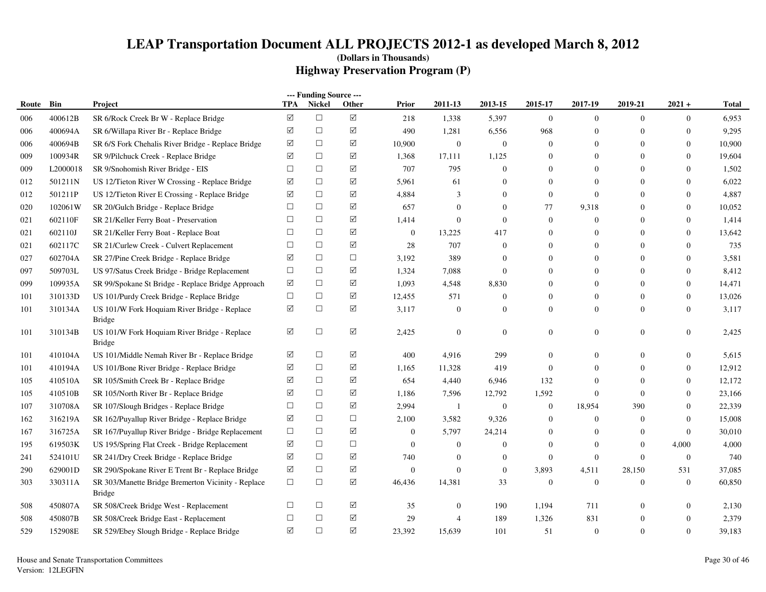|       |          |                                                                     |                 | --- Funding Source --- |                      |                  |                |                  |                  |                  |                |                  |        |
|-------|----------|---------------------------------------------------------------------|-----------------|------------------------|----------------------|------------------|----------------|------------------|------------------|------------------|----------------|------------------|--------|
| Route | Bin      | Project                                                             | <b>TPA</b>      | <b>Nickel</b>          | Other                | Prior            | 2011-13        | 2013-15          | 2015-17          | 2017-19          | 2019-21        | $2021 +$         | Total  |
| 006   | 400612B  | SR 6/Rock Creek Br W - Replace Bridge                               | $\triangledown$ | $\Box$                 | $\boxed{\mathbf{Y}}$ | 218              | 1,338          | 5,397            | $\mathbf{0}$     | $\overline{0}$   | $\mathbf{0}$   | $\overline{0}$   | 6,953  |
| 006   | 400694A  | SR 6/Willapa River Br - Replace Bridge                              | ☑               | $\Box$                 | ☑                    | 490              | 1,281          | 6,556            | 968              | $\mathbf{0}$     | $\Omega$       | $\theta$         | 9,295  |
| 006   | 400694B  | SR 6/S Fork Chehalis River Bridge - Replace Bridge                  | ☑               | $\Box$                 | ☑                    | 10,900           | $\mathbf{0}$   | $\mathbf{0}$     | $\overline{0}$   | $\mathbf{0}$     | $\theta$       | $\boldsymbol{0}$ | 10,900 |
| 009   | 100934R  | SR 9/Pilchuck Creek - Replace Bridge                                | ☑               | $\Box$                 | ☑                    | 1,368            | 17,111         | 1,125            | $\overline{0}$   | $\mathbf{0}$     | $\Omega$       | $\overline{0}$   | 19,604 |
| 009   | L2000018 | SR 9/Snohomish River Bridge - EIS                                   | $\Box$          | $\Box$                 | ☑                    | 707              | 795            | $\Omega$         | $\theta$         | $\Omega$         | $\Omega$       | $\overline{0}$   | 1,502  |
| 012   | 501211N  | US 12/Tieton River W Crossing - Replace Bridge                      | ☑               | $\Box$                 | $\Delta$             | 5,961            | 61             | $\overline{0}$   | $\overline{0}$   | $\mathbf{0}$     | $\Omega$       | $\overline{0}$   | 6,022  |
| 012   | 501211P  | US 12/Tieton River E Crossing - Replace Bridge                      | ☑               | $\Box$                 | $\Delta$             | 4,884            | 3              | $\mathbf{0}$     | $\boldsymbol{0}$ | $\overline{0}$   | $\Omega$       | $\overline{0}$   | 4,887  |
| 020   | 102061W  | SR 20/Gulch Bridge - Replace Bridge                                 | $\Box$          | $\Box$                 | ☑                    | 657              | $\overline{0}$ | $\theta$         | 77               | 9,318            | $\Omega$       | $\overline{0}$   | 10,052 |
| 021   | 602110F  | SR 21/Keller Ferry Boat - Preservation                              | $\Box$          | $\Box$                 | ☑                    | 1,414            | $\overline{0}$ | $\theta$         | $\overline{0}$   | $\boldsymbol{0}$ | $\overline{0}$ | $\boldsymbol{0}$ | 1,414  |
| 021   | 602110J  | SR 21/Keller Ferry Boat - Replace Boat                              | $\Box$          | $\Box$                 | ☑                    | $\boldsymbol{0}$ | 13,225         | 417              | $\theta$         | $\boldsymbol{0}$ | $\theta$       | $\overline{0}$   | 13,642 |
| 021   | 602117C  | SR 21/Curlew Creek - Culvert Replacement                            | $\Box$          | $\Box$                 | ☑                    | 28               | 707            | $\boldsymbol{0}$ | $\theta$         | $\boldsymbol{0}$ | $\theta$       | $\theta$         | 735    |
| 027   | 602704A  | SR 27/Pine Creek Bridge - Replace Bridge                            | ☑               | $\Box$                 | $\Box$               | 3,192            | 389            | $\overline{0}$   | $\overline{0}$   | $\mathbf{0}$     | $\theta$       | $\boldsymbol{0}$ | 3,581  |
| 097   | 509703L  | US 97/Satus Creek Bridge - Bridge Replacement                       | $\Box$          | $\Box$                 | $\Delta$             | 1,324            | 7,088          | $\overline{0}$   | $\theta$         | $\mathbf{0}$     | $\theta$       | $\overline{0}$   | 8,412  |
| 099   | 109935A  | SR 99/Spokane St Bridge - Replace Bridge Approach                   | ☑               | $\Box$                 | ☑                    | 1,093            | 4,548          | 8,830            | $\overline{0}$   | $\mathbf{0}$     | $\Omega$       | $\boldsymbol{0}$ | 14,471 |
| 101   | 310133D  | US 101/Purdy Creek Bridge - Replace Bridge                          | $\Box$          | $\Box$                 | $\Delta$             | 12,455           | 571            | $\mathbf{0}$     | $\theta$         | $\mathbf{0}$     | $\mathbf{0}$   | $\overline{0}$   | 13,026 |
| 101   | 310134A  | US 101/W Fork Hoquiam River Bridge - Replace<br><b>Bridge</b>       | ☑               | $\Box$                 | ☑                    | 3,117            | $\overline{0}$ | $\overline{0}$   | $\overline{0}$   | $\mathbf{0}$     | $\overline{0}$ | $\overline{0}$   | 3,117  |
| 101   | 310134B  | US 101/W Fork Hoquiam River Bridge - Replace<br><b>Bridge</b>       | ☑               | $\Box$                 | ☑                    | 2,425            | $\mathbf{0}$   | $\boldsymbol{0}$ | $\overline{0}$   | $\mathbf{0}$     | $\mathbf{0}$   | $\boldsymbol{0}$ | 2,425  |
| 101   | 410104A  | US 101/Middle Nemah River Br - Replace Bridge                       | ☑               | $\Box$                 | $\Delta$             | 400              | 4,916          | 299              | $\Omega$         | $\mathbf{0}$     | $\theta$       | 0                | 5,615  |
| 101   | 410194A  | US 101/Bone River Bridge - Replace Bridge                           | ☑               | $\Box$                 | ☑                    | 1,165            | 11,328         | 419              | $\theta$         | $\Omega$         | $\Omega$       | $\boldsymbol{0}$ | 12,912 |
| 105   | 410510A  | SR 105/Smith Creek Br - Replace Bridge                              | ☑               | $\Box$                 | $\Delta$             | 654              | 4,440          | 6,946            | 132              | $\mathbf{0}$     | $\Omega$       | $\overline{0}$   | 12,172 |
| 105   | 410510B  | SR 105/North River Br - Replace Bridge                              | ☑               | $\Box$                 | ☑                    | 1,186            | 7,596          | 12,792           | 1,592            | $\overline{0}$   | $\overline{0}$ | $\overline{0}$   | 23,166 |
| 107   | 310708A  | SR 107/Slough Bridges - Replace Bridge                              | П               | $\Box$                 | $\Delta$             | 2,994            | -1             | $\boldsymbol{0}$ | $\boldsymbol{0}$ | 18,954           | 390            | $\boldsymbol{0}$ | 22,339 |
| 162   | 316219A  | SR 162/Puyallup River Bridge - Replace Bridge                       | ☑               | $\Box$                 | $\Box$               | 2,100            | 3,582          | 9,326            | $\overline{0}$   | $\mathbf{0}$     | $\overline{0}$ | $\boldsymbol{0}$ | 15,008 |
| 167   | 316725A  | SR 167/Puyallup River Bridge - Bridge Replacement                   | $\Box$          | $\Box$                 | $\boxtimes$          | $\mathbf{0}$     | 5,797          | 24,214           | $\theta$         | $\overline{0}$   | $\Omega$       | $\overline{0}$   | 30,010 |
| 195   | 619503K  | US 195/Spring Flat Creek - Bridge Replacement                       | ☑               | $\Box$                 | $\Box$               | $\boldsymbol{0}$ | $\mathbf{0}$   | $\boldsymbol{0}$ | $\overline{0}$   | $\boldsymbol{0}$ | $\mathbf{0}$   | 4,000            | 4,000  |
| 241   | 524101U  | SR 241/Dry Creek Bridge - Replace Bridge                            | ☑               | $\Box$                 | $\Delta$             | 740              | $\overline{0}$ | $\overline{0}$   | $\boldsymbol{0}$ | $\overline{0}$   | $\Omega$       | $\boldsymbol{0}$ | 740    |
| 290   | 629001D  | SR 290/Spokane River E Trent Br - Replace Bridge                    | ☑               | $\Box$                 | ☑                    | $\mathbf{0}$     | $\Omega$       | $\overline{0}$   | 3,893            | 4,511            | 28,150         | 531              | 37,085 |
| 303   | 330311A  | SR 303/Manette Bridge Bremerton Vicinity - Replace<br><b>Bridge</b> | $\Box$          | $\Box$                 | ☑                    | 46,436           | 14,381         | 33               | $\overline{0}$   | $\overline{0}$   | $\overline{0}$ | $\boldsymbol{0}$ | 60,850 |
| 508   | 450807A  | SR 508/Creek Bridge West - Replacement                              | $\Box$          | $\Box$                 | $\Delta$             | 35               | $\mathbf{0}$   | 190              | 1,194            | 711              | $\Omega$       | 0                | 2,130  |
| 508   | 450807B  | SR 508/Creek Bridge East - Replacement                              | $\Box$          | $\Box$                 | ☑                    | 29               | $\overline{4}$ | 189              | 1,326            | 831              | $\theta$       | $\boldsymbol{0}$ | 2,379  |
| 529   | 152908E  | SR 529/Ebey Slough Bridge - Replace Bridge                          | ☑               | $\Box$                 | ☑                    | 23,392           | 15,639         | 101              | 51               | $\overline{0}$   | $\mathbf{0}$   | $\overline{0}$   | 39,183 |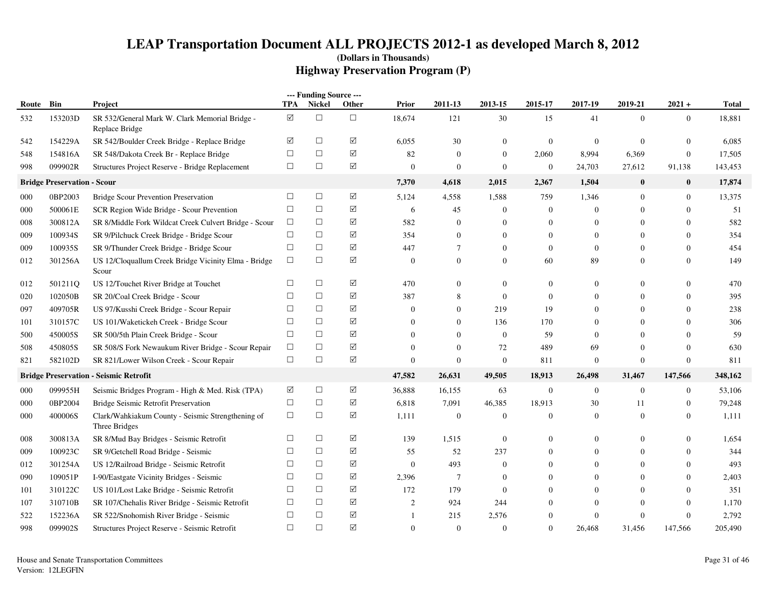|       |                                    |                                                                    |                      | --- Funding Source --- |                 |                  |                  |                |                  |                |                |                  |              |
|-------|------------------------------------|--------------------------------------------------------------------|----------------------|------------------------|-----------------|------------------|------------------|----------------|------------------|----------------|----------------|------------------|--------------|
| Route | Bin                                | <b>Project</b>                                                     | TPA                  | <b>Nickel</b>          | Other           | Prior            | 2011-13          | 2013-15        | 2015-17          | 2017-19        | 2019-21        | $2021 +$         | <b>Total</b> |
| 532   | 153203D                            | SR 532/General Mark W. Clark Memorial Bridge -<br>Replace Bridge   | $\blacktriangledown$ | $\Box$                 | $\Box$          | 18,674           | 121              | 30             | 15               | 41             | $\mathbf{0}$   | $\overline{0}$   | 18,881       |
| 542   | 154229A                            | SR 542/Boulder Creek Bridge - Replace Bridge                       | ☑                    | $\Box$                 | ☑               | 6,055            | 30               | $\mathbf{0}$   | $\boldsymbol{0}$ | $\mathbf{0}$   | $\overline{0}$ | $\mathbf{0}$     | 6,085        |
| 548   | 154816A                            | SR 548/Dakota Creek Br - Replace Bridge                            | $\Box$               | $\Box$                 | ☑               | 82               | $\mathbf{0}$     | $\overline{0}$ | 2,060            | 8,994          | 6,369          | $\boldsymbol{0}$ | 17,505       |
| 998   | 099902R                            | Structures Project Reserve - Bridge Replacement                    | $\Box$               | $\Box$                 | $\Delta$        | $\boldsymbol{0}$ | $\mathbf{0}$     | $\mathbf{0}$   | $\boldsymbol{0}$ | 24,703         | 27,612         | 91,138           | 143,453      |
|       | <b>Bridge Preservation - Scour</b> |                                                                    |                      |                        |                 | 7,370            | 4,618            | 2,015          | 2,367            | 1,504          | $\bf{0}$       | $\bf{0}$         | 17,874       |
| 000   | 0BP2003                            | Bridge Scour Prevention Preservation                               | □                    | $\Box$                 | ☑               | 5,124            | 4,558            | 1,588          | 759              | 1,346          | $\mathbf{0}$   | $\boldsymbol{0}$ | 13,375       |
| 000   | 500061E                            | SCR Region Wide Bridge - Scour Prevention                          | $\Box$               | $\Box$                 | $\Delta$        | 6                | 45               | $\overline{0}$ | $\boldsymbol{0}$ | $\Omega$       | $\overline{0}$ | $\theta$         | 51           |
| 008   | 300812A                            | SR 8/Middle Fork Wildcat Creek Culvert Bridge - Scour              | $\Box$               | $\Box$                 | $\Delta$        | 582              | $\Omega$         | $\mathbf{0}$   | $\mathbf{0}$     | $\Omega$       | $\Omega$       | $\Omega$         | 582          |
| 009   | 100934S                            | SR 9/Pilchuck Creek Bridge - Bridge Scour                          | $\Box$               | $\Box$                 | ☑               | 354              | $\Omega$         | $\Omega$       | $\theta$         | $\Omega$       | $\Omega$       | $\theta$         | 354          |
| 009   | 100935S                            | SR 9/Thunder Creek Bridge - Bridge Scour                           | $\Box$               | $\Box$                 | ☑               | 447              | $\overline{7}$   | $\Omega$       | $\mathbf{0}$     | $\Omega$       | $\Omega$       | $\Omega$         | 454          |
| 012   | 301256A                            | US 12/Cloquallum Creek Bridge Vicinity Elma - Bridge<br>Scour      | $\Box$               | $\Box$                 | ☑               | $\Omega$         | $\Omega$         | $\overline{0}$ | 60               | 89             | $\overline{0}$ | $\theta$         | 149          |
| 012   | 501211Q                            | US 12/Touchet River Bridge at Touchet                              | $\Box$               | $\Box$                 | ☑               | 470              | $\overline{0}$   | $\overline{0}$ | $\mathbf{0}$     | $\Omega$       | $\overline{0}$ | $\theta$         | 470          |
| 020   | 102050B                            | SR 20/Coal Creek Bridge - Scour                                    | $\Box$               | $\Box$                 | $\Delta$        | 387              | 8                | $\overline{0}$ | $\boldsymbol{0}$ | $\Omega$       | $\overline{0}$ | $\mathbf{0}$     | 395          |
| 097   | 409705R                            | US 97/Kusshi Creek Bridge - Scour Repair                           | $\Box$               | $\Box$                 | ☑               | $\overline{0}$   | $\theta$         | 219            | 19               | $\theta$       | $\Omega$       | $\mathbf{0}$     | 238          |
| 101   | 310157C                            | US 101/Waketickeh Creek - Bridge Scour                             | $\Box$               | $\Box$                 | ☑               | $\overline{0}$   | $\theta$         | 136            | 170              | $\Omega$       | $\Omega$       | $\theta$         | 306          |
| 500   | 450005S                            | SR 500/5th Plain Creek Bridge - Scour                              | $\Box$               | $\Box$                 | ☑               | $\overline{0}$   | $\Omega$         | $\overline{0}$ | 59               | $\Omega$       | $\Omega$       | $\theta$         | 59           |
| 508   | 450805S                            | SR 508/S Fork Newaukum River Bridge - Scour Repair                 | $\Box$               | $\Box$                 | ☑               | $\overline{0}$   | $\Omega$         | 72             | 489              | 69             | $\Omega$       | $\theta$         | 630          |
| 821   | 582102D                            | SR 821/Lower Wilson Creek - Scour Repair                           | $\Box$               | $\Box$                 | ☑               | $\overline{0}$   | $\overline{0}$   | $\mathbf{0}$   | 811              | $\Omega$       | $\mathbf{0}$   | $\boldsymbol{0}$ | 811          |
|       |                                    | <b>Bridge Preservation - Seismic Retrofit</b>                      |                      |                        |                 | 47,582           | 26,631           | 49,505         | 18,913           | 26,498         | 31,467         | 147,566          | 348,162      |
| 000   | 099955H                            | Seismic Bridges Program - High & Med. Risk (TPA)                   | ☑                    | $\Box$                 | ☑               | 36,888           | 16,155           | 63             | $\boldsymbol{0}$ | $\mathbf{0}$   | $\mathbf{0}$   | $\overline{0}$   | 53,106       |
| 000   | 0BP2004                            | Bridge Seismic Retrofit Preservation                               | $\Box$               | $\Box$                 | ☑               | 6,818            | 7,091            | 46,385         | 18,913           | 30             | 11             | $\boldsymbol{0}$ | 79,248       |
| 000   | 400006S                            | Clark/Wahkiakum County - Seismic Strengthening of<br>Three Bridges | $\Box$               | $\Box$                 | $\Delta$        | 1,111            | $\boldsymbol{0}$ | $\mathbf{0}$   | $\mathbf{0}$     | $\mathbf{0}$   | $\mathbf{0}$   | $\theta$         | 1,111        |
| 008   | 300813A                            | SR 8/Mud Bay Bridges - Seismic Retrofit                            | $\Box$               | $\Box$                 | $\triangledown$ | 139              | 1,515            | $\overline{0}$ | $\mathbf{0}$     | $\overline{0}$ | $\overline{0}$ | $\theta$         | 1,654        |
| 009   | 100923C                            | SR 9/Getchell Road Bridge - Seismic                                | $\Box$               | $\Box$                 | $\Delta$        | 55               | 52               | 237            | $\mathbf{0}$     | $\theta$       | $\overline{0}$ | $\theta$         | 344          |
| 012   | 301254A                            | US 12/Railroad Bridge - Seismic Retrofit                           | $\Box$               | $\Box$                 | $\Delta$        | $\overline{0}$   | 493              | $\overline{0}$ | $\theta$         | $\Omega$       | $\overline{0}$ | $\theta$         | 493          |
| 090   | 109051P                            | I-90/Eastgate Vicinity Bridges - Seismic                           | $\Box$               | $\Box$                 | ☑               | 2,396            | 7                | $\mathbf{0}$   | $\Omega$         | $\Omega$       | $\Omega$       | $\theta$         | 2,403        |
| 101   | 310122C                            | US 101/Lost Lake Bridge - Seismic Retrofit                         | $\Box$               | $\Box$                 | ☑               | 172              | 179              | $\mathbf{0}$   | $\Omega$         | $\Omega$       | $\Omega$       | $\Omega$         | 351          |
| 107   | 310710B                            | SR 107/Chehalis River Bridge - Seismic Retrofit                    | $\Box$               | $\Box$                 | ☑               | $\overline{2}$   | 924              | 244            | $\theta$         | $\Omega$       | $\theta$       | $\mathbf{0}$     | 1,170        |
| 522   | 152236A                            | SR 522/Snohomish River Bridge - Seismic                            | $\Box$               | $\Box$                 | ☑               | $\mathbf{1}$     | 215              | 2,576          | $\mathbf{0}$     | $\Omega$       | $\mathbf{0}$   | $\mathbf{0}$     | 2,792        |
| 998   | 099902S                            | Structures Project Reserve - Seismic Retrofit                      | $\Box$               | $\Box$                 | ☑               | $\Omega$         | $\mathbf{0}$     | $\Omega$       | $\mathbf{0}$     | 26,468         | 31,456         | 147,566          | 205,490      |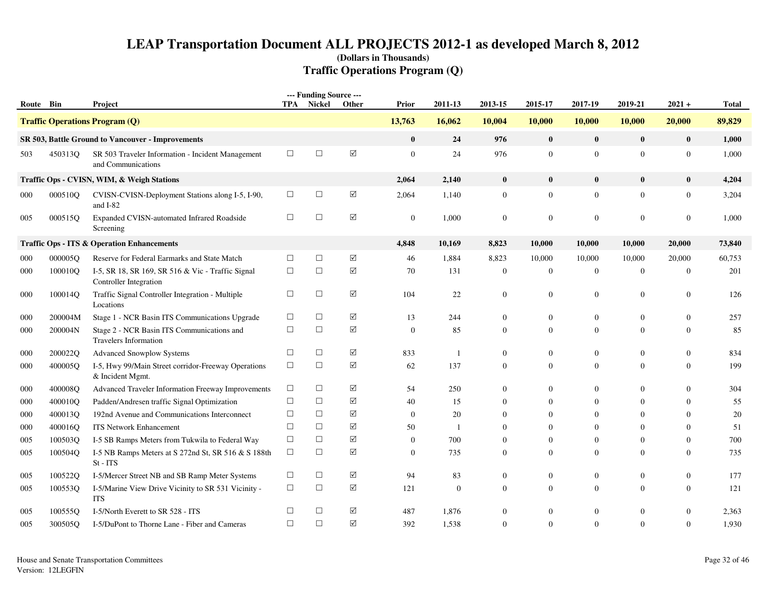| Route Bin |         | Project                                                                            | TPA    | --- Funding Source ---<br>Nickel | Other       | Prior          | 2011-13      | 2013-15          | 2015-17          | 2017-19          | 2019-21          | $2021 +$         | <b>Total</b> |
|-----------|---------|------------------------------------------------------------------------------------|--------|----------------------------------|-------------|----------------|--------------|------------------|------------------|------------------|------------------|------------------|--------------|
|           |         | <b>Traffic Operations Program (Q)</b>                                              |        |                                  |             | 13,763         | 16,062       | 10,004           | 10,000           | 10,000           | 10,000           | 20,000           | 89,829       |
|           |         | SR 503, Battle Ground to Vancouver - Improvements                                  |        |                                  |             | $\bf{0}$       | 24           | 976              | $\bf{0}$         | $\bf{0}$         | $\bf{0}$         | $\bf{0}$         | 1,000        |
| 503       | 450313Q | SR 503 Traveler Information - Incident Management<br>and Communications            | $\Box$ | $\Box$                           | ☑           | $\mathbf{0}$   | 24           | 976              | $\overline{0}$   | $\overline{0}$   | $\overline{0}$   | $\mathbf{0}$     | 1,000        |
|           |         | Traffic Ops - CVISN, WIM, & Weigh Stations                                         |        |                                  |             | 2,064          | 2,140        | $\bf{0}$         | $\bf{0}$         | $\bf{0}$         | $\bf{0}$         | $\bf{0}$         | 4,204        |
| 000       | 000510Q | CVISN-CVISN-Deployment Stations along I-5, I-90,<br>and I-82                       | $\Box$ | $\Box$                           | $\boxtimes$ | 2,064          | 1,140        | $\mathbf{0}$     | $\boldsymbol{0}$ | $\overline{0}$   | $\overline{0}$   | $\boldsymbol{0}$ | 3,204        |
| 005       | 000515O | Expanded CVISN-automated Infrared Roadside<br>Screening                            | $\Box$ | $\Box$                           | ☑           | $\mathbf{0}$   | 1,000        | $\overline{0}$   | $\overline{0}$   | $\mathbf{0}$     | $\mathbf{0}$     | $\overline{0}$   | 1.000        |
|           |         | <b>Traffic Ops - ITS &amp; Operation Enhancements</b>                              |        |                                  |             | 4,848          | 10,169       | 8,823            | 10,000           | 10,000           | 10,000           | 20,000           | 73,840       |
| 000       | 000005Q | Reserve for Federal Earmarks and State Match                                       | $\Box$ | $\Box$                           | ☑           | 46             | 1,884        | 8,823            | 10,000           | 10,000           | 10,000           | 20,000           | 60,753       |
| 000       | 100010Q | I-5, SR 18, SR 169, SR 516 & Vic - Traffic Signal<br><b>Controller</b> Integration | $\Box$ | $\Box$                           | $\Delta$    | 70             | 131          | $\overline{0}$   | $\overline{0}$   | $\mathbf{0}$     | $\mathbf{0}$     | $\boldsymbol{0}$ | 201          |
| 000       | 100014Q | Traffic Signal Controller Integration - Multiple<br>Locations                      | $\Box$ | $\Box$                           | $\boxtimes$ | 104            | 22           | $\mathbf{0}$     | $\mathbf{0}$     | $\boldsymbol{0}$ | $\boldsymbol{0}$ | $\boldsymbol{0}$ | 126          |
| 000       | 200004M | Stage 1 - NCR Basin ITS Communications Upgrade                                     | $\Box$ | $\Box$                           | $\Delta$    | 13             | 244          | $\overline{0}$   | $\overline{0}$   | $\mathbf{0}$     | $\mathbf{0}$     | $\overline{0}$   | 257          |
| 000       | 200004N | Stage 2 - NCR Basin ITS Communications and<br><b>Travelers Information</b>         | $\Box$ | $\Box$                           | $\Delta$    | $\theta$       | 85           | $\overline{0}$   | $\overline{0}$   | $\mathbf{0}$     | $\theta$         | $\overline{0}$   | 85           |
| 000       | 200022Q | <b>Advanced Snowplow Systems</b>                                                   | $\Box$ | $\Box$                           | $\boxtimes$ | 833            |              | $\overline{0}$   | $\boldsymbol{0}$ | $\boldsymbol{0}$ | $\mathbf{0}$     | $\boldsymbol{0}$ | 834          |
| 000       | 400005Q | I-5, Hwy 99/Main Street corridor-Freeway Operations<br>& Incident Mgmt.            | $\Box$ | $\Box$                           | $\Delta$    | 62             | 137          | $\mathbf{0}$     | $\mathbf{0}$     | $\overline{0}$   | $\Omega$         | $\overline{0}$   | 199          |
| 000       | 400008Q | Advanced Traveler Information Freeway Improvements                                 | $\Box$ | $\Box$                           | $\boxtimes$ | 54             | 250          | $\overline{0}$   | $\mathbf{0}$     | $\theta$         | $\Omega$         | $\overline{0}$   | 304          |
| 000       | 400010Q | Padden/Andresen traffic Signal Optimization                                        | $\Box$ | $\Box$                           | ☑           | 40             | 15           | $\overline{0}$   | $\mathbf{0}$     | $\overline{0}$   | $\theta$         | $\overline{0}$   | 55           |
| 000       | 400013Q | 192nd Avenue and Communications Interconnect                                       | $\Box$ | $\Box$                           | $\boxtimes$ | $\mathbf{0}$   | 20           | $\mathbf{0}$     | $\Omega$         | $\boldsymbol{0}$ | $\theta$         | $\overline{0}$   | $20\,$       |
| 000       | 400016Q | ITS Network Enhancement                                                            | $\Box$ | $\Box$                           | ☑           | 50             | $\mathbf{1}$ | $\overline{0}$   | $\Omega$         | $\boldsymbol{0}$ | $\Omega$         | $\overline{0}$   | 51           |
| 005       | 100503Q | I-5 SB Ramps Meters from Tukwila to Federal Way                                    | $\Box$ | $\Box$                           | $\Delta$    | $\overline{0}$ | 700          | $\theta$         | $\mathbf{0}$     | $\mathbf{0}$     | $\Omega$         | $\overline{0}$   | 700          |
| 005       | 100504Q | I-5 NB Ramps Meters at S 272nd St, SR 516 & S 188th<br>$St$ - $ITS$                | $\Box$ | $\Box$                           | ☑           | $\overline{0}$ | 735          | $\theta$         | $\Omega$         | $\mathbf{0}$     | $\Omega$         | $\Omega$         | 735          |
| 005       | 100522Q | I-5/Mercer Street NB and SB Ramp Meter Systems                                     | $\Box$ | $\Box$                           | $\boxtimes$ | 94             | 83           | $\boldsymbol{0}$ | $\mathbf{0}$     | $\boldsymbol{0}$ | $\overline{0}$   | $\mathbf{0}$     | 177          |
| 005       | 100553Q | I-5/Marine View Drive Vicinity to SR 531 Vicinity -<br><b>ITS</b>                  | $\Box$ | $\Box$                           | $\Delta$    | 121            | $\mathbf{0}$ | $\mathbf{0}$     | $\overline{0}$   | $\mathbf{0}$     | $\mathbf{0}$     | $\mathbf{0}$     | 121          |
| 005       | 100555O | I-5/North Everett to SR 528 - ITS                                                  | $\Box$ | □                                | ☑           | 487            | 1,876        | $\overline{0}$   | $\boldsymbol{0}$ | $\theta$         | $\Omega$         | $\boldsymbol{0}$ | 2,363        |
| 005       | 300505Q | I-5/DuPont to Thorne Lane - Fiber and Cameras                                      | $\Box$ | $\Box$                           | ☑           | 392            | 1,538        | $\theta$         | $\Omega$         | $\Omega$         | $\Omega$         | $\overline{0}$   | 1,930        |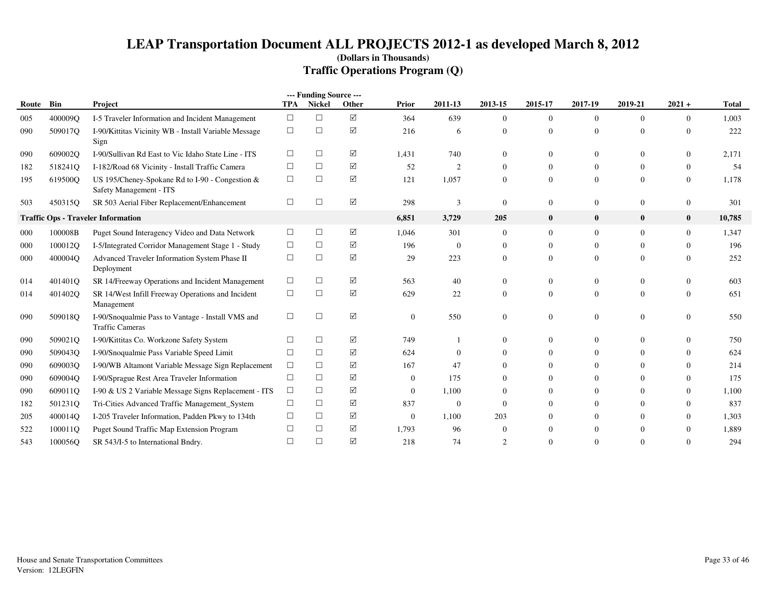|       |         |                                                                              |            | --- Funding Source --- |            |                  |                |                  |                |                |                |                  |              |
|-------|---------|------------------------------------------------------------------------------|------------|------------------------|------------|------------------|----------------|------------------|----------------|----------------|----------------|------------------|--------------|
| Route | Bin     | Project                                                                      | <b>TPA</b> | Nickel                 | Other      | Prior            | 2011-13        | 2013-15          | 2015-17        | 2017-19        | 2019-21        | $2021 +$         | <b>Total</b> |
| 005   | 400009Q | I-5 Traveler Information and Incident Management                             | $\Box$     | $\Box$                 | ☑          | 364              | 639            | $\Omega$         | $\overline{0}$ | $\Omega$       | $\theta$       | $\overline{0}$   | 1,003        |
| 090   | 509017Q | I-90/Kittitas Vicinity WB - Install Variable Message<br>Sign                 | $\Box$     | $\Box$                 | ☑          | 216              | 6              | $\mathbf{0}$     | $\overline{0}$ | $\overline{0}$ | $\overline{0}$ | $\boldsymbol{0}$ | 222          |
| 090   | 609002Q | I-90/Sullivan Rd East to Vic Idaho State Line - ITS                          | $\Box$     | □                      | ☑          | 1,431            | 740            | $\Omega$         | $\theta$       | 0              | $\Omega$       | $\Omega$         | 2,171        |
| 182   | 518241Q | I-182/Road 68 Vicinity - Install Traffic Camera                              | $\Box$     | $\Box$                 | ☑          | 52               | 2              | $\Omega$         | $\Omega$       | $\Omega$       | $\theta$       | $\mathbf{0}$     | 54           |
| 195   | 619500Q | US 195/Cheney-Spokane Rd to I-90 - Congestion $&$<br>Safety Management - ITS | $\Box$     | $\Box$                 | $\sqrt{ }$ | 121              | 1,057          | $\boldsymbol{0}$ | $\overline{0}$ | $\overline{0}$ | $\overline{0}$ | $\boldsymbol{0}$ | 1,178        |
| 503   | 450315Q | SR 503 Aerial Fiber Replacement/Enhancement                                  | $\Box$     | □                      | ☑          | 298              | 3              | $\Omega$         | $\overline{0}$ | 0              | $\overline{0}$ | $\mathbf{0}$     | 301          |
|       |         | <b>Traffic Ops - Traveler Information</b>                                    |            |                        |            | 6,851            | 3,729          | 205              | $\bf{0}$       | $\bf{0}$       | $\bf{0}$       | $\bf{0}$         | 10,785       |
| 000   | 100008B | Puget Sound Interagency Video and Data Network                               | $\Box$     | $\Box$                 | ☑          | 1,046            | 301            | $\mathbf{0}$     | $\overline{0}$ | $\overline{0}$ | $\Omega$       | $\overline{0}$   | 1,347        |
| 000   | 100012O | I-5/Integrated Corridor Management Stage 1 - Study                           | $\Box$     | $\Box$                 | ☑          | 196              | $\theta$       | $\mathbf{0}$     | $\overline{0}$ | $\overline{0}$ | $\overline{0}$ | $\overline{0}$   | 196          |
| 000   | 400004Q | Advanced Traveler Information System Phase II<br>Deployment                  | $\Box$     | $\Box$                 | ☑          | 29               | 223            | $\mathbf{0}$     | $\overline{0}$ | $\Omega$       | $\overline{0}$ | $\mathbf{0}$     | 252          |
| 014   | 401401Q | SR 14/Freeway Operations and Incident Management                             | $\Box$     | $\Box$                 | ☑          | 563              | 40             | $\theta$         | $\overline{0}$ | $\overline{0}$ | $\overline{0}$ | $\mathbf{0}$     | 603          |
| 014   | 401402Q | SR 14/West Infill Freeway Operations and Incident<br>Management              | $\Box$     | $\Box$                 | ☑          | 629              | 22             | $\mathbf{0}$     | $\overline{0}$ | $\overline{0}$ | $\overline{0}$ | $\mathbf{0}$     | 651          |
| 090   | 509018O | I-90/Snoqualmie Pass to Vantage - Install VMS and<br><b>Traffic Cameras</b>  | $\Box$     | $\Box$                 | ☑          | $\boldsymbol{0}$ | 550            | $\theta$         | $\overline{0}$ | $\overline{0}$ | $\overline{0}$ | $\boldsymbol{0}$ | 550          |
| 090   | 509021Q | I-90/Kittitas Co. Workzone Safety System                                     | $\Box$     | $\Box$                 | ☑          | 749              |                | $\theta$         | $\Omega$       | $\Omega$       | $\Omega$       | $\mathbf{0}$     | 750          |
| 090   | 509043Q | I-90/Snoqualmie Pass Variable Speed Limit                                    | $\Box$     | $\Box$                 | ☑          | 624              | $\overline{0}$ | $\Omega$         | $\Omega$       | 0              | $\Omega$       | $\mathbf{0}$     | 624          |
| 090   | 609003O | I-90/WB Altamont Variable Message Sign Replacement                           | $\Box$     | □                      | ☑          | 167              | 47             | $\mathbf{0}$     | $\Omega$       | $\Omega$       | $\Omega$       | $\Omega$         | 214          |
| 090   | 609004Q | I-90/Sprague Rest Area Traveler Information                                  | $\Box$     | $\Box$                 | ☑          | $\mathbf{0}$     | 175            | $\Omega$         | $\Omega$       | $\Omega$       | $\Omega$       | $\Omega$         | 175          |
| 090   | 609011Q | I-90 & US 2 Variable Message Signs Replacement - ITS                         | $\Box$     | $\Box$                 | ☑          | $\mathbf{0}$     | 1,100          | $\Omega$         | $\Omega$       | $\Omega$       | $\Omega$       | $\Omega$         | 1,100        |
| 182   | 501231Q | Tri-Cities Advanced Traffic Management_System                                | $\Box$     | $\Box$                 | ☑          | 837              | $\overline{0}$ | $\mathbf{0}$     | $\Omega$       | $\overline{0}$ | $\Omega$       | $\mathbf{0}$     | 837          |
| 205   | 400014Q | I-205 Traveler Information, Padden Pkwy to 134th                             | $\Box$     | □                      | ☑          | $\mathbf{0}$     | 1,100          | 203              | $\Omega$       | $\Omega$       | $\Omega$       | $\mathbf{0}$     | 1,303        |
| 522   | 100011Q | Puget Sound Traffic Map Extension Program                                    | □          | □                      | ☑          | 1,793            | 96             | $\Omega$         | 0              | 0              | $\Omega$       | $\Omega$         | 1,889        |
| 543   | 100056Q | SR 543/I-5 to International Bndry.                                           | $\Box$     | $\Box$                 | ☑          | 218              | 74             | $\mathcal{D}$    | $\Omega$       | 0              | $\Omega$       | $\Omega$         | 294          |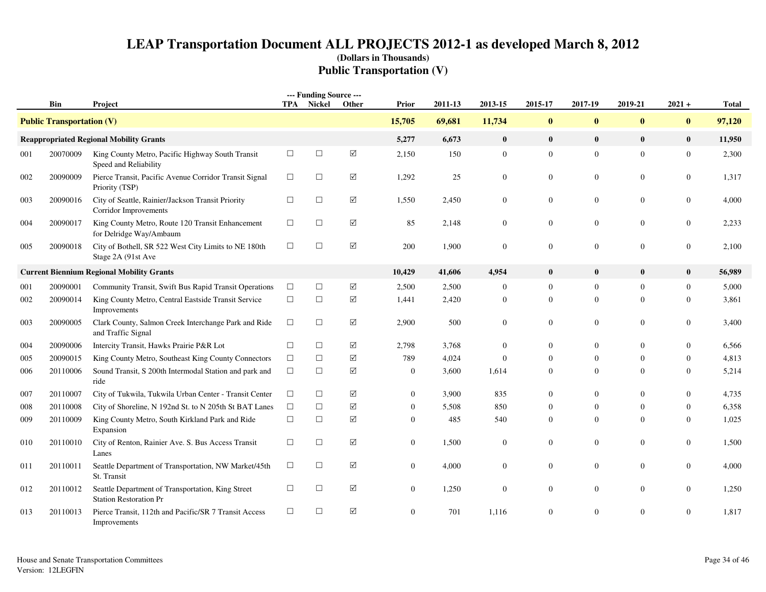# **LEAP Transportation Document ALL PROJECTS 2012-1 as developed March 8, 2012(Dollars in Thousands)Public Transportation (V)**

|     | Bin                              |                                                                                    |        | --- Funding Source ---<br>TPA Nickel | Other                | Prior            | 2011-13 | 2013-15          | 2015-17          | 2017-19          | 2019-21          | $2021 +$         | <b>Total</b> |
|-----|----------------------------------|------------------------------------------------------------------------------------|--------|--------------------------------------|----------------------|------------------|---------|------------------|------------------|------------------|------------------|------------------|--------------|
|     |                                  | Project                                                                            |        |                                      |                      |                  |         |                  |                  |                  |                  |                  |              |
|     | <b>Public Transportation (V)</b> |                                                                                    |        |                                      |                      | 15,705           | 69,681  | 11,734           | $\bf{0}$         | $\bf{0}$         | $\bf{0}$         | $\bf{0}$         | 97,120       |
|     |                                  | <b>Reappropriated Regional Mobility Grants</b>                                     |        |                                      |                      | 5,277            | 6,673   | $\bf{0}$         | $\bf{0}$         | $\bf{0}$         | $\mathbf{0}$     | $\bf{0}$         | 11,950       |
| 001 | 20070009                         | King County Metro, Pacific Highway South Transit<br>Speed and Reliability          | $\Box$ | $\Box$                               | $\boxed{\text{V}}$   | 2,150            | 150     | $\mathbf{0}$     | $\overline{0}$   | $\mathbf{0}$     | $\overline{0}$   | $\mathbf{0}$     | 2,300        |
| 002 | 20090009                         | Pierce Transit, Pacific Avenue Corridor Transit Signal<br>Priority (TSP)           | $\Box$ | $\Box$                               | ☑                    | 1,292            | 25      | $\mathbf{0}$     | $\mathbf{0}$     | $\mathbf{0}$     | $\boldsymbol{0}$ | $\boldsymbol{0}$ | 1,317        |
| 003 | 20090016                         | City of Seattle, Rainier/Jackson Transit Priority<br>Corridor Improvements         | $\Box$ | $\Box$                               | $\boxed{\checkmark}$ | 1,550            | 2,450   | $\boldsymbol{0}$ | $\mathbf{0}$     | $\mathbf{0}$     | $\mathbf{0}$     | $\boldsymbol{0}$ | 4,000        |
| 004 | 20090017                         | King County Metro, Route 120 Transit Enhancement<br>for Delridge Way/Ambaum        | $\Box$ | $\Box$                               | $\boxtimes$          | 85               | 2,148   | $\bf{0}$         | $\boldsymbol{0}$ | $\boldsymbol{0}$ | $\boldsymbol{0}$ | $\boldsymbol{0}$ | 2,233        |
| 005 | 20090018                         | City of Bothell, SR 522 West City Limits to NE 180th<br>Stage 2A (91st Ave         | $\Box$ | $\Box$                               | ☑                    | 200              | 1,900   | $\overline{0}$   | $\mathbf{0}$     | $\mathbf{0}$     | $\overline{0}$   | $\boldsymbol{0}$ | 2,100        |
|     |                                  | <b>Current Biennium Regional Mobility Grants</b>                                   |        |                                      |                      | 10,429           | 41,606  | 4,954            | $\bf{0}$         | $\bf{0}$         | $\bf{0}$         | $\bf{0}$         | 56,989       |
| 001 | 20090001                         | Community Transit, Swift Bus Rapid Transit Operations                              | $\Box$ | $\Box$                               | $\boxed{\checkmark}$ | 2,500            | 2,500   | $\boldsymbol{0}$ | $\overline{0}$   | $\mathbf{0}$     | $\overline{0}$   | $\mathbf{0}$     | 5,000        |
| 002 | 20090014                         | King County Metro, Central Eastside Transit Service<br>Improvements                | $\Box$ | $\Box$                               | ☑                    | 1,441            | 2,420   | $\boldsymbol{0}$ | $\overline{0}$   | $\mathbf{0}$     | $\mathbf{0}$     | $\boldsymbol{0}$ | 3,861        |
| 003 | 20090005                         | Clark County, Salmon Creek Interchange Park and Ride<br>and Traffic Signal         | $\Box$ | $\Box$                               | ☑                    | 2,900            | 500     | $\boldsymbol{0}$ | $\boldsymbol{0}$ | $\mathbf{0}$     | $\boldsymbol{0}$ | $\boldsymbol{0}$ | 3,400        |
| 004 | 20090006                         | Intercity Transit, Hawks Prairie P&R Lot                                           | $\Box$ | $\Box$                               | $\boxed{\checkmark}$ | 2,798            | 3,768   | $\overline{0}$   | $\Omega$         | $\boldsymbol{0}$ | $\theta$         | $\mathbf{0}$     | 6,566        |
| 005 | 20090015                         | King County Metro, Southeast King County Connectors                                | $\Box$ | $\Box$                               | $\boxed{\checkmark}$ | 789              | 4,024   | $\overline{0}$   | $\overline{0}$   | $\boldsymbol{0}$ | $\Omega$         | $\boldsymbol{0}$ | 4,813        |
| 006 | 20110006                         | Sound Transit, S 200th Intermodal Station and park and<br>ride                     | $\Box$ | $\Box$                               | $\sqrt{}$            | $\boldsymbol{0}$ | 3,600   | 1,614            | $\mathbf{0}$     | $\overline{0}$   | $\Omega$         | $\mathbf{0}$     | 5,214        |
| 007 | 20110007                         | City of Tukwila, Tukwila Urban Center - Transit Center                             | $\Box$ | $\Box$                               | $\boxed{\text{V}}$   | $\boldsymbol{0}$ | 3,900   | 835              | $\mathbf{0}$     | $\boldsymbol{0}$ | $\boldsymbol{0}$ | $\boldsymbol{0}$ | 4,735        |
| 008 | 20110008                         | City of Shoreline, N 192nd St. to N 205th St BAT Lanes                             | $\Box$ | $\Box$                               | $\sqrt{}$            | $\overline{0}$   | 5,508   | 850              | $\overline{0}$   | $\overline{0}$   | $\mathbf{0}$     | $\boldsymbol{0}$ | 6,358        |
| 009 | 20110009                         | King County Metro, South Kirkland Park and Ride<br>Expansion                       | $\Box$ | $\Box$                               | ☑                    | $\overline{0}$   | 485     | 540              | $\mathbf{0}$     | $\overline{0}$   | $\Omega$         | $\mathbf{0}$     | 1,025        |
| 010 | 20110010                         | City of Renton, Rainier Ave. S. Bus Access Transit<br>Lanes                        | $\Box$ | $\Box$                               | $\boxtimes$          | $\overline{0}$   | 1,500   | $\bf{0}$         | $\overline{0}$   | $\mathbf{0}$     | $\mathbf{0}$     | $\boldsymbol{0}$ | 1,500        |
| 011 | 20110011                         | Seattle Department of Transportation, NW Market/45th<br>St. Transit                | $\Box$ | $\Box$                               | $\sqrt{}$            | $\overline{0}$   | 4,000   | $\overline{0}$   | $\overline{0}$   | $\overline{0}$   | $\mathbf{0}$     | $\mathbf{0}$     | 4,000        |
| 012 | 20110012                         | Seattle Department of Transportation, King Street<br><b>Station Restoration Pr</b> | $\Box$ | $\Box$                               | $\sqrt{}$            | $\overline{0}$   | 1,250   | $\overline{0}$   | $\overline{0}$   | $\boldsymbol{0}$ | $\mathbf{0}$     | $\boldsymbol{0}$ | 1,250        |
| 013 | 20110013                         | Pierce Transit, 112th and Pacific/SR 7 Transit Access<br>Improvements              | $\Box$ | $\Box$                               | ☑                    | $\mathbf{0}$     | 701     | 1.116            | $\Omega$         | $\theta$         | $\Omega$         | $\mathbf{0}$     | 1.817        |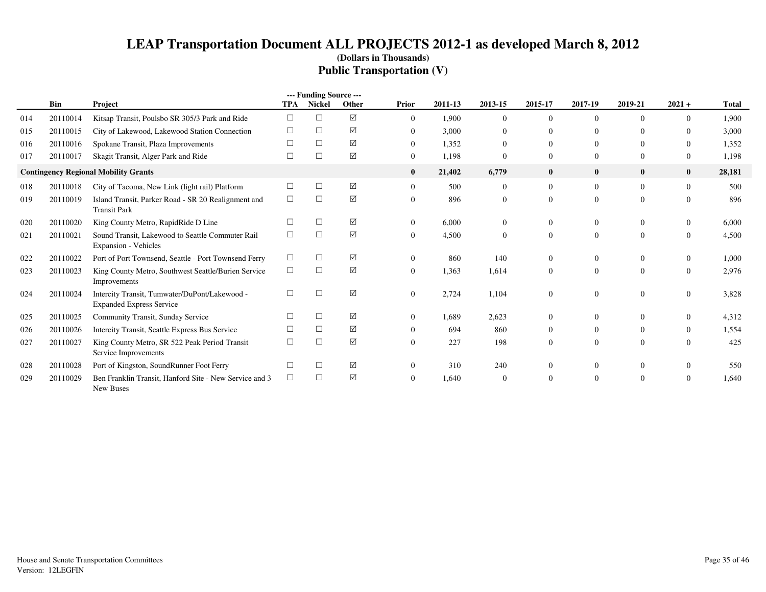# **LEAP Transportation Document ALL PROJECTS 2012-1 as developed March 8, 2012(Dollars in Thousands)Public Transportation (V)**

|     |          |                                                                                  |            | --- Funding Source --- |       |                |         |                |                |          |                |                  |              |
|-----|----------|----------------------------------------------------------------------------------|------------|------------------------|-------|----------------|---------|----------------|----------------|----------|----------------|------------------|--------------|
|     | Bin      | Project                                                                          | <b>TPA</b> | <b>Nickel</b>          | Other | Prior          | 2011-13 | 2013-15        | 2015-17        | 2017-19  | 2019-21        | $2021 +$         | <b>Total</b> |
| 014 | 20110014 | Kitsap Transit, Poulsbo SR 305/3 Park and Ride                                   | $\Box$     | $\Box$                 | ☑     | $\overline{0}$ | 1.900   | $\Omega$       | $\overline{0}$ |          | $\Omega$       | $\Omega$         | 1.900        |
| 015 | 20110015 | City of Lakewood, Lakewood Station Connection                                    |            | □                      | ☑     | $\overline{0}$ | 3,000   | $\Omega$       | $\Omega$       | 0        | $\Omega$       | $\mathbf{0}$     | 3,000        |
| 016 | 20110016 | Spokane Transit, Plaza Improvements                                              |            | □                      | ☑     | $\overline{0}$ | 1.352   | $\Omega$       | $\Omega$       | 0        | $\Omega$       | $\mathbf{0}$     | 1,352        |
| 017 | 20110017 | Skagit Transit, Alger Park and Ride                                              | $\Box$     | $\Box$                 | ☑     | $\overline{0}$ | 1,198   | $\Omega$       | $\overline{0}$ | 0        | $\overline{0}$ | $\boldsymbol{0}$ | 1,198        |
|     |          | <b>Contingency Regional Mobility Grants</b>                                      |            |                        |       | $\bf{0}$       | 21,402  | 6,779          | $\bf{0}$       | $\bf{0}$ | $\bf{0}$       | $\mathbf{0}$     | 28,181       |
| 018 | 20110018 | City of Tacoma, New Link (light rail) Platform                                   | $\Box$     | □                      | ☑     | $\overline{0}$ | 500     | $\overline{0}$ | $\overline{0}$ | $\Omega$ | $\theta$       | $\mathbf{0}$     | 500          |
| 019 | 20110019 | Island Transit, Parker Road - SR 20 Realignment and<br><b>Transit Park</b>       | $\Box$     | □                      | ☑     | $\Omega$       | 896     | $\overline{0}$ | $\overline{0}$ | 0        | $\overline{0}$ | $\Omega$         | 896          |
| 020 | 20110020 | King County Metro, RapidRide D Line                                              |            | $\Box$                 | ☑     | $\overline{0}$ | 6.000   | $\overline{0}$ | $\overline{0}$ | 0        | $\overline{0}$ | $\mathbf{0}$     | 6.000        |
| 021 | 20110021 | Sound Transit, Lakewood to Seattle Commuter Rail<br><b>Expansion - Vehicles</b>  | $\Box$     | $\Box$                 | ☑     | $\overline{0}$ | 4,500   | $\overline{0}$ | $\overline{0}$ | $\Omega$ | $\overline{0}$ | $\mathbf{0}$     | 4,500        |
| 022 | 20110022 | Port of Port Townsend, Seattle - Port Townsend Ferry                             | $\Box$     | $\Box$                 | ☑     | $\Omega$       | 860     | 140            | $\Omega$       | 0        | $\overline{0}$ | $\boldsymbol{0}$ | 1,000        |
| 023 | 20110023 | King County Metro, Southwest Seattle/Burien Service<br>Improvements              | $\Box$     | $\Box$                 | ☑     | $\mathbf{0}$   | 1,363   | 1,614          | $\Omega$       | $\Omega$ | $\overline{0}$ | $\mathbf{0}$     | 2,976        |
| 024 | 20110024 | Intercity Transit, Tumwater/DuPont/Lakewood -<br><b>Expanded Express Service</b> | $\Box$     | □                      | ☑     | $\mathbf{0}$   | 2,724   | 1,104          | $\Omega$       |          | $\theta$       | $\mathbf{0}$     | 3,828        |
| 025 | 20110025 | Community Transit, Sunday Service                                                | П          | $\Box$                 | ☑     | $\Omega$       | 1,689   | 2,623          | $\Omega$       |          | $\Omega$       | $\mathbf{0}$     | 4,312        |
| 026 | 20110026 | Intercity Transit, Seattle Express Bus Service                                   |            | □                      | ☑     | $\Omega$       | 694     | 860            | $\Omega$       | 0        | $\overline{0}$ | $\mathbf{0}$     | 1,554        |
| 027 | 20110027 | King County Metro, SR 522 Peak Period Transit<br>Service Improvements            | $\Box$     | $\Box$                 | ☑     | $\Omega$       | 227     | 198            | $\overline{0}$ | 0        | $\theta$       | $\overline{0}$   | 425          |
| 028 | 20110028 | Port of Kingston, SoundRunner Foot Ferry                                         |            | $\Box$                 | ☑     | $\Omega$       | 310     | 240            | 0              |          | $\Omega$       | $\Omega$         | 550          |
| 029 | 20110029 | Ben Franklin Transit, Hanford Site - New Service and 3<br>New Buses              | $\Box$     | □                      | ☑     | $\Omega$       | 1,640   | $\Omega$       | $\Omega$       |          | $\theta$       | $\Omega$         | 1.640        |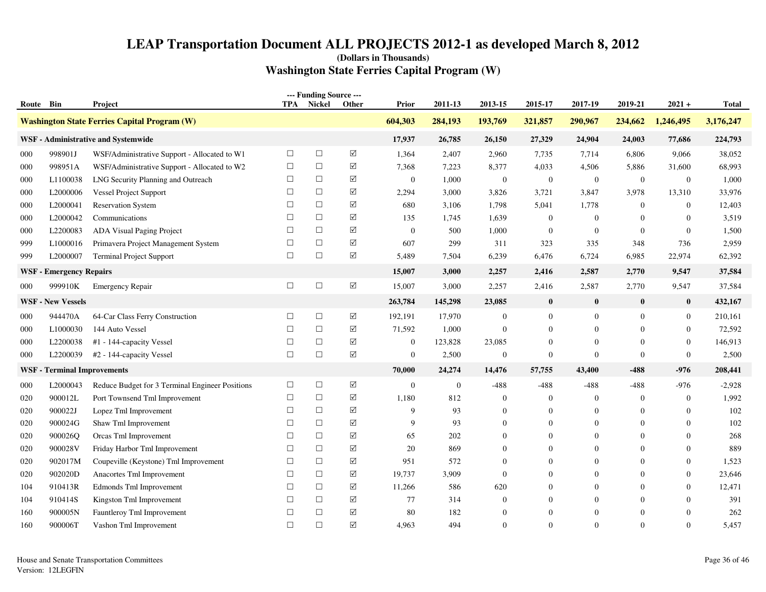|           |                                |                                                     |            | --- Funding Source --- |                      |                |              |                  |                  |                  |                  |                |              |
|-----------|--------------------------------|-----------------------------------------------------|------------|------------------------|----------------------|----------------|--------------|------------------|------------------|------------------|------------------|----------------|--------------|
| Route Bin |                                | Project                                             | <b>TPA</b> | Nickel                 | Other                | Prior          | 2011-13      | 2013-15          | 2015-17          | 2017-19          | 2019-21          | $2021 +$       | <b>Total</b> |
|           |                                | <b>Washington State Ferries Capital Program (W)</b> |            |                        |                      | 604,303        | 284,193      | 193,769          | 321,857          | 290,967          | 234,662          | 1,246,495      | 3,176,247    |
|           |                                | WSF - Administrative and Systemwide                 |            |                        |                      | 17,937         | 26,785       | 26,150           | 27,329           | 24,904           | 24,003           | 77,686         | 224,793      |
| 000       | 998901J                        | WSF/Administrative Support - Allocated to W1        | $\Box$     | $\Box$                 | ☑                    | 1,364          | 2,407        | 2,960            | 7,735            | 7,714            | 6,806            | 9,066          | 38,052       |
| 000       | 998951A                        | WSF/Administrative Support - Allocated to W2        | $\Box$     | $\Box$                 | ☑                    | 7,368          | 7,223        | 8,377            | 4,033            | 4,506            | 5,886            | 31,600         | 68,993       |
| 000       | L1100038                       | LNG Security Planning and Outreach                  | $\Box$     | $\Box$                 | ☑                    | $\overline{0}$ | 1,000        | $\bf{0}$         | $\mathbf{0}$     | $\boldsymbol{0}$ | $\mathbf{0}$     | $\overline{0}$ | 1,000        |
| 000       | L2000006                       | <b>Vessel Project Support</b>                       | $\Box$     | $\Box$                 | ☑                    | 2,294          | 3,000        | 3,826            | 3,721            | 3,847            | 3,978            | 13,310         | 33,976       |
| 000       | L2000041                       | <b>Reservation System</b>                           | $\Box$     | $\Box$                 | ☑                    | 680            | 3,106        | 1,798            | 5,041            | 1,778            | $\mathbf{0}$     | $\overline{0}$ | 12,403       |
| 000       | L2000042                       | Communications                                      | □          | $\Box$                 | ☑                    | 135            | 1,745        | 1,639            | $\mathbf{0}$     | $\theta$         | $\mathbf{0}$     | $\overline{0}$ | 3,519        |
| 000       | L2200083                       | ADA Visual Paging Project                           | $\Box$     | $\Box$                 | ☑                    | $\mathbf{0}$   | 500          | 1,000            | $\boldsymbol{0}$ | $\mathbf{0}$     | $\mathbf{0}$     | $\mathbf{0}$   | 1,500        |
| 999       | L1000016                       | Primavera Project Management System                 | $\Box$     | $\Box$                 | ☑                    | 607            | 299          | 311              | 323              | 335              | 348              | 736            | 2,959        |
| 999       | L2000007                       | <b>Terminal Project Support</b>                     | $\Box$     | $\Box$                 | $\boxtimes$          | 5,489          | 7,504        | 6,239            | 6,476            | 6,724            | 6,985            | 22,974         | 62,392       |
|           | <b>WSF</b> - Emergency Repairs |                                                     |            |                        |                      | 15,007         | 3,000        | 2,257            | 2,416            | 2,587            | 2,770            | 9,547          | 37,584       |
| 000       | 999910K                        | <b>Emergency Repair</b>                             | $\Box$     | $\Box$                 | $\boxed{\checkmark}$ | 15,007         | 3,000        | 2,257            | 2,416            | 2,587            | 2,770            | 9,547          | 37,584       |
|           | <b>WSF - New Vessels</b>       |                                                     |            |                        |                      | 263,784        | 145,298      | 23,085           | $\bf{0}$         | $\bf{0}$         | $\bf{0}$         | $\bf{0}$       | 432,167      |
| 000       | 944470A                        | 64-Car Class Ferry Construction                     | $\Box$     | $\Box$                 | ☑                    | 192,191        | 17,970       | $\mathbf{0}$     | $\mathbf{0}$     | $\boldsymbol{0}$ | $\boldsymbol{0}$ | $\overline{0}$ | 210,161      |
| 000       | L1000030                       | 144 Auto Vessel                                     | $\Box$     | $\Box$                 | $\boxtimes$          | 71,592         | 1,000        | $\mathbf{0}$     | $\mathbf{0}$     | $\mathbf{0}$     | $\mathbf{0}$     | $\overline{0}$ | 72,592       |
| 000       | L2200038                       | #1 - 144-capacity Vessel                            | $\Box$     | $\Box$                 | ☑                    | $\mathbf{0}$   | 123,828      | 23,085           | $\theta$         | $\Omega$         | $\mathbf{0}$     | $\overline{0}$ | 146,913      |
| 000       | L2200039                       | #2 - 144-capacity Vessel                            | $\Box$     | $\Box$                 | ☑                    | $\mathbf{0}$   | 2,500        | $\boldsymbol{0}$ | $\overline{0}$   | $\overline{0}$   | $\boldsymbol{0}$ | $\overline{0}$ | 2,500        |
| WSF-      | <b>Terminal Improvements</b>   |                                                     |            |                        |                      | 70,000         | 24,274       | 14,476           | 57,755           | 43,400           | $-488$           | $-976$         | 208,441      |
| 000       | L2000043                       | Reduce Budget for 3 Terminal Engineer Positions     | $\Box$     | $\Box$                 | ☑                    | $\overline{0}$ | $\mathbf{0}$ | $-488$           | $-488$           | $-488$           | $-488$           | $-976$         | $-2,928$     |
| 020       | 900012L                        | Port Townsend Tml Improvement                       | $\Box$     | $\Box$                 | ☑                    | 1,180          | 812          | $\mathbf{0}$     | $\theta$         | $\mathbf{0}$     | $\boldsymbol{0}$ | $\overline{0}$ | 1,992        |
| 020       | 900022J                        | Lopez Tml Improvement                               | $\Box$     | $\Box$                 | $\boxtimes$          | 9              | 93           | $\Omega$         | $\theta$         | $\Omega$         | $\mathbf{0}$     | $\overline{0}$ | 102          |
| 020       | 900024G                        | Shaw Tml Improvement                                | $\Box$     | $\Box$                 | ☑                    | 9              | 93           | $\Omega$         | $\theta$         | $\Omega$         | $\theta$         | $\overline{0}$ | 102          |
| 020       | 900026Q                        | Orcas Tml Improvement                               | $\Box$     | $\Box$                 | $\boxed{\text{V}}$   | 65             | 202          | $\theta$         | $\theta$         | $\theta$         | $\mathbf{0}$     | $\overline{0}$ | 268          |
| 020       | 900028V                        | Friday Harbor Tml Improvement                       | $\Box$     | $\Box$                 | $\sqrt{}$            | 20             | 869          | $\Omega$         | $\Omega$         | $\Omega$         | $\Omega$         | $\theta$       | 889          |
| 020       | 902017M                        | Coupeville (Keystone) Tml Improvement               | $\Box$     | $\Box$                 | ☑                    | 951            | 572          | $\overline{0}$   | $\Omega$         | $\overline{0}$   | $\theta$         | $\overline{0}$ | 1,523        |
| 020       | 902020D                        | Anacortes Tml Improvement                           | $\Box$     | $\Box$                 | ☑                    | 19,737         | 3,909        | $\mathbf{0}$     | $\theta$         | $\mathbf{0}$     | $\mathbf{0}$     | $\overline{0}$ | 23,646       |
| 104       | 910413R                        | Edmonds Tml Improvement                             | $\Box$     | $\Box$                 | ☑                    | 11,266         | 586          | 620              | $\theta$         | $\theta$         | $\Omega$         | $\overline{0}$ | 12,471       |
| 104       | 910414S                        | Kingston Tml Improvement                            | $\Box$     | $\Box$                 | ☑                    | 77             | 314          | $\mathbf{0}$     | $\Omega$         | $\Omega$         | $\theta$         | $\overline{0}$ | 391          |
| 160       | 900005N                        | Fauntleroy Tml Improvement                          | $\Box$     | $\Box$                 | $\boxed{\checkmark}$ | 80             | 182          | $\mathbf{0}$     | $\overline{0}$   | $\theta$         | $\overline{0}$   | $\overline{0}$ | 262          |
| 160       | 900006T                        | Vashon Tml Improvement                              | $\Box$     | $\Box$                 | ☑                    | 4,963          | 494          | $\theta$         | $\Omega$         | $\Omega$         | $\Omega$         | $\theta$       | 5,457        |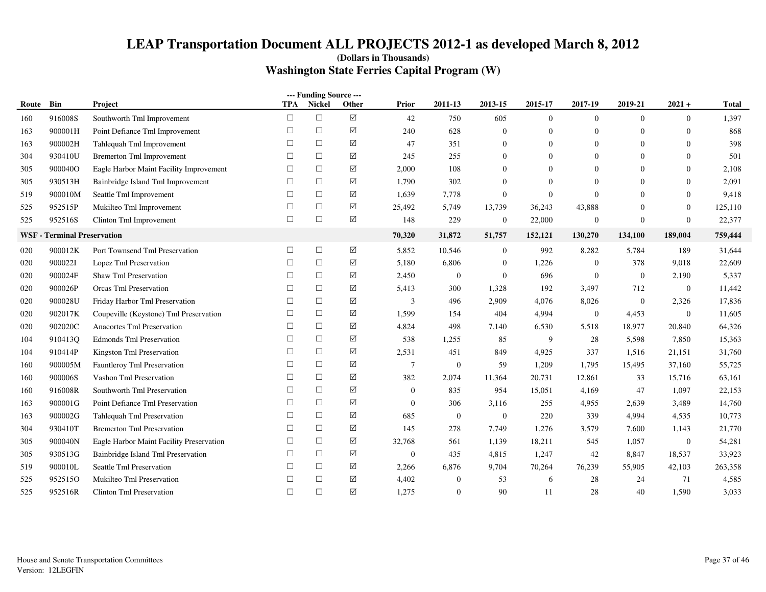| --- Funding Source --- |                                    |                                          |        |        |          |                |                |                  |                |                  |                |                  |              |
|------------------------|------------------------------------|------------------------------------------|--------|--------|----------|----------------|----------------|------------------|----------------|------------------|----------------|------------------|--------------|
| Route                  | Bin                                | Project                                  | TPA    | Nickel | Other    | <b>Prior</b>   | 2011-13        | 2013-15          | 2015-17        | 2017-19          | 2019-21        | $2021 +$         | <b>Total</b> |
| 160                    | 916008S                            | Southworth Tml Improvement               | $\Box$ | $\Box$ | $\Delta$ | 42             | 750            | 605              | $\mathbf{0}$   | $\overline{0}$   | $\overline{0}$ | $\overline{0}$   | 1,397        |
| 163                    | 900001H                            | Point Defiance Tml Improvement           | $\Box$ | $\Box$ | ☑        | 240            | 628            | $\mathbf{0}$     | $\theta$       | $\overline{0}$   | $\overline{0}$ | $\mathbf{0}$     | 868          |
| 163                    | 900002H                            | Tahlequah Tml Improvement                | $\Box$ | $\Box$ | ☑        | 47             | 351            | $\overline{0}$   | $\theta$       | $\Omega$         | $\overline{0}$ | $\mathbf{0}$     | 398          |
| 304                    | 930410U                            | <b>Bremerton Tml Improvement</b>         | □      | $\Box$ | ☑        | 245            | 255            | $\Omega$         | $\Omega$       | $\Omega$         | $\Omega$       | $\Omega$         | 501          |
| 305                    | 900040O                            | Eagle Harbor Maint Facility Improvement  | $\Box$ | $\Box$ | ☑        | 2,000          | 108            | $\overline{0}$   | $\overline{0}$ | $\overline{0}$   | $\Omega$       | $\mathbf{0}$     | 2,108        |
| 305                    | 930513H                            | Bainbridge Island Tml Improvement        | $\Box$ | $\Box$ | ☑        | 1,790          | 302            | $\mathbf{0}$     | $\theta$       | $\overline{0}$   | $\overline{0}$ | $\mathbf{0}$     | 2,091        |
| 519                    | 900010M                            | Seattle Tml Improvement                  | $\Box$ | $\Box$ | ☑        | 1,639          | 7,778          | $\mathbf{0}$     | $\mathbf{0}$   | $\Omega$         | $\Omega$       | $\mathbf{0}$     | 9,418        |
| 525                    | 952515P                            | Mukilteo Tml Improvement                 | $\Box$ | $\Box$ | ☑        | 25,492         | 5,749          | 13,739           | 36,243         | 43,888           | $\Omega$       | $\mathbf{0}$     | 125,110      |
| 525                    | 952516S                            | Clinton Tml Improvement                  | $\Box$ | $\Box$ | ☑        | 148            | 229            | $\boldsymbol{0}$ | 22,000         | $\boldsymbol{0}$ | $\overline{0}$ | $\boldsymbol{0}$ | 22,377       |
|                        | <b>WSF</b> - Terminal Preservation |                                          |        |        |          | 70,320         | 31,872         | 51,757           | 152,121        | 130,270          | 134,100        | 189,004          | 759,444      |
| 020                    | 900012K                            | Port Townsend Tml Preservation           | $\Box$ | $\Box$ | $\Delta$ | 5,852          | 10,546         | $\mathbf{0}$     | 992            | 8,282            | 5,784          | 189              | 31,644       |
| 020                    | 9000221                            | Lopez Tml Preservation                   | $\Box$ | $\Box$ | ☑        | 5,180          | 6,806          | $\boldsymbol{0}$ | 1,226          | $\boldsymbol{0}$ | 378            | 9,018            | 22,609       |
| 020                    | 900024F                            | <b>Shaw Tml Preservation</b>             | □      | $\Box$ | ☑        | 2,450          | $\overline{0}$ | $\boldsymbol{0}$ | 696            | $\overline{0}$   | $\mathbf{0}$   | 2,190            | 5,337        |
| 020                    | 900026P                            | <b>Orcas Tml Preservation</b>            | $\Box$ | $\Box$ | ☑        | 5,413          | 300            | 1,328            | 192            | 3,497            | 712            | $\mathbf{0}$     | 11,442       |
| 020                    | 900028U                            | Friday Harbor Tml Preservation           | $\Box$ | $\Box$ | ☑        | 3              | 496            | 2,909            | 4,076          | 8,026            | $\overline{0}$ | 2,326            | 17,836       |
| 020                    | 902017K                            | Coupeville (Keystone) Tml Preservation   | $\Box$ | $\Box$ | ☑        | 1,599          | 154            | 404              | 4,994          | $\overline{0}$   | 4,453          | $\mathbf{0}$     | 11,605       |
| 020                    | 902020C                            | Anacortes Tml Preservation               | $\Box$ | $\Box$ | ☑        | 4,824          | 498            | 7,140            | 6,530          | 5,518            | 18,977         | 20,840           | 64,326       |
| 104                    | 910413Q                            | <b>Edmonds Tml Preservation</b>          | $\Box$ | $\Box$ | ☑        | 538            | 1,255          | 85               | 9              | 28               | 5,598          | 7,850            | 15,363       |
| 104                    | 910414P                            | Kingston Tml Preservation                | $\Box$ | $\Box$ | ☑        | 2,531          | 451            | 849              | 4,925          | 337              | 1,516          | 21,151           | 31,760       |
| 160                    | 900005M                            | Fauntleroy Tml Preservation              | $\Box$ | $\Box$ | ☑        | $\overline{7}$ | $\overline{0}$ | 59               | 1,209          | 1,795            | 15,495         | 37,160           | 55,725       |
| 160                    | 900006S                            | Vashon Tml Preservation                  | $\Box$ | $\Box$ | ☑        | 382            | 2,074          | 11,364           | 20,731         | 12,861           | 33             | 15,716           | 63,161       |
| 160                    | 916008R                            | Southworth Tml Preservation              | $\Box$ | $\Box$ | $\Delta$ | $\mathbf{0}$   | 835            | 954              | 15,051         | 4,169            | 47             | 1,097            | 22,153       |
| 163                    | 900001G                            | Point Defiance Tml Preservation          | □      | $\Box$ | ☑        | $\mathbf{0}$   | 306            | 3,116            | 255            | 4,955            | 2,639          | 3,489            | 14,760       |
| 163                    | 900002G                            | Tahlequah Tml Preservation               | $\Box$ | $\Box$ | ☑        | 685            | $\overline{0}$ | $\overline{0}$   | 220            | 339              | 4,994          | 4,535            | 10,773       |
| 304                    | 930410T                            | <b>Bremerton Tml Preservation</b>        | $\Box$ | $\Box$ | ☑        | 145            | 278            | 7,749            | 1,276          | 3,579            | 7.600          | 1,143            | 21,770       |
| 305                    | 900040N                            | Eagle Harbor Maint Facility Preservation | $\Box$ | $\Box$ | ☑        | 32,768         | 561            | 1,139            | 18,211         | 545              | 1,057          | $\mathbf{0}$     | 54,281       |
| 305                    | 930513G                            | Bainbridge Island Tml Preservation       | $\Box$ | $\Box$ | ☑        | $\mathbf{0}$   | 435            | 4,815            | 1,247          | 42               | 8,847          | 18,537           | 33,923       |
| 519                    | 900010L                            | Seattle Tml Preservation                 | □      | $\Box$ | ☑        | 2,266          | 6,876          | 9,704            | 70,264         | 76,239           | 55,905         | 42,103           | 263,358      |
| 525                    | 952515O                            | Mukilteo Tml Preservation                | $\Box$ | $\Box$ | ☑        | 4,402          | $\mathbf{0}$   | 53               | 6              | 28               | 24             | 71               | 4,585        |
| 525                    | 952516R                            | <b>Clinton Tml Preservation</b>          | $\Box$ | $\Box$ | ☑        | 1,275          | $\Omega$       | 90               | 11             | 28               | 40             | 1,590            | 3,033        |
|                        |                                    |                                          |        |        |          |                |                |                  |                |                  |                |                  |              |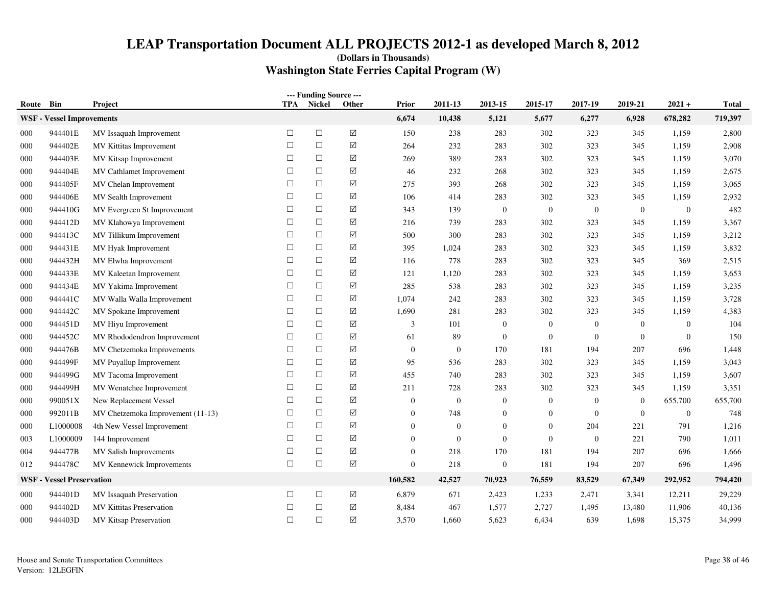| Route | Bin                              | Project                           | <b>TPA</b> | --- Funding Source ---<br>Nickel | Other                | <b>Prior</b>     | 2011-13          | 2013-15          | 2015-17          | 2017-19          | 2019-21        | $2021 +$         | <b>Total</b> |
|-------|----------------------------------|-----------------------------------|------------|----------------------------------|----------------------|------------------|------------------|------------------|------------------|------------------|----------------|------------------|--------------|
|       | <b>WSF</b> - Vessel Improvements |                                   |            |                                  |                      | 6,674            | 10,438           | 5,121            | 5,677            | 6,277            | 6,928          | 678,282          | 719,397      |
| 000   | 944401E                          | MV Issaquah Improvement           | $\Box$     | $\Box$                           | $\boxed{\text{V}}$   | 150              | 238              | 283              | 302              | 323              | 345            | 1,159            | 2,800        |
| 000   | 944402E                          | MV Kittitas Improvement           | $\Box$     | $\Box$                           | $\boxed{\checkmark}$ | 264              | 232              | 283              | 302              | 323              | 345            | 1,159            | 2,908        |
| 000   | 944403E                          | MV Kitsap Improvement             | $\Box$     | $\Box$                           | ☑                    | 269              | 389              | 283              | 302              | 323              | 345            | 1,159            | 3,070        |
| 000   | 944404E                          | MV Cathlamet Improvement          | $\Box$     | $\Box$                           | $\boxed{\text{V}}$   | 46               | 232              | 268              | 302              | 323              | 345            | 1,159            | 2,675        |
| 000   | 944405F                          | MV Chelan Improvement             | $\Box$     | $\Box$                           | ☑                    | 275              | 393              | 268              | 302              | 323              | 345            | 1,159            | 3,065        |
| 000   | 944406E                          | MV Sealth Improvement             | $\Box$     | $\Box$                           | ☑                    | 106              | 414              | 283              | 302              | 323              | 345            | 1,159            | 2,932        |
| 000   | 944410G                          | MV Evergreen St Improvement       | $\Box$     | $\Box$                           | ☑                    | 343              | 139              | $\overline{0}$   | $\boldsymbol{0}$ | $\mathbf{0}$     | $\mathbf{0}$   | $\boldsymbol{0}$ | 482          |
| 000   | 944412D                          | MV Klahowya Improvement           | $\Box$     | $\Box$                           | $\boxed{\text{V}}$   | 216              | 739              | 283              | 302              | 323              | 345            | 1,159            | 3,367        |
| 000   | 944413C                          | MV Tillikum Improvement           | $\Box$     | $\Box$                           | $\boxed{\checkmark}$ | 500              | 300              | 283              | 302              | 323              | 345            | 1,159            | 3,212        |
| 000   | 944431E                          | MV Hyak Improvement               | $\Box$     | $\Box$                           | ☑                    | 395              | 1,024            | 283              | 302              | 323              | 345            | 1,159            | 3,832        |
| 000   | 944432H                          | MV Elwha Improvement              | $\Box$     | $\Box$                           | $\boxed{\checkmark}$ | 116              | 778              | 283              | 302              | 323              | 345            | 369              | 2,515        |
| 000   | 944433E                          | MV Kaleetan Improvement           | $\Box$     | $\Box$                           | ☑                    | 121              | 1,120            | 283              | 302              | 323              | 345            | 1,159            | 3,653        |
| 000   | 944434E                          | MV Yakima Improvement             | $\Box$     | $\Box$                           | ☑                    | 285              | 538              | 283              | 302              | 323              | 345            | 1,159            | 3,235        |
| 000   | 944441C                          | MV Walla Walla Improvement        | $\Box$     | $\Box$                           | ☑                    | 1,074            | 242              | 283              | 302              | 323              | 345            | 1,159            | 3,728        |
| 000   | 944442C                          | MV Spokane Improvement            | $\Box$     | $\Box$                           | ☑                    | 1,690            | 281              | 283              | 302              | 323              | 345            | 1,159            | 4,383        |
| 000   | 944451D                          | MV Hiyu Improvement               | $\Box$     | $\Box$                           | $\boxed{\checkmark}$ | 3                | 101              | $\overline{0}$   | $\boldsymbol{0}$ | $\mathbf{0}$     | $\overline{0}$ | $\mathbf{0}$     | 104          |
| 000   | 944452C                          | MV Rhododendron Improvement       | П          | $\Box$                           | ☑                    | 61               | 89               | $\overline{0}$   | $\boldsymbol{0}$ | $\overline{0}$   | $\overline{0}$ | $\boldsymbol{0}$ | 150          |
| 000   | 944476B                          | MV Chetzemoka Improvements        | $\Box$     | $\Box$                           | $\boxed{\checkmark}$ | $\mathbf{0}$     | $\boldsymbol{0}$ | 170              | 181              | 194              | 207            | 696              | 1,448        |
| 000   | 944499F                          | MV Puyallup Improvement           | $\Box$     | $\Box$                           | $\boxed{\checkmark}$ | 95               | 536              | 283              | 302              | 323              | 345            | 1,159            | 3,043        |
| 000   | 944499G                          | MV Tacoma Improvement             | $\Box$     | $\Box$                           | ☑                    | 455              | 740              | 283              | 302              | 323              | 345            | 1,159            | 3,607        |
| 000   | 944499H                          | MV Wenatchee Improvement          | $\Box$     | $\Box$                           | ☑                    | 211              | 728              | 283              | 302              | 323              | 345            | 1,159            | 3,351        |
| 000   | 990051X                          | New Replacement Vessel            | $\Box$     | $\Box$                           | $\boxed{\text{V}}$   | $\overline{0}$   | $\mathbf{0}$     | $\overline{0}$   | $\boldsymbol{0}$ | $\boldsymbol{0}$ | $\overline{0}$ | 655,700          | 655,700      |
| 000   | 992011B                          | MV Chetzemoka Improvement (11-13) | $\Box$     | $\Box$                           | $\boxed{\checkmark}$ | $\boldsymbol{0}$ | 748              | $\mathbf{0}$     | $\boldsymbol{0}$ | $\overline{0}$   | $\overline{0}$ | $\mathbf{0}$     | 748          |
| 000   | L1000008                         | 4th New Vessel Improvement        | $\Box$     | $\Box$                           | $\boxed{\checkmark}$ | $\overline{0}$   | $\theta$         | $\mathbf{0}$     | $\mathbf{0}$     | 204              | 221            | 791              | 1,216        |
| 003   | L1000009                         | 144 Improvement                   | $\Box$     | $\Box$                           | ☑                    | $\overline{0}$   | $\mathbf{0}$     | $\mathbf{0}$     | $\boldsymbol{0}$ | $\overline{0}$   | 221            | 790              | 1,011        |
| 004   | 944477B                          | MV Salish Improvements            | $\Box$     | $\Box$                           | $\boxed{\checkmark}$ | $\overline{0}$   | 218              | 170              | 181              | 194              | 207            | 696              | 1,666        |
| 012   | 944478C                          | MV Kennewick Improvements         | $\Box$     | $\Box$                           | $\boxed{\text{V}}$   | $\overline{0}$   | 218              | $\boldsymbol{0}$ | 181              | 194              | 207            | 696              | 1,496        |
|       | <b>WSF - Vessel Preservation</b> |                                   |            |                                  |                      | 160,582          | 42,527           | 70,923           | 76,559           | 83,529           | 67,349         | 292,952          | 794,420      |
| 000   | 944401D                          | MV Issaquah Preservation          | $\Box$     | $\Box$                           | ☑                    | 6,879            | 671              | 2,423            | 1,233            | 2,471            | 3,341          | 12,211           | 29,229       |
| 000   | 944402D                          | <b>MV Kittitas Preservation</b>   | $\Box$     | $\Box$                           | $\boxed{\checkmark}$ | 8,484            | 467              | 1,577            | 2,727            | 1,495            | 13,480         | 11,906           | 40,136       |
| 000   | 944403D                          | MV Kitsap Preservation            | $\Box$     | $\Box$                           | ☑                    | 3,570            | 1,660            | 5,623            | 6,434            | 639              | 1,698          | 15,375           | 34,999       |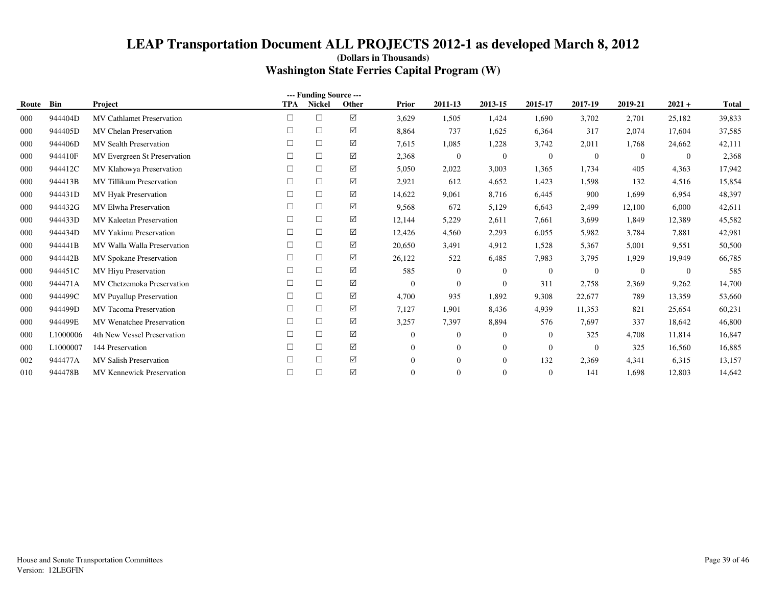| --- Funding Source --- |          |                                  |            |               |             |                  |                |                |                |                |                |                |              |
|------------------------|----------|----------------------------------|------------|---------------|-------------|------------------|----------------|----------------|----------------|----------------|----------------|----------------|--------------|
| Route                  | Bin      | Project                          | <b>TPA</b> | <b>Nickel</b> | Other       | Prior            | 2011-13        | 2013-15        | 2015-17        | 2017-19        | 2019-21        | $2021 +$       | <b>Total</b> |
| 000                    | 944404D  | <b>MV Cathlamet Preservation</b> | $\Box$     | $\Box$        | $\Delta$    | 3,629            | 1,505          | 1,424          | 1,690          | 3,702          | 2,701          | 25,182         | 39,833       |
| 000                    | 944405D  | MV Chelan Preservation           | □          | $\Box$        | ☑           | 8,864            | 737            | 1,625          | 6,364          | 317            | 2,074          | 17,604         | 37,585       |
| 000                    | 944406D  | <b>MV</b> Sealth Preservation    |            | $\Box$        | ☑           | 7,615            | 1,085          | 1,228          | 3,742          | 2,011          | 1,768          | 24,662         | 42,111       |
| 000                    | 944410F  | MV Evergreen St Preservation     | П          | $\Box$        | ☑           | 2,368            | $\overline{0}$ | $\overline{0}$ | $\overline{0}$ | $\mathbf{0}$   | $\overline{0}$ | $\overline{0}$ | 2,368        |
| 000                    | 944412C  | MV Klahowya Preservation         |            | $\Box$        | ☑           | 5,050            | 2,022          | 3,003          | 1,365          | 1,734          | 405            | 4,363          | 17,942       |
| 000                    | 944413B  | <b>MV Tillikum Preservation</b>  | □          | $\Box$        | ☑           | 2,921            | 612            | 4,652          | 1,423          | 1,598          | 132            | 4,516          | 15,854       |
| 000                    | 944431D  | <b>MV Hyak Preservation</b>      |            | $\Box$        | ☑           | 14,622           | 9,061          | 8,716          | 6,445          | 900            | 1,699          | 6,954          | 48,397       |
| 000                    | 944432G  | <b>MV Elwha Preservation</b>     | П          | $\Box$        | ☑           | 9,568            | 672            | 5,129          | 6,643          | 2,499          | 12,100         | 6,000          | 42,611       |
| 000                    | 944433D  | MV Kaleetan Preservation         |            | $\Box$        | ☑           | 12,144           | 5,229          | 2,611          | 7,661          | 3,699          | 1.849          | 12,389         | 45,582       |
| 000                    | 944434D  | MV Yakima Preservation           | □          | $\Box$        | ☑           | 12,426           | 4,560          | 2,293          | 6,055          | 5,982          | 3,784          | 7,881          | 42,981       |
| 000                    | 944441B  | MV Walla Walla Preservation      |            | $\Box$        | ☑           | 20,650           | 3,491          | 4.912          | 1,528          | 5,367          | 5,001          | 9,551          | 50,500       |
| 000                    | 944442B  | <b>MV Spokane Preservation</b>   | П          | $\Box$        | ☑           | 26,122           | 522            | 6.485          | 7,983          | 3,795          | 1.929          | 19,949         | 66,785       |
| 000                    | 944451C  | MV Hiyu Preservation             |            | $\Box$        | ☑           | 585              | $\overline{0}$ | $\Omega$       | $\overline{0}$ | $\overline{0}$ | $\overline{0}$ | $\overline{0}$ | 585          |
| 000                    | 944471A  | MV Chetzemoka Preservation       |            | $\Box$        | ☑           | $\overline{0}$   | $\overline{0}$ | $\mathbf{0}$   | 311            | 2,758          | 2,369          | 9,262          | 14,700       |
| 000                    | 944499C  | <b>MV Puyallup Preservation</b>  |            | $\Box$        | ☑           | 4,700            | 935            | 1,892          | 9,308          | 22,677         | 789            | 13,359         | 53,660       |
| 000                    | 944499D  | <b>MV</b> Tacoma Preservation    | П          | $\Box$        | ☑           | 7,127            | 1,901          | 8,436          | 4,939          | 11,353         | 821            | 25,654         | 60,231       |
| 000                    | 944499E  | <b>MV</b> Wenatchee Preservation |            | $\Box$        | ☑           | 3,257            | 7,397          | 8,894          | 576            | 7,697          | 337            | 18,642         | 46,800       |
| 000                    | L1000006 | 4th New Vessel Preservation      |            | $\Box$        | ☑           | $\boldsymbol{0}$ | $\overline{0}$ | $\mathbf{0}$   | $\mathbf{0}$   | 325            | 4,708          | 11,814         | 16,847       |
| 000                    | L1000007 | 144 Preservation                 |            | $\Box$        | ☑           | $\overline{0}$   | $\overline{0}$ | $\mathbf{0}$   | $\overline{0}$ | $\overline{0}$ | 325            | 16,560         | 16,885       |
| 002                    | 944477A  | <b>MV Salish Preservation</b>    |            | $\Box$        | ☑           | $\overline{0}$   | $\Omega$       | $\Omega$       | 132            | 2,369          | 4,341          | 6,315          | 13,157       |
| 010                    | 944478B  | <b>MV Kennewick Preservation</b> | П          | $\Box$        | $\boxtimes$ | $\overline{0}$   | $\mathbf{0}$   | $\Omega$       | $\overline{0}$ | 141            | 1,698          | 12,803         | 14,642       |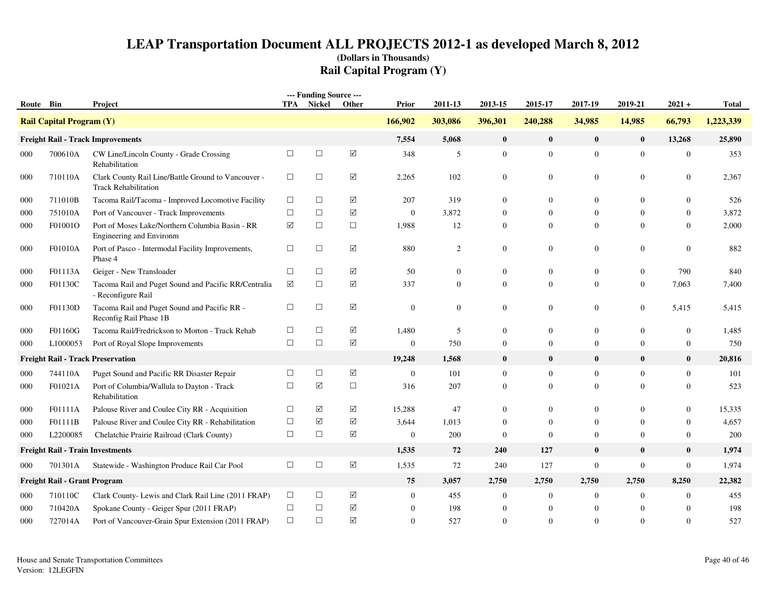| Route Bin |                                     | Project                                                                            |        | --- Funding Source ---<br><b>TPA</b> Nickel | Other                | Prior          | 2011-13      | 2013-15          | 2015-17          | 2017-19          | 2019-21        | $2021 +$         | <b>Total</b> |
|-----------|-------------------------------------|------------------------------------------------------------------------------------|--------|---------------------------------------------|----------------------|----------------|--------------|------------------|------------------|------------------|----------------|------------------|--------------|
|           |                                     |                                                                                    |        |                                             |                      | 166,902        | 303,086      | 396,301          | 240,288          | 34,985           | 14,985         | 66,793           | 1,223,339    |
|           | <b>Rail Capital Program (Y)</b>     |                                                                                    |        |                                             |                      |                |              |                  |                  |                  |                |                  |              |
|           |                                     | <b>Freight Rail - Track Improvements</b>                                           |        |                                             |                      | 7,554          | 5,068        | $\bf{0}$         | $\bf{0}$         | $\bf{0}$         | $\bf{0}$       | 13,268           | 25,890       |
| 000       | 700610A                             | CW Line/Lincoln County - Grade Crossing<br>Rehabilitation                          | $\Box$ | $\Box$                                      | $\boxed{\text{V}}$   | 348            | 5            | $\mathbf{0}$     | $\boldsymbol{0}$ | $\overline{0}$   | $\mathbf{0}$   | $\boldsymbol{0}$ | 353          |
| 000       | 710110A                             | Clark County Rail Line/Battle Ground to Vancouver -<br><b>Track Rehabilitation</b> | $\Box$ | $\Box$                                      | $\boxed{\checkmark}$ | 2,265          | 102          | $\boldsymbol{0}$ | $\mathbf{0}$     | $\boldsymbol{0}$ | 0              | $\boldsymbol{0}$ | 2,367        |
| 000       | 711010B                             | Tacoma Rail/Tacoma - Improved Locomotive Facility                                  | $\Box$ | $\Box$                                      | $\boxed{\checkmark}$ | 207            | 319          | $\mathbf{0}$     | $\mathbf{0}$     | $\boldsymbol{0}$ | $\Omega$       | $\Omega$         | 526          |
| 000       | 751010A                             | Port of Vancouver - Track Improvements                                             | $\Box$ | $\Box$                                      | $\boxed{\checkmark}$ | $\overline{0}$ | 3,872        | $\Omega$         | $\Omega$         | $\mathbf{0}$     | $\Omega$       | $\Omega$         | 3,872        |
| 000       | F01001O                             | Port of Moses Lake/Northern Columbia Basin - RR<br>Engineering and Environm        | ☑      | $\Box$                                      | $\Box$               | 1,988          | 12           | $\mathbf{0}$     | $\mathbf{0}$     | $\mathbf{0}$     | $\Omega$       | $\theta$         | 2,000        |
| 000       | F01010A                             | Port of Pasco - Intermodal Facility Improvements,<br>Phase 4                       | $\Box$ | $\Box$                                      | $\boxed{\checkmark}$ | 880            | 2            | $\mathbf{0}$     | $\boldsymbol{0}$ | $\boldsymbol{0}$ | 0              | $\overline{0}$   | 882          |
| 000       | F01113A                             | Geiger - New Transloader                                                           | $\Box$ | $\Box$                                      | $\boxed{\checkmark}$ | 50             | $\mathbf{0}$ | $\mathbf{0}$     | $\mathbf{0}$     | $\mathbf{0}$     | $\overline{0}$ | 790              | 840          |
| 000       | F01130C                             | Tacoma Rail and Puget Sound and Pacific RR/Centralia<br>- Reconfigure Rail         | ☑      | $\Box$                                      | ☑                    | 337            | $\mathbf{0}$ | $\mathbf{0}$     | $\mathbf{0}$     | $\overline{0}$   | $\overline{0}$ | 7,063            | 7,400        |
| 000       | F01130D                             | Tacoma Rail and Puget Sound and Pacific RR -<br>Reconfig Rail Phase 1B             | $\Box$ | $\Box$                                      | ☑                    | $\overline{0}$ | $\mathbf{0}$ | $\boldsymbol{0}$ | $\mathbf{0}$     | $\boldsymbol{0}$ | $\overline{0}$ | 5,415            | 5,415        |
| 000       | F01160G                             | Tacoma Rail/Fredrickson to Morton - Track Rehab                                    | $\Box$ | $\Box$                                      | ☑                    | 1,480          | 5            | $\mathbf{0}$     | $\mathbf{0}$     | $\boldsymbol{0}$ | $\overline{0}$ | $\boldsymbol{0}$ | 1,485        |
| 000       | L1000053                            | Port of Royal Slope Improvements                                                   | $\Box$ | $\Box$                                      | $\boxed{\checkmark}$ | $\overline{0}$ | 750          | $\mathbf{0}$     | $\mathbf{0}$     | $\mathbf{0}$     | $\overline{0}$ | $\overline{0}$   | 750          |
|           |                                     | <b>Freight Rail - Track Preservation</b>                                           |        |                                             |                      | 19,248         | 1,568        | $\bf{0}$         | $\bf{0}$         | $\bf{0}$         | $\mathbf{0}$   | $\bf{0}$         | 20,816       |
| 000       | 744110A                             | Puget Sound and Pacific RR Disaster Repair                                         | $\Box$ | $\Box$                                      | ☑                    | $\overline{0}$ | 101          | $\overline{0}$   | $\mathbf{0}$     | $\boldsymbol{0}$ | $\overline{0}$ | $\mathbf{0}$     | 101          |
| 000       | F01021A                             | Port of Columbia/Wallula to Dayton - Track<br>Rehabilitation                       | $\Box$ | $\triangledown$                             | $\Box$               | 316            | 207          | $\Omega$         | $\mathbf{0}$     | $\overline{0}$   | $\Omega$       | $\Omega$         | 523          |
| 000       | F01111A                             | Palouse River and Coulee City RR - Acquisition                                     | $\Box$ | ☑                                           | ☑                    | 15,288         | 47           | $\Omega$         | $\Omega$         | $\overline{0}$   | $\Omega$       | $\overline{0}$   | 15,335       |
| 000       | F01111B                             | Palouse River and Coulee City RR - Rehabilitation                                  | $\Box$ | $\triangledown$                             | $\boxed{\checkmark}$ | 3,644          | 1,013        | $\Omega$         | $\overline{0}$   | $\mathbf{0}$     | $\Omega$       | $\overline{0}$   | 4,657        |
| 000       | L2200085                            | Chelatchie Prairie Railroad (Clark County)                                         | $\Box$ | $\Box$                                      | ☑                    | $\overline{0}$ | 200          | $\theta$         | $\mathbf{0}$     | $\mathbf{0}$     | $\Omega$       | $\overline{0}$   | 200          |
|           |                                     | <b>Freight Rail - Train Investments</b>                                            |        |                                             |                      | 1,535          | 72           | 240              | 127              | $\bf{0}$         | $\bf{0}$       | $\bf{0}$         | 1,974        |
| 000       | 701301A                             | Statewide - Washington Produce Rail Car Pool                                       | $\Box$ | $\Box$                                      | $\boxed{\text{V}}$   | 1,535          | 72           | 240              | 127              | $\boldsymbol{0}$ | $\mathbf{0}$   | $\boldsymbol{0}$ | 1,974        |
|           | <b>Freight Rail - Grant Program</b> |                                                                                    |        |                                             |                      | 75             | 3,057        | 2,750            | 2,750            | 2,750            | 2,750          | 8,250            | 22,382       |
| 000       | 710110C                             | Clark County- Lewis and Clark Rail Line (2011 FRAP)                                | $\Box$ | $\Box$                                      | $\boxed{\checkmark}$ | $\overline{0}$ | 455          | $\mathbf{0}$     | $\mathbf{0}$     | $\boldsymbol{0}$ | $\overline{0}$ | $\overline{0}$   | 455          |
| 000       | 710420A                             | Spokane County - Geiger Spur (2011 FRAP)                                           | $\Box$ | $\Box$                                      | $\boxed{\text{V}}$   | $\overline{0}$ | 198          | $\mathbf{0}$     | $\boldsymbol{0}$ | $\mathbf{0}$     | $\overline{0}$ | $\Omega$         | 198          |
| 000       | 727014A                             | Port of Vancouver-Grain Spur Extension (2011 FRAP)                                 | $\Box$ | $\Box$                                      | $\boxed{\mathsf{v}}$ | $\Omega$       | 527          | $\Omega$         | $\Omega$         | $\Omega$         | $\Omega$       | $\Omega$         | 527          |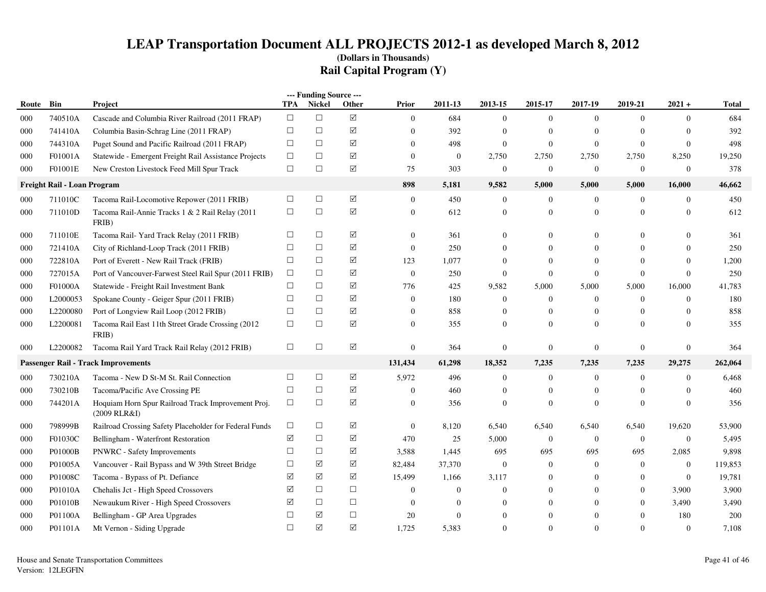|       | --- Funding Source ---<br><b>TPA</b><br>2011-13<br>2015-17<br>2019-21<br>$2021 +$<br>Bin<br>Nickel<br>Other<br><b>Prior</b><br>2013-15<br>2017-19<br><b>Total</b><br>Project |                                                                    |        |        |                      |                  |                |                  |                  |                  |                |                  |         |
|-------|------------------------------------------------------------------------------------------------------------------------------------------------------------------------------|--------------------------------------------------------------------|--------|--------|----------------------|------------------|----------------|------------------|------------------|------------------|----------------|------------------|---------|
| Route |                                                                                                                                                                              |                                                                    |        |        |                      |                  |                |                  |                  |                  |                |                  |         |
| 000   | 740510A                                                                                                                                                                      | Cascade and Columbia River Railroad (2011 FRAP)                    | $\Box$ | $\Box$ | $\boxed{\mathbf{v}}$ | $\overline{0}$   | 684            | $\boldsymbol{0}$ | $\mathbf{0}$     | $\overline{0}$   | $\mathbf{0}$   | $\overline{0}$   | 684     |
| 000   | 741410A                                                                                                                                                                      | Columbia Basin-Schrag Line (2011 FRAP)                             | $\Box$ | $\Box$ | ☑                    | $\mathbf{0}$     | 392            | $\overline{0}$   | $\boldsymbol{0}$ | $\overline{0}$   | $\overline{0}$ | $\theta$         | 392     |
| 000   | 744310A                                                                                                                                                                      | Puget Sound and Pacific Railroad (2011 FRAP)                       | $\Box$ | $\Box$ | ☑                    | $\mathbf{0}$     | 498            | $\mathbf{0}$     | $\boldsymbol{0}$ | $\mathbf{0}$     | $\overline{0}$ | $\overline{0}$   | 498     |
| 000   | F01001A                                                                                                                                                                      | Statewide - Emergent Freight Rail Assistance Projects              | $\Box$ | $\Box$ | ☑                    | $\mathbf{0}$     | $\mathbf{0}$   | 2,750            | 2,750            | 2,750            | 2,750          | 8,250            | 19,250  |
| 000   | F01001E                                                                                                                                                                      | New Creston Livestock Feed Mill Spur Track                         | $\Box$ | $\Box$ | ☑                    | 75               | 303            | $\mathbf{0}$     | $\boldsymbol{0}$ | $\mathbf{0}$     | $\mathbf{0}$   | $\mathbf{0}$     | 378     |
|       | Freight Rail - Loan Program                                                                                                                                                  |                                                                    |        |        |                      | 898              | 5,181          | 9,582            | 5,000            | 5,000            | 5,000          | 16,000           | 46,662  |
| 000   | 711010C                                                                                                                                                                      | Tacoma Rail-Locomotive Repower (2011 FRIB)                         | $\Box$ | $\Box$ | $\boxtimes$          | $\overline{0}$   | 450            | $\boldsymbol{0}$ | $\mathbf{0}$     | $\overline{0}$   | $\mathbf{0}$   | $\mathbf{0}$     | 450     |
| 000   | 711010D                                                                                                                                                                      | Tacoma Rail-Annie Tracks 1 & 2 Rail Relay (2011<br>FRIB)           | $\Box$ | $\Box$ | ☑                    | $\mathbf{0}$     | 612            | $\Omega$         | $\overline{0}$   | $\overline{0}$   | $\Omega$       | $\mathbf{0}$     | 612     |
| 000   | 711010E                                                                                                                                                                      | Tacoma Rail-Yard Track Relay (2011 FRIB)                           | $\Box$ | $\Box$ | ☑                    | $\Omega$         | 361            | $\Omega$         | $\Omega$         | $\Omega$         | $\Omega$       | $\Omega$         | 361     |
| 000   | 721410A                                                                                                                                                                      | City of Richland-Loop Track (2011 FRIB)                            | $\Box$ | $\Box$ | ☑                    | $\mathbf{0}$     | 250            | $\Omega$         | $\Omega$         | $\Omega$         | $\Omega$       | $\Omega$         | 250     |
| 000   | 722810A                                                                                                                                                                      | Port of Everett - New Rail Track (FRIB)                            | $\Box$ | $\Box$ | ☑                    | 123              | 1,077          | $\Omega$         | $\overline{0}$   | $\overline{0}$   | $\overline{0}$ | $\boldsymbol{0}$ | 1,200   |
| 000   | 727015A                                                                                                                                                                      | Port of Vancouver-Farwest Steel Rail Spur (2011 FRIB)              | $\Box$ | $\Box$ | ☑                    | $\boldsymbol{0}$ | 250            | $\theta$         | $\boldsymbol{0}$ | $\overline{0}$   | $\overline{0}$ | $\boldsymbol{0}$ | 250     |
| 000   | F01000A                                                                                                                                                                      | Statewide - Freight Rail Investment Bank                           | $\Box$ | $\Box$ | ☑                    | 776              | 425            | 9,582            | 5,000            | 5,000            | 5,000          | 16,000           | 41,783  |
| 000   | L2000053                                                                                                                                                                     | Spokane County - Geiger Spur (2011 FRIB)                           | $\Box$ | $\Box$ | ☑                    | $\mathbf{0}$     | 180            | $\overline{0}$   | $\overline{0}$   | $\overline{0}$   | $\overline{0}$ | $\boldsymbol{0}$ | 180     |
| 000   | L2200080                                                                                                                                                                     | Port of Longview Rail Loop (2012 FRIB)                             | □      | □      | ☑                    | $\mathbf{0}$     | 858            | $\overline{0}$   | $\overline{0}$   | $\overline{0}$   | $\overline{0}$ | $\mathbf{0}$     | 858     |
| 000   | L2200081                                                                                                                                                                     | Tacoma Rail East 11th Street Grade Crossing (2012)<br>FRIB)        | $\Box$ | $\Box$ | ☑                    | $\Omega$         | 355            | $\Omega$         | $\Omega$         | $\Omega$         | $\Omega$       | $\Omega$         | 355     |
| 000   | L2200082                                                                                                                                                                     | Tacoma Rail Yard Track Rail Relay (2012 FRIB)                      | $\Box$ | $\Box$ | ☑                    | $\mathbf{0}$     | 364            | $\Omega$         | $\mathbf{0}$     | $\overline{0}$   | $\overline{0}$ | $\mathbf{0}$     | 364     |
|       |                                                                                                                                                                              | <b>Passenger Rail - Track Improvements</b>                         |        |        |                      | 131,434          | 61,298         | 18,352           | 7,235            | 7,235            | 7,235          | 29,275           | 262,064 |
| 000   | 730210A                                                                                                                                                                      | Tacoma - New D St-M St. Rail Connection                            | $\Box$ | $\Box$ | ☑                    | 5,972            | 496            | $\mathbf{0}$     | $\mathbf{0}$     | $\overline{0}$   | $\overline{0}$ | $\mathbf{0}$     | 6,468   |
| 000   | 730210B                                                                                                                                                                      | Tacoma/Pacific Ave Crossing PE                                     | $\Box$ | $\Box$ | ☑                    | $\mathbf{0}$     | 460            | $\Omega$         | $\overline{0}$   | $\Omega$         | $\Omega$       | $\mathbf{0}$     | 460     |
| 000   | 744201A                                                                                                                                                                      | Hoquiam Horn Spur Railroad Track Improvement Proj.<br>(2009 RLR&I) | $\Box$ | $\Box$ | ☑                    | $\mathbf{0}$     | 356            | $\Omega$         | $\overline{0}$   | $\overline{0}$   | $\overline{0}$ | $\mathbf{0}$     | 356     |
| 000   | 798999B                                                                                                                                                                      | Railroad Crossing Safety Placeholder for Federal Funds             | $\Box$ | $\Box$ | ☑                    | $\boldsymbol{0}$ | 8,120          | 6,540            | 6,540            | 6,540            | 6,540          | 19,620           | 53,900  |
| 000   | F01030C                                                                                                                                                                      | Bellingham - Waterfront Restoration                                | ☑      | $\Box$ | ☑                    | 470              | 25             | 5,000            | $\mathbf{0}$     | $\boldsymbol{0}$ | $\overline{0}$ | $\mathbf{0}$     | 5,495   |
| 000   | P01000B                                                                                                                                                                      | PNWRC - Safety Improvements                                        | $\Box$ | $\Box$ | $\sqrt{ }$           | 3,588            | 1,445          | 695              | 695              | 695              | 695            | 2,085            | 9,898   |
| 000   | P01005A                                                                                                                                                                      | Vancouver - Rail Bypass and W 39th Street Bridge                   | $\Box$ | ☑      | ☑                    | 82,484           | 37,370         | $\Omega$         | $\mathbf{0}$     | $\overline{0}$   | $\overline{0}$ | $\mathbf{0}$     | 119,853 |
| 000   | P01008C                                                                                                                                                                      | Tacoma - Bypass of Pt. Defiance                                    | ☑      | ☑      | ☑                    | 15,499           | 1,166          | 3,117            | $\Omega$         | $\Omega$         | $\Omega$       | $\overline{0}$   | 19,781  |
| 000   | P01010A                                                                                                                                                                      | Chehalis Jct - High Speed Crossovers                               | ☑      | $\Box$ | $\Box$               | $\mathbf{0}$     | $\overline{0}$ | $\Omega$         | $\Omega$         | $\overline{0}$   | $\Omega$       | 3,900            | 3,900   |
| 000   | P01010B                                                                                                                                                                      | Newaukum River - High Speed Crossovers                             | ☑      | $\Box$ | $\Box$               | $\overline{0}$   | $\theta$       | $\Omega$         | $\Omega$         | $\overline{0}$   | $\overline{0}$ | 3,490            | 3,490   |
| 000   | P01100A                                                                                                                                                                      | Bellingham - GP Area Upgrades                                      | $\Box$ | ☑      | $\Box$               | 20               | $\overline{0}$ | $\Omega$         | $\Omega$         | $\overline{0}$   | $\overline{0}$ | 180              | 200     |
| 000   | P01101A                                                                                                                                                                      | Mt Vernon - Siding Upgrade                                         | $\Box$ | ☑      | ☑                    | 1,725            | 5,383          | $\Omega$         | $\Omega$         | $\Omega$         | $\Omega$       | $\mathbf{0}$     | 7,108   |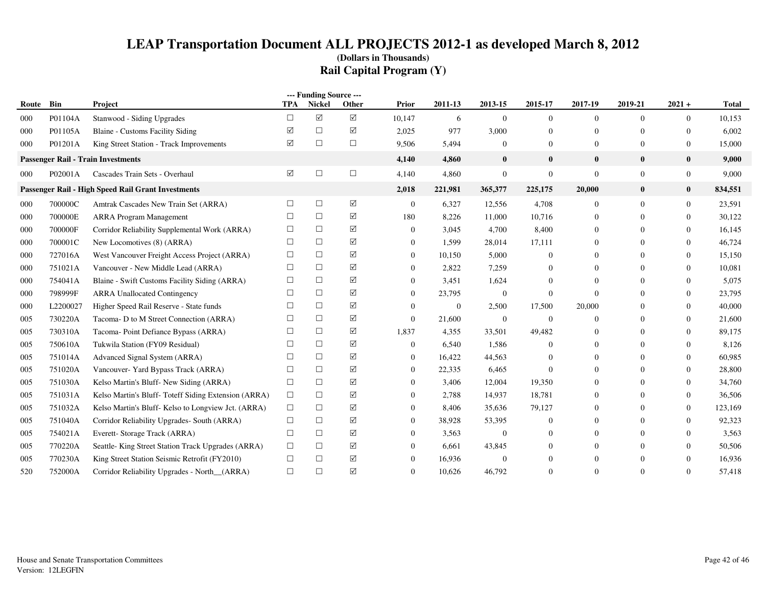|       | --- Funding Source --- |                                                     |            |                      |        |                  |          |                  |                  |                |                |                  |         |
|-------|------------------------|-----------------------------------------------------|------------|----------------------|--------|------------------|----------|------------------|------------------|----------------|----------------|------------------|---------|
| Route | Bin                    | Project                                             | <b>TPA</b> | <b>Nickel</b>        | Other  | Prior            | 2011-13  | 2013-15          | 2015-17          | 2017-19        | 2019-21        | $2021 +$         | Total   |
| 000   | P01104A                | Stanwood - Siding Upgrades                          | $\Box$     | $\blacktriangledown$ | ☑      | 10,147           | 6        | $\overline{0}$   | $\overline{0}$   | $\Omega$       | $\overline{0}$ | $\overline{0}$   | 10,153  |
| 000   | P01105A                | Blaine - Customs Facility Siding                    | ☑          | □                    | ☑      | 2,025            | 977      | 3,000            | $\mathbf{0}$     | $\Omega$       | $\Omega$       | $\Omega$         | 6,002   |
| 000   | P01201A                | King Street Station - Track Improvements            | ☑          | $\Box$               | $\Box$ | 9,506            | 5,494    | $\overline{0}$   | $\overline{0}$   | $\mathbf{0}$   | $\mathbf{0}$   | $\overline{0}$   | 15,000  |
|       |                        | <b>Passenger Rail - Train Investments</b>           |            |                      |        | 4,140            | 4,860    | $\bf{0}$         | $\bf{0}$         | $\bf{0}$       | $\bf{0}$       | $\bf{0}$         | 9,000   |
| 000   | P02001A                | Cascades Train Sets - Overhaul                      | ☑          | □                    | □      | 4,140            | 4,860    | $\mathbf{0}$     | $\boldsymbol{0}$ | $\overline{0}$ | $\mathbf{0}$   | $\overline{0}$   | 9,000   |
|       |                        | Passenger Rail - High Speed Rail Grant Investments  |            |                      |        | 2,018            | 221,981  | 365,377          | 225,175          | 20,000         | $\bf{0}$       | $\bf{0}$         | 834,551 |
| 000   | 700000C                | Amtrak Cascades New Train Set (ARRA)                | $\Box$     | $\Box$               | ☑      | $\boldsymbol{0}$ | 6,327    | 12,556           | 4,708            | $\overline{0}$ | $\mathbf{0}$   | $\boldsymbol{0}$ | 23,591  |
| 000   | 700000E                | <b>ARRA Program Management</b>                      | □          | $\Box$               | ☑      | 180              | 8,226    | 11,000           | 10,716           | $\mathbf{0}$   | $\Omega$       | $\overline{0}$   | 30,122  |
| 000   | 700000F                | Corridor Reliability Supplemental Work (ARRA)       | □          | $\Box$               | ☑      | $\Omega$         | 3,045    | 4,700            | 8,400            | $\mathbf{0}$   | $\Omega$       | $\overline{0}$   | 16,145  |
| 000   | 700001C                | New Locomotives (8) (ARRA)                          | □          | $\Box$               | ☑      | $\Omega$         | 1,599    | 28,014           | 17,111           | $\Omega$       | $\Omega$       | $\Omega$         | 46,724  |
| 000   | 727016A                | West Vancouver Freight Access Project (ARRA)        | □          | $\Box$               | ☑      | $\mathbf{0}$     | 10.150   | 5,000            | $\Omega$         | $\Omega$       | $\Omega$       | $\overline{0}$   | 15,150  |
| 000   | 751021A                | Vancouver - New Middle Lead (ARRA)                  | □          | $\Box$               | ☑      | $\mathbf{0}$     | 2,822    | 7,259            | $\Omega$         | $\mathbf{0}$   | $\Omega$       | $\overline{0}$   | 10,081  |
| 000   | 754041A                | Blaine - Swift Customs Facility Siding (ARRA)       | П          | $\Box$               | ☑      | $\mathbf{0}$     | 3,451    | 1,624            | $\Omega$         | $\Omega$       | $\Omega$       | $\overline{0}$   | 5,075   |
| 000   | 798999F                | <b>ARRA Unallocated Contingency</b>                 | П          | □                    | ☑      | $\mathbf{0}$     | 23,795   | $\overline{0}$   | $\overline{0}$   | $\Omega$       | $\Omega$       | $\overline{0}$   | 23,795  |
| 000   | L2200027               | Higher Speed Rail Reserve - State funds             | $\Box$     | $\Box$               | ☑      | $\mathbf{0}$     | $\Omega$ | 2,500            | 17,500           | 20,000         | $\Omega$       | $\Omega$         | 40,000  |
| 005   | 730220A                | Tacoma- D to M Street Connection (ARRA)             | П          | $\Box$               | ☑      | $\mathbf{0}$     | 21,600   | $\mathbf{0}$     | $\overline{0}$   | $\mathbf{0}$   | $\Omega$       | $\overline{0}$   | 21,600  |
| 005   | 730310A                | Tacoma-Point Defiance Bypass (ARRA)                 | □          | $\Box$               | ☑      | 1,837            | 4,355    | 33,501           | 49,482           | $\Omega$       | $\Omega$       | $\overline{0}$   | 89,175  |
| 005   | 750610A                | Tukwila Station (FY09 Residual)                     |            | $\Box$               | ☑      | $\mathbf{0}$     | 6,540    | 1,586            | $\Omega$         | 0              | $\Omega$       | $\overline{0}$   | 8,126   |
| 005   | 751014A                | Advanced Signal System (ARRA)                       | п          | □                    | ☑      | $\Omega$         | 16,422   | 44,563           | $\Omega$         | $\Omega$       | $\Omega$       | $\Omega$         | 60,985  |
| 005   | 751020A                | Vancouver- Yard Bypass Track (ARRA)                 | П          | $\Box$               | ☑      | $\mathbf{0}$     | 22,335   | 6,465            | $\Omega$         | $\Omega$       | $\Omega$       | $\overline{0}$   | 28,800  |
| 005   | 751030A                | Kelso Martin's Bluff-New Siding (ARRA)              | $\Box$     | $\Box$               | ☑      | $\mathbf{0}$     | 3,406    | 12,004           | 19,350           | $\Omega$       | $\Omega$       | $\boldsymbol{0}$ | 34,760  |
| 005   | 751031A                | Kelso Martin's Bluff-Toteff Siding Extension (ARRA) | $\Box$     | $\Box$               | ☑      | $\mathbf{0}$     | 2,788    | 14,937           | 18,781           | 0              | $\Omega$       | $\overline{0}$   | 36,506  |
| 005   | 751032A                | Kelso Martin's Bluff-Kelso to Longview Jct. (ARRA)  | $\Box$     | $\Box$               | ☑      | $\Omega$         | 8,406    | 35,636           | 79,127           | $\Omega$       | $\Omega$       | $\overline{0}$   | 123,169 |
| 005   | 751040A                | Corridor Reliability Upgrades-South (ARRA)          | $\Box$     | $\Box$               | ☑      | $\mathbf{0}$     | 38,928   | 53,395           | $\Omega$         | $\Omega$       | $\Omega$       | $\overline{0}$   | 92,323  |
| 005   | 754021A                | Everett-Storage Track (ARRA)                        | □          | $\Box$               | ☑      | $\mathbf{0}$     | 3,563    | $\boldsymbol{0}$ | $\Omega$         | $\Omega$       | $\Omega$       | $\overline{0}$   | 3,563   |
| 005   | 770220A                | Seattle-King Street Station Track Upgrades (ARRA)   | □          | □                    | ☑      | $\mathbf{0}$     | 6,661    | 43,845           | $\Omega$         | $\Omega$       | $\Omega$       | $\mathbf{0}$     | 50,506  |
| 005   | 770230A                | King Street Station Seismic Retrofit (FY2010)       | □          | $\Box$               | ☑      | $\Omega$         | 16,936   | $\overline{0}$   | $\Omega$         |                | $\Omega$       | $\mathbf{0}$     | 16,936  |
| 520   | 752000A                | Corridor Reliability Upgrades - North_(ARRA)        | $\Box$     | $\Box$               | ☑      | $\mathbf{0}$     | 10,626   | 46,792           | $\overline{0}$   | $\Omega$       | $\Omega$       | $\overline{0}$   | 57,418  |
|       |                        |                                                     |            |                      |        |                  |          |                  |                  |                |                |                  |         |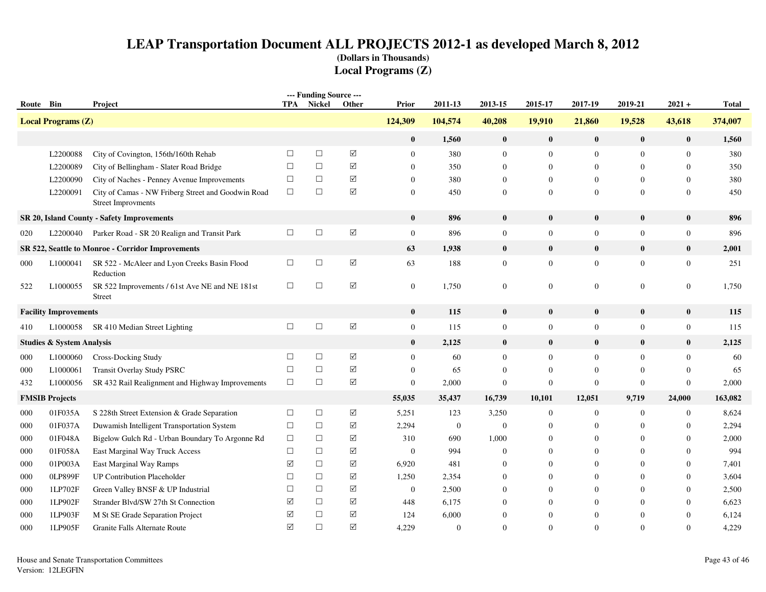| --- Funding Source --- |                                      |                                                                                 |            |        |                      |                  |                  |                  |                  |                  |                  |                  |              |
|------------------------|--------------------------------------|---------------------------------------------------------------------------------|------------|--------|----------------------|------------------|------------------|------------------|------------------|------------------|------------------|------------------|--------------|
| Route Bin              |                                      | Project                                                                         | <b>TPA</b> | Nickel | Other                | Prior            | 2011-13          | 2013-15          | 2015-17          | 2017-19          | 2019-21          | $2021 +$         | <b>Total</b> |
|                        | <b>Local Programs (Z)</b>            |                                                                                 |            |        |                      | 124,309          | 104,574          | 40,208           | 19,910           | 21,860           | 19,528           | 43,618           | 374,007      |
|                        |                                      |                                                                                 |            |        |                      | $\bf{0}$         | 1,560            | $\mathbf{0}$     | $\bf{0}$         | $\bf{0}$         | $\bf{0}$         | $\pmb{0}$        | 1,560        |
|                        | L2200088                             | City of Covington, 156th/160th Rehab                                            | $\Box$     | $\Box$ | ☑                    | $\overline{0}$   | 380              | $\boldsymbol{0}$ | $\mathbf{0}$     | $\mathbf{0}$     | $\overline{0}$   | $\boldsymbol{0}$ | 380          |
|                        | L2200089                             | City of Bellingham - Slater Road Bridge                                         | $\Box$     | $\Box$ | ☑                    | $\Omega$         | 350              | $\Omega$         | $\Omega$         | $\Omega$         | $\Omega$         | $\Omega$         | 350          |
|                        | L2200090                             | City of Naches - Penney Avenue Improvements                                     | $\Box$     | $\Box$ | ☑                    | $\overline{0}$   | 380              | $\mathbf{0}$     | $\overline{0}$   | $\mathbf{0}$     | $\theta$         | $\theta$         | 380          |
|                        | L2200091                             | City of Camas - NW Friberg Street and Goodwin Road<br><b>Street Improvments</b> | $\Box$     | $\Box$ | $\sqrt{}$            | $\overline{0}$   | 450              | $\mathbf{0}$     | $\mathbf{0}$     | $\overline{0}$   | 0                | $\mathbf{0}$     | 450          |
|                        |                                      | SR 20, Island County - Safety Improvements                                      |            |        |                      | $\bf{0}$         | 896              | $\bf{0}$         | $\bf{0}$         | $\bf{0}$         | $\bf{0}$         | $\bf{0}$         | 896          |
| 020                    | L2200040                             | Parker Road - SR 20 Realign and Transit Park                                    | $\Box$     | $\Box$ | $\boxtimes$          | $\boldsymbol{0}$ | 896              | $\boldsymbol{0}$ | $\boldsymbol{0}$ | $\boldsymbol{0}$ | $\boldsymbol{0}$ | $\boldsymbol{0}$ | 896          |
|                        |                                      | SR 522, Seattle to Monroe - Corridor Improvements                               |            |        |                      | 63               | 1,938            | $\bf{0}$         | $\bf{0}$         | $\bf{0}$         | $\bf{0}$         | $\bf{0}$         | 2,001        |
| 000                    | L1000041                             | SR 522 - McAleer and Lyon Creeks Basin Flood<br>Reduction                       | $\Box$     | $\Box$ | $\boxtimes$          | 63               | 188              | $\mathbf{0}$     | $\mathbf{0}$     | $\mathbf{0}$     | $\overline{0}$   | $\mathbf{0}$     | 251          |
| 522                    | L1000055                             | SR 522 Improvements / 61st Ave NE and NE 181st<br>Street                        | $\Box$     | $\Box$ | $\boxed{\checkmark}$ | $\overline{0}$   | 1,750            | $\mathbf{0}$     | $\boldsymbol{0}$ | $\overline{0}$   | 0                | $\mathbf{0}$     | 1,750        |
|                        | <b>Facility Improvements</b>         |                                                                                 |            |        |                      | $\bf{0}$         | 115              | $\mathbf{0}$     | $\bf{0}$         | $\bf{0}$         | $\mathbf{0}$     | $\bf{0}$         | 115          |
| 410                    | L1000058                             | SR 410 Median Street Lighting                                                   | $\Box$     | $\Box$ | $\boxtimes$          | $\boldsymbol{0}$ | 115              | $\overline{0}$   | $\overline{0}$   | $\overline{0}$   | $\overline{0}$   | $\boldsymbol{0}$ | 115          |
|                        | <b>Studies &amp; System Analysis</b> |                                                                                 |            |        |                      | $\bf{0}$         | 2,125            | $\bf{0}$         | $\bf{0}$         | $\bf{0}$         | $\bf{0}$         | $\bf{0}$         | 2,125        |
| 000                    | L1000060                             | <b>Cross-Docking Study</b>                                                      | $\Box$     | $\Box$ | $\triangledown$      | $\overline{0}$   | 60               | $\Omega$         | $\mathbf{0}$     | $\mathbf{0}$     | $\overline{0}$   | $\theta$         | 60           |
| 000                    | L1000061                             | <b>Transit Overlay Study PSRC</b>                                               | $\Box$     | $\Box$ | $\sqrt{}$            | $\overline{0}$   | 65               | $\theta$         | $\overline{0}$   | $\mathbf{0}$     | $\mathbf{0}$     | $\theta$         | 65           |
| 432                    | L1000056                             | SR 432 Rail Realignment and Highway Improvements                                | $\Box$     | $\Box$ | $\sqrt{}$            | $\mathbf{0}$     | 2,000            | $\mathbf{0}$     | $\mathbf{0}$     | $\mathbf{0}$     | $\mathbf{0}$     | $\mathbf{0}$     | 2,000        |
|                        | <b>FMSIB Projects</b>                |                                                                                 |            |        |                      | 55,035           | 35,437           | 16,739           | 10,101           | 12,051           | 9,719            | 24,000           | 163,082      |
| 000                    | 01F035A                              | S 228th Street Extension & Grade Separation                                     | $\Box$     | $\Box$ | $\boxtimes$          | 5,251            | 123              | 3,250            | $\boldsymbol{0}$ | $\boldsymbol{0}$ | $\boldsymbol{0}$ | $\mathbf{0}$     | 8,624        |
| 000                    | 01F037A                              | Duwamish Intelligent Transportation System                                      | $\Box$     | $\Box$ | $\boxed{\mathbb{Z}}$ | 2,294            | $\boldsymbol{0}$ | $\boldsymbol{0}$ | $\boldsymbol{0}$ | $\mathbf{0}$     | $\overline{0}$   | $\mathbf{0}$     | 2,294        |
| 000                    | 01F048A                              | Bigelow Gulch Rd - Urban Boundary To Argonne Rd                                 | $\Box$     | $\Box$ | ☑                    | 310              | 690              | 1,000            | $\Omega$         | $\Omega$         | 0                | $\Omega$         | 2,000        |
| 000                    | 01F058A                              | East Marginal Way Truck Access                                                  | $\Box$     | $\Box$ | ☑                    | $\mathbf{0}$     | 994              | $\Omega$         | $\Omega$         | $\Omega$         | 0                | $\Omega$         | 994          |
| 000                    | 01P003A                              | East Marginal Way Ramps                                                         | ☑          | $\Box$ | ☑                    | 6,920            | 481              | $\Omega$         | $\Omega$         | $\mathbf{0}$     | 0                | $\Omega$         | 7,401        |
| 000                    | 0LP899F                              | <b>UP Contribution Placeholder</b>                                              | $\Box$     | $\Box$ | ☑                    | 1,250            | 2,354            | $\Omega$         | $\mathbf{0}$     | $\overline{0}$   | 0                | $\theta$         | 3,604        |
| 000                    | 1LP702F                              | Green Valley BNSF & UP Industrial                                               | $\Box$     | $\Box$ | ☑                    | $\overline{0}$   | 2,500            | $\theta$         | $\Omega$         | $\overline{0}$   | $\Omega$         | $\mathbf{0}$     | 2,500        |
| 000                    | 1LP902F                              | Strander Blvd/SW 27th St Connection                                             | ☑          | $\Box$ | ☑                    | 448              | 6,175            | $\Omega$         | $\Omega$         | $\Omega$         | 0                | $\Omega$         | 6,623        |
| 000                    | 1LP903F                              | M St SE Grade Separation Project                                                | ☑          | $\Box$ | $\sqrt{}$            | 124              | 6,000            | $\Omega$         | $\mathbf{0}$     | $\overline{0}$   | $\theta$         | $\theta$         | 6,124        |
| 000                    | 1LP905F                              | Granite Falls Alternate Route                                                   | ☑          | $\Box$ | ☑                    | 4,229            | $\mathbf{0}$     | $\Omega$         | $\Omega$         | $\Omega$         | 0                | $\Omega$         | 4,229        |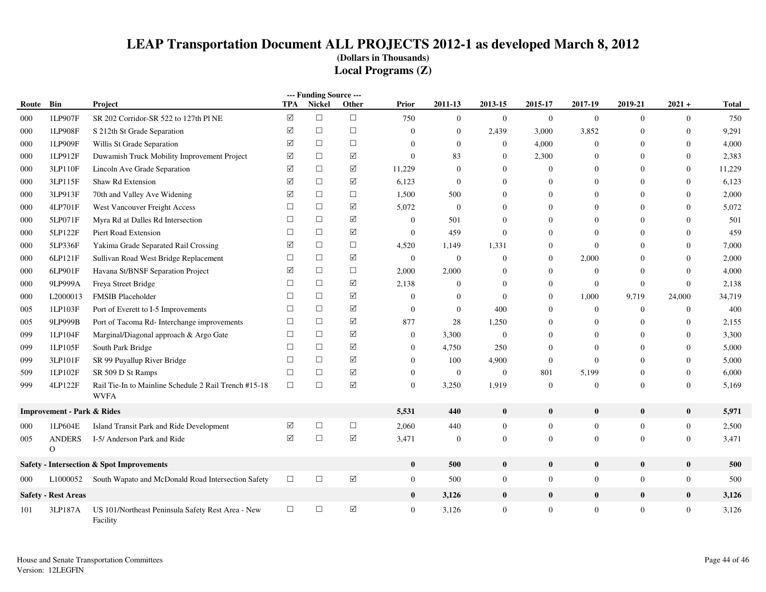|       | --- Funding Source ---                |                                                                      |            |               |                                      |                |                  |                |                  |                  |                  |                  |              |
|-------|---------------------------------------|----------------------------------------------------------------------|------------|---------------|--------------------------------------|----------------|------------------|----------------|------------------|------------------|------------------|------------------|--------------|
| Route | Bin                                   | <b>Project</b>                                                       | <b>TPA</b> | <b>Nickel</b> | Other                                | Prior          | 2011-13          | 2013-15        | 2015-17          | 2017-19          | 2019-21          | $2021 +$         | <b>Total</b> |
| 000   | 1LP907F                               | SR 202 Corridor-SR 522 to 127th Pl NE                                | ☑          | $\Box$        | $\Box$                               | 750            | $\overline{0}$   | $\mathbf{0}$   | $\mathbf{0}$     | $\mathbf{0}$     | $\overline{0}$   | $\overline{0}$   | 750          |
| 000   | 1LP908F                               | S 212th St Grade Separation                                          | ☑          | $\Box$        | $\Box$                               | $\overline{0}$ | $\theta$         | 2,439          | 3,000            | 3,852            | $\overline{0}$   | $\theta$         | 9,291        |
| 000   | 1LP909F                               | Willis St Grade Separation                                           | ☑          | $\Box$        | $\Box$                               | $\overline{0}$ | $\overline{0}$   | $\overline{0}$ | 4,000            | $\overline{0}$   | $\Omega$         | $\theta$         | 4,000        |
| 000   | 1LP912F                               | Duwamish Truck Mobility Improvement Project                          | ☑          | $\Box$        | $\Delta$                             | $\mathbf{0}$   | 83               | $\Omega$       | 2,300            | $\Omega$         | $\Omega$         | $\overline{0}$   | 2,383        |
| 000   | 3LP110F                               | Lincoln Ave Grade Separation                                         | ☑          | $\Box$        | ☑                                    | 11,229         | $\mathbf{0}$     | $\Omega$       | $\boldsymbol{0}$ | $\Omega$         | $\Omega$         | $\mathbf{0}$     | 11,229       |
| 000   | 3LP115F                               | Shaw Rd Extension                                                    | ☑          | $\Box$        | $\triangledown$                      | 6,123          | $\mathbf{0}$     | $\overline{0}$ | $\theta$         | $\Omega$         | $\overline{0}$   | $\mathbf{0}$     | 6,123        |
| 000   | 3LP913F                               | 70th and Valley Ave Widening                                         | ☑          | $\Box$        | $\Box$                               | 1,500          | 500              | $\mathbf{0}$   | $\theta$         | $\Omega$         | $\boldsymbol{0}$ | $\boldsymbol{0}$ | 2,000        |
| 000   | 4LP701F                               | West Vancouver Freight Access                                        | □          | $\Box$        | ☑                                    | 5,072          | $\mathbf{0}$     | $\overline{0}$ | $\theta$         | $\Omega$         | $\Omega$         | $\theta$         | 5,072        |
| 000   | 5LP071F                               | Myra Rd at Dalles Rd Intersection                                    | $\Box$     | $\Box$        | $\triangledown$                      | $\overline{0}$ | 501              | 0              | $\theta$         | $\Omega$         | $\overline{0}$   | $\theta$         | 501          |
| 000   | 5LP122F                               | Piert Road Extension                                                 | $\Box$     | $\Box$        | ☑                                    | $\mathbf{0}$   | 459              | $\mathbf{0}$   | $\boldsymbol{0}$ | $\Omega$         | $\overline{0}$   | $\mathbf{0}$     | 459          |
| 000   | 5LP336F                               | Yakima Grade Separated Rail Crossing                                 | ☑          | $\Box$        | $\Box$                               | 4,520          | 1,149            | 1,331          | $\boldsymbol{0}$ | $\Omega$         | $\overline{0}$   | $\mathbf{0}$     | 7,000        |
| 000   | 6LP121F                               | Sullivan Road West Bridge Replacement                                | $\Box$     | $\Box$        | ☑                                    | $\mathbf{0}$   | $\mathbf{0}$     | $\mathbf{0}$   | $\mathbf{0}$     | 2,000            | $\Omega$         | $\theta$         | 2,000        |
| 000   | 6LP901F                               | Havana St/BNSF Separation Project                                    | ☑          | $\Box$        | $\Box$                               | 2,000          | 2,000            | $\overline{0}$ | $\theta$         | $\Omega$         | $\Omega$         | $\theta$         | 4,000        |
| 000   | 9LP999A                               | Freya Street Bridge                                                  | $\Box$     | $\Box$        | ☑                                    | 2,138          | $\Omega$         | $\Omega$       | $\mathbf{0}$     | $\mathbf{0}$     | $\overline{0}$   | $\mathbf{0}$     | 2,138        |
| 000   | L2000013                              | <b>FMSIB Placeholder</b>                                             | $\Box$     | $\Box$        | ☑                                    | $\overline{0}$ | $\mathbf{0}$     | $\mathbf{0}$   | $\overline{0}$   | 1,000            | 9,719            | 24,000           | 34,719       |
| 005   | 1LP103F                               | Port of Everett to I-5 Improvements                                  | $\Box$     | $\Box$        | ☑                                    | $\overline{0}$ | $\overline{0}$   | 400            | $\boldsymbol{0}$ | $\boldsymbol{0}$ | $\mathbf{0}$     | $\boldsymbol{0}$ | 400          |
| 005   | 9LP999B                               | Port of Tacoma Rd- Interchange improvements                          | $\Box$     | $\Box$        | ☑                                    | 877            | 28               | 1,250          | $\theta$         | $\mathbf{0}$     | $\overline{0}$   | $\mathbf{0}$     | 2,155        |
| 099   | 1LP104F                               | Marginal/Diagonal approach & Argo Gate                               | $\Box$     | $\Box$        | ☑                                    | $\mathbf{0}$   | 3,300            | $\mathbf{0}$   | $\theta$         | $\overline{0}$   | 0                | $\boldsymbol{0}$ | 3,300        |
| 099   | 1LP105F                               | South Park Bridge                                                    | $\Box$     | $\Box$        | ☑                                    | $\overline{0}$ | 4,750            | 250            | $\theta$         | $\Omega$         | $\Omega$         | $\theta$         | 5,000        |
| 099   | 3LP101F                               | SR 99 Puyallup River Bridge                                          | $\Box$     | $\Box$        | $\Delta$                             | $\overline{0}$ | 100              | 4,900          | $\mathbf{0}$     | $\Omega$         | $\overline{0}$   | $\boldsymbol{0}$ | 5,000        |
| 509   | 1LP102F                               | SR 509 D St Ramps                                                    | $\Box$     | $\Box$        | $\Delta$                             | $\mathbf{0}$   | $\mathbf{0}$     | $\overline{0}$ | 801              | 5,199            | $\overline{0}$   | $\boldsymbol{0}$ | 6,000        |
| 999   | 4LP122F                               | Rail Tie-In to Mainline Schedule 2 Rail Trench #15-18<br><b>WVFA</b> | $\Box$     | $\Box$        | $\Delta$                             | $\Omega$       | 3,250            | 1,919          | $\boldsymbol{0}$ | $\Omega$         | $\overline{0}$   | $\mathbf{0}$     | 5,169        |
|       | <b>Improvement - Park &amp; Rides</b> |                                                                      |            |               |                                      | 5,531          | 440              | $\bf{0}$       | $\bf{0}$         | $\bf{0}$         | $\bf{0}$         | $\bf{0}$         | 5,971        |
| 000   | 1LP604E                               | Island Transit Park and Ride Development                             | ☑          | $\Box$        | $\Box$                               | 2,060          | 440              | $\mathbf{0}$   | $\boldsymbol{0}$ | $\boldsymbol{0}$ | $\mathbf{0}$     | $\boldsymbol{0}$ | 2,500        |
| 005   | <b>ANDERS</b><br>$\Omega$             | I-5/ Anderson Park and Ride                                          | ☑          | $\Box$        | ☑                                    | 3,471          | $\boldsymbol{0}$ | $\mathbf{0}$   | $\mathbf{0}$     | $\mathbf{0}$     | $\mathbf{0}$     | $\overline{0}$   | 3,471        |
|       |                                       | <b>Safety - Intersection &amp; Spot Improvements</b>                 |            |               |                                      | $\bf{0}$       | 500              | $\bf{0}$       | $\bf{0}$         | $\bf{0}$         | $\bf{0}$         | $\bf{0}$         | 500          |
| 000   | L1000052                              | South Wapato and McDonald Road Intersection Safety                   | $\Box$     | $\Box$        | $\hbox{\large \bf \large \boxtimes}$ | $\overline{0}$ | 500              | $\mathbf{0}$   | $\overline{0}$   | $\overline{0}$   | $\mathbf{0}$     | $\overline{0}$   | 500          |
|       | <b>Safety - Rest Areas</b>            |                                                                      |            |               |                                      | $\bf{0}$       | 3,126            | $\bf{0}$       | $\bf{0}$         | $\mathbf{0}$     | $\bf{0}$         | $\bf{0}$         | 3,126        |
| 101   | 3LP187A                               | US 101/Northeast Peninsula Safety Rest Area - New<br>Facility        | $\Box$     | $\Box$        | ☑                                    | $\overline{0}$ | 3,126            | $\overline{0}$ | $\overline{0}$   | $\Omega$         | $\mathbf{0}$     | $\overline{0}$   | 3,126        |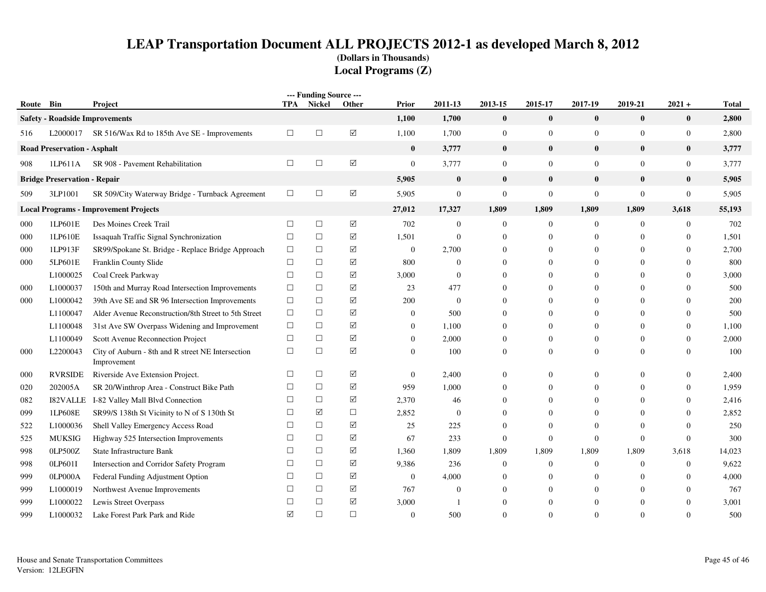| Route Bin |                                     | Project                                                          |                 | --- Funding Source ---<br>TPA Nickel | Other                       | Prior            | 2011-13          | 2013-15          | 2015-17          | 2017-19          | 2019-21          | $2021 +$         | <b>Total</b> |
|-----------|-------------------------------------|------------------------------------------------------------------|-----------------|--------------------------------------|-----------------------------|------------------|------------------|------------------|------------------|------------------|------------------|------------------|--------------|
|           |                                     | <b>Safety - Roadside Improvements</b>                            |                 |                                      |                             | 1,100            | 1,700            | $\bf{0}$         | $\bf{0}$         | $\bf{0}$         | $\bf{0}$         | $\bf{0}$         | 2,800        |
| 516       |                                     | L2000017 SR 516/Wax Rd to 185th Ave SE - Improvements            | $\Box$          | $\Box$                               | $\boxtimes$                 | 1,100            | 1,700            | $\boldsymbol{0}$ | $\mathbf{0}$     | $\mathbf{0}$     | $\boldsymbol{0}$ | $\boldsymbol{0}$ | 2,800        |
|           | <b>Road Preservation - Asphalt</b>  |                                                                  |                 |                                      |                             | $\bf{0}$         | 3,777            | $\bf{0}$         | $\bf{0}$         | $\bf{0}$         | $\bf{0}$         | $\bf{0}$         | 3,777        |
| 908       | 1LP611A                             | SR 908 - Pavement Rehabilitation                                 | $\Box$          | $\Box$                               | $\boxed{\textstyle\diagup}$ | $\overline{0}$   | 3,777            | $\mathbf{0}$     | $\mathbf{0}$     | $\overline{0}$   | $\overline{0}$   | $\boldsymbol{0}$ | 3,777        |
|           | <b>Bridge Preservation - Repair</b> |                                                                  |                 |                                      |                             | 5,905            | $\bf{0}$         | $\bf{0}$         | $\bf{0}$         | $\bf{0}$         | $\bf{0}$         | $\bf{0}$         | 5,905        |
| 509       | 3LP1001                             | SR 509/City Waterway Bridge - Turnback Agreement                 | $\Box$          | $\Box$                               | $\boxtimes$                 | 5,905            | $\mathbf{0}$     | $\mathbf{0}$     | $\boldsymbol{0}$ | $\boldsymbol{0}$ | $\boldsymbol{0}$ | $\mathbf{0}$     | 5,905        |
|           |                                     | <b>Local Programs - Improvement Projects</b>                     |                 |                                      |                             | 27,012           | 17,327           | 1,809            | 1,809            | 1,809            | 1,809            | 3,618            | 55,193       |
| 000       | 1LP601E                             | Des Moines Creek Trail                                           | $\Box$          | $\Box$                               | ☑                           | 702              | $\overline{0}$   | $\overline{0}$   | $\mathbf{0}$     | $\mathbf{0}$     | $\mathbf{0}$     | $\boldsymbol{0}$ | 702          |
| 000       | 1LP610E                             | Issaquah Traffic Signal Synchronization                          | $\Box$          | $\Box$                               | ☑                           | 1,501            | $\mathbf{0}$     | $\overline{0}$   | $\overline{0}$   | $\mathbf{0}$     | $\mathbf{0}$     | $\boldsymbol{0}$ | 1,501        |
| 000       | 1LP913F                             | SR99/Spokane St. Bridge - Replace Bridge Approach                | $\Box$          | $\Box$                               | ☑                           | $\mathbf{0}$     | 2,700            | $\overline{0}$   | $\overline{0}$   | $\mathbf{0}$     | $\Omega$         | $\theta$         | 2,700        |
| 000       | 5LP601E                             | Franklin County Slide                                            | $\Box$          | $\Box$                               | $\boxtimes$                 | 800              | $\boldsymbol{0}$ | $\overline{0}$   | $\overline{0}$   | $\boldsymbol{0}$ | $\theta$         | $\overline{0}$   | 800          |
|           | L1000025                            | Coal Creek Parkway                                               | $\Box$          | $\Box$                               | ☑                           | 3,000            | $\boldsymbol{0}$ | $\mathbf{0}$     | 0                | $\mathbf{0}$     | $\theta$         | $\boldsymbol{0}$ | 3,000        |
| 000       | L1000037                            | 150th and Murray Road Intersection Improvements                  | $\Box$          | $\Box$                               | ☑                           | 23               | 477              | $\mathbf{0}$     | $\overline{0}$   | $\overline{0}$   | $\Omega$         | $\Omega$         | 500          |
| 000       | L1000042                            | 39th Ave SE and SR 96 Intersection Improvements                  | $\Box$          | $\Box$                               | ☑                           | 200              | $\mathbf{0}$     | $\theta$         | $\Omega$         | $\mathbf{0}$     | $\Omega$         | $\Omega$         | 200          |
|           | L1100047                            | Alder Avenue Reconstruction/8th Street to 5th Street             | $\Box$          | $\Box$                               | ☑                           | $\mathbf{0}$     | 500              | $\overline{0}$   | $\overline{0}$   | $\mathbf{0}$     | $\mathbf{0}$     | $\theta$         | 500          |
|           | L1100048                            | 31st Ave SW Overpass Widening and Improvement                    | $\Box$          | $\Box$                               | ☑                           | $\theta$         | 1,100            | $\overline{0}$   | $\Omega$         | $\mathbf{0}$     | $\Omega$         | $\theta$         | 1,100        |
|           | L1100049                            | Scott Avenue Reconnection Project                                | $\Box$          | $\Box$                               | $\boxtimes$                 | $\theta$         | 2,000            | $\Omega$         | $\overline{0}$   | $\mathbf{0}$     | $\mathbf{0}$     | $\overline{0}$   | 2,000        |
| 000       | L2200043                            | City of Auburn - 8th and R street NE Intersection<br>Improvement | $\Box$          | $\Box$                               | $\boxtimes$                 | $\theta$         | 100              | $\overline{0}$   | $\overline{0}$   | $\mathbf{0}$     | $\mathbf{0}$     | $\overline{0}$   | 100          |
| 000       | <b>RVRSIDE</b>                      | Riverside Ave Extension Project.                                 | □               | $\Box$                               | ☑                           | $\mathbf{0}$     | 2,400            | $\overline{0}$   | $\boldsymbol{0}$ | $\mathbf{0}$     | $\mathbf{0}$     | $\boldsymbol{0}$ | 2,400        |
| 020       | 202005A                             | SR 20/Winthrop Area - Construct Bike Path                        | $\Box$          | $\Box$                               | ☑                           | 959              | 1,000            | $\overline{0}$   | $\overline{0}$   | $\mathbf{0}$     | $\mathbf{0}$     | $\overline{0}$   | 1,959        |
| 082       | <b>I82VALLE</b>                     | I-82 Valley Mall Blvd Connection                                 | $\Box$          | $\Box$                               | ☑                           | 2,370            | 46               | $\overline{0}$   | $\overline{0}$   | $\mathbf{0}$     | $\mathbf{0}$     | $\overline{0}$   | 2,416        |
| 099       | 1LP608E                             | SR99/S 138th St Vicinity to N of S 130th St                      | $\Box$          | ☑                                    | $\Box$                      | 2,852            | $\mathbf{0}$     | $\overline{0}$   | $\Omega$         | $\Omega$         | $\Omega$         | $\theta$         | 2,852        |
| 522       | L1000036                            | Shell Valley Emergency Access Road                               | $\Box$          | $\Box$                               | $\boxtimes$                 | 25               | 225              | $\overline{0}$   | $\theta$         | $\overline{0}$   | $\Omega$         | $\theta$         | 250          |
| 525       | <b>MUKSIG</b>                       | Highway 525 Intersection Improvements                            | $\Box$          | $\Box$                               | ☑                           | 67               | 233              | $\boldsymbol{0}$ | $\boldsymbol{0}$ | $\boldsymbol{0}$ | $\theta$         | $\overline{0}$   | 300          |
| 998       | 0LP500Z                             | State Infrastructure Bank                                        | $\Box$          | $\Box$                               | ☑                           | 1,360            | 1,809            | 1,809            | 1,809            | 1,809            | 1,809            | 3,618            | 14,023       |
| 998       | 0LP601I                             | Intersection and Corridor Safety Program                         | $\Box$          | $\Box$                               | ☑                           | 9,386            | 236              | $\overline{0}$   | $\overline{0}$   | $\mathbf{0}$     | $\mathbf{0}$     | $\overline{0}$   | 9,622        |
| 999       | 0LP000A                             | Federal Funding Adjustment Option                                | $\Box$          | $\Box$                               | ☑                           | $\boldsymbol{0}$ | 4,000            | $\overline{0}$   | $\overline{0}$   | $\mathbf{0}$     | $\mathbf{0}$     | $\theta$         | 4,000        |
| 999       | L1000019                            | Northwest Avenue Improvements                                    | $\Box$          | $\Box$                               | ☑                           | 767              | $\mathbf{0}$     | $\overline{0}$   | $\Omega$         | $\overline{0}$   | $\Omega$         | $\theta$         | 767          |
| 999       | L1000022                            | Lewis Street Overpass                                            | □               | $\Box$                               | ☑                           | 3,000            | $\mathbf{1}$     | $\Omega$         | 0                | $\mathbf{0}$     | $\Omega$         | $\theta$         | 3,001        |
| 999       | L1000032                            | Lake Forest Park Park and Ride                                   | $\triangledown$ | $\Box$                               | $\Box$                      | $\Omega$         | 500              | $\Omega$         | $\Omega$         | $\Omega$         | $\Omega$         | $\Omega$         | 500          |